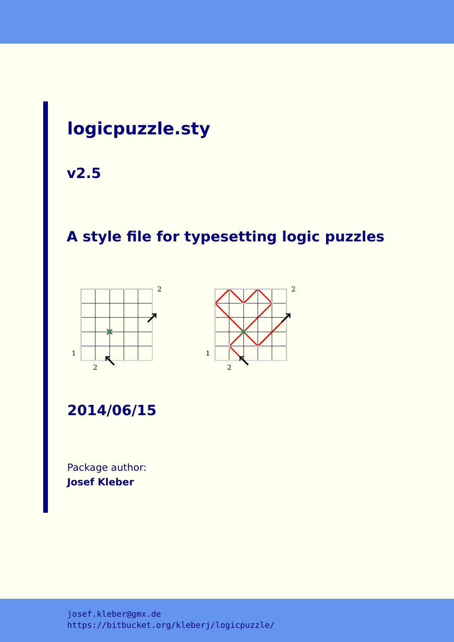# **logicpuzzle.sty**

**v2.5**

# **A style file for typesetting logic puzzles**





**2014/06/15**

Package author: **Josef Kleber**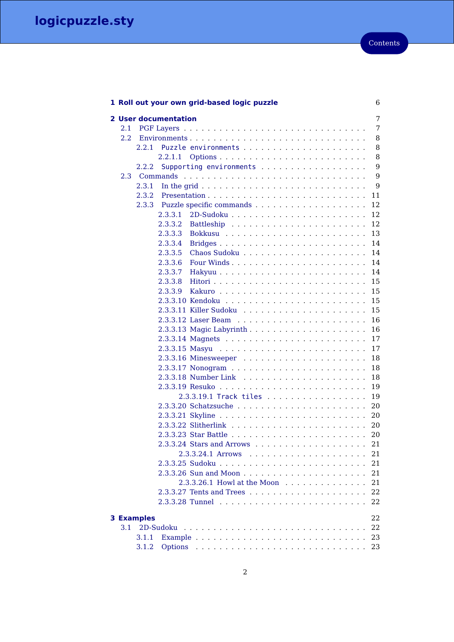|                   |       | 1 Roll out your own grid-based logic puzzle                                                                   | 6  |
|-------------------|-------|---------------------------------------------------------------------------------------------------------------|----|
|                   |       | 2 User documentation                                                                                          | 7  |
| 2.1               |       |                                                                                                               | 7  |
| $2.2\,$           |       |                                                                                                               | 8  |
|                   | 2.2.1 |                                                                                                               | 8  |
|                   |       | 2.2.1.1                                                                                                       | 8  |
|                   | 2.2.2 | Supporting environments                                                                                       | 9  |
| 2.3               |       |                                                                                                               | 9  |
|                   | 2.3.1 | In the grid $\ldots \ldots \ldots \ldots \ldots \ldots \ldots \ldots \ldots$                                  | 9  |
|                   | 2.3.2 |                                                                                                               | 11 |
|                   | 2.3.3 |                                                                                                               | 12 |
|                   |       | 2.3.3.1                                                                                                       | 12 |
|                   |       | 2.3.3.2                                                                                                       | 12 |
|                   |       | 2.3.3.3                                                                                                       | 13 |
|                   |       | 2.3.3.4                                                                                                       | 14 |
|                   |       | 2.3.3.5                                                                                                       | 14 |
|                   |       | 2.3.3.6                                                                                                       | 14 |
|                   |       | 2.3.3.7                                                                                                       | 14 |
|                   |       | 2.3.3.8                                                                                                       | 15 |
|                   |       | 2.3.3.9                                                                                                       | 15 |
|                   |       |                                                                                                               | 15 |
|                   |       |                                                                                                               | 15 |
|                   |       |                                                                                                               | 16 |
|                   |       |                                                                                                               | 16 |
|                   |       |                                                                                                               | 17 |
|                   |       |                                                                                                               | 17 |
|                   |       |                                                                                                               | 18 |
|                   |       |                                                                                                               | 18 |
|                   |       |                                                                                                               | 18 |
|                   |       |                                                                                                               | 19 |
|                   |       | 2.3.3.19.1 Track tiles                                                                                        | 19 |
|                   |       |                                                                                                               | 20 |
|                   |       |                                                                                                               | 20 |
|                   |       |                                                                                                               | 20 |
|                   |       |                                                                                                               | 20 |
|                   |       | $2.3.3.24$ Stars and Arrows $\dots \dots \dots \dots \dots \dots$                                             | 21 |
|                   |       | 2.3.3.24.1 Arrows                                                                                             | 21 |
|                   |       |                                                                                                               | 21 |
|                   |       |                                                                                                               | 21 |
|                   |       | 2.3.3.26.1 Howl at the Moon response to response the Moon response to response the material of the set of the | 21 |
|                   |       |                                                                                                               | 22 |
|                   |       |                                                                                                               | 22 |
| <b>3 Examples</b> |       |                                                                                                               | 22 |
| 3.1               |       | 2D-Sudoku                                                                                                     | 22 |
|                   | 3.1.1 |                                                                                                               | 23 |
|                   | 3.1.2 |                                                                                                               | 23 |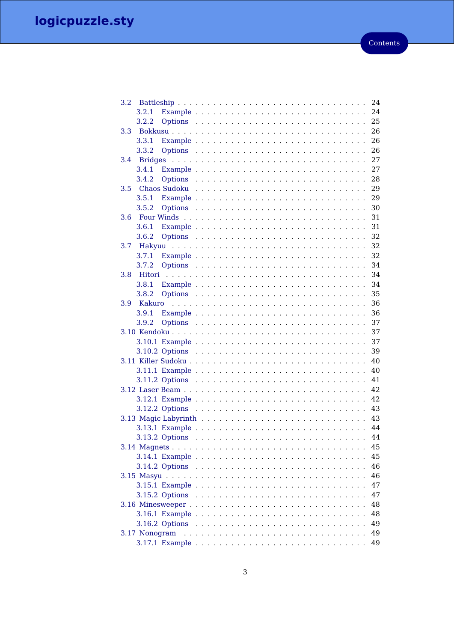| 3.2.          | 24 |
|---------------|----|
| 3.2.1         | 24 |
| 3.2.2         | 25 |
| 3.3           | 26 |
| 3.3.1         | 26 |
| 3.3.2         | 26 |
| 3.4           | 27 |
| 3.4.1         | 27 |
| 3.4.2         | 28 |
| 3.5           | 29 |
| 3.5.1         | 29 |
| 3.5.2         | 30 |
| 3.6           | 31 |
| 3.6.1         | 31 |
| 3.6.2         | 32 |
| 3.7           | 32 |
| 3.7.1         | 32 |
| 3.7.2         | 34 |
| 3.8           | 34 |
| 3.8.1         | 34 |
| 3.8.2         | 35 |
| 3.9           | 36 |
| 3.9.1         | 36 |
| 3.9.2         | 37 |
|               | 37 |
|               | 37 |
|               | 39 |
|               | 40 |
|               | 40 |
|               | 41 |
|               | 42 |
|               | 42 |
|               | 43 |
|               | 43 |
|               | 44 |
|               | 44 |
|               | 45 |
|               | 45 |
|               | 46 |
|               | 46 |
|               | 47 |
|               | 47 |
|               | 48 |
|               | 48 |
|               | 49 |
| 3.17 Nonogram | 49 |
|               | 49 |
|               |    |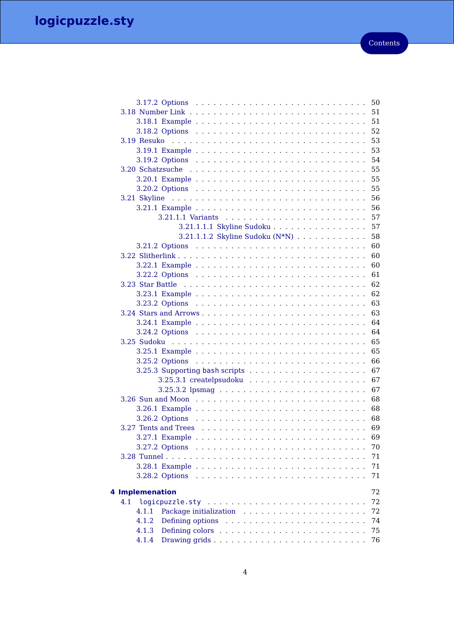|     |                 |                |                                 |  |  |  |  |  | 50 |
|-----|-----------------|----------------|---------------------------------|--|--|--|--|--|----|
|     |                 |                |                                 |  |  |  |  |  | 51 |
|     |                 |                |                                 |  |  |  |  |  | 51 |
|     |                 |                |                                 |  |  |  |  |  | 52 |
|     |                 |                |                                 |  |  |  |  |  | 53 |
|     |                 |                |                                 |  |  |  |  |  | 53 |
|     |                 |                |                                 |  |  |  |  |  | 54 |
|     |                 |                |                                 |  |  |  |  |  | 55 |
|     |                 |                |                                 |  |  |  |  |  | 55 |
|     |                 |                |                                 |  |  |  |  |  | 55 |
|     |                 |                |                                 |  |  |  |  |  | 56 |
|     |                 |                |                                 |  |  |  |  |  | 56 |
|     |                 |                |                                 |  |  |  |  |  | 57 |
|     |                 |                | 3.21.1.1.1 Skyline Sudoku       |  |  |  |  |  | 57 |
|     |                 |                | 3.21.1.1.2 Skyline Sudoku (N*N) |  |  |  |  |  | 58 |
|     |                 |                |                                 |  |  |  |  |  | 60 |
|     |                 |                |                                 |  |  |  |  |  | 60 |
|     |                 |                |                                 |  |  |  |  |  | 60 |
|     |                 |                |                                 |  |  |  |  |  | 61 |
|     |                 |                |                                 |  |  |  |  |  | 62 |
|     |                 |                |                                 |  |  |  |  |  | 62 |
|     |                 |                |                                 |  |  |  |  |  | 63 |
|     |                 |                |                                 |  |  |  |  |  | 63 |
|     |                 |                |                                 |  |  |  |  |  |    |
|     |                 |                |                                 |  |  |  |  |  | 64 |
|     |                 |                |                                 |  |  |  |  |  | 64 |
|     |                 |                |                                 |  |  |  |  |  | 65 |
|     |                 |                |                                 |  |  |  |  |  | 65 |
|     |                 |                |                                 |  |  |  |  |  | 66 |
|     |                 |                |                                 |  |  |  |  |  | 67 |
|     |                 |                |                                 |  |  |  |  |  | 67 |
|     |                 |                |                                 |  |  |  |  |  | 67 |
|     |                 |                |                                 |  |  |  |  |  | 68 |
|     |                 |                |                                 |  |  |  |  |  | 68 |
|     |                 |                |                                 |  |  |  |  |  | 68 |
|     |                 |                |                                 |  |  |  |  |  | 69 |
|     |                 |                |                                 |  |  |  |  |  | 69 |
|     |                 |                |                                 |  |  |  |  |  | 70 |
|     |                 |                |                                 |  |  |  |  |  | 71 |
|     |                 |                |                                 |  |  |  |  |  | 71 |
|     |                 | 3.28.2 Options |                                 |  |  |  |  |  | 71 |
|     |                 |                |                                 |  |  |  |  |  |    |
|     | 4 Implemenation |                |                                 |  |  |  |  |  | 72 |
| 4.1 |                 |                |                                 |  |  |  |  |  | 72 |
|     | 4.1.1           |                |                                 |  |  |  |  |  | 72 |
|     | 4.1.2           |                |                                 |  |  |  |  |  | 74 |
|     | 4.1.3           |                |                                 |  |  |  |  |  | 75 |
|     | 4.1.4           |                |                                 |  |  |  |  |  | 76 |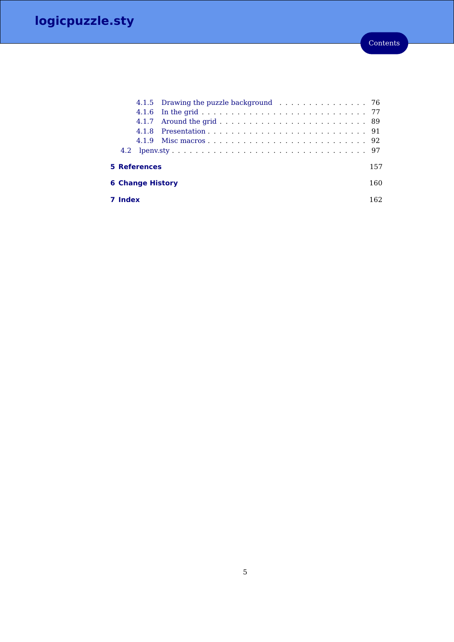|                         | <b>7 Index</b> |                     |                                        |  | 162 |
|-------------------------|----------------|---------------------|----------------------------------------|--|-----|
| <b>6 Change History</b> |                |                     |                                        |  | 160 |
|                         |                | <b>5 References</b> |                                        |  | 157 |
|                         |                |                     |                                        |  |     |
|                         |                |                     |                                        |  |     |
|                         |                |                     |                                        |  |     |
|                         |                |                     |                                        |  |     |
|                         |                |                     |                                        |  |     |
|                         |                |                     | 4.1.5 Drawing the puzzle background 76 |  |     |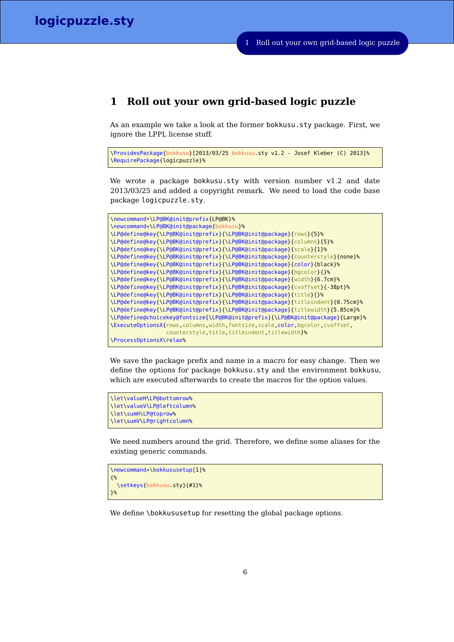# <span id="page-5-0"></span>**1 Roll out your own grid-based logic puzzle**

As an example we take a look at the former bokkusu.sty package. First, we ignore the LPPL license stuff.

```
\ProvidesPackage{bokkusu}[2013/03/25 bokkusu.sty v1.2 - Josef Kleber (C) 2013]%
\RequirePackage{logicpuzzle}%
```
We wrote a package bokkusu.sty with version number v1.2 and date 2013/03/25 and added a copyright remark. We need to load the code base package logicpuzzle.sty.

```
\newcommand*\LP@BK@init@prefix{LP@BK}%
\newcommand*\LP@BK@init@package{bokkusu}%
\LP@define@key{\LP@BK@init@prefix}{\LP@BK@init@package}{rows}{5}%
\LP@define@key{\LP@BK@init@prefix}{\LP@BK@init@package}{columns}{5}%
\LP@define@key{\LP@BK@init@prefix}{\LP@BK@init@package}{scale}{1}%
\LP@define@key{\LP@BK@init@prefix}{\LP@BK@init@package}{counterstyle}{none}%
\LP@define@key{\LP@BK@init@prefix}{\LP@BK@init@package}{color}{black}%
\LP@define@key{\LP@BK@init@prefix}{\LP@BK@init@package}{bgcolor}{}%
\LP@define@key{\LP@BK@init@prefix}{\LP@BK@init@package}{width}{6.7cm}%
\LP@define@key{\LP@BK@init@prefix}{\LP@BK@init@package}{cvoffset}{-38pt}%
\LP@define@key{\LP@BK@init@prefix}{\LP@BK@init@package}{title}{}%
\LP@define@key{\LP@BK@init@prefix}{\LP@BK@init@package}{titleindent}{0.75cm}%
\LP@define@key{\LP@BK@init@prefix}{\LP@BK@init@package}{titlewidth}{5.85cm}%
\LP@define@choicekey@fontsize{\LP@BK@init@prefix}{\LP@BK@init@package}{Large}%
\ExecuteOptionsX{rows,columns,width,fontsize,scale,color,bgcolor,cvoffset,
                 counterstyle, title, titleindent, titlewidth}%
\ProcessOptionsX\relax%
```
We save the package prefix and name in a macro for easy change. Then we define the options for package bokkusu.sty and the environment bokkusu, which are executed afterwards to create the macros for the option values.

```
\let\valueH\LP@bottomrow%
\let\valueV\LP@leftcolumn%
\let\sumH\LP@toprow%
\let\sumV\LP@rightcolumn%
```
We need numbers around the grid. Therefore, we define some aliases for the existing generic commands.

```
\newcommand*\bokkususetup[1]%
{%
 \setkeys{bokkusu.sty}{#1}%
3%
```
We define \bokkususetup for resetting the global package options.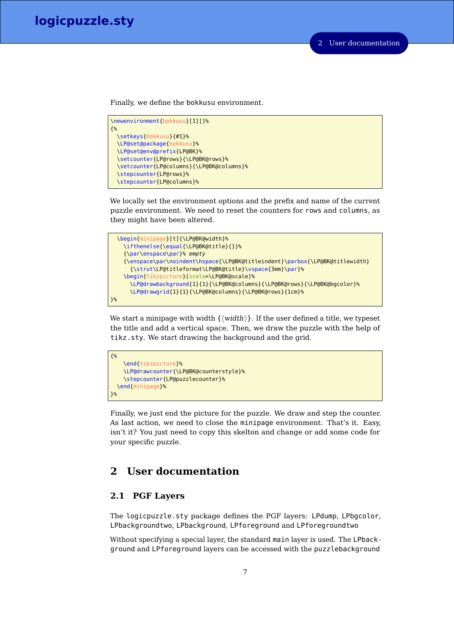Finally, we define the bokkusu environment.

```
\newenvironment{bokkusu}[1][]%
{%
 \setkeys{bokkusu}{#1}%
 \LP@set@package{bokkusu}%
 \LP@set@env@prefix{LP@BK}%
 \setcounter{LP@rows}{\LP@BK@rows}%
 \setcounter{LP@columns}{\LP@BK@columns}%
 \stepcounter{LP@rows}%
 \stepcounter{LP@columns}%
```
We locally set the environment options and the prefix and name of the current puzzle environment. We need to reset the counters for rows and columns, as they might have been altered.



We start a minipage with width  $\{\langle width \rangle\}$ . If the user defined a title, we typeset the title and add a vertical space. Then, we draw the puzzle with the help of tikz.sty. We start drawing the background and the grid.



Finally, we just end the picture for the puzzle. We draw and step the counter. As last action, we need to close the minipage environment. That's it. Easy, isn't it? You just need to copy this skelton and change or add some code for your specific puzzle.

# <span id="page-6-0"></span>**2 User documentation**

# <span id="page-6-1"></span>**2.1 PGF Layers**

The logicpuzzle.sty package defines the PGF layers: LPdump, LPbgcolor, LPbackgroundtwo, LPbackground, LPforeground and LPforegroundtwo

Without specifying a special layer, the standard main layer is used. The LPbackground and LPforeground layers can be accessed with the puzzlebackground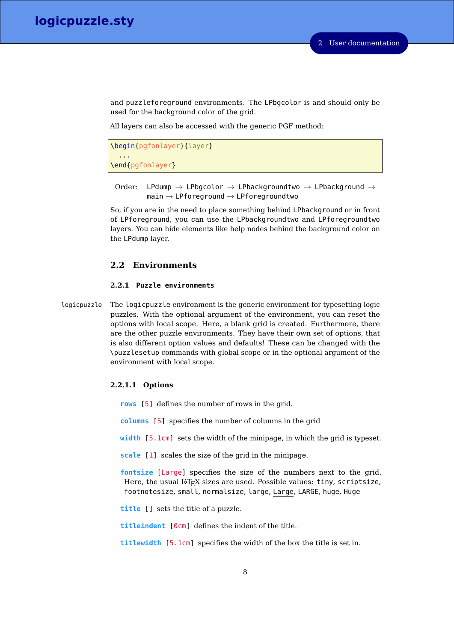and puzzleforeground environments. The LPbgcolor is and should only be used for the background color of the grid.

All layers can also be accessed with the generic PGF method:

```
\begin{pgfonlayer}{layer}
  ...
\end{pgfonlayer}
```
Order: LPdump  $\rightarrow$  LPbgcolor  $\rightarrow$  LPbackgroundtwo  $\rightarrow$  LPbackground  $\rightarrow$  $main \rightarrow LP$ foreground  $\rightarrow LP$ foregroundtwo

So, if you are in the need to place something behind LPbackground or in front of LPforeground, you can use the LPbackgroundtwo and LPforegroundtwo layers. You can hide elements like help nodes behind the background color on the LPdump layer.

#### <span id="page-7-0"></span>**2.2 Environments**

#### <span id="page-7-1"></span>**2.2.1 Puzzle environments**

logicpuzzle The logicpuzzle environment is the generic environment for typesetting logic puzzles. With the optional argument of the environment, you can reset the options with local scope. Here, a blank grid is created. Furthermore, there are the other puzzle environments. They have their own set of options, that is also different option values and defaults! These can be changed with the \puzzlesetup commands with global scope or in the optional argument of the environment with local scope.

#### <span id="page-7-2"></span>**2.2.1.1 Options**

- **rows** [5] defines the number of rows in the grid.
- **columns** [5] specifies the number of columns in the grid
- **width** [5.1cm] sets the width of the minipage, in which the grid is typeset.
- **scale** [1] scales the size of the grid in the minipage.
- **fontsize** [Large] specifies the size of the numbers next to the grid. Here, the usual LAT<sub>E</sub>X sizes are used. Possible values: tiny, scriptsize, footnotesize, small, normalsize, large, Large, LARGE, huge, Huge

**title** [] sets the title of a puzzle.

**titleindent** [0cm] defines the indent of the title.

**titlewidth** [5.1cm] specifies the width of the box the title is set in.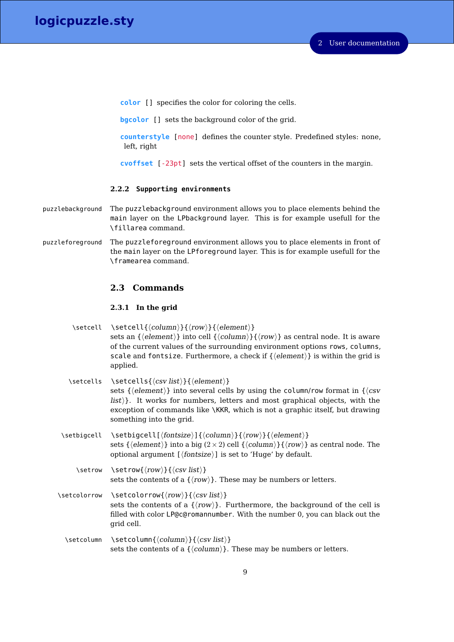**color** [] specifies the color for coloring the cells.

**bgcolor** [] sets the background color of the grid.

**counterstyle** [none] defines the counter style. Predefined styles: none, left, right

**cvoffset** [-23pt] sets the vertical offset of the counters in the margin.

#### <span id="page-8-0"></span>**2.2.2 Supporting environments**

- puzzlebackground The puzzlebackground environment allows you to place elements behind the main layer on the LPbackground layer. This is for example usefull for the \fillarea command.
- puzzleforeground The puzzleforeground environment allows you to place elements in front of the main layer on the LPforeground layer. This is for example usefull for the \framearea command.

# <span id="page-8-1"></span>**2.3 Commands**

#### <span id="page-8-2"></span>**2.3.1 In the grid**

| \setcell | \setcell{ $\langle column \rangle$ }{ $\langle row \rangle$ }{ $\langle element \rangle$ }                                       |
|----------|----------------------------------------------------------------------------------------------------------------------------------|
|          | sets an $\{\langle element \rangle\}$ into cell $\{\langle column \rangle\}\{\langle row \rangle\}$ as central node. It is aware |
|          | of the current values of the surrounding environment options rows, columns,                                                      |
|          | scale and fontsize. Furthermore, a check if $\{ \langle element \rangle \}$ is within the grid is                                |
|          | applied.                                                                                                                         |

| \setcells \setcells{\csv list\}}{\element\}                                               |
|-------------------------------------------------------------------------------------------|
| sets { $\{ \cdot \}$ } into several cells by using the column/row format in $\{ \cdot \}$ |
| $ $ list $\rangle$ . It works for numbers, letters and most graphical objects, with the   |
| exception of commands like \KKR, which is not a graphic itself, but drawing               |
| something into the grid.                                                                  |
|                                                                                           |

- \setbigcell \setbigcell[ $\{fontsize\}$ ]{ $\{column\}$ { $\{row\}$ }{ $\{element\}$ } sets { $\{element\}$ } into a big (2×2) cell { $\{column\}$ } { $\{row\}$ } as central node. The optional argument  $[\langle \text{fontsize} \rangle]$  is set to 'Huge' by default.
	- \setrow \setrow{ $\langle row\rangle$ }{ $\langle csv \; list \rangle$ } sets the contents of a  $\{\langle row \rangle\}$ . These may be numbers or letters.
- \setcolorrow \setcolorrow{ $\row$ }{ $\csc list$ } sets the contents of a  $\{\langle row \rangle\}$ . Furthermore, the background of the cell is filled with color LP@c@romannumber. With the number 0, you can black out the grid cell.
	- \setcolumn \setcolumn{ $\{column\}$ { $\{csv list\}$ } sets the contents of a  $\{\langle column \rangle\}$ . These may be numbers or letters.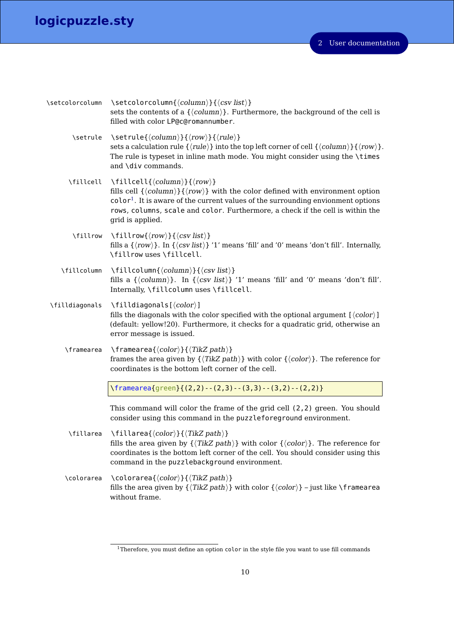| \setcolorcolumn | \setcolorcolumn{ $\langle column \rangle$ }{ $\langle csv \; list \rangle$ }<br>sets the contents of a $\{\langle column \rangle\}$ . Furthermore, the background of the cell is<br>filled with color LP@c@romannumber.                                                                                                                                                                                |
|-----------------|--------------------------------------------------------------------------------------------------------------------------------------------------------------------------------------------------------------------------------------------------------------------------------------------------------------------------------------------------------------------------------------------------------|
| \setrule        | \setrule{ $\langle column \rangle$ }{ $\langle row \rangle$ }{ $\langle rule \rangle$ }<br>sets a calculation rule $\{\langle rule \rangle\}$ into the top left corner of cell $\{\langle column \rangle\}\{\langle row \rangle\}$ .<br>The rule is typeset in inline math mode. You might consider using the \times<br>and \div commands.                                                             |
| \fillcell       | $\left\{ \left\langle column \right\rangle \right\}$ { $\left\langle row \right\rangle$ }<br>fills cell $\{\langle column \rangle\}\{\langle row \rangle\}$ with the color defined with environment option<br>$color1$ . It is aware of the current values of the surrounding envionment options<br>rows, columns, scale and color. Furthermore, a check if the cell is within the<br>grid is applied. |
| \fillrow        | \fillrow{ $\langle row \rangle$ }{ $\langle csv \; list \rangle$ }<br>fills a $\{\langle row \rangle\}$ . In $\{\langle csv list \rangle\}$ '1' means 'fill' and '0' means 'don't fill'. Internally,<br>\fillrow uses \fillcell.                                                                                                                                                                       |
| \fillcolumn     | \fillcolumn{ $\langle column \rangle$ }{ $\langle csv \; list \rangle$ }<br>fills a $\{\langle column \rangle\}$ . In $\{\langle csv list \rangle\}$ '1' means 'fill' and '0' means 'don't fill'.<br>Internally, \fillcolumn uses \fillcell.                                                                                                                                                           |
| \filldiagonals  | $\left\{ \left\langle color\right\rangle \right\}$<br>fills the diagonals with the color specified with the optional argument $\lfloor \langle color \rangle \rfloor$<br>(default: yellow!20). Furthermore, it checks for a quadratic grid, otherwise an<br>error message is issued.                                                                                                                   |
| \framearea      | $\{\langle color \rangle\}\{\langle TikZ\ path\rangle\}$<br>frames the area given by $\{\langle TikZ \nphi \rangle\}$ with color $\{\langle color \rangle\}$ . The reference for<br>coordinates is the bottom left corner of the cell.                                                                                                                                                                 |
|                 | $\frac{1}{2}, \frac{3}{2} - (3, 2) - (2, 3) - (3, 3) - (3, 2) - (2, 2)$                                                                                                                                                                                                                                                                                                                                |
|                 | This command will color the frame of the grid cell (2,2) green. You should<br>consider using this command in the puzzleforeground environment.                                                                                                                                                                                                                                                         |
| \fillarea       | \fillarea{\color\}}{\TikZ path\}<br>fills the area given by $\{\langle TikZ \nphi \rangle\}$ with color $\{\langle color \rangle\}$ . The reference for<br>coordinates is the bottom left corner of the cell. You should consider using this<br>command in the puzzlebackground environment.                                                                                                           |
| \colorarea      | $\setminus$ colorarea $\{\langle color \rangle\}\{\langle TikZ\ path\rangle\}$<br>fills the area given by $\{\langle TikZ path \rangle\}$ with color $\{\langle color \rangle\}$ – just like \framearea<br>without frame.                                                                                                                                                                              |

<span id="page-9-0"></span><sup>1</sup>Therefore, you must define an option color in the style file you want to use fill commands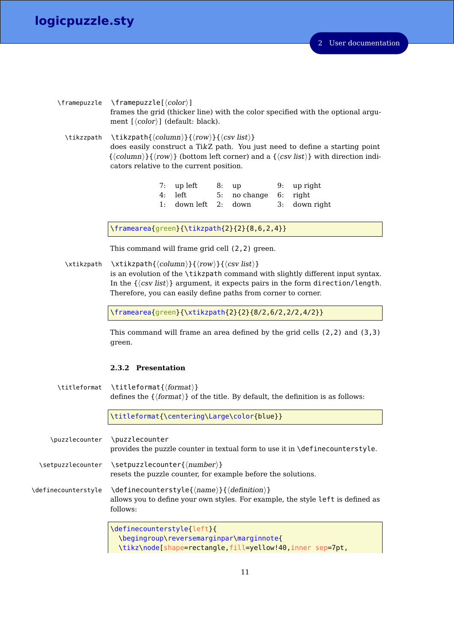|            | $\frac{\frac{1}{\gamma}}{\frac{1}{\gamma}}$                                                                                                                                                                                                                                                                                                                          |
|------------|----------------------------------------------------------------------------------------------------------------------------------------------------------------------------------------------------------------------------------------------------------------------------------------------------------------------------------------------------------------------|
|            | frames the grid (thicker line) with the color specified with the optional argu-<br>ment [ $\langle color \rangle$ ] (default: black).                                                                                                                                                                                                                                |
| \tikzzpath | $\{\text{column}\}\{\langle row \rangle\}\{\langle csv\; list \rangle\}$<br>does easily construct a TikZ path. You just need to define a starting point<br>$\{\langle \text{column} \rangle\}\$ ( $\langle \text{row} \rangle\}$ ) (bottom left corner) and a $\{\langle \text{csv list} \rangle\}$ with direction indi-<br>cators relative to the current position. |
|            | 7: up left<br>up right<br>- 8: up<br>9:                                                                                                                                                                                                                                                                                                                              |

4: left 5: no change 6: right 1: down left 2: down 3: down right

\framearea{green}{\tikzpath{2}{2}{8,6,2,4}}

This command will frame grid cell (2,2) green.

 $\xti$ kzpath  $\xti$ kzpath ${\langle column \rangle}{\langle row \rangle}{\langle csv \; list \rangle}$ 

is an evolution of the \tikzpath command with slightly different input syntax. In the  $\{\langle \text{csv list} \rangle\}$  argument, it expects pairs in the form direction/length. Therefore, you can easily define paths from corner to corner.

\framearea{green}{\xtikzpath{2}{2}{8/2,6/2,2/2,4/2}}

This command will frame an area defined by the grid cells (2,2) and (3,3) green.

#### <span id="page-10-0"></span>**2.3.2 Presentation**

\titleformat \titleformat{\format}} defines the  $\{\langle format \rangle\}$  of the title. By default, the definition is as follows:

\titleformat{\centering\Large\color{blue}}

\puzzlecounter \puzzlecounter provides the puzzle counter in textual form to use it in \definecounterstyle. \setpuzzlecounter \setpuzzlecounter{\number}} resets the puzzle counter, for example before the solutions. \definecounterstyle \definecounterstyle{ $\langle name \rangle$ }{ $\langle define \rangle$ } allows you to define your own styles. For example, the style left is defined as follows: \definecounterstyle{left}{ \begingroup\reversemarginpar\marginnote{

\tikz\node[shape=rectangle,fill=yellow!40,inner sep=7pt,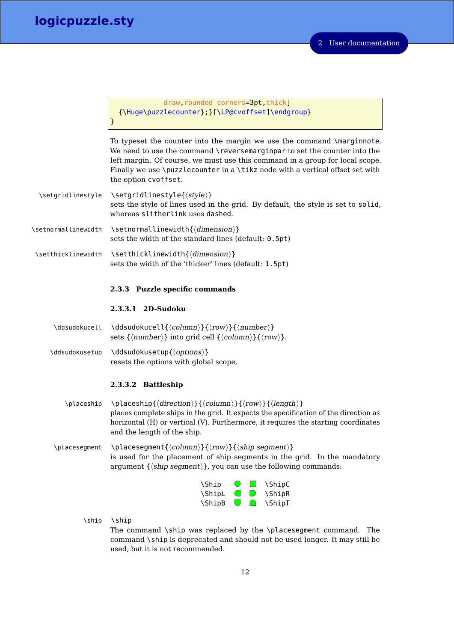}

draw, rounded corners=3pt, thick] {\Huge\puzzlecounter};}[\LP@cvoffset]\endgroup}

To typeset the counter into the margin we use the command \marginnote. We need to use the command \reversemarginpar to set the counter into the left margin. Of course, we must use this command in a group for local scope. Finally we use \puzzlecounter in a \tikz node with a vertical offset set with the option cvoffset.

- \setgridlinestyle \setgridlinestyle{ $\langle style\rangle\rangle$ } sets the style of lines used in the grid. By default, the style is set to solid, whereas slitherlink uses dashed.
- $\setminus$ setnormallinewidth  $\setminus$ setnormallinewidth{ $\langle$ dimension $\rangle$ } sets the width of the standard lines (default: 0.5pt)
- \setthicklinewidth \setthicklinewidth{ $\langle dimension \rangle$ } sets the width of the 'thicker' lines (default: 1.5pt)

#### <span id="page-11-0"></span>**2.3.3 Puzzle specific commands**

## <span id="page-11-1"></span>**2.3.3.1 2D-Sudoku**

- \ddsudokucell \ddsudokucell{ $\langle column \rangle$ }{ $\langle row \rangle$ }{ $\langle number \rangle$ } sets  $\{\langle number \rangle\}$  into grid cell  $\{\langle column \rangle\}\{\langle row \rangle\}.$
- \ddsudokusetup \ddsudokusetup{ $\{options\}$ } resets the options with global scope.

#### <span id="page-11-2"></span>**2.3.3.2 Battleship**

- \placeship \placeship{ $\{direction\}$ }{ $\{column\}$ { $\{row\}$ }{ $\{length\}$ } places complete ships in the grid. It expects the specification of the direction as horizontal (H) or vertical (V). Furthermore, it requires the starting coordinates and the length of the ship.
- \placesegment \placesegment{ $\{column\}$ { $\{row\}$ }{ $\{ship segment\}$ } is used for the placement of ship segments in the grid. In the mandatory argument  $\{\langle ship segment \rangle\}$ , you can use the following commands:

| \Ship  | $\bigcirc$     | <b>The Company</b> | <b>\ShipC</b> |
|--------|----------------|--------------------|---------------|
| \ShipL | $\blacksquare$ | <b>ID</b>          | <b>\ShipR</b> |
| \ShipB | U              | $\Box$             | <b>\ShipT</b> |

\ship \ship The command \ship was replaced by the \placesegment command. The command \ship is deprecated and should not be used longer. It may still be used, but it is not recommended.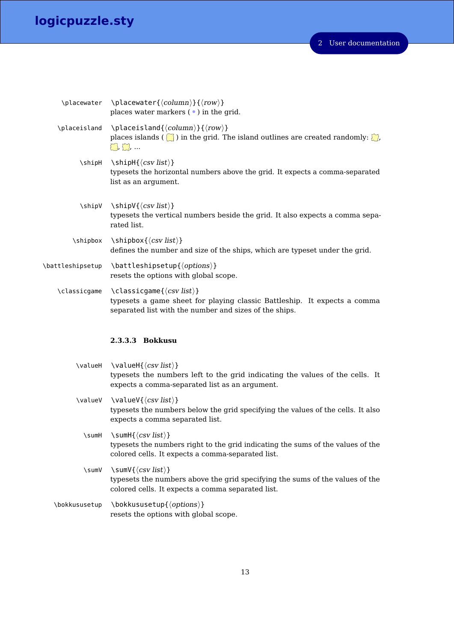| \placewater \placewater{\\timeson{\sigma}}{\text{row}}<br>places water markers $(\bullet)$ in the grid.                                                                                                          |
|------------------------------------------------------------------------------------------------------------------------------------------------------------------------------------------------------------------|
| \placeisland \placeisland{ $\langle column \rangle$ }{ $\langle row \rangle$ }<br>places islands ( $\binom{5}{2}$ ) in the grid. The island outlines are created randomly: $\binom{5}{2}$ ,<br>$\sum$ , $\sum$ , |
| \shipH \shipH{\csv list\}<br>typesets the horizontal numbers above the grid. It expects a comma-separated<br>list as an argument.                                                                                |
| \shipV \shipV{ $\langle csv\; list \rangle$ }<br>typesets the vertical numbers beside the grid. It also expects a comma sepa-<br>rated list.                                                                     |
| $\verb \shipbox  \shipbox{(csv list)} $<br>defines the number and size of the ships, which are typeset under the grid.                                                                                           |
| \battleshipsetup \battleshipsetup{ $\langle options \rangle$ }<br>resets the options with global scope.                                                                                                          |
| \classicgame \classicgame{ $\langle csv list \rangle$ }<br>typesets a game sheet for playing classic Battleship. It expects a comma<br>separated list with the number and sizes of the ships.                    |

# <span id="page-12-0"></span>**2.3.3.3 Bokkusu**

|               | \valueH \valueH{\(csv list)}<br>typesets the numbers left to the grid indicating the values of the cells. It<br>expects a comma-separated list as an argument.                          |
|---------------|-----------------------------------------------------------------------------------------------------------------------------------------------------------------------------------------|
|               | \valueV \valueV{ $\langle \cos \theta \rangle$ }<br>typesets the numbers below the grid specifying the values of the cells. It also<br>expects a comma separated list.                  |
| \sumH         | \sumH $\{\langle csv\; list \rangle\}$<br>typesets the numbers right to the grid indicating the sums of the values of the<br>colored cells. It expects a comma-separated list.          |
| \sumV         | \sumV{ $\langle\mathit{csv}\mathit{list}\rangle\}$<br>typesets the numbers above the grid specifying the sums of the values of the<br>colored cells. It expects a comma separated list. |
| \bokkususetup | $\boldsymbol{\setminus}$ bokkususetup $\{\langle options \rangle\}$                                                                                                                     |

resets the options with global scope.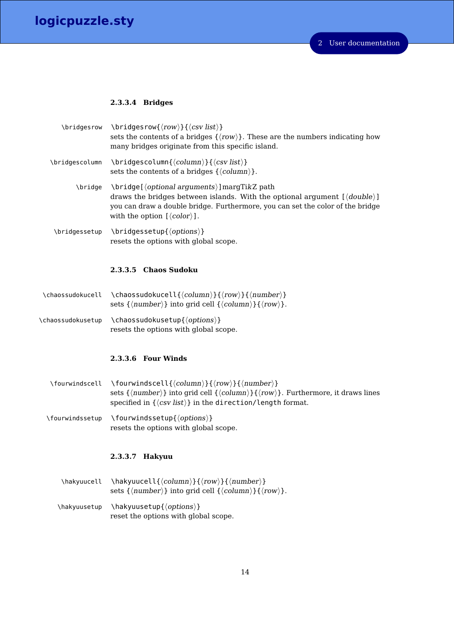#### <span id="page-13-0"></span>**2.3.3.4 Bridges**

| \bridgesrow    | $\left\{\text{row}\right\}$ { $\left\langle \text{cov} \right\rangle$ }{ $\left\langle \text{csv} \right\rangle$ }<br>sets the contents of a bridges $\{\langle row \rangle\}$ . These are the numbers indicating how<br>many bridges originate from this specific island.                                |
|----------------|-----------------------------------------------------------------------------------------------------------------------------------------------------------------------------------------------------------------------------------------------------------------------------------------------------------|
| \bridgescolumn | $\left\{\langle column(\{column)\}\right\}$ ( $\langle csv\right\}$ )}<br>sets the contents of a bridges $\{\langle column \rangle\}$ .                                                                                                                                                                   |
| \bridge        | $\langle$ \bridge[ $\langle$ optional arguments}] margTikZ path<br>draws the bridges between islands. With the optional argument $\{\langle double \rangle\}$<br>you can draw a double bridge. Furthermore, you can set the color of the bridge<br>with the option $\left[\langle color \rangle\right]$ . |

 $\theta$ ) \bridgessetup \bridgessetup{ $\{options\}$ resets the options with global scope.

#### <span id="page-13-1"></span>**2.3.3.5 Chaos Sudoku**

- \chaossudokucell \chaossudokucell{ $\langle column \rangle$ }{ $\langle number \rangle$ } sets  $\{\langle number\rangle\}$  into grid cell  $\{\langle column\rangle\}\{\langle row\rangle\}.$
- \chaossudokusetup \chaossudokusetup{ $\{options\}$ } resets the options with global scope.

#### <span id="page-13-2"></span>**2.3.3.6 Four Winds**

- \fourwindscell \fourwindscell{ $\langle column \rangle$ }{ $\langle row \rangle$ }{ $\langle number \rangle$ } sets  ${\langle number \rangle}$  into grid cell  ${\langle column \rangle}{\langle row \rangle}$ . Furthermore, it draws lines specified in  $\{\langle csv \text{ list}\rangle\}$  in the direction/length format.
- \fourwindssetup \fourwindssetup{ $\{options\}$ } resets the options with global scope.

## <span id="page-13-3"></span>**2.3.3.7 Hakyuu**

 $\hbar$ kyuucell \hakyuucell{ $\langle column \rangle$ }{ $\langle row \rangle$ }{\almber}} sets { $\langle number \rangle$ } into grid cell { $\langle column \rangle$ }{ $\langle row \rangle$ }.  $\hbox{\label{of} (options)}$ reset the options with global scope.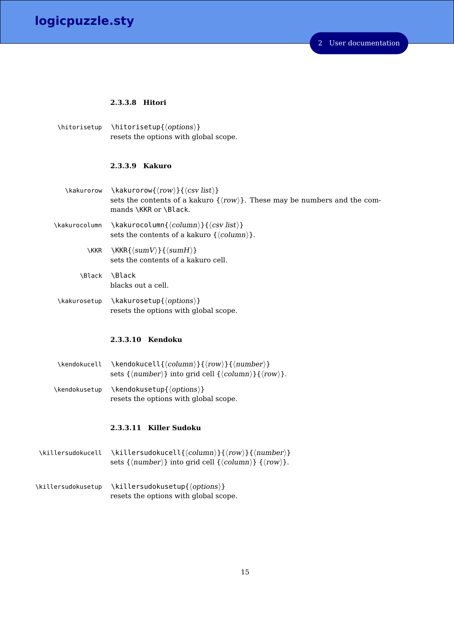#### <span id="page-14-0"></span>**2.3.3.8 Hitori**

 $\hbox{\hbox{b}$  \hitorisetup{ $\hbox{\hbox{c}ptions}$ } resets the options with global scope.

#### <span id="page-14-1"></span>**2.3.3.9 Kakuro**

- $\kappa \kappa \langle row{\langle row \rbrace} {\langle \text{csv list} \rangle}$ sets the contents of a kakuro  $\{\langle row \rangle\}$ . These may be numbers and the commands \KKR or \Black.
- \kakurocolumn \kakurocolumn{ $\langle column \rangle$ }{ $\langle csv \; list \rangle$ } sets the contents of a kakuro  $\{\langle column \rangle\}.$ 
	- \KKR \KKR{\lamV\}}{\lamH\} sets the contents of a kakuro cell.
	- \Black \Black blacks out a cell.
- \kakurosetup \kakurosetup{ $\{options\}$ } resets the options with global scope.

## <span id="page-14-2"></span>**2.3.3.10 Kendoku**

\kendokucell \kendokucell{ $\langle column\rangle$ }{ $\langle row\rangle$ }{ $\langle number\rangle$ } sets  $\{\langle number \rangle\}$  into grid cell  $\{\langle column \rangle\}\{\langle row \rangle\}.$ \kendokusetup \kendokusetup{ $\{options\}$ } resets the options with global scope.

#### <span id="page-14-3"></span>**2.3.3.11 Killer Sudoku**

- \killersudokucell \killersudokucell{ $\langle column \rangle$ }{ $\langle row \rangle$ }{ $\langle number \rangle$ } sets { $\langle number \rangle$ } into grid cell { $\langle column \rangle$ } { $\langle row \rangle$ }.
- \killersudokusetup \killersudokusetup{ $\{options\}$ } resets the options with global scope.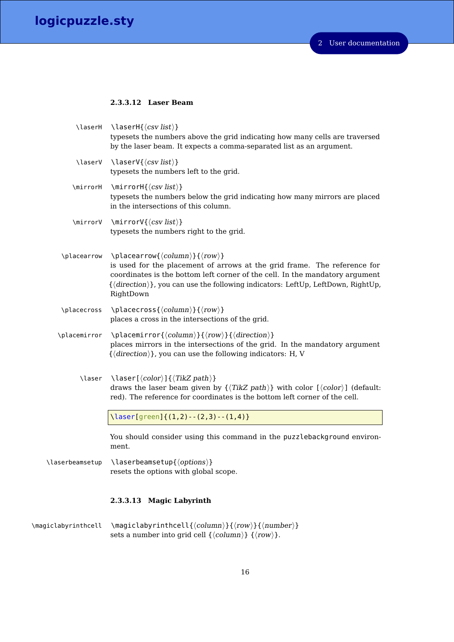#### <span id="page-15-0"></span>**2.3.3.12 Laser Beam**

| \laserH         | \laserH $\{\langle csv\; list\rangle\}$<br>typesets the numbers above the grid indicating how many cells are traversed<br>by the laser beam. It expects a comma-separated list as an argument.                                                                                                                                                  |
|-----------------|-------------------------------------------------------------------------------------------------------------------------------------------------------------------------------------------------------------------------------------------------------------------------------------------------------------------------------------------------|
| \laserV         | \laserV{ $\langle csv list \rangle$ }<br>typesets the numbers left to the grid.                                                                                                                                                                                                                                                                 |
| \mirrorH        | \mirrorH{ $\langle$ <i>csv list</i> }}<br>typesets the numbers below the grid indicating how many mirrors are placed<br>in the intersections of this column.                                                                                                                                                                                    |
| \mirrorV        | \mirrorV{ $\langle csv\, list \rangle$ }<br>typesets the numbers right to the grid.                                                                                                                                                                                                                                                             |
| \placearrow     | \placearrow{ $\langle column \rangle$ }{ $\langle row \rangle$ }<br>is used for the placement of arrows at the grid frame. The reference for<br>coordinates is the bottom left corner of the cell. In the mandatory argument<br>$\{\langle direction \rangle\}$ , you can use the following indicators: LeftUp, LeftDown, RightUp,<br>RightDown |
| \placecross     | \placecross{ $\langle column \rangle$ }{ $\langle row \rangle$ }<br>places a cross in the intersections of the grid.                                                                                                                                                                                                                            |
| \placemirror    | \placemirror{ $\langle column \rangle$ }{ $\langle row \rangle$ }{ $\langle direction \rangle$ }<br>places mirrors in the intersections of the grid. In the mandatory argument<br>$\{\langle direction \rangle\}$ , you can use the following indicators: H, V                                                                                  |
| \laser          | \laser[ $\langle color \rangle$ ]{ $\langle TikZ path \rangle$ }<br>draws the laser beam given by $\{\langle TikZ \; path \rangle\}$ with color $[\langle color \rangle]$ (default:<br>red). The reference for coordinates is the bottom left corner of the cell.                                                                               |
|                 | \laser[green]{(1,2)--(2,3)--(1,4)}                                                                                                                                                                                                                                                                                                              |
|                 | You should consider using this command in the puzzlebackground environ-<br>ment.                                                                                                                                                                                                                                                                |
| \laserbeamsetup | \laserbeamsetup{\\tions\}<br>resets the options with global scope.                                                                                                                                                                                                                                                                              |

# <span id="page-15-1"></span>**2.3.3.13 Magic Labyrinth**

\magiclabyrinthcell \magiclabyrinthcell{ $\{column\}$ }{ $\{row\}$ }{ $\{number\}$ } sets a number into grid cell  $\{\langle column \rangle\}$   $\{\langle row \rangle\}$ .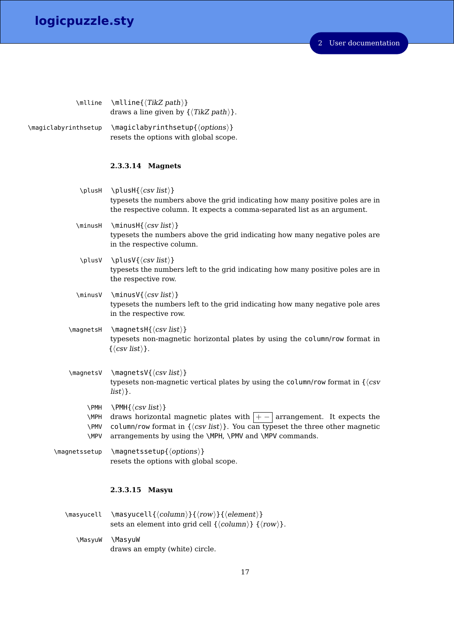2 User documentation

\mlline \mlline{ $\langle$ TikZ path}} draws a line given by  $\{\langle TikZ \; path \rangle\}.$ 

 $\mathcal{h}$  \magiclabyrinthsetup \magiclabyrinthsetup{ $\{options\}$ } resets the options with global scope.

#### <span id="page-16-0"></span>**2.3.3.14 Magnets**

- \plusH \plusH{ $\langle$  csv list  $\rangle$ } typesets the numbers above the grid indicating how many positive poles are in the respective column. It expects a comma-separated list as an argument.  $\minusH \ \mathcal{csv} \}$ typesets the numbers above the grid indicating how many negative poles are in the respective column. \plusV \plusV{ $\langle csv \text{ list } \rangle$ } typesets the numbers left to the grid indicating how many positive poles are in the respective row.  $\minusV \ {\minusV} {\cosV list}$ typesets the numbers left to the grid indicating how many negative pole ares in the respective row.
- $\m{cosH \frac{\cscH}{\cscH}$ typesets non-magnetic horizontal plates by using the column/row format in  $\{\langle \textit{csv} \textit{list} \rangle\}.$
- $\text{max}$  \magnetsV{ $\langle \cos \, list \rangle$ } typesets non-magnetic vertical plates by using the column/row format in  $\{\langle csv \rangle\}$  $\vert$ *list* $\rangle$ }.
	- $\text{PMH} \left\{\langle \text{csv list} \rangle \right\}$
	- \MPH \PMV \MPV draws horizontal magnetic plates with  $|+-|$  arrangement. It expects the column/row format in  $\{\langle \text{csv list} \rangle\}$ . You can typeset the three other magnetic arrangements by using the \MPH, \PMV and \MPV commands.

 $\mbox{magnets}$  \magnetssetup { $\text{options}$ } resets the options with global scope.

#### <span id="page-16-1"></span>**2.3.3.15 Masyu**

- $\max{u\cdot\lambda}$  \masyucell{ $\{column\}$ }{ $\{return \}$ } sets an element into grid cell  $\{\langle column \rangle\}$   $\{\langle row \rangle\}$ .
	- \MasyuW \MasyuW draws an empty (white) circle.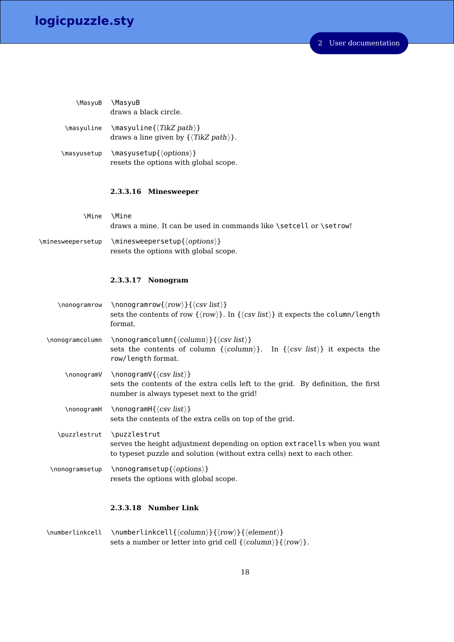2 User documentation

| \MasyuB     | \MasyuB<br>draws a black circle.                                                       |
|-------------|----------------------------------------------------------------------------------------|
| \masyuline  | $\{\text{Task}(TikZ path)\}$<br>draws a line given by $\{\langle TikZ\ path\rangle\}.$ |
| \masyusetup | $\{\mathsf{options}\}$<br>resets the options with global scope.                        |

## <span id="page-17-0"></span>**2.3.3.16 Minesweeper**

\Mine \Mine draws a mine. It can be used in commands like \setcell or \setrow!

 $\mathcal{h}$  \minesweepersetup \minesweepersetup{ $\{options\}$ resets the options with global scope.

## <span id="page-17-1"></span>**2.3.3.17 Nonogram**

| \nonogramrow    | \nonogramrow{ $\langle row \rangle$ }{ $\langle csv \; list \rangle$ }<br>sets the contents of row $\{\langle row \rangle\}$ . In $\{\langle cw \rangle\}$ it expects the column/length<br>format.                      |
|-----------------|-------------------------------------------------------------------------------------------------------------------------------------------------------------------------------------------------------------------------|
| \nonogramcolumn | \nonogramcolumn{ $\langle column \rangle$ }{ $\langle csv \; list \rangle$ }<br>sets the contents of column $\{\langle column \rangle\}$ .<br>In $\{\langle csv \; list \rangle\}$ it expects the<br>row/length format. |
| \nonogramV      | \nonogramV{ $\langle\csc{list}\rangle$ }<br>sets the contents of the extra cells left to the grid. By definition, the first<br>number is always typeset next to the grid!                                               |
| \nonogramH      | \nonogramH{ $\langle$ <i>csv list</i> }}<br>sets the contents of the extra cells on top of the grid.                                                                                                                    |
| \puzzlestrut    | \puzzlestrut<br>serves the height adjustment depending on option extracells when you want<br>to typeset puzzle and solution (without extra cells) next to each other.                                                   |
| \nonogramsetup  | $\n\mod$ ramsetup $\{\langle options \rangle\}$<br>resets the options with global scope.                                                                                                                                |

## <span id="page-17-2"></span>**2.3.3.18 Number Link**

\numberlinkcell \numberlinkcell{ $\{column\}$ { $\{row\}$ }{ $\{element\}$ sets a number or letter into grid cell  $\{\langle column \rangle\}\{\langle row \rangle\}.$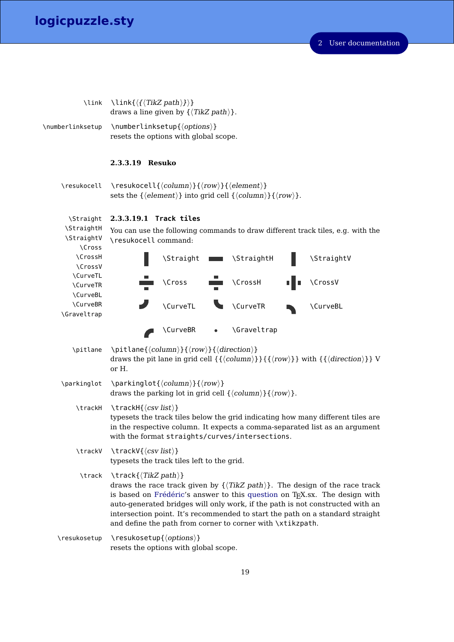2 User documentation

<span id="page-18-1"></span><span id="page-18-0"></span>

| \link                                                   | \link{ $\langle {\langle}$ TikZ path $\rangle$ }}<br>draws a line given by $\{\langle TikZ \; path \rangle\}.$                                                                                                                                                                                                                                                                                                                                                  |  |  |  |  |  |  |
|---------------------------------------------------------|-----------------------------------------------------------------------------------------------------------------------------------------------------------------------------------------------------------------------------------------------------------------------------------------------------------------------------------------------------------------------------------------------------------------------------------------------------------------|--|--|--|--|--|--|
| \numberlinksetup                                        | \numberlinksetup{\options\}<br>resets the options with global scope.                                                                                                                                                                                                                                                                                                                                                                                            |  |  |  |  |  |  |
|                                                         | 2.3.3.19 Resuko                                                                                                                                                                                                                                                                                                                                                                                                                                                 |  |  |  |  |  |  |
| \resukocell                                             | \resukocell{ $\langle column \rangle$ }{ $\langle row \rangle$ }{ $\langle element \rangle$ }<br>sets the $\{\langle element \rangle\}$ into grid cell $\{\langle column \rangle\}\{\langle row \rangle\}.$                                                                                                                                                                                                                                                     |  |  |  |  |  |  |
| \Straight                                               | 2.3.3.19.1 Track tiles                                                                                                                                                                                                                                                                                                                                                                                                                                          |  |  |  |  |  |  |
| <b>\StraightH</b><br><b>\StraightV</b><br><b>\Cross</b> | You can use the following commands to draw different track tiles, e.g. with the<br>\resukocell command:                                                                                                                                                                                                                                                                                                                                                         |  |  |  |  |  |  |
| <b>\CrossH</b><br><b>\CrossV</b>                        | \StraightV<br><b>\Straight</b><br><b>\StraightH</b>                                                                                                                                                                                                                                                                                                                                                                                                             |  |  |  |  |  |  |
| \CurveTL<br>\CurveTR<br>\CurveBL                        | <b>\CrossV</b><br><b>\CrossH</b><br><b>\Cross</b>                                                                                                                                                                                                                                                                                                                                                                                                               |  |  |  |  |  |  |
| <b>\CurveBR</b>                                         | <b>\CurveTR</b><br>\CurveTL<br>\CurveBL                                                                                                                                                                                                                                                                                                                                                                                                                         |  |  |  |  |  |  |
| \Graveltrap                                             |                                                                                                                                                                                                                                                                                                                                                                                                                                                                 |  |  |  |  |  |  |
|                                                         | <b>\CurveBR</b><br>\Graveltrap                                                                                                                                                                                                                                                                                                                                                                                                                                  |  |  |  |  |  |  |
| \pitlane                                                | \pitlane{ $\langle column \rangle$ }{ $\langle row \rangle$ }{ $\langle direction \rangle$ }<br>draws the pit lane in grid cell $\{\langle column \rangle\}\}\{\{\langle row \rangle\}\}\$ with $\{\{\langle direction \rangle\}\}\$ V<br>or H.                                                                                                                                                                                                                 |  |  |  |  |  |  |
| \parkinglot                                             | \parkinglot{ $\langle column \rangle$ }{ $\langle row \rangle$ }<br>draws the parking lot in grid cell $\{\langle column \rangle\}\{\langle row \rangle\}.$                                                                                                                                                                                                                                                                                                     |  |  |  |  |  |  |
| \trackH                                                 | $\text{trace}H\{\langle csv\; list\rangle\}$<br>typesets the track tiles below the grid indicating how many different tiles are<br>in the respective column. It expects a comma-separated list as an argument<br>with the format straights/curves/intersections.                                                                                                                                                                                                |  |  |  |  |  |  |
| \trackV                                                 | $\text{traceV}\{\langle \text{csv list}\rangle\}$<br>typesets the track tiles left to the grid.                                                                                                                                                                                                                                                                                                                                                                 |  |  |  |  |  |  |
| \track                                                  | $\texttt{\texttt{TrikZ path}}$<br>draws the race track given by $\{\langle TikZ \text{ path}\rangle\}$ . The design of the race track<br>is based on Frédéric's answer to this question on T <sub>E</sub> X.sx. The design with<br>auto-generated bridges will only work, if the path is not constructed with an<br>intersection point. It's recommended to start the path on a standard straight<br>and define the path from corner to corner with \xtikzpath. |  |  |  |  |  |  |
| \resukosetup                                            | $\verb \resukosetup{< options} $<br>resets the options with global scope.                                                                                                                                                                                                                                                                                                                                                                                       |  |  |  |  |  |  |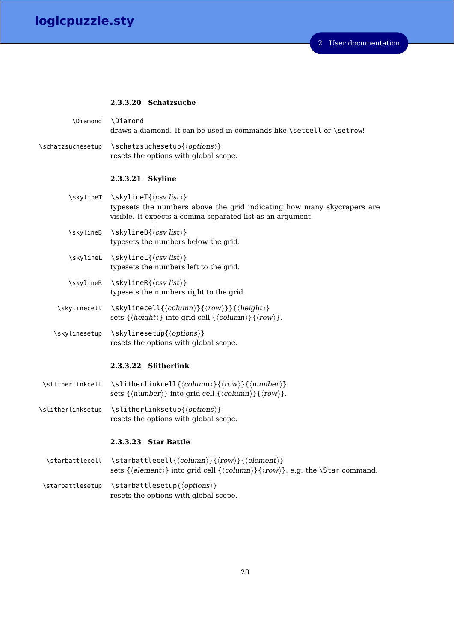#### <span id="page-19-1"></span><span id="page-19-0"></span>**2.3.3.20 Schatzsuche**

| \Diamond          | <b>\Diamond</b><br>draws a diamond. It can be used in commands like \setcell or \setrow!                                                                                  |
|-------------------|---------------------------------------------------------------------------------------------------------------------------------------------------------------------------|
| \schatzsuchesetup | \schatzsuchesetup{\options\}<br>resets the options with global scope.                                                                                                     |
|                   | 2.3.3.21 Skyline                                                                                                                                                          |
|                   | \skylineT \skylineT{\csv list\}<br>typesets the numbers above the grid indicating how many skycrapers are<br>visible. It expects a comma-separated list as an argument.   |
| \skylineB         | $\s\left\{\langle \text{csv list} \rangle\right\}$<br>typesets the numbers below the grid.                                                                                |
|                   | \skylineL \skylineL{\csv list\}<br>typesets the numbers left to the grid.                                                                                                 |
| \skylineR         | $\s\left\{\langle \text{csv list} \rangle\right\}$<br>typesets the numbers right to the grid.                                                                             |
| \skylinecell      | \skylinecell{\\stat{\state\lamptal}}{\\state\)} } {\\state\)} }<br>sets $\{\langle height \rangle\}$ into grid cell $\{\langle column \rangle\} \{\langle row \rangle\}.$ |
| \skylinesetup     | \skylinesetup{\ <i>options</i> }}<br>resets the options with global scope.                                                                                                |
|                   | 2.3.3.22 Slitherlink                                                                                                                                                      |
| \slitherlinkcell  | \slitherlinkcell{\\state\column\}}{\\state\comp{\slither}}}                                                                                                               |

- <span id="page-19-2"></span>sets  $\{\langle number\rangle\}$  into grid cell  $\{\langle column\rangle\}\{\langle row\rangle\}.$
- \slitherlinksetup \slitherlinksetup{ $\{options\}$ } resets the options with global scope.

## <span id="page-19-3"></span>**2.3.3.23 Star Battle**

- \starbattlecell \starbattlecell{ $\langle column\rangle$ }{ $\langle row\rangle$ }{ $\langle element \rangle$ } sets { $\{element\}$ } into grid cell { $\{column\}$ }{ $\{row\}$ }, e.g. the \Star command.
- $\verb|\statlesetup| \verb|\satisfies| \verb|\satisfies| \verb|\gss"\rangle|$ resets the options with global scope.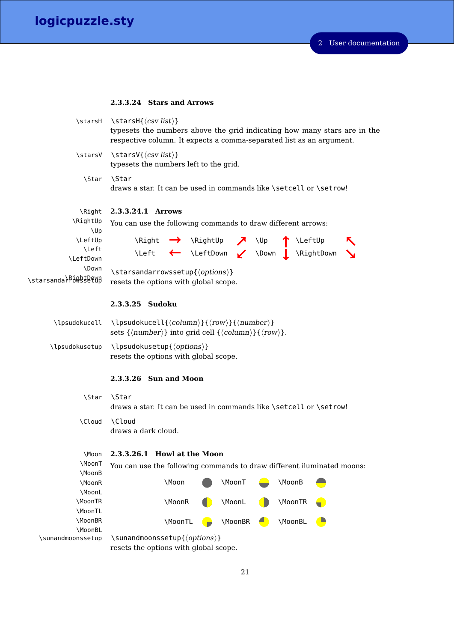## <span id="page-20-1"></span><span id="page-20-0"></span>**2.3.3.24 Stars and Arrows**

<span id="page-20-4"></span><span id="page-20-3"></span><span id="page-20-2"></span>

|                                            | \starsH \starsH{\(csv list)}<br>typesets the numbers above the grid indicating how many stars are in the<br>respective column. It expects a comma-separated list as an argument.                        |
|--------------------------------------------|---------------------------------------------------------------------------------------------------------------------------------------------------------------------------------------------------------|
|                                            | \starsV \starsV{\(csv list)}<br>typesets the numbers left to the grid.                                                                                                                                  |
| <b>\Star</b>                               | <b>\Star</b><br>draws a star. It can be used in commands like \setcell or \setrow!                                                                                                                      |
| \Right                                     | 2.3.3.24.1 Arrows                                                                                                                                                                                       |
| \RightUp<br>\Up                            | You can use the following commands to draw different arrows:                                                                                                                                            |
| <b>\LeftUp</b>                             |                                                                                                                                                                                                         |
| <b>\Left</b><br>\LeftDown                  | \Right $\rightarrow$ \RightUp $\rightarrow$ \Up $\uparrow$ \LeftUp<br>\Left $\leftarrow$ \LeftDown $\downarrow$ \Down $\downarrow$ \RightDown                                                           |
| \Down<br>\starsanda <sup>\RiQg</sup> SePWB | \starsandarrowssetup{\options\}<br>resets the options with global scope.                                                                                                                                |
|                                            | 2.3.3.25 Sudoku                                                                                                                                                                                         |
| <b>\lpsudokucell</b>                       | \lpsudokucell{ $\langle column \rangle$ }{ $\langle row \rangle$ }{ $\langle number \rangle$ }<br>sets $\{\langle number \rangle\}$ into grid cell $\{\langle column \rangle\}\{\langle row \rangle\}.$ |
| \lpsudokusetup                             | \lpsudokusetup{\\tips\del{\frac{D}{\frac{D}{\frac{D}}}}<br>resets the options with global scope.                                                                                                        |
|                                            | 2.3.3.26 Sun and Moon                                                                                                                                                                                   |
|                                            | \Star \Star<br>draws a star. It can be used in commands like \setcell or \setrow!                                                                                                                       |
| \Cloud                                     | \Cloud<br>draws a dark cloud.                                                                                                                                                                           |
| <b>\Moon</b>                               | 2.3.3.26.1 Howl at the Moon                                                                                                                                                                             |
| \MoonT                                     | You can use the following commands to draw different iluminated moons:                                                                                                                                  |
| \MoonB<br>\MoonR<br>\MoonL                 | \Moon<br>\MoonT<br>\MoonB                                                                                                                                                                               |
| \MoonTR<br>\MoonTL                         | \MoonR<br>\MoonL<br>\MoonTR                                                                                                                                                                             |
| \MoonBR                                    | \MoonBR<br>$\blacksquare$<br>\MoonBL<br>$\bullet$<br>\MoonTL                                                                                                                                            |
| \MoonBL<br>\sunandmoonssetup               | \sunandmoonssetup{\options\}<br>resets the options with global scope.                                                                                                                                   |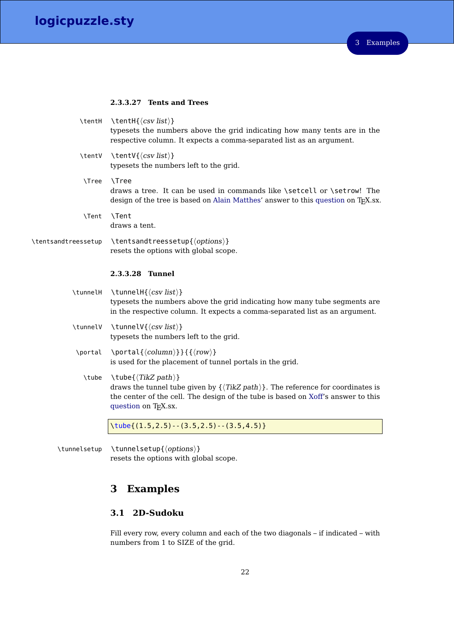#### <span id="page-21-1"></span><span id="page-21-0"></span>**2.3.3.27 Tents and Trees**

|                     | \tentH \tentH{\(csv list)}<br>typesets the numbers above the grid indicating how many tents are in the<br>respective column. It expects a comma-separated list as an argument.                     |
|---------------------|----------------------------------------------------------------------------------------------------------------------------------------------------------------------------------------------------|
| \tentV              | \tentV{ $\langle csv list \rangle$ }<br>typesets the numbers left to the grid.                                                                                                                     |
| <b>\Tree</b>        | <b>\Tree</b><br>draws a tree. It can be used in commands like \setcell or \setrow! The<br>design of the tree is based on Alain Matthes' answer to this question on TFX.sx.                         |
| <b>\Tent</b>        | <b>\Tent</b><br>draws a tent.                                                                                                                                                                      |
| \tentsandtreessetup | \tentsandtreessetup{\ <i>options</i> }}<br>resets the options with global scope.                                                                                                                   |
|                     | 2.3.3.28 Tunnel                                                                                                                                                                                    |
| \tunnelH            | \tunnelH{ $\langle$ <i>csv list</i> }}<br>typesets the numbers above the grid indicating how many tube segments are<br>in the respective column. It expects a comma-separated list as an argument. |
| \tunnelV            | \tunnelV{ $\langle csv\; list \rangle$ }<br>typesets the numbers left to the grid.                                                                                                                 |
| \portal             | \portal{ $\langle column \rangle$ }}{ $\{ \langle row \rangle \}$<br>is used for the placement of tunnel portals in the grid.                                                                      |
| \tube               | $\setminus$ tube $\{\langle TikZ\ path\rangle\}$<br>draws the tunnel tube given by $\{\langle TikZ \; path \rangle\}$ . The reference for coordinates is                                           |
|                     | the center of the cell. The design of the tube is based on Xoff's answer to this<br>question on T <sub>F</sub> X.sx.                                                                               |

\tunnelsetup \tunnelsetup{ $\{options\}$ } resets the options with global scope.

# <span id="page-21-2"></span>**3 Examples**

# <span id="page-21-3"></span>**3.1 2D-Sudoku**

Fill every row, every column and each of the two diagonals – if indicated – with numbers from 1 to SIZE of the grid.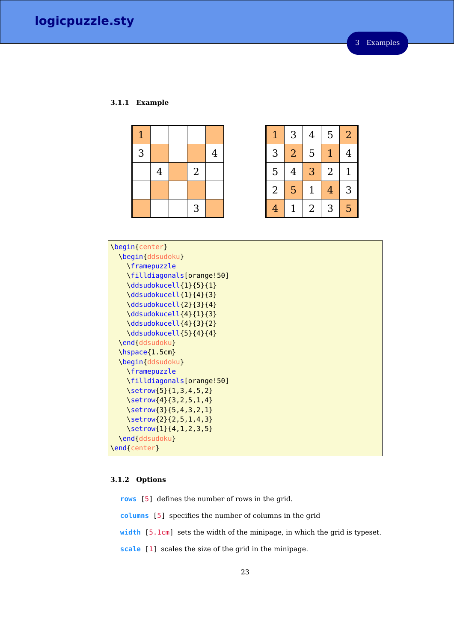## <span id="page-22-0"></span>**3.1.1 Example**

| $\mathbf{1}$ |                |                |                |
|--------------|----------------|----------------|----------------|
| 3            |                |                | $\overline{4}$ |
|              | $\overline{4}$ | $\overline{2}$ |                |
|              |                |                |                |
|              |                | 3              |                |

|                | 3              | $\overline{4}$ | 5              | $\overline{2}$ |
|----------------|----------------|----------------|----------------|----------------|
| 3              | $\overline{2}$ | 5              | $\overline{1}$ | 4              |
| 5              | 4              | 3              | $\overline{2}$ | 1              |
| $\overline{2}$ | 5              | 1              | $\overline{4}$ | 3              |
| 4              |                | $\overline{2}$ | 3              | 5              |

| \begin{center}                                           |
|----------------------------------------------------------|
| \begin{ddsudoku}                                         |
| <i><u><b>\framepuzzle</b></u></i>                        |
| \filldiagonals[orange!50]                                |
| \ddsudokucell{1}{5}{1}                                   |
| \ddsudokucell{1}{4}{3}                                   |
| \ddsudokucell{2}{3}{4}                                   |
| \ddsudokucell{4}{1}{3}                                   |
| \ddsudokucell{4}{3}{2}                                   |
| \ddsudokucell{5}{4}{4}                                   |
| \end{ddsudoku}                                           |
| $\hbox{\scriptsize\textsf{hspace}}$ \hspace { $1.5$ cm } |
| \begin{ddsudoku}                                         |
| <i><u><b>\framepuzzle</b></u></i>                        |
| \filldiagonals[orange!50]                                |
| $\setminus$ setrow{5}{1,3,4,5,2}                         |
| $\setminus$ setrow $\{4\}$ {3,2,5,1,4}                   |
| $\setminus$ setrow{3}{5,4,3,2,1}                         |
| $\setminus$ setrow $\{2\}$ {2,5,1,4,3}                   |
| $\setminus$ setrow{1}{4,1,2,3,5}                         |
| \end{ddsudoku}                                           |
| \end{center}                                             |
|                                                          |

# <span id="page-22-1"></span>**3.1.2 Options**

**rows** [5] defines the number of rows in the grid. **columns** [5] specifies the number of columns in the grid **width** [5.1cm] sets the width of the minipage, in which the grid is typeset. **scale** [1] scales the size of the grid in the minipage.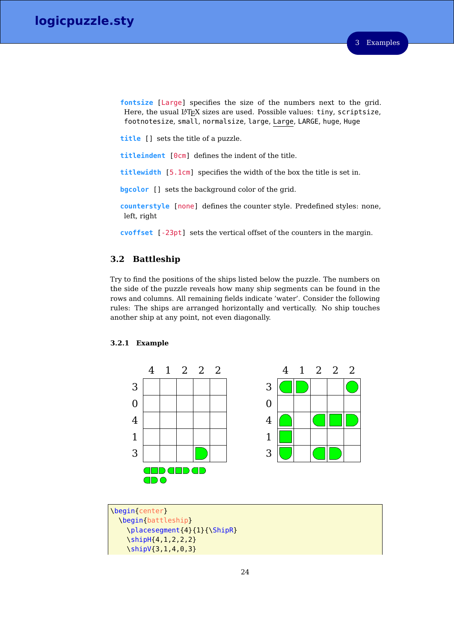**fontsize** [Large] specifies the size of the numbers next to the grid. Here, the usual LAT<sub>E</sub>X sizes are used. Possible values: tiny, scriptsize, footnotesize, small, normalsize, large, Large, LARGE, huge, Huge

**title** [] sets the title of a puzzle.

**titleindent** [0cm] defines the indent of the title.

**titlewidth** [5.1cm] specifies the width of the box the title is set in.

**bgcolor** [] sets the background color of the grid.

**counterstyle** [none] defines the counter style. Predefined styles: none, left, right

**cvoffset** [-23pt] sets the vertical offset of the counters in the margin.

# <span id="page-23-0"></span>**3.2 Battleship**

Try to find the positions of the ships listed below the puzzle. The numbers on the side of the puzzle reveals how many ship segments can be found in the rows and columns. All remaining fields indicate 'water'. Consider the following rules: The ships are arranged horizontally and vertically. No ship touches another ship at any point, not even diagonally.



#### <span id="page-23-1"></span>**3.2.1 Example**

\begin{center} \begin{battleship} \placesegment{4}{1}{\ShipR} \shipH{4,1,2,2,2} \shipV{3,1,4,0,3}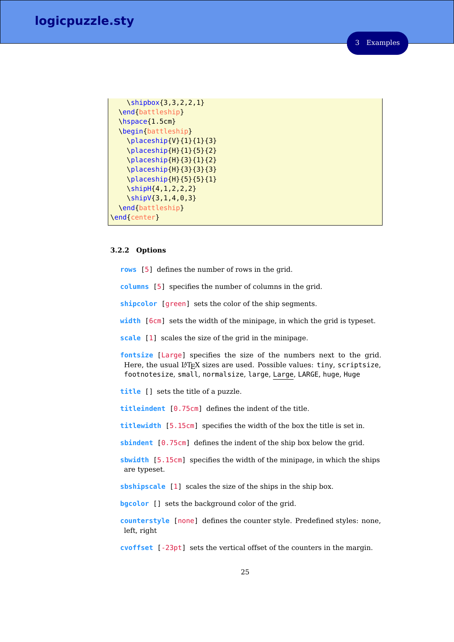3 Examples

```
\shipbox{3,3,2,2,1}
 \end{battleship}
 \hspace{1.5cm}
 \begin{battleship}
    \placeship{V}{1}{1}{3}
   \placeship{H}{1}{5}{2}
   \placeship{H}{3}{1}{2}
   \placeship{H}{3}{3}{3}
   \placeship{H}{5}{5}{1}
   \shipH{4,1,2,2,2}
   \shipV{3,1,4,0,3}
 \end{battleship}
\end{center}
```
#### <span id="page-24-0"></span>**3.2.2 Options**

**rows** [5] defines the number of rows in the grid.

**columns** [5] specifies the number of columns in the grid.

**shipcolor** [green] sets the color of the ship segments.

**width** [6cm] sets the width of the minipage, in which the grid is typeset.

**scale** [1] scales the size of the grid in the minipage.

**fontsize** [Large] specifies the size of the numbers next to the grid. Here, the usual LATEX sizes are used. Possible values: tiny, scriptsize, footnotesize, small, normalsize, large, Large, LARGE, huge, Huge

**title** [] sets the title of a puzzle.

**titleindent** [0.75cm] defines the indent of the title.

**titlewidth** [5.15cm] specifies the width of the box the title is set in.

**sbindent** [0.75cm] defines the indent of the ship box below the grid.

**sbwidth** [5.15cm] specifies the width of the minipage, in which the ships are typeset.

**sbshipscale** [1] scales the size of the ships in the ship box.

**bgcolor** [] sets the background color of the grid.

**counterstyle** [none] defines the counter style. Predefined styles: none, left, right

**cvoffset** [-23pt] sets the vertical offset of the counters in the margin.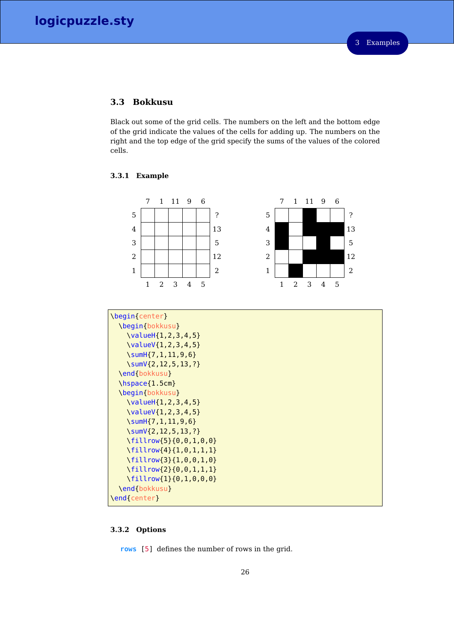# <span id="page-25-0"></span>**3.3 Bokkusu**

Black out some of the grid cells. The numbers on the left and the bottom edge of the grid indicate the values of the cells for adding up. The numbers on the right and the top edge of the grid specify the sums of the values of the colored cells.

#### <span id="page-25-1"></span>**3.3.1 Example**



| \begin{bokkusu}                                          |
|----------------------------------------------------------|
|                                                          |
| $\{valueH\{1,2,3,4,5\}$                                  |
| $\{valueV\{1,2,3,4,5\}\}$                                |
| $\sum_{1,1,1,9,6}$                                       |
| \sumV{2, 12, 5, 13, ?}                                   |
| \end{bokkusu}                                            |
| $\hbox{\scriptsize\textsf{hspace}}$ \hspace { $1.5$ cm } |
| \begin{bokkusu}                                          |
| $\{valueH\{1,2,3,4,5\}$                                  |
| $\{valueV\{1, 2, 3, 4, 5\}$                              |
| $\sum_{1}$ \sumH $\{7, 1, 11, 9, 6\}$                    |
| \sumV{2,12,5,13,?}                                       |
| \fillrow{5}{0,0,1,0,0}                                   |
| $\{1, 0, 1, 1, 1\}$                                      |
| $\{1, 0, 0, 1, 0\}$                                      |
| $\{6, 0, 1, 1, 1\}$                                      |
| $\{6, 1, 0, 0, 0\}$                                      |
| \end{bokkusu}                                            |
| \end{center}                                             |

# <span id="page-25-2"></span>**3.3.2 Options**

**rows** [5] defines the number of rows in the grid.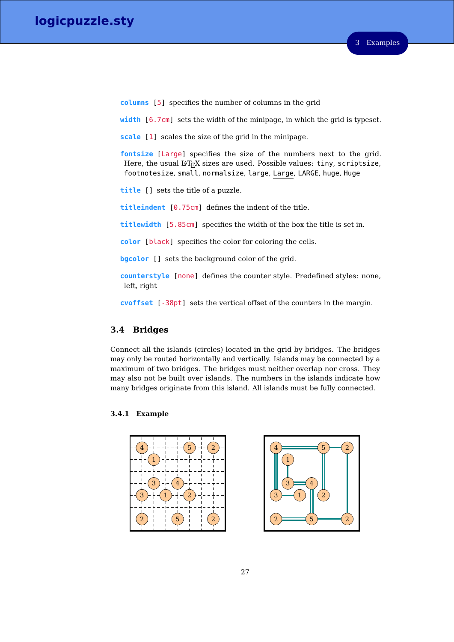**columns** [5] specifies the number of columns in the grid

**width** [6.7cm] sets the width of the minipage, in which the grid is typeset.

**scale** [1] scales the size of the grid in the minipage.

**fontsize** [Large] specifies the size of the numbers next to the grid. Here, the usual LAT<sub>E</sub>X sizes are used. Possible values: tiny, scriptsize, footnotesize, small, normalsize, large, Large, LARGE, huge, Huge

**title** [] sets the title of a puzzle.

**titleindent** [0.75cm] defines the indent of the title.

**titlewidth** [5.85cm] specifies the width of the box the title is set in.

**color** [black] specifies the color for coloring the cells.

**bgcolor** [] sets the background color of the grid.

**counterstyle** [none] defines the counter style. Predefined styles: none, left, right

**cvoffset** [-38pt] sets the vertical offset of the counters in the margin.

# <span id="page-26-0"></span>**3.4 Bridges**

Connect all the islands (circles) located in the grid by bridges. The bridges may only be routed horizontally and vertically. Islands may be connected by a maximum of two bridges. The bridges must neither overlap nor cross. They may also not be built over islands. The numbers in the islands indicate how many bridges originate from this island. All islands must be fully connected.

## <span id="page-26-1"></span>**3.4.1 Example**



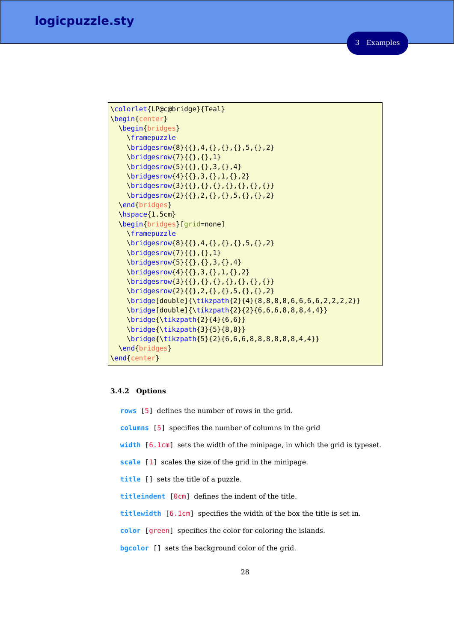```
\colorlet{LP@c@bridge}{Teal}
\begin{center}
 \begin{bridges}
   \framepuzzle
   \bridgesrow{8}{{},4,{},{},{},5,{},2}
   \bridgesrow{7}{{},{},1}
   \bridgesrow{5}{{},{},3,{},4}
   \bridgesrow{4}{{},3,{},1,{},2}
   \bridgesrow{3}{{},{},{},{},{},{},{}}
   \bridgesrow{2}{{},2,{},{},5,{},{},2}
 \end{bridges}
 \hspace{1.5cm}
 \begin{bridges}[grid=none]
   \framepuzzle
   \bridgesrow{8}{{},4,{},{},{},5,{},2}
   \bridgesrow{7}{{},{},1}
   \bridgesrow{5}{{},{},3,{},4}
   \bridgesrow{4}{{},3,{},1,{},2}
   \bridgesrow{3}{{},{},{},{},{},{},{}}
   \bridgesrow{2}{{},2,{},{},5,{},{},2}
   \bridge[double]{\tikzpath{2}{4}{8,8,8,8,6,6,6,6,2,2,2,2}}
   \bridge[double]{\tikzpath{2}{2}{6,6,6,8,8,8,4,4}}
   \bridge{\tikzpath{2}{4}{6,6}}
   \bridge{\tikzpath{3}{5}{8,8}}
   \bridge{\tikzpath{5}{2}{6,6,6,8,8,8,8,8,8,4,4}}
 \end{bridges}
\end{center}
```
#### <span id="page-27-0"></span>**3.4.2 Options**

**rows** [5] defines the number of rows in the grid.

- **columns** [5] specifies the number of columns in the grid
- **width** [6.1cm] sets the width of the minipage, in which the grid is typeset.
- **scale** [1] scales the size of the grid in the minipage.
- **title** [] sets the title of a puzzle.
- **titleindent** [0cm] defines the indent of the title.
- **titlewidth** [6.1cm] specifies the width of the box the title is set in.
- **color** [green] specifies the color for coloring the islands.
- **bgcolor** [] sets the background color of the grid.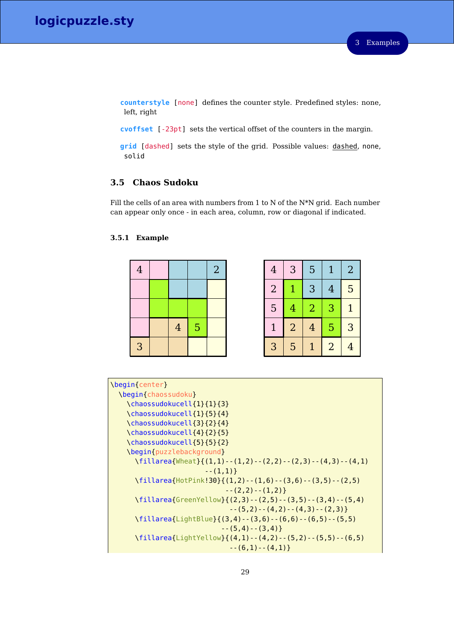**counterstyle** [none] defines the counter style. Predefined styles: none, left, right

**cvoffset** [-23pt] sets the vertical offset of the counters in the margin.

**grid** [dashed] sets the style of the grid. Possible values: dashed, none, solid

# <span id="page-28-0"></span>**3.5 Chaos Sudoku**

Fill the cells of an area with numbers from 1 to N of the N\*N grid. Each number can appear only once - in each area, column, row or diagonal if indicated.

## <span id="page-28-1"></span>**3.5.1 Example**



| $\overline{2}$ | $\overline{4}$ | 3              | 5              | $\mathbf{1}$   | $\overline{2}$ |
|----------------|----------------|----------------|----------------|----------------|----------------|
|                | $\overline{2}$ |                | 3              | $\overline{4}$ | 5              |
|                | 5              | $\overline{4}$ | $\overline{2}$ | 3              | $\mathbf{1}$   |
|                |                | $\overline{2}$ | $\overline{4}$ | 5              | 3              |
|                | 3              | 5              | $\overline{1}$ | $\overline{2}$ | $\overline{4}$ |

| \begin{center}                                                     |
|--------------------------------------------------------------------|
| \begin{chaossudoku}                                                |
| \chaossudokucell{1}{1}{3}                                          |
| \chaossudokucell{1}{5}{4}                                          |
| \chaossudokucell{3}{2}{4}                                          |
| \chaossudokucell{4}{2}{5}                                          |
| \chaossudokucell{5}{5}{2}                                          |
| \begin{puzzlebackground}                                           |
| \fillarea{Wheat}{(1,1)--(1,2)--(2,2)--(2,3)--(4,3)--(4,1)          |
| $--(1,1)$                                                          |
| \fillarea{HotPink!30}{(1,2)--(1,6)--(3,6)--(3,5)--(2,5)            |
| $--(2,2)--(1,2)$                                                   |
| \fillarea{GreenYellow}{(2,3)--(2,5)--(3,5)--(3,4)--(5,4)           |
| $--(5,2)--(4,2)--(4,3)--(2,3)$                                     |
| \fillarea{LightBlue}{(3,4) - - (3,6) - - (6,6) - - (6,5) - - (5,5) |
| $--(5.4)-((3.4))$                                                  |
| \fillarea{LightYellow}{(4,1)--(4,2)--(5,2)--(5,5)--(6,5)           |
| $--(6,1)--(4,1)$                                                   |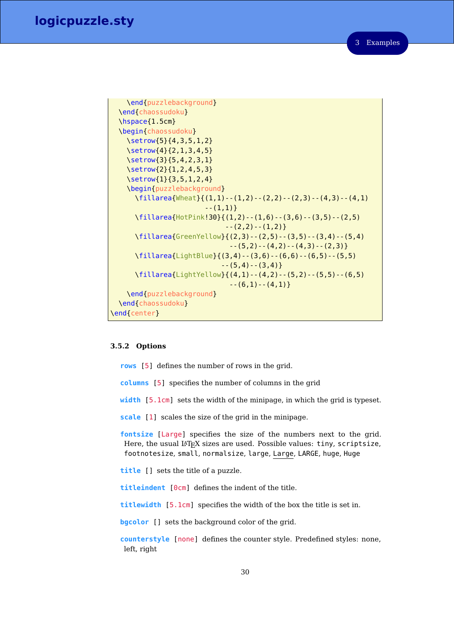```
\end{puzzlebackground}
 \end{chaossudoku}
 \hspace{1.5cm}
 \begin{chaossudoku}
   \setrow{5}{4,3,5,1,2}
   \setrow{4}{2,1,3,4,5}
   \setrow{3}{5,4,2,3,1}
   \setrow{2}{1,2,4,5,3}
   \setrow{1}{3,5,1,2,4}
   \begin{puzzlebackground}
     \fillarea{Wheat}{(1,1)--(1,2)--(2,2)--(2,3)--(4,3)--(4,1)
                       --(1,1)}
     \fillarea{HotPink!30}{(1,2)--(1,6)--(3,6)--(3,5)--(2,5)
                            --(2,2)--(1,2)}
     \fillarea{GreenYellow}{(2,3)--(2,5)--(3,5)--(3,4)--(5,4)
                             --(5,2)--(4,2)--(4,3)--(2,3)}
     \fillarea{LightBlue}{(3,4)--(3,6)--(6,6)--(6,5)--(5,5)
                           --(5,4)--(3,4)}
     \fillarea{LightYellow}{(4,1)--(4,2)--(5,2)--(5,5)--(6,5)
                             --(6,1)--(4,1)}
   \end{puzzlebackground}
 \end{chaossudoku}
\end{center}
```
#### <span id="page-29-0"></span>**3.5.2 Options**

**rows** [5] defines the number of rows in the grid.

**columns** [5] specifies the number of columns in the grid

**width** [5.1cm] sets the width of the minipage, in which the grid is typeset.

**scale** [1] scales the size of the grid in the minipage.

**fontsize** [Large] specifies the size of the numbers next to the grid. Here, the usual LAT<sub>E</sub>X sizes are used. Possible values: tiny, scriptsize, footnotesize, small, normalsize, large, Large, LARGE, huge, Huge

**title** [] sets the title of a puzzle.

**titleindent** [0cm] defines the indent of the title.

**titlewidth** [5.1cm] specifies the width of the box the title is set in.

**bgcolor** [] sets the background color of the grid.

**counterstyle** [none] defines the counter style. Predefined styles: none, left, right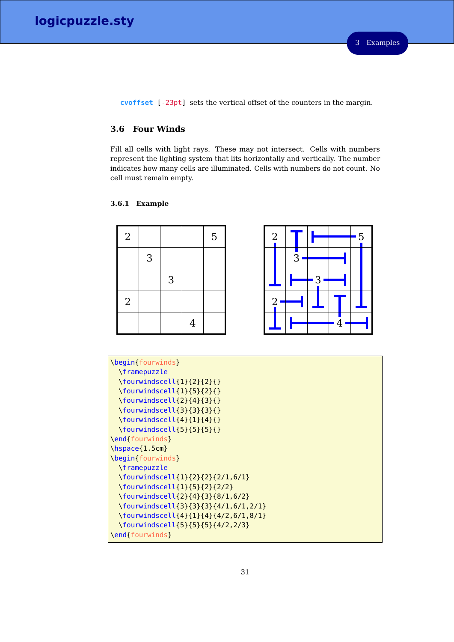**cvoffset** [-23pt] sets the vertical offset of the counters in the margin.

# <span id="page-30-0"></span>**3.6 Four Winds**

Fill all cells with light rays. These may not intersect. Cells with numbers represent the lighting system that lits horizontally and vertically. The number indicates how many cells are illuminated. Cells with numbers do not count. No cell must remain empty.

## <span id="page-30-1"></span>**3.6.1 Example**

| $\overline{2}$ |   |                |                | 5 |  |
|----------------|---|----------------|----------------|---|--|
|                | 3 |                |                |   |  |
|                |   | $\mathfrak{Z}$ |                |   |  |
| $\overline{2}$ |   |                |                |   |  |
|                |   |                | $\overline{4}$ |   |  |

| $\overline{2}$ |   |   |   |   | 5 |  |
|----------------|---|---|---|---|---|--|
|                |   | 3 |   |   |   |  |
|                |   |   | 3 |   |   |  |
|                | 2 |   |   |   |   |  |
|                |   |   |   | 4 |   |  |

| \begin{fourwinds}                               |
|-------------------------------------------------|
| \framepuzzle                                    |
| $\{\text{fourwindscell}\{1\}\{2\}\{2\}\}\$      |
| $\{\text{fourwindscell}\{1\}\{5\}\{2\}\}\$      |
| $\{\text{fourwindscell}\{2\}\{4\}\{3\}\}\$      |
| $\{\text{fourwindscell}\{3\}\{3\}\$             |
| $\forall$ fourwindscell $\{4\}$ {1} $\{4\}$ {}  |
| $\{\text{fourwindscell}\{5\}\{5\}\{1\}$         |
| \end{fourwinds}                                 |
| $\hbox{\scriptsize\textsf{hspace}}$ { $1.5cm$ } |
| \begin{fourwinds}                               |
| \framepuzzle                                    |
| \fourwindscell{1}{2}{2}{2/1,6/1}                |
| \fourwindscell{1}{5}{2}{2/2}                    |
| \fourwindscell{2}{4}{3}{8/1,6/2}                |
| \fourwindscell{3}{3}{3}{4/1,6/1,2/1}            |
| \fourwindscell{4}{1}{4}{4/2,6/1,8/1}            |
| \fourwindscell{5}{5}{5}{4/2,2/3}                |
| \end{fourwinds}                                 |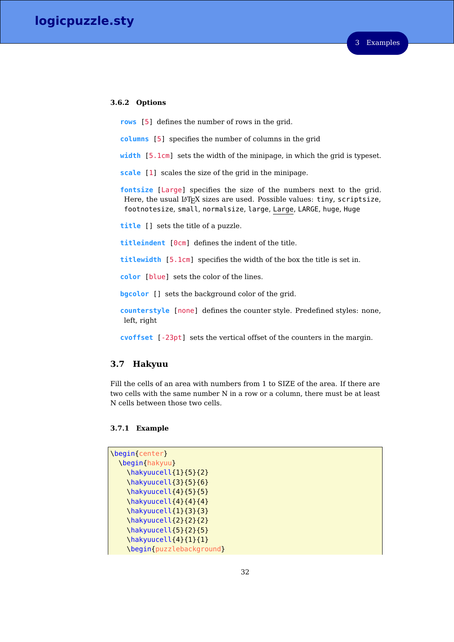#### <span id="page-31-0"></span>**3.6.2 Options**

**rows** [5] defines the number of rows in the grid.

- **columns** [5] specifies the number of columns in the grid
- **width** [5.1cm] sets the width of the minipage, in which the grid is typeset.

**scale** [1] scales the size of the grid in the minipage.

**fontsize** [Large] specifies the size of the numbers next to the grid. Here, the usual LATEX sizes are used. Possible values: tiny, scriptsize, footnotesize, small, normalsize, large, Large, LARGE, huge, Huge

**title** [] sets the title of a puzzle.

**titleindent** [0cm] defines the indent of the title.

**titlewidth** [5.1cm] specifies the width of the box the title is set in.

**color** [blue] sets the color of the lines.

**bgcolor** [] sets the background color of the grid.

**counterstyle** [none] defines the counter style. Predefined styles: none, left, right

**cvoffset** [-23pt] sets the vertical offset of the counters in the margin.

## <span id="page-31-1"></span>**3.7 Hakyuu**

Fill the cells of an area with numbers from 1 to SIZE of the area. If there are two cells with the same number N in a row or a column, there must be at least N cells between those two cells.

#### <span id="page-31-2"></span>**3.7.1 Example**

| \begin{center}           |
|--------------------------|
| \begin{hakyuu}           |
| \hakyuucell{1}{5}{2}     |
| \hakyuucell{3}{5}{6}     |
| \hakyuucell{4}{5}{5}     |
| \hakyuucell{4}{4}{4}     |
| \hakyuucell{1}{3}{3}     |
| \hakyuucell{2}{2}{2}     |
| \hakyuucell{5}{2}{5}     |
| \hakyuucell{4}{1}{1}     |
| \begin{puzzlebackground} |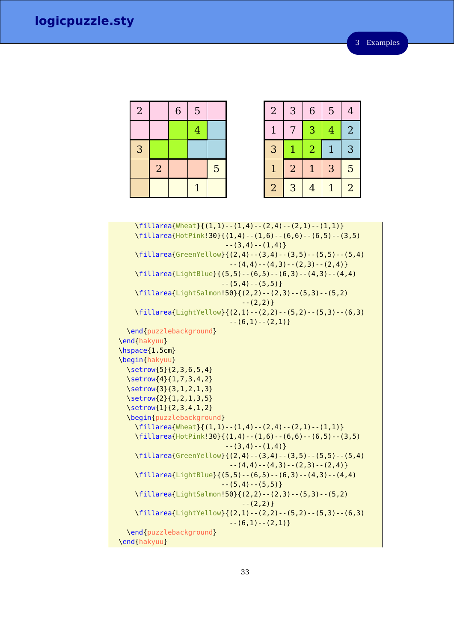| $\overline{2}$ |                | 6 | 5              |   |
|----------------|----------------|---|----------------|---|
|                |                |   | $\overline{4}$ |   |
| 3              |                |   |                |   |
|                | $\overline{2}$ |   |                | 5 |
|                |                |   | $\overline{1}$ |   |

| $\overline{2}$ | 3              | 6              | 5 | $\overline{4}$ |
|----------------|----------------|----------------|---|----------------|
| 1              | 7              | 3              | 4 | $\overline{2}$ |
| 3              |                | $\overline{2}$ |   | 3              |
| $\mathbf{1}$   | $\overline{2}$ |                | 3 | 5              |
| $\overline{2}$ | 3              | 4              | 1 | $\overline{2}$ |

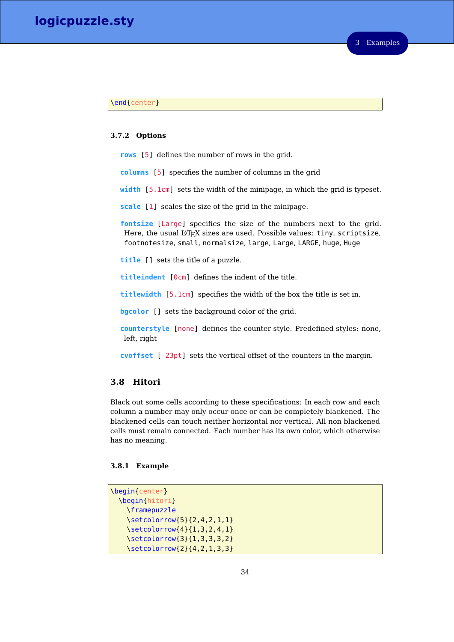#### \end{center}

#### <span id="page-33-0"></span>**3.7.2 Options**

**rows** [5] defines the number of rows in the grid.

**columns** [5] specifies the number of columns in the grid

**width** [5.1cm] sets the width of the minipage, in which the grid is typeset.

**scale** [1] scales the size of the grid in the minipage.

**fontsize** [Large] specifies the size of the numbers next to the grid. Here, the usual LAT<sub>E</sub>X sizes are used. Possible values: tiny, scriptsize, footnotesize, small, normalsize, large, Large, LARGE, huge, Huge

**title** [] sets the title of a puzzle.

**titleindent** [0cm] defines the indent of the title.

**titlewidth** [5.1cm] specifies the width of the box the title is set in.

**bgcolor** [] sets the background color of the grid.

**counterstyle** [none] defines the counter style. Predefined styles: none, left, right

**cvoffset** [-23pt] sets the vertical offset of the counters in the margin.

# <span id="page-33-1"></span>**3.8 Hitori**

Black out some cells according to these specifications: In each row and each column a number may only occur once or can be completely blackened. The blackened cells can touch neither horizontal nor vertical. All non blackened cells must remain connected. Each number has its own color, which otherwise has no meaning.

#### <span id="page-33-2"></span>**3.8.1 Example**

```
\begin{center}
 \begin{hitori}
   \framepuzzle
   \setcolorrow{5}{2,4,2,1,1}
   \setcolorrow{4}{1,3,2,4,1}
   \setcolorrow{3}{1,3,3,3,2}
   \setcolorrow{2}{4,2,1,3,3}
```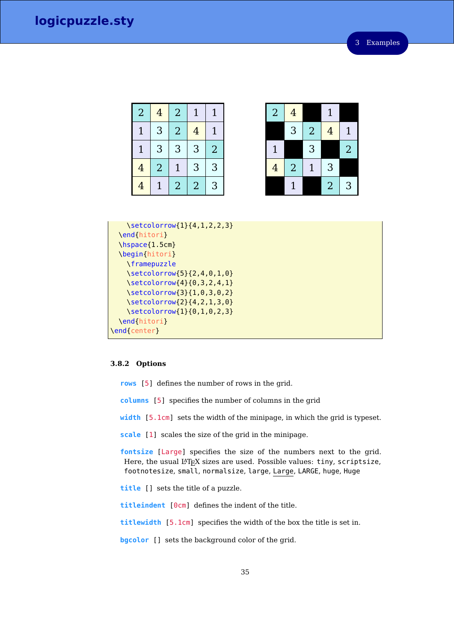| $\overline{2}$ | 4              | $\overline{a}$ | $\mathbf{1}$   | $\mathbf 1$    |
|----------------|----------------|----------------|----------------|----------------|
|                | 3              | $\overline{2}$ | $\overline{4}$ |                |
| $\mathbf{1}$   | 3              | 3              | 3              | $\overline{2}$ |
| $\overline{4}$ | $\overline{2}$ |                | 3              | 3              |
| 4              |                | $\overline{2}$ | $\overline{2}$ | 3              |

| $\overline{2}$ | $\overline{4}$ |                | $\mathbf{1}$   |                         |
|----------------|----------------|----------------|----------------|-------------------------|
|                | 3              | $\overline{2}$ | $\overline{4}$ | $\mathbf{1}$            |
| $\mathbf{1}$   |                | 3              |                | $\overline{\mathbf{2}}$ |
| $\overline{4}$ | $\overline{2}$ | $\mathbf 1$    | 3              |                         |
|                | $\mathbf 1$    |                | $\overline{2}$ | $\overline{3}$          |

```
\setcolorrow{1}{4,1,2,2,3}
 \end{hitori}
 \hspace{1.5cm}
 \begin{hitori}
    \framepuzzle
    \setcolorrow{5}{2,4,0,1,0}
   \setcolorrow{4}{0,3,2,4,1}
   \setcolorrow{3}{1,0,3,0,2}
    \setcolorrow{2}{4,2,1,3,0}
    \setcolorrow{1}{0,1,0,2,3}
 \end{hitori}
\end{center}
```
## <span id="page-34-0"></span>**3.8.2 Options**

**rows** [5] defines the number of rows in the grid.

**columns** [5] specifies the number of columns in the grid

**width** [5.1cm] sets the width of the minipage, in which the grid is typeset.

**scale** [1] scales the size of the grid in the minipage.

**fontsize** [Large] specifies the size of the numbers next to the grid. Here, the usual  $L^2T_FX$  sizes are used. Possible values: tiny, scriptsize, footnotesize, small, normalsize, large, Large, LARGE, huge, Huge

**title** [] sets the title of a puzzle.

**titleindent** [0cm] defines the indent of the title.

**titlewidth** [5.1cm] specifies the width of the box the title is set in.

**bgcolor** [] sets the background color of the grid.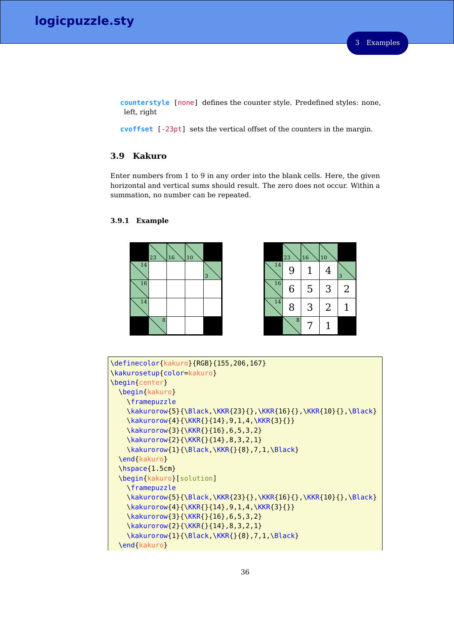**counterstyle** [none] defines the counter style. Predefined styles: none, left, right

**cvoffset** [-23pt] sets the vertical offset of the counters in the margin.

## <span id="page-35-0"></span>**3.9 Kakuro**

Enter numbers from 1 to 9 in any order into the blank cells. Here, the given horizontal and vertical sums should result. The zero does not occur. Within a summation, no number can be repeated.

## <span id="page-35-1"></span>**3.9.1 Example**



|                 | 23 | 16 | 10             |                |
|-----------------|----|----|----------------|----------------|
| 14              | 9  | 1  | 4              | 3              |
| $\overline{16}$ | 6  | 5  | 3              | $\overline{2}$ |
| 14              | 8  | 3  | $\overline{2}$ | 1              |
|                 | 8  | 7  | 1              |                |

```
\definecolor{kakuro}{RGB}{155,206,167}
\kakurosetup{color=kakuro}
\begin{center}
 \begin{kakuro}
    \framepuzzle
    \kakurorow{5}{\Black,\KKR{23}{},\KKR{16}{},\KKR{10}{},\Black}
    \kakurorow{4}{\KKR{}{14},9,1,4,\KKR{3}{}}
    \kakurorow{3}{\KKR{}{16},6,5,3,2}
    \kakurorow{2}{\KKR{}{14},8,3,2,1}
    \kakurorow{1}{\Black,\KKR{}{8},7,1,\Black}
 \end{kakuro}
 \hspace{1.5cm}
 \begin{kakuro}[solution]
    \framepuzzle
    \kakurorow{5}{\Black,\KKR{23}{},\KKR{16}{},\KKR{10}{},\Black}
    \kakurorow{4}{\KKR{}{14},9,1,4,\KKR{3}{}}
    \kakurorow{3}{\KKR{}{16},6,5,3,2}
    \kakurorow{2}{\KKR{}{14},8,3,2,1}
    \kakurorow{1}{\Black,\KKR{}{8},7,1,\Black}
  \end{kakuro}
```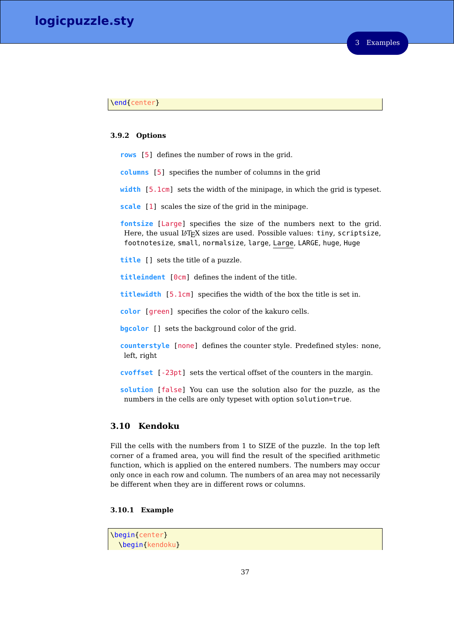### \end{center}

### **3.9.2 Options**

- **rows** [5] defines the number of rows in the grid.
- **columns** [5] specifies the number of columns in the grid
- **width** [5.1cm] sets the width of the minipage, in which the grid is typeset.
- **scale** [1] scales the size of the grid in the minipage.

**fontsize** [Large] specifies the size of the numbers next to the grid. Here, the usual LAT<sub>E</sub>X sizes are used. Possible values: tiny, scriptsize, footnotesize, small, normalsize, large, Large, LARGE, huge, Huge

**title** [] sets the title of a puzzle.

**titleindent** [0cm] defines the indent of the title.

**titlewidth** [5.1cm] specifies the width of the box the title is set in.

**color** [green] specifies the color of the kakuro cells.

**bgcolor** [] sets the background color of the grid.

**counterstyle** [none] defines the counter style. Predefined styles: none, left, right

**cvoffset** [-23pt] sets the vertical offset of the counters in the margin.

**solution** [false] You can use the solution also for the puzzle, as the numbers in the cells are only typeset with option solution=true.

# **3.10 Kendoku**

Fill the cells with the numbers from 1 to SIZE of the puzzle. In the top left corner of a framed area, you will find the result of the specified arithmetic function, which is applied on the entered numbers. The numbers may occur only once in each row and column. The numbers of an area may not necessarily be different when they are in different rows or columns.

### **3.10.1 Example**

\begin{center} \begin{kendoku}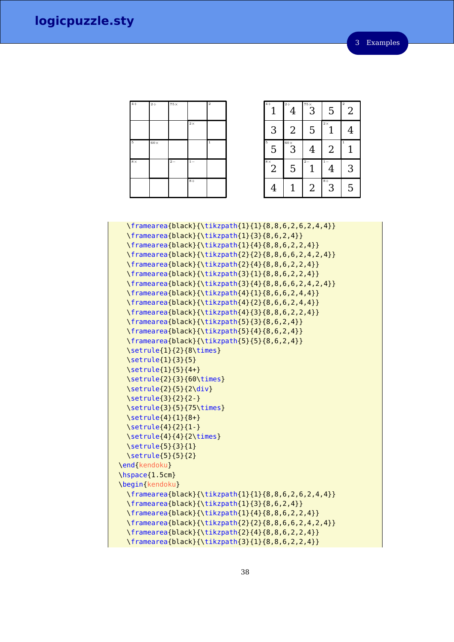| $4+$       | $2\div$    | $75\times$ |           | $\overline{2}$ |
|------------|------------|------------|-----------|----------------|
|            |            |            | $2\times$ |                |
|            |            |            |           |                |
| $\sqrt{5}$ | $60\times$ |            |           | $\mathbf 1$    |
| $8\times$  |            | $2 -$      | $1 -$     |                |
|            |            |            | $8+$      |                |

| $\overline{4}$              | $2 \div$<br>4                         | $\overline{\mathbb{3}}^*$ | 5                 | $\overline{2}$<br>$\overline{2}$ |
|-----------------------------|---------------------------------------|---------------------------|-------------------|----------------------------------|
| 3                           | $\overline{2}$                        | 5                         | $2\,\times$       | 4                                |
| $\overline{5}$<br>5         | $\overline{\mathsf{S}}^{^{60\times}}$ | 4                         | $\overline{2}$    |                                  |
| $8\times$<br>$\overline{2}$ | 5                                     | $2 -$                     | $\mathbf{i}$<br>4 | 3                                |
| 4                           |                                       | $\overline{2}$            | $8+$<br>3         | 5                                |

\framearea{black}{\tikzpath{1}{1}{8,8,6,2,6,2,4,4}} \framearea{black}{\tikzpath{1}{3}{8,6,2,4}} \framearea{black}{\tikzpath{1}{4}{8,8,6,2,2,4}} \framearea{black}{\tikzpath{2}{2}{8,8,6,6,2,4,2,4}} \framearea{black}{\tikzpath{2}{4}{8,8,6,2,2,4}} \framearea{black}{\tikzpath{3}{1}{8,8,6,2,2,4}} \framearea{black}{\tikzpath{3}{4}{8,8,6,6,2,4,2,4}} \framearea{black}{\tikzpath{4}{1}{8,6,6,2,4,4}} \framearea{black}{\tikzpath{4}{2}{8,6,6,2,4,4}} \framearea{black}{\tikzpath{4}{3}{8,8,6,2,2,4}} \framearea{black}{\tikzpath{5}{3}{8,6,2,4}} \framearea{black}{\tikzpath{5}{4}{8,6,2,4}} \framearea{black}{\tikzpath{5}{5}{8,6,2,4}} \setrule{1}{2}{8\times} \setrule{1}{3}{5} \setrule{1}{5}{4+} \setrule{2}{3}{60\times} \setrule{2}{5}{2\div} \setrule{3}{2}{2-} \setrule{3}{5}{75\times} \setrule{4}{1}{8+} \setrule{4}{2}{1-} \setrule{4}{4}{2\times} \setrule{5}{3}{1} \setrule{5}{5}{2} \end{kendoku} \hspace{1.5cm} \begin{kendoku} \framearea{black}{\tikzpath{1}{1}{8,8,6,2,6,2,4,4}} \framearea{black}{\tikzpath{1}{3}{8,6,2,4}} \framearea{black}{\tikzpath{1}{4}{8,8,6,2,2,4}} \framearea{black}{\tikzpath{2}{2}{8,8,6,6,2,4,2,4}} \framearea{black}{\tikzpath{2}{4}{8,8,6,2,2,4}} \framearea{black}{\tikzpath{3}{1}{8,8,6,2,2,4}}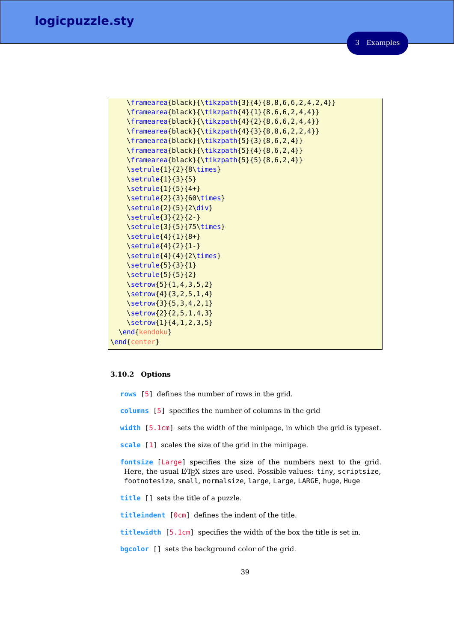3 Examples

```
\framearea{black}{\tikzpath{3}{4}{8,8,6,6,2,4,2,4}}
   \framearea{black}{\tikzpath{4}{1}{8,6,6,2,4,4}}
   \framearea{black}{\tikzpath{4}{2}{8,6,6,2,4,4}}
   \framearea{black}{\tikzpath{4}{3}{8,8,6,2,2,4}}
   \framearea{black}{\tikzpath{5}{3}{8,6,2,4}}
   \framearea{black}{\tikzpath{5}{4}{8,6,2,4}}
   \framearea{black}{\tikzpath{5}{5}{8,6,2,4}}
   \setrule{1}{2}{8\times}
   \setrule{1}{3}{5}
   \setrule{1}{5}{4+}
   \setrule{2}{3}{60\times}
   \setrule{2}{5}{2\div}
   \setrule{3}{2}{2-}
   \setrule{3}{5}{75\times}
   \setrule{4}{1}{8+}
   \setrule{4}{2}{1-}
   \setrule{4}{4}{2\times}
   \setrule{5}{3}{1}
   \setrule{5}{5}{2}
   \setrow{5}{1,4,3,5,2}
   \setrow{4}{3,2,5,1,4}
   \setrow{3}{5,3,4,2,1}
   \setrow{2}{2,5,1,4,3}
   \setrow{1}{4,1,2,3,5}
 \end{kendoku}
\end{center}
```
### **3.10.2 Options**

**rows** [5] defines the number of rows in the grid.

**columns** [5] specifies the number of columns in the grid

**width** [5.1cm] sets the width of the minipage, in which the grid is typeset.

**scale** [1] scales the size of the grid in the minipage.

**fontsize** [Large] specifies the size of the numbers next to the grid. Here, the usual LATEX sizes are used. Possible values: tiny, scriptsize, footnotesize, small, normalsize, large, Large, LARGE, huge, Huge

**title** [] sets the title of a puzzle.

**titleindent** [0cm] defines the indent of the title.

**titlewidth** [5.1cm] specifies the width of the box the title is set in.

**bgcolor** [] sets the background color of the grid.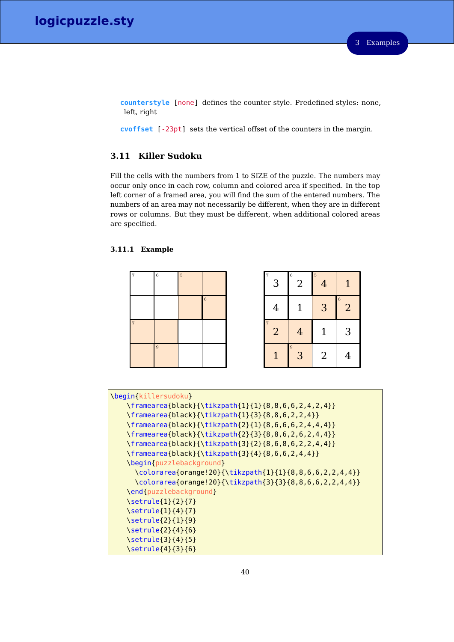**counterstyle** [none] defines the counter style. Predefined styles: none, left, right

**cvoffset** [-23pt] sets the vertical offset of the counters in the margin.

# **3.11 Killer Sudoku**

Fill the cells with the numbers from 1 to SIZE of the puzzle. The numbers may occur only once in each row, column and colored area if specified. In the top left corner of a framed area, you will find the sum of the entered numbers. The numbers of an area may not necessarily be different, when they are in different rows or columns. But they must be different, when additional colored areas are specified.

### **3.11.1 Example**



| $\overline{7}$<br>3              | 6<br>$\overline{2}$ | $\overline{5}$<br>$\overline{4}$ | 1                   |
|----------------------------------|---------------------|----------------------------------|---------------------|
| 4                                | $\mathbf 1$         | 3                                | 6<br>$\overline{2}$ |
| $\overline{7}$<br>$\overline{a}$ | $\overline{4}$      | $\mathbf{1}$                     | 3                   |
| 1                                | 9<br>3              | $\overline{2}$                   | 4                   |

| \begin{killersudoku}                                    |
|---------------------------------------------------------|
| \framearea{black}{\tikzpath{1}{1}{8,8,6,6,2,4,2,4}}     |
| \framearea{black}{\tikzpath{1}{3}{8,8,6,2,2,4}}         |
| \framearea{black}{\tikzpath{2}{1}{8,6,6,6,2,4,4,4}}     |
| \framearea{black}{\tikzpath{2}{3}{8,8,6,2,6,2,4,4}}     |
| \framearea{black}{\tikzpath{3}{2}{8,6,8,6,2,2,4,4}}     |
| \framearea{black}{\tikzpath{3}{4}{8,6,6,2,4,4}}         |
| \begin{puzzlebackground}                                |
| \colorarea{orange!20}{\tikzpath{1}{1}{8,8,6,6,2,2,4,4}} |
| \colorarea{orange!20}{\tikzpath{3}{3}{8,8,6,6,2,2,4,4}} |
| \end{puzzlebackground}                                  |
| $\setminus$ setrule $\{1\}$ $\{2\}$ $\{7\}$             |
| $\setminus$ setrule{1}{4}{7}                            |
| \setrule{2}{1}{9}                                       |
| \setrule{2}{4}{6}                                       |
| \setrule{3}{4}{5}                                       |
| \setrule{4}{3}{6}                                       |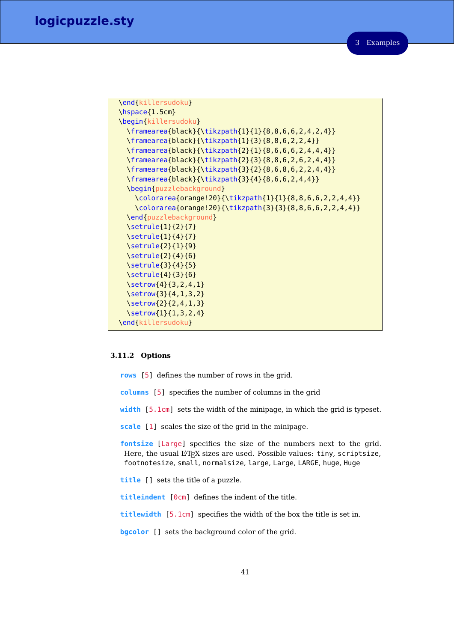```
\end{killersudoku}
\hspace{1.5cm}
\begin{killersudoku}
  \framearea{black}{\tikzpath{1}{1}{8,8,6,6,2,4,2,4}}
  \framearea{black}{\tikzpath{1}{3}{8,8,6,2,2,4}}
  \framearea{black}{\tikzpath{2}{1}{8,6,6,6,2,4,4,4}}
  \framearea{black}{\tikzpath{2}{3}{8,8,6,2,6,2,4,4}}
  \framearea{black}{\tikzpath{3}{2}{8,6,8,6,2,2,4,4}}
  \framearea{black}{\tikzpath{3}{4}{8,6,6,2,4,4}}
  \begin{puzzlebackground}
    \colorarea{orange!20}{\tikzpath{1}{1}{8,8,6,6,2,2,4,4}}
    \colorarea{orange!20}{\tikzpath{3}{3}{8,8,6,6,2,2,4,4}}
  \end{puzzlebackground}
  \setrule{1}{2}{7}
  \setrule{1}{4}{7}
  \setrule{2}{1}{9}
  \setrule{2}{4}{6}
  \setrule{3}{4}{5}
  \setrule{4}{3}{6}
  \setrow{4}{3,2,4,1}
  \setrow{3}{4,1,3,2}
  \setrow{2}{2,4,1,3}
  \setrow{1}{1,3,2,4}
\end{killersudoku}
```
### **3.11.2 Options**

- **rows** [5] defines the number of rows in the grid.
- **columns** [5] specifies the number of columns in the grid
- **width** [5.1cm] sets the width of the minipage, in which the grid is typeset.
- **scale** [1] scales the size of the grid in the minipage.

**fontsize** [Large] specifies the size of the numbers next to the grid. Here, the usual LAT<sub>E</sub>X sizes are used. Possible values: tiny, scriptsize, footnotesize, small, normalsize, large, Large, LARGE, huge, Huge

- **title** [] sets the title of a puzzle.
- **titleindent** [0cm] defines the indent of the title.
- **titlewidth** [5.1cm] specifies the width of the box the title is set in.
- **bgcolor** [] sets the background color of the grid.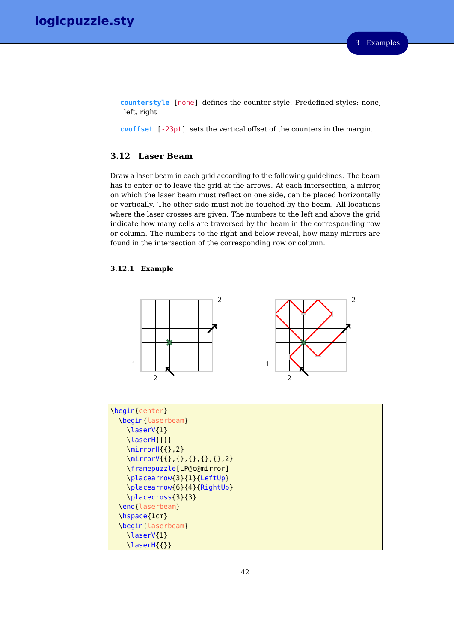**counterstyle** [none] defines the counter style. Predefined styles: none, left, right

**cvoffset** [-23pt] sets the vertical offset of the counters in the margin.

# **3.12 Laser Beam**

Draw a laser beam in each grid according to the following guidelines. The beam has to enter or to leave the grid at the arrows. At each intersection, a mirror, on which the laser beam must reflect on one side, can be placed horizontally or vertically. The other side must not be touched by the beam. All locations where the laser crosses are given. The numbers to the left and above the grid indicate how many cells are traversed by the beam in the corresponding row or column. The numbers to the right and below reveal, how many mirrors are found in the intersection of the corresponding row or column.

### **3.12.1 Example**



| \begin{center}                |
|-------------------------------|
|                               |
| \begin{laserbeam}             |
| \laserV{1}                    |
| $\text{lasserH}$ {}}          |
| $\min\{ \}, 2\}$              |
| \mirrorV{{},{},{},{},{},{},2} |
| \framepuzzle[LP@c@mirror]     |
| \placearrow{3}{1}{LeftUp}     |
| \placearrow{6}{4}{RightUp}    |
| \placecross{3}{3}             |
| \end{laserbeam}               |
| \hspace{1cm}                  |
| \begin{laserbeam}             |
| \laserV{1}                    |
| \laserH{{}}                   |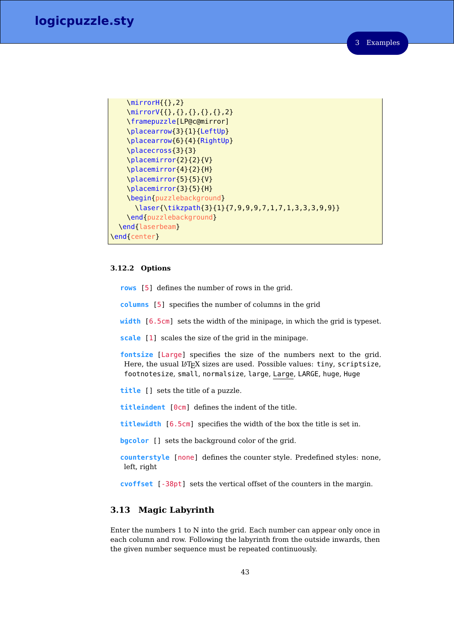3 Examples

```
\mirrorH{{},2}
   \mirrorV{{},{},{},{},{},2}
   \framepuzzle[LP@c@mirror]
   \placearrow{3}{1}{LeftUp}
   \placearrow{6}{4}{RightUp}
   \placecross{3}{3}
   \placemirror{2}{2}{V}
   \placemirror{4}{2}{H}
   \placemirror{5}{5}{V}
   \placemirror{3}{5}{H}
   \begin{puzzlebackground}
     \laser{\tikzpath{3}{1}{7,9,9,9,7,1,7,1,3,3,3,9,9}}
   \end{puzzlebackground}
 \end{laserbeam}
\end{center}
```
#### **3.12.2 Options**

**rows** [5] defines the number of rows in the grid.

**columns** [5] specifies the number of columns in the grid

**width** [6.5cm] sets the width of the minipage, in which the grid is typeset.

**scale** [1] scales the size of the grid in the minipage.

**fontsize** [Large] specifies the size of the numbers next to the grid. Here, the usual LAT<sub>E</sub>X sizes are used. Possible values: tiny, scriptsize, footnotesize, small, normalsize, large, Large, LARGE, huge, Huge

**title** [] sets the title of a puzzle.

**titleindent** [0cm] defines the indent of the title.

**titlewidth** [6.5cm] specifies the width of the box the title is set in.

**bgcolor** [] sets the background color of the grid.

**counterstyle** [none] defines the counter style. Predefined styles: none, left, right

**cvoffset** [-38pt] sets the vertical offset of the counters in the margin.

# **3.13 Magic Labyrinth**

Enter the numbers 1 to N into the grid. Each number can appear only once in each column and row. Following the labyrinth from the outside inwards, then the given number sequence must be repeated continuously.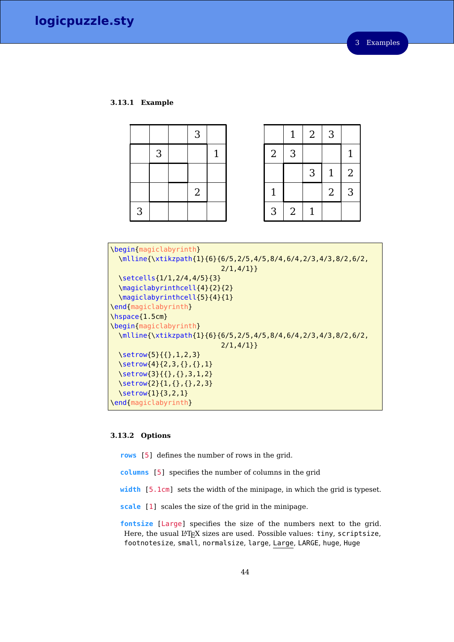### **3.13.1 Example**

|   |   | 3              |              |
|---|---|----------------|--------------|
|   | 3 |                | $\mathbf{1}$ |
|   |   |                |              |
|   |   | $\overline{2}$ |              |
| 3 |   |                |              |

|                | $\mathbf{1}$   | $\sqrt{2}$     | 3              |                |
|----------------|----------------|----------------|----------------|----------------|
| $\overline{2}$ | 3              |                |                | $\mathbf{1}$   |
|                |                | 3              | $\mathbf{1}$   | $\overline{2}$ |
| $\mathbf{1}$   |                |                | $\overline{2}$ | 3              |
| 3              | $\overline{2}$ | $\overline{1}$ |                |                |

```
\begin{magiclabyrinth}
 \mlline{\xtikzpath{1}{6}{6/5,2/5,4/5,8/4,6/4,2/3,4/3,8/2,6/2,
                           2/1,4/1}}
 \setcells{1/1,2/4,4/5}{3}
 \magiclabyrinthcell{4}{2}{2}
 \magiclabyrinthcell{5}{4}{1}
\end{magiclabyrinth}
\hspace{1.5cm}
\begin{magiclabyrinth}
 \mlline{\xtikzpath{1}{6}{6/5,2/5,4/5,8/4,6/4,2/3,4/3,8/2,6/2,
                           2/1,4/1}}
 \setrow{5}{{},1,2,3}
 \setrow{4}{2,3,{},{},1}
 \setrow{3}{{},{},3,1,2}
 \setrow{2}{1,{},{},2,3}
 \setrow{1}{3,2,1}
\end{magiclabyrinth}
```
# **3.13.2 Options**

**rows** [5] defines the number of rows in the grid.

**columns** [5] specifies the number of columns in the grid

- **width** [5.1cm] sets the width of the minipage, in which the grid is typeset.
- **scale** [1] scales the size of the grid in the minipage.

**fontsize** [Large] specifies the size of the numbers next to the grid. Here, the usual L<sup>AT</sup>EX sizes are used. Possible values: tiny, scriptsize, footnotesize, small, normalsize, large, Large, LARGE, huge, Huge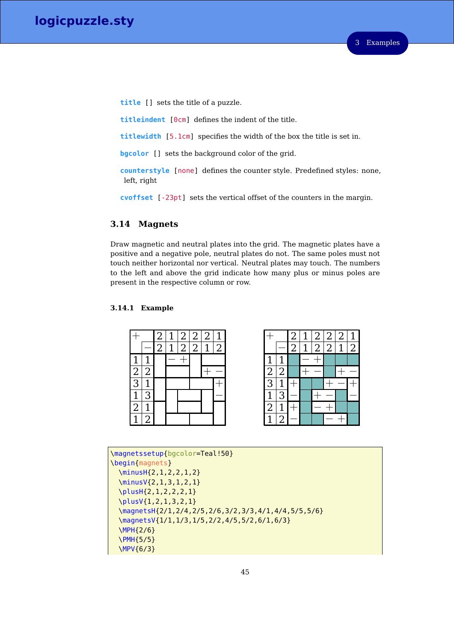**title** [] sets the title of a puzzle.

**titleindent** [0cm] defines the indent of the title.

**titlewidth** [5.1cm] specifies the width of the box the title is set in.

**bgcolor** [] sets the background color of the grid.

**counterstyle** [none] defines the counter style. Predefined styles: none, left, right

**cvoffset** [-23pt] sets the vertical offset of the counters in the margin.

# **3.14 Magnets**

Draw magnetic and neutral plates into the grid. The magnetic plates have a positive and a negative pole, neutral plates do not. The same poles must not touch neither horizontal nor vertical. Neutral plates may touch. The numbers to the left and above the grid indicate how many plus or minus poles are present in the respective column or row.

# **3.14.1 Example**



|                             |                | $\frac{2}{2}$  | $\frac{2}{2}$ | $\overline{2}$ | $\overline{2}$ |                |
|-----------------------------|----------------|----------------|---------------|----------------|----------------|----------------|
|                             |                | $\overline{2}$ |               | $\overline{2}$ | $\overline{1}$ | $\overline{2}$ |
| $\overline{1}$              |                |                |               |                |                |                |
|                             | $\overline{2}$ |                |               |                |                |                |
| $\frac{2}{3}$ $\frac{1}{2}$ | $\overline{1}$ |                |               |                |                |                |
|                             | $\overline{3}$ |                |               |                |                |                |
|                             |                |                |               |                |                |                |
| $\overline{1}$              | $\overline{2}$ |                |               |                |                |                |

\magnetssetup{bgcolor=Teal!50} \begin{magnets} \minusH{2,1,2,2,1,2} \minusV{2,1,3,1,2,1} \plusH{2,1,2,2,2,1} \plusV{1,2,1,3,2,1} \magnetsH{2/1,2/4,2/5,2/6,3/2,3/3,4/1,4/4,5/5,5/6} \magnetsV{1/1,1/3,1/5,2/2,4/5,5/2,6/1,6/3} \MPH{2/6} \PMH{5/5} \MPV{6/3}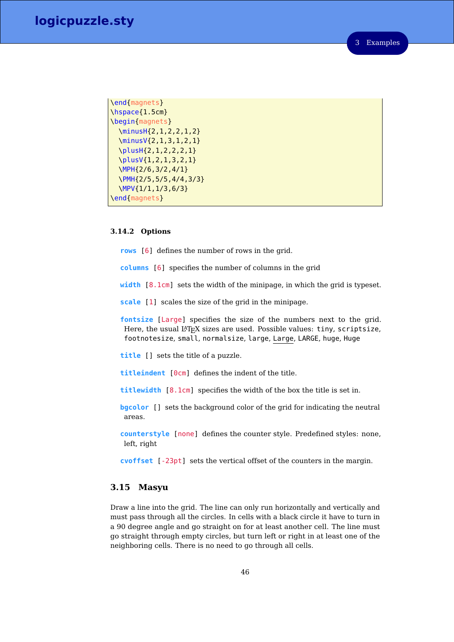```
\end{magnets}
\hspace{1.5cm}
\begin{magnets}
  \minusH{2,1,2,2,1,2}
  \minusV{2,1,3,1,2,1}
 \plusH{2,1,2,2,2,1}
  \plusV{1,2,1,3,2,1}
  \MPH{2/6,3/2,4/1}
  \PMH{2/5,5/5,4/4,3/3}
  \MPV{1/1,1/3,6/3}
\end{magnets}
```
### **3.14.2 Options**

**rows** [6] defines the number of rows in the grid.

- **columns** [6] specifies the number of columns in the grid
- **width** [8.1cm] sets the width of the minipage, in which the grid is typeset.
- **scale** [1] scales the size of the grid in the minipage.
- **fontsize** [Large] specifies the size of the numbers next to the grid. Here, the usual LAT<sub>E</sub>X sizes are used. Possible values: tiny, scriptsize, footnotesize, small, normalsize, large, Large, LARGE, huge, Huge
- **title** [] sets the title of a puzzle.
- **titleindent** [0cm] defines the indent of the title.
- **titlewidth** [8.1cm] specifies the width of the box the title is set in.
- **bgcolor** [] sets the background color of the grid for indicating the neutral areas.
- **counterstyle** [none] defines the counter style. Predefined styles: none, left, right
- **cvoffset** [-23pt] sets the vertical offset of the counters in the margin.

### **3.15 Masyu**

Draw a line into the grid. The line can only run horizontally and vertically and must pass through all the circles. In cells with a black circle it have to turn in a 90 degree angle and go straight on for at least another cell. The line must go straight through empty circles, but turn left or right in at least one of the neighboring cells. There is no need to go through all cells.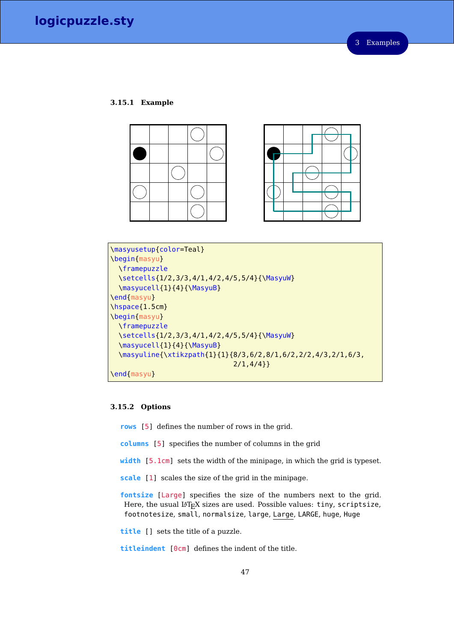### **3.15.1 Example**





```
\masyusetup{color=Teal}
\begin{masyu}
  \framepuzzle
  \setcells{1/2,3/3,4/1,4/2,4/5,5/4}{\MasyuW}
  \masyucell{1}{4}{\MasyuB}
\end{masyu}
\hspace{1.5cm}
\begin{masyu}
  \framepuzzle
  \setcells{1/2,3/3,4/1,4/2,4/5,5/4}{\MasyuW}
  \masyucell{1}{4}{\MasyuB}
  \masyuline{\xtikzpath{1}{1}{8/3,6/2,8/1,6/2,2/2,4/3,2/1,6/3,
                              2/1,4/4}}
\end{masyu}
```
### **3.15.2 Options**

**rows** [5] defines the number of rows in the grid.

- **columns** [5] specifies the number of columns in the grid
- **width** [5.1cm] sets the width of the minipage, in which the grid is typeset.
- **scale** [1] scales the size of the grid in the minipage.

**fontsize** [Large] specifies the size of the numbers next to the grid. Here, the usual LATEX sizes are used. Possible values: tiny, scriptsize, footnotesize, small, normalsize, large, Large, LARGE, huge, Huge

**title** [] sets the title of a puzzle.

**titleindent** [0cm] defines the indent of the title.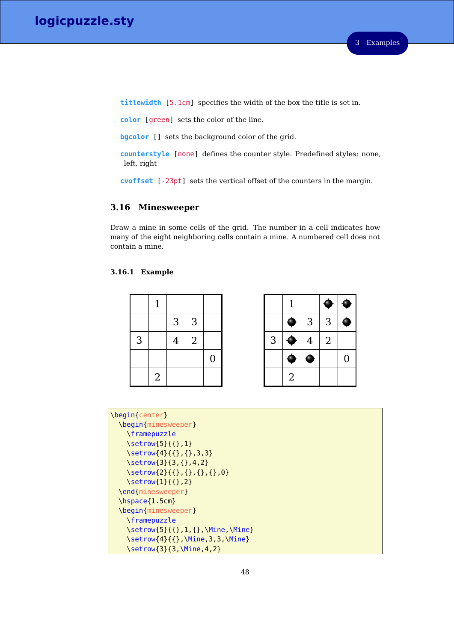**titlewidth** [5.1cm] specifies the width of the box the title is set in.

**color** [green] sets the color of the line.

**bgcolor** [] sets the background color of the grid.

**counterstyle** [none] defines the counter style. Predefined styles: none, left, right

**cvoffset** [-23pt] sets the vertical offset of the counters in the margin.

# **3.16 Minesweeper**

Draw a mine in some cells of the grid. The number in a cell indicates how many of the eight neighboring cells contain a mine. A numbered cell does not contain a mine.

# **3.16.1 Example**

|   | 1              |                |                |                |
|---|----------------|----------------|----------------|----------------|
|   |                | $\sqrt{3}$     | $\mathsf 3$    |                |
| 3 |                | $\overline{4}$ | $\overline{2}$ |                |
|   |                |                |                | $\overline{0}$ |
|   | $\overline{2}$ |                |                |                |

|   | 1              |                |                |   |
|---|----------------|----------------|----------------|---|
|   |                | $\sqrt{3}$     | $\sqrt{3}$     |   |
| 3 |                | $\overline{4}$ | $\overline{2}$ |   |
|   |                |                |                | 0 |
|   | $\overline{2}$ |                |                |   |

```
\begin{center}
 \begin{minesweeper}
   \framepuzzle
    \setrow{5}{{},1}
    \setrow{4}{{},{},3,3}
   \setrow{3}{3,{},4,2}
    \setrow{2}{{},{},{},{},0}
    \setrow{1}{{},2}
 \end{minesweeper}
 \hspace{1.5cm}
 \begin{minesweeper}
    \framepuzzle
    \setrow{5}{{},1,{},\Mine,\Mine}
    \setrow{4}{{},\Mine,3,3,\Mine}
    \setrow{3}{3,\Mine,4,2}
```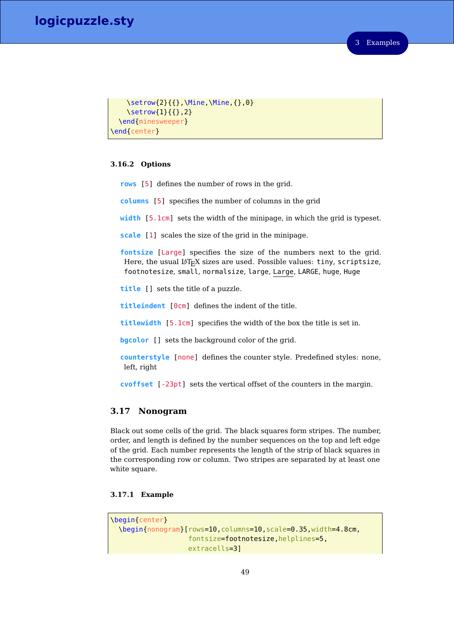```
\setrow{2}{{},\Mine,\Mine,{},0}
    \setrow{1}{{},2}
 \end{minesweeper}
\end{center}
```
### **3.16.2 Options**

- **rows** [5] defines the number of rows in the grid.
- **columns** [5] specifies the number of columns in the grid
- **width** [5.1cm] sets the width of the minipage, in which the grid is typeset.

**scale** [1] scales the size of the grid in the minipage.

**fontsize** [Large] specifies the size of the numbers next to the grid. Here, the usual LATEX sizes are used. Possible values: tiny, scriptsize, footnotesize, small, normalsize, large, Large, LARGE, huge, Huge

**title** [] sets the title of a puzzle.

**titleindent** [0cm] defines the indent of the title.

**titlewidth** [5.1cm] specifies the width of the box the title is set in.

**bgcolor**  $\Box$  sets the background color of the grid.

**counterstyle** [none] defines the counter style. Predefined styles: none, left, right

**cvoffset** [-23pt] sets the vertical offset of the counters in the margin.

### **3.17 Nonogram**

Black out some cells of the grid. The black squares form stripes. The number, order, and length is defined by the number sequences on the top and left edge of the grid. Each number represents the length of the strip of black squares in the corresponding row or column. Two stripes are separated by at least one white square.

### **3.17.1 Example**

```
\begin{center}
 \begin{nonogram}[rows=10,columns=10,scale=0.35,width=4.8cm,
                   fontsize=footnotesize,helplines=5,
                   extracells=3]
```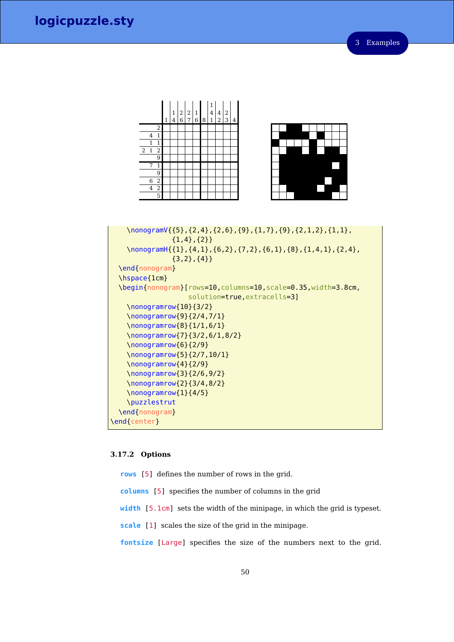



```
\nonogramV{{5},{2,4},{2,6},{9},{1,7},{9},{2,1,2},{1,1},
               \{1,4\},\{2\}\}\\nonogramH{{1},{4,1},{6,2},{7,2},{6,1},{8},{1,4,1},{2,4},
               \{3,2\},\{4\}\}\end{nonogram}
 \hspace{1cm}
 \begin{nonogram}[rows=10,columns=10,scale=0.35,width=3.8cm,
                   solution=true,extracells=3]
    \nonogramrow{10}{3/2}
    \nonogramrow{9}{2/4,7/1}
    \nonogramrow{8}{1/1,6/1}
    \nonogramrow{7}{3/2,6/1,8/2}
    \nonogramrow{6}{2/9}
    \nonogramrow{5}{2/7,10/1}
    \nonogramrow{4}{2/9}
    \nonogramrow{3}{2/6,9/2}
    \nonogramrow{2}{3/4,8/2}
    \nonogramrow{1}{4/5}
    \puzzlestrut
 \end{nonogram}
\end{center}
```
### **3.17.2 Options**

**rows** [5] defines the number of rows in the grid.

- **columns** [5] specifies the number of columns in the grid
- **width** [5.1cm] sets the width of the minipage, in which the grid is typeset.
- **scale** [1] scales the size of the grid in the minipage.
- **fontsize** [Large] specifies the size of the numbers next to the grid.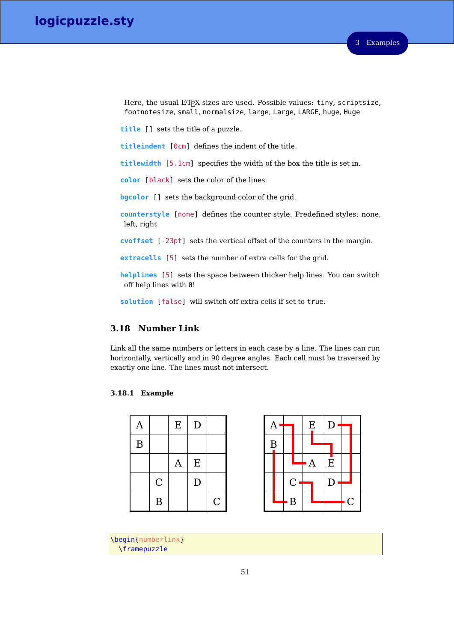Here, the usual L<sup>AT</sup>EX sizes are used. Possible values: tiny, scriptsize, footnotesize, small, normalsize, large, Large, LARGE, huge, Huge

**title** [] sets the title of a puzzle.

**titleindent** [0cm] defines the indent of the title.

**titlewidth** [5.1cm] specifies the width of the box the title is set in.

**color** [black] sets the color of the lines.

**bgcolor** [] sets the background color of the grid.

**counterstyle** [none] defines the counter style. Predefined styles: none, left, right

**cvoffset** [-23pt] sets the vertical offset of the counters in the margin.

**extracells** [5] sets the number of extra cells for the grid.

**helplines** [5] sets the space between thicker help lines. You can switch off help lines with 0!

**solution** [false] will switch off extra cells if set to true.

# **3.18 Number Link**

Link all the same numbers or letters in each case by a line. The lines can run horizontally, vertically and in 90 degree angles. Each cell must be traversed by exactly one line. The lines must not intersect.

### **3.18.1 Example**

| A        |                  | Ε | D           |              |  |
|----------|------------------|---|-------------|--------------|--|
| $\bf{B}$ |                  |   |             |              |  |
|          |                  | A | ${\bf E}$   |              |  |
|          | $\mathsf C$      |   | $\mathbf D$ |              |  |
|          | $\boldsymbol{B}$ |   |             | $\mathcal C$ |  |



\begin{numberlink} \framepuzzle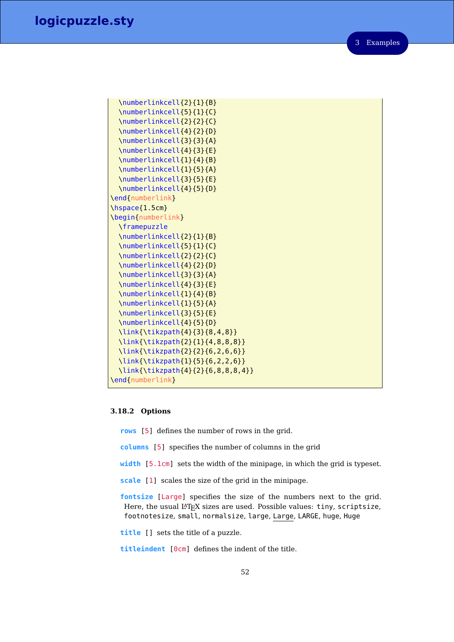```
\numberlinkcell{2}{1}{B}
  \numberlinkcell{5}{1}{C}
 \numberlinkcell{2}{2}{C}
  \numberlinkcell{4}{2}{D}
  \numberlinkcell{3}{3}{A}
  \numberlinkcell{4}{3}{E}
  \numberlinkcell{1}{4}{B}
  \numberlinkcell{1}{5}{A}
  \numberlinkcell{3}{5}{E}
  \numberlinkcell{4}{5}{D}
\end{numberlink}
\hspace{1.5cm}
\begin{numberlink}
  \framepuzzle
 \numberlinkcell{2}{1}{B}
  \numberlinkcell{5}{1}{C}
  \numberlinkcell{2}{2}{C}
  \numberlinkcell{4}{2}{D}
 \numberlinkcell{3}{3}{A}
 \numberlinkcell{4}{3}{E}
  \numberlinkcell{1}{4}{B}
  \numberlinkcell{1}{5}{A}
 \numberlinkcell{3}{5}{E}
 \numberlinkcell{4}{5}{D}
 \link{\tikzpath{4}{3}{8,4,8}}
 \link{\tikzpath{2}{1}{4,8,8,8}}
 \link{\tikzpath{2}{2}{6,2,6,6}}
 \link{\tikzpath{1}{5}{6,2,2,6}}
 \link{\tikzpath{4}{2}{6,8,8,8,4}}
\end{numberlink}
```
#### **3.18.2 Options**

- **rows** [5] defines the number of rows in the grid.
- **columns** [5] specifies the number of columns in the grid
- **width** [5.1cm] sets the width of the minipage, in which the grid is typeset.
- **scale** [1] scales the size of the grid in the minipage.
- **fontsize** [Large] specifies the size of the numbers next to the grid. Here, the usual LAT<sub>E</sub>X sizes are used. Possible values: tiny, scriptsize, footnotesize, small, normalsize, large, Large, LARGE, huge, Huge

**title** [] sets the title of a puzzle.

**titleindent** [0cm] defines the indent of the title.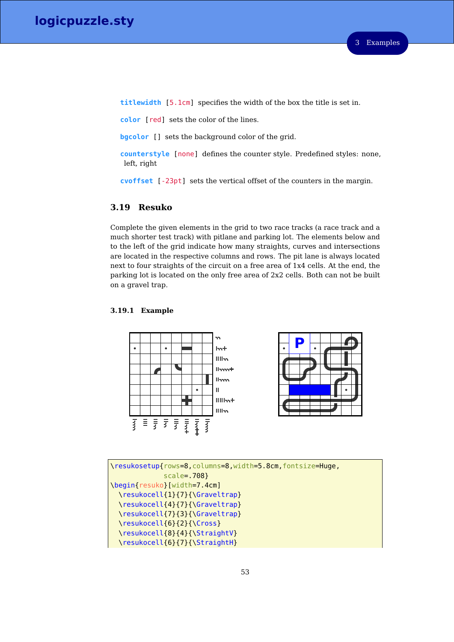**titlewidth** [5.1cm] specifies the width of the box the title is set in.

**color** [red] sets the color of the lines.

**bgcolor** [] sets the background color of the grid.

**counterstyle** [none] defines the counter style. Predefined styles: none, left, right

**cvoffset** [-23pt] sets the vertical offset of the counters in the margin.

### **3.19 Resuko**

Complete the given elements in the grid to two race tracks (a race track and a much shorter test track) with pitlane and parking lot. The elements below and to the left of the grid indicate how many straights, curves and intersections are located in the respective columns and rows. The pit lane is always located next to four straights of the circuit on a free area of 1x4 cells. At the end, the parking lot is located on the only free area of 2x2 cells. Both can not be built on a gravel trap.

### **3.19.1 Example**





```
\resukosetup{rows=8,columns=8,width=5.8cm,fontsize=Huge,
             scale=.708}
\begin{resuko}[width=7.4cm]
 \resukocell{1}{7}{\Graveltrap}
 \resukocell{4}{7}{\Graveltrap}
 \resukocell{7}{3}{\Graveltrap}
 \resukocell{6}{2}{\Cross}
 \resukocell{8}{4}{\StraightV}
 \resukocell{6}{7}{\StraightH}
```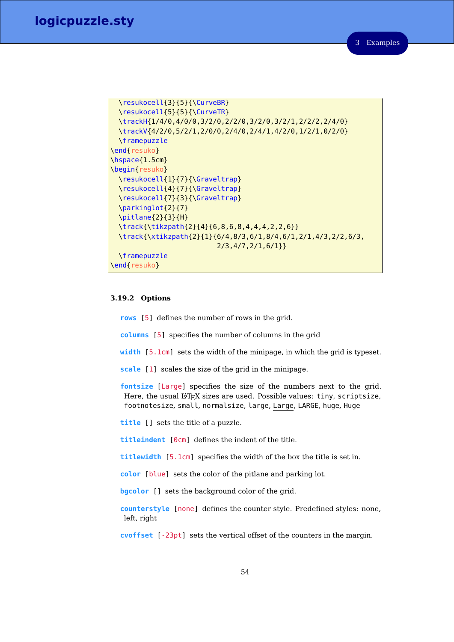```
\resukocell{3}{5}{\CurveBR}
 \resukocell{5}{5}{\CurveTR}
 \trackH{1/4/0,4/0/0,3/2/0,2/2/0,3/2/0,3/2/1,2/2/2,2/4/0}
 \trackV{4/2/0,5/2/1,2/0/0,2/4/0,2/4/1,4/2/0,1/2/1,0/2/0}
 \framepuzzle
\end{resuko}
\hspace{1.5cm}
\begin{resuko}
 \resukocell{1}{7}{\Graveltrap}
 \resukocell{4}{7}{\Graveltrap}
 \resukocell{7}{3}{\Graveltrap}
 \parkinglot{2}{7}
 \pitlane{2}{3}{H}
 \track{\tikzpath{2}{4}{6,8,6,8,4,4,4,2,2,6}}
 \track{\xtikzpath{2}{1}{6/4,8/3,6/1,8/4,6/1,2/1,4/3,2/2,6/3,
                          2/3,4/7,2/1,6/1}}
 \framepuzzle
\end{resuko}
```
### **3.19.2 Options**

**rows** [5] defines the number of rows in the grid.

**columns** [5] specifies the number of columns in the grid

**width** [5.1cm] sets the width of the minipage, in which the grid is typeset.

**scale** [1] scales the size of the grid in the minipage.

**fontsize** [Large] specifies the size of the numbers next to the grid. Here, the usual LAT<sub>E</sub>X sizes are used. Possible values: tiny, scriptsize, footnotesize, small, normalsize, large, Large, LARGE, huge, Huge

**title** [] sets the title of a puzzle.

**titleindent** [0cm] defines the indent of the title.

**titlewidth** [5.1cm] specifies the width of the box the title is set in.

**color** [blue] sets the color of the pitlane and parking lot.

**bgcolor** [] sets the background color of the grid.

**counterstyle** [none] defines the counter style. Predefined styles: none, left, right

**cvoffset** [-23pt] sets the vertical offset of the counters in the margin.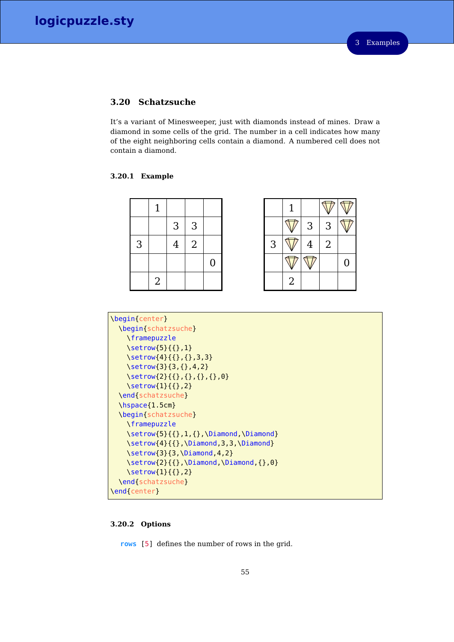# **3.20 Schatzsuche**

It's a variant of Minesweeper, just with diamonds instead of mines. Draw a diamond in some cells of the grid. The number in a cell indicates how many of the eight neighboring cells contain a diamond. A numbered cell does not contain a diamond.

# **3.20.1 Example**

|                          |   | $\mathbf{3}$ | 3 |  |   |    | 3 <sup>1</sup> | 3              |  |
|--------------------------|---|--------------|---|--|---|----|----------------|----------------|--|
| $\overline{\phantom{0}}$ |   |              | 2 |  | 3 |    | $\overline{4}$ | $\overline{2}$ |  |
|                          |   |              |   |  |   |    |                |                |  |
|                          | 2 |              |   |  |   | 2. |                |                |  |

| \begin{center}                                                                            |
|-------------------------------------------------------------------------------------------|
| \begin{schatzsuche}                                                                       |
| <i><u><b>\framepuzzle</b></u></i>                                                         |
| $\setminus$ setrow $\{5\}\{\{\},1\}$                                                      |
| \setrow{4}{{},{},3,3}                                                                     |
| \setrow{3}{3,{},4,2}                                                                      |
| \setrow{2}{{},{},{},{},0}                                                                 |
| $\setminus$ setrow $\{1\}$ { $\}$ ,2}                                                     |
| \end{schatzsuche}                                                                         |
| $\hbox{\scriptsize\textsf{hspace}}$ \hspace { $1.5$ cm }                                  |
| \begin{schatzsuche}                                                                       |
| <i><u><b>\framepuzzle</b></u></i>                                                         |
| $\setminus$ setrow $\{5\}\{\{\},1,\{\},\$ Diamond, $\Delta$ Diamond                       |
| $\setminus$ setrow $\{4\}$ { $\setminus$ }, $\setminus$ Diamond,3,3, $\setminus$ Diamond} |
| $\setminus$ setrow $\{3\}$ $\{3, \setminus$ Diamond,4,2 $\}$                              |
| \setrow{2}{{},\Diamond,\Diamond,{},0}                                                     |
| $\setminus$ setrow $\{1\}$ { $\}$ ,2}                                                     |
| \end{schatzsuche}                                                                         |
| \end{center}                                                                              |

# **3.20.2 Options**

**rows** [5] defines the number of rows in the grid.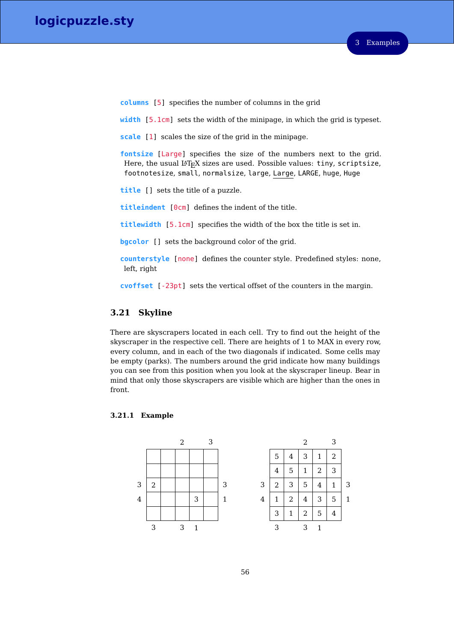**columns** [5] specifies the number of columns in the grid

**width** [5.1cm] sets the width of the minipage, in which the grid is typeset.

**scale** [1] scales the size of the grid in the minipage.

**fontsize** [Large] specifies the size of the numbers next to the grid. Here, the usual LAT<sub>E</sub>X sizes are used. Possible values: tiny, scriptsize, footnotesize, small, normalsize, large, Large, LARGE, huge, Huge

**title** [] sets the title of a puzzle.

**titleindent** [0cm] defines the indent of the title.

**titlewidth** [5.1cm] specifies the width of the box the title is set in.

**bgcolor** [] sets the background color of the grid.

**counterstyle** [none] defines the counter style. Predefined styles: none, left, right

**cvoffset** [-23pt] sets the vertical offset of the counters in the margin.

# **3.21 Skyline**

There are skyscrapers located in each cell. Try to find out the height of the skyscraper in the respective cell. There are heights of 1 to MAX in every row, every column, and in each of the two diagonals if indicated. Some cells may be empty (parks). The numbers around the grid indicate how many buildings you can see from this position when you look at the skyscraper lineup. Bear in mind that only those skyscrapers are visible which are higher than the ones in front.



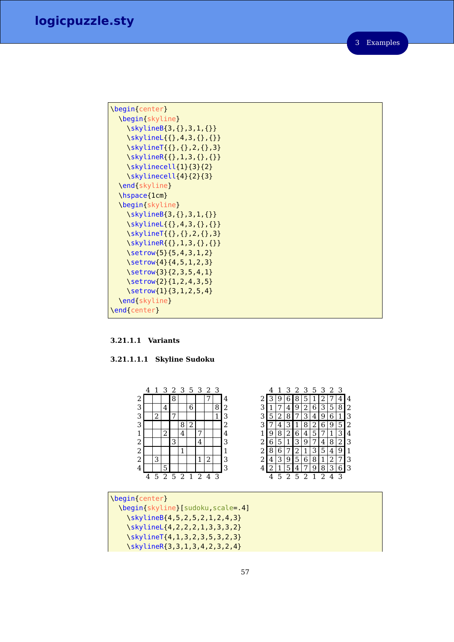| \begin{center}          |
|-------------------------|
| \begin{skyline}         |
| \skylineB{3,{},3,1,{}}  |
| \skylineL{{},4,3,{},{}} |
| \skylineT{{},{},2,{},3} |
| \skylineR{{},1,3,{},{}} |
| \skylinecell{1}{3}{2}   |
| \skylinecell{4}{2}{3}   |
| \end{skyline}           |
| \hspace{1cm}            |
| \begin{skyline}         |
| \skylineB{3,{},3,1,{}}  |
| \skylineL{{},4,3,{},{}} |
| \skylineT{{},{},2,{},3} |
| \skylineR{{},1,3,{},{}} |
| \setrow{5}{5,4,3,1,2}   |
| \setrow{4}{4,5,1,2,3}   |
| \setrow{3}{2,3,5,4,1}   |
| \setrow{2}{1,2,4,3,5}   |
| \setrow{1}{3,1,2,5,4}   |
| \end{skyline}           |
| \end{center}            |

# **3.21.1.1 Variants**

# **3.21.1.1.1 Skyline Sudoku**

|   | 4 | 1 | 3 | 2 3 5 3 2 3 |       |   |               |                |   |   |   |   |   | 3 |   |               |   | 2 3 5 3 2     |   | 3 |   |
|---|---|---|---|-------------|-------|---|---------------|----------------|---|---|---|---|---|---|---|---------------|---|---------------|---|---|---|
| ◠ |   |   |   | 8           |       |   |               | ⇁              |   | 4 |   |   | 9 | 6 |   |               |   |               |   |   |   |
| 3 |   |   | 4 |             |       | 6 |               |                | 8 | 2 | 3 |   |   | 4 | 9 | $\mathcal{L}$ | 6 | 3             | 5 | 8 | 2 |
| 3 |   | ∩ |   | ⇁           |       |   |               |                | 1 | З | 3 | 5 |   | 8 |   |               |   | q             |   |   |   |
| 3 |   |   |   |             | 8     | 2 |               |                |   | 2 | З |   | 4 | З |   | 8             | 2 | 6             | 9 | 5 | 2 |
| 1 |   |   | ി |             | 4     |   | ⇁             |                |   | 4 |   | 9 | 8 | 2 | 6 | 4             | 5 |               |   |   | 4 |
| റ |   |   |   | 3           |       |   | 4             |                |   | З | 2 | 6 | 5 |   | З | 9             |   | 4             | 8 |   | З |
| ി |   |   |   |             |       |   |               |                |   |   | ∍ | 8 | ჩ |   |   |               | З | 5             | 4 |   |   |
| 2 |   | 3 |   |             |       |   |               | 2              |   | 3 | 2 | 4 | 3 | 9 | 5 | 6             | 8 |               | 2 |   |   |
| 4 |   |   | 5 |             |       |   |               |                |   | З | 4 |   |   | 5 |   |               | 9 | 8             | 3 |   |   |
|   | 4 | 5 | 2 |             | 5 2 1 |   | $\mathcal{L}$ | $\overline{4}$ | 3 |   |   | 4 | 5 | 2 | 5 | 2             |   | $\mathcal{D}$ | 4 | 3 |   |
|   |   |   |   |             |       |   |               |                |   |   |   |   |   |   |   |               |   |               |   |   |   |

| \begin{center}                   |  |
|----------------------------------|--|
| \begin{skyline}[sudoku.scale=.4] |  |
| \skylineB{4,5,2,5,2,1,2,4,3}     |  |
| \skylineL{4,2,2,2,1,3,3,3,2}     |  |
| \skylineT{4,1,3,2,3,5,3,2,3}     |  |
| \skylineR{3,3,1,3,4,2,3,2,4}     |  |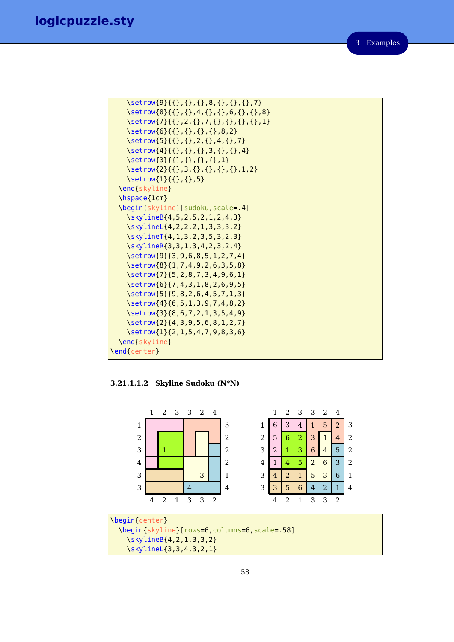```
\setrow{9}{{},{},{},8,{},{},{},7}
   \setrow{8}{{},{},4,{},{},6,{},{},8}
   \setrow{7}{{},2,{},7,{},{},{},{},}
   \setrow{6}{{},{},{},{},8,2}
   \setrow{5}{{},{},2,{},4,{},7}
   \setrow{4}{{},{},{},3,{},{},4}
   \setrow{3}{{},{},{},{},}
   \setrow{2}{{},3,{},{},{},{},1,2}
   \setrow{1}{{},{},5}
 \end{skyline}
 \hspace{1cm}
 \begin{skyline}[sudoku,scale=.4]
   \skylineB{4,5,2,5,2,1,2,4,3}
   \skylineL{4,2,2,2,1,3,3,3,2}
   \skylineT{4,1,3,2,3,5,3,2,3}
   \skylineR{3,3,1,3,4,2,3,2,4}
   \setrow{9}{3,9,6,8,5,1,2,7,4}
   \setrow{8}{1,7,4,9,2,6,3,5,8}
   \setrow{7}{5,2,8,7,3,4,9,6,1}
   \setrow{6}{7,4,3,1,8,2,6,9,5}
   \setrow{5}{9,8,2,6,4,5,7,1,3}
   \setrow{4}{6,5,1,3,9,7,4,8,2}
   \setrow{3}{8,6,7,2,1,3,5,4,9}
   \setrow{2}{4,3,9,5,6,8,1,2,7}
   \setrow{1}{2,1,5,4,7,9,8,3,6}
 \end{skyline}
\end{center}
```
**3.21.1.1.2 Skyline Sudoku (N\*N)**



\begin{center} \begin{skyline}[rows=6,columns=6,scale=.58] \skylineB{4,2,1,3,3,2} \skylineL{3,3,4,3,2,1}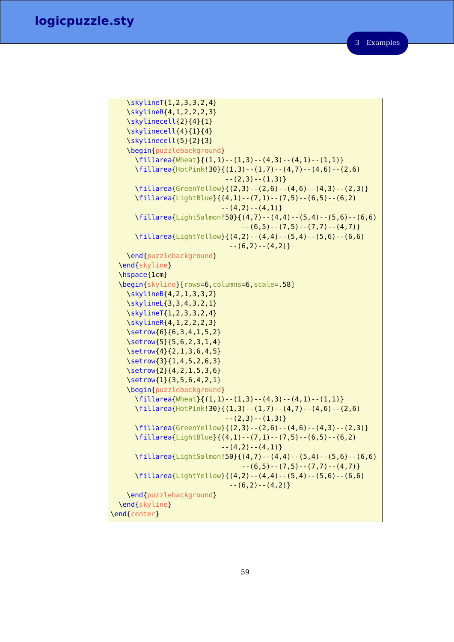3 Examples

```
\skylineT{1,2,3,3,2,4}
   \skylineR{4,1,2,2,2,3}
   \skylinecell{2}{4}{1}
   \skylinecell{4}{1}{4}
   \skylinecell{5}{2}{3}
   \begin{puzzlebackground}
     \fillarea{Wheat}{(1,1)--(1,3)--(4,3)--(4,1)--(1,1)}
     \fillarea{HotPink!30}{(1,3)--(1,7)--(4,7)--(4,6)--(2,6)
                            --(2,3)--(1,3)}
     \fillarea{GreenYellow}{(2,3)--(2,6)--(4,6)--(4,3)--(2,3)}
     \fillarea{LightBlue}{(4,1)--(7,1)--(7,5)--(6,5)--(6,2)
                           --(4,2)--(4,1)}
     \fillarea{LightSalmon!50}{(4,7)--(4,4)--(5,4)--(5,6)--(6,6)
                                --(6,5)--(7,5)--(7,7)--(4,7)\fillarea{LightYellow}{(4,2)--(4,4)--(5,4)--(5,6)--(6,6)
                             --(6,2)--(4,2)}
   \end{puzzlebackground}
 \end{skyline}
 \hspace{1cm}
 \begin{skyline}[rows=6,columns=6,scale=.58]
   \skylineB{4,2,1,3,3,2}
   \skylineL{3,3,4,3,2,1}
   \skylineT{1,2,3,3,2,4}
   \skylineR{4,1,2,2,2,3}
   \setrow{6}{6,3,4,1,5,2}
   \setrow{5}{5,6,2,3,1,4}
   \setrow{4}{2,1,3,6,4,5}
   \setrow{3}{1,4,5,2,6,3}
   \setrow{2}{4,2,1,5,3,6}
   \setrow{1}{3,5,6,4,2,1}
   \begin{puzzlebackground}
     \fillarea{Wheat}{(1,1)--(1,3)--(4,3)--(4,1)--(1,1)}
     \fillarea{HotPink!30}{(1,3)--(1,7)--(4,7)--(4,6)--(2,6)
                            --(2,3)--(1,3)}
     \fillarea{GreenYellow}{(2,3)--(2,6)--(4,6)--(4,3)--(2,3)}
     \fillarea{LightBlue}{(4,1)--(7,1)--(7,5)--(6,5)--(6,2)
                           --(4,2)--(4,1)}
     \fillarea{LightSalmon!50}{(4,7)--(4,4)--(5,4)--(5,6)--(6,6)
                                --(6,5)--(7,5)--(7,7)--(4,7)\fillarea{LightYellow}{(4,2)--(4,4)--(5,4)--(5,6)--(6,6)
                             --(6,2)--(4,2)}
   \end{puzzlebackground}
 \end{skyline}
\end{center}
```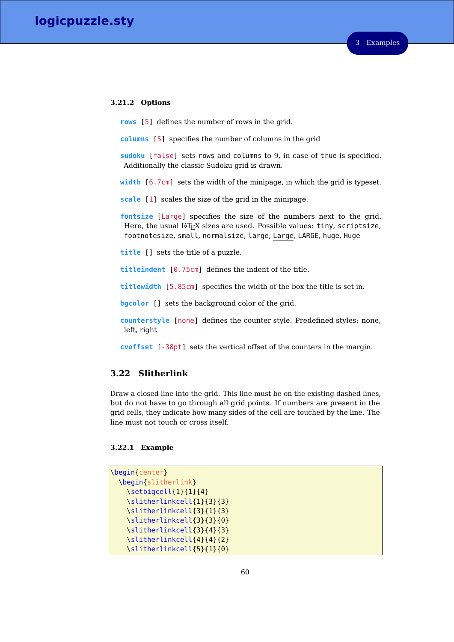### **3.21.2 Options**

**rows** [5] defines the number of rows in the grid.

**columns** [5] specifies the number of columns in the grid

**sudoku** [false] sets rows and columns to 9, in case of true is specified. Additionally the classic Sudoku grid is drawn.

**width** [6.7cm] sets the width of the minipage, in which the grid is typeset.

**scale** [1] scales the size of the grid in the minipage.

**fontsize** [Large] specifies the size of the numbers next to the grid. Here, the usual LAT<sub>E</sub>X sizes are used. Possible values: tiny, scriptsize, footnotesize, small, normalsize, large, Large, LARGE, huge, Huge

**title** [] sets the title of a puzzle.

**titleindent** [0.75cm] defines the indent of the title.

**titlewidth** [5.85cm] specifies the width of the box the title is set in.

**bgcolor** [] sets the background color of the grid.

**counterstyle** [none] defines the counter style. Predefined styles: none, left, right

**cvoffset** [-38pt] sets the vertical offset of the counters in the margin.

# **3.22 Slitherlink**

Draw a closed line into the grid. This line must be on the existing dashed lines, but do not have to go through all grid points. If numbers are present in the grid cells, they indicate how many sides of the cell are touched by the line. The line must not touch or cross itself.

### **3.22.1 Example**

```
\begin{center}
 \begin{slitherlink}
   \setbigcell{1}{1}{4}
   \slitherlinkcell{1}{3}{3}
   \slitherlinkcell{3}{1}{3}
   \slitherlinkcell{3}{3}{0}
   \slitherlinkcell{3}{4}{3}
   \slitherlinkcell{4}{4}{2}
   \slitherlinkcell{5}{1}{0}
```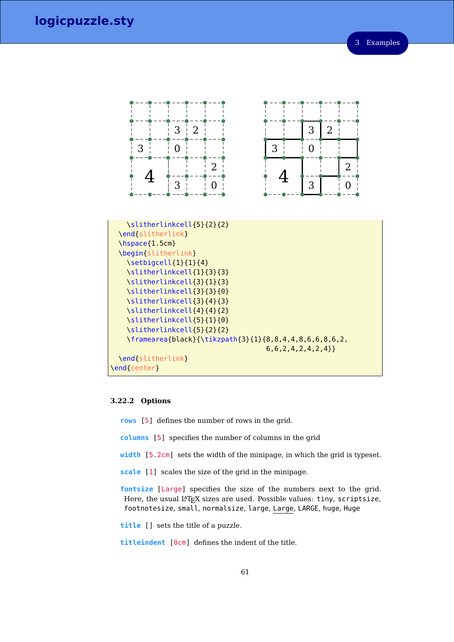

### **3.22.2 Options**

- **rows** [5] defines the number of rows in the grid.
- **columns** [5] specifies the number of columns in the grid
- **width** [5.2cm] sets the width of the minipage, in which the grid is typeset.
- **scale** [1] scales the size of the grid in the minipage.

**fontsize** [Large] specifies the size of the numbers next to the grid. Here, the usual LATEX sizes are used. Possible values: tiny, scriptsize, footnotesize, small, normalsize, large, Large, LARGE, huge, Huge

**title** [] sets the title of a puzzle.

**titleindent** [0cm] defines the indent of the title.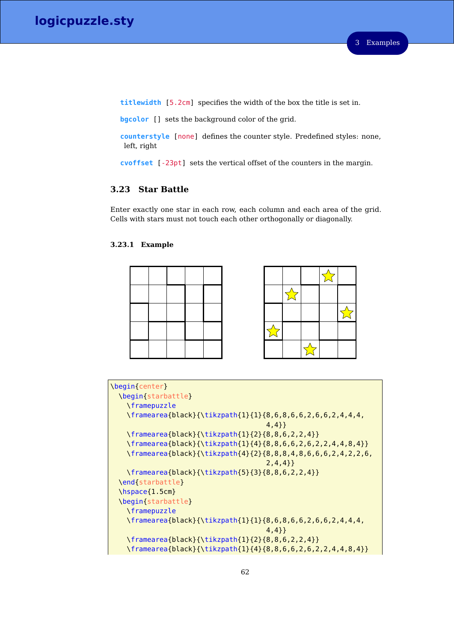**titlewidth** [5.2cm] specifies the width of the box the title is set in.

**bgcolor** [] sets the background color of the grid.

**counterstyle** [none] defines the counter style. Predefined styles: none, left, right

**cvoffset** [-23pt] sets the vertical offset of the counters in the margin.

# **3.23 Star Battle**

Enter exactly one star in each row, each column and each area of the grid. Cells with stars must not touch each other orthogonally or diagonally.

### **3.23.1 Example**





```
\begin{center}
 \begin{starbattle}
   \framepuzzle
   \framearea{black}{\tikzpath{1}{1}{8,6,8,6,6,2,6,6,2,4,4,4,
                                      4,4}}
   \framearea{black}{\tikzpath{1}{2}{8,8,6,2,2,4}}
   \framearea{black}{\tikzpath{1}{4}{8,8,6,6,2,6,2,2,4,4,8,4}}
   \framearea{black}{\tikzpath{4}{2}{8,8,8,4,8,6,6,6,2,4,2,2,6,
                                      2,4,4}}
   \framearea{black}{\tikzpath{5}{3}{8,8,6,2,2,4}}
 \end{starbattle}
 \hspace{1.5cm}
 \begin{starbattle}
   \framepuzzle
   \framearea{black}{\tikzpath{1}{1}{8,6,8,6,6,2,6,6,2,4,4,4,
                                      4,4}}
   \framearea{black}{\tikzpath{1}{2}{8,8,6,2,2,4}}
   \framearea{black}{\tikzpath{1}{4}{8,8,6,6,2,6,2,2,4,4,8,4}}
```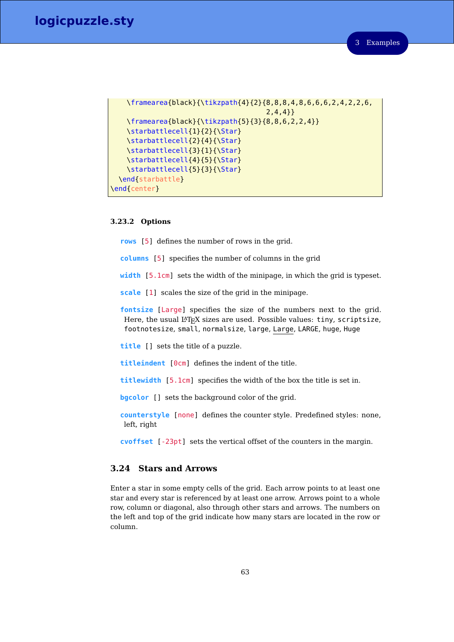```
\framearea{black}{\tikzpath{4}{2}{8,8,8,4,8,6,6,6,2,4,2,2,6,
                                      2,4,4}}
   \framearea{black}{\tikzpath{5}{3}{8,8,6,2,2,4}}
   \starbattlecell{1}{2}{\Star}
   \starbattlecell{2}{4}{\Star}
   \starbattlecell{3}{1}{\Star}
   \starbattlecell{4}{5}{\Star}
   \starbattlecell{5}{3}{\Star}
 \end{starbattle}
\end{center}
```
# **3.23.2 Options**

**rows** [5] defines the number of rows in the grid.

**columns** [5] specifies the number of columns in the grid

**width** [5.1cm] sets the width of the minipage, in which the grid is typeset.

**scale** [1] scales the size of the grid in the minipage.

**fontsize** [Large] specifies the size of the numbers next to the grid. Here, the usual LAT<sub>E</sub>X sizes are used. Possible values: tiny, scriptsize, footnotesize, small, normalsize, large, Large, LARGE, huge, Huge

**title** [] sets the title of a puzzle.

**titleindent** [0cm] defines the indent of the title.

**titlewidth** [5.1cm] specifies the width of the box the title is set in.

**bgcolor** [] sets the background color of the grid.

**counterstyle** [none] defines the counter style. Predefined styles: none, left, right

**cvoffset** [-23pt] sets the vertical offset of the counters in the margin.

# **3.24 Stars and Arrows**

Enter a star in some empty cells of the grid. Each arrow points to at least one star and every star is referenced by at least one arrow. Arrows point to a whole row, column or diagonal, also through other stars and arrows. The numbers on the left and top of the grid indicate how many stars are located in the row or column.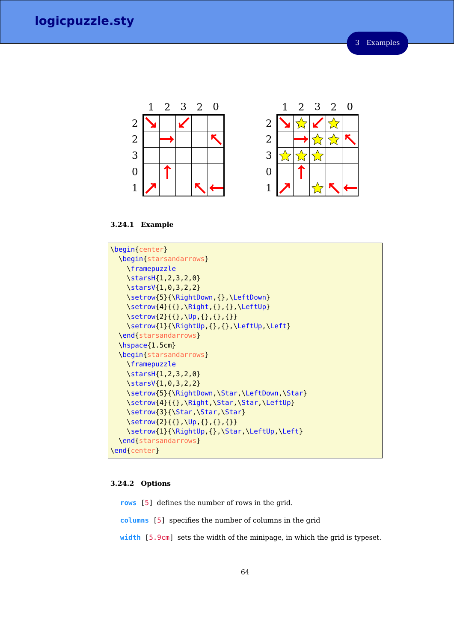

**3.24.1 Example**



### **3.24.2 Options**

**rows** [5] defines the number of rows in the grid.

**columns** [5] specifies the number of columns in the grid

**width** [5.9cm] sets the width of the minipage, in which the grid is typeset.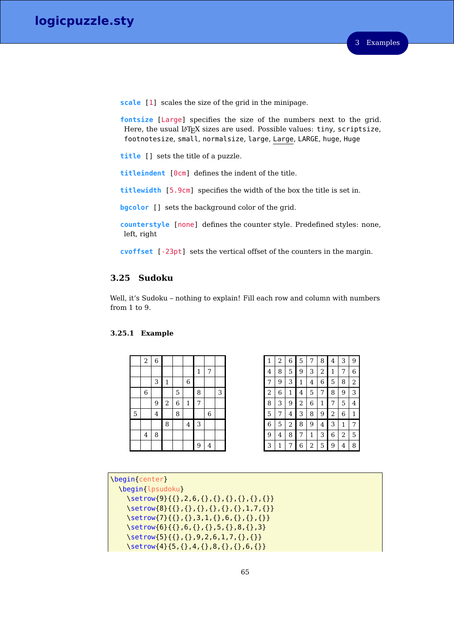**scale** [1] scales the size of the grid in the minipage.

**fontsize** [Large] specifies the size of the numbers next to the grid. Here, the usual LAT<sub>E</sub>X sizes are used. Possible values: tiny, scriptsize, footnotesize, small, normalsize, large, Large, LARGE, huge, Huge

**title** [] sets the title of a puzzle.

**titleindent** [0cm] defines the indent of the title.

**titlewidth** [5.9cm] specifies the width of the box the title is set in.

**bgcolor** [] sets the background color of the grid.

**counterstyle** [none] defines the counter style. Predefined styles: none, left, right

**cvoffset** [-23pt] sets the vertical offset of the counters in the margin.

# **3.25 Sudoku**

Well, it's Sudoku – nothing to explain! Fill each row and column with numbers from 1 to 9.

### **3.25.1 Example**

|   | $\,2$ | $\overline{6}$ |                |   |                  |   |                  |   |
|---|-------|----------------|----------------|---|------------------|---|------------------|---|
|   |       |                |                |   |                  | 1 | 7                |   |
|   |       | 3              | $\mathbf{1}$   |   | $\boldsymbol{6}$ |   |                  |   |
|   | 6     |                |                | 5 |                  | 8 |                  | 3 |
|   |       | 9              | $\overline{c}$ | 6 | $\mathbf 1$      | 7 |                  |   |
| 5 |       | $\overline{4}$ |                | 8 |                  |   | $\boldsymbol{6}$ |   |
|   |       |                | 8              |   | $\overline{4}$   | 3 |                  |   |
|   | 4     | 8              |                |   |                  |   |                  |   |
|   |       |                |                |   |                  | 9 | 4                |   |

| 1 | 2 | 6 | 5 | 7 | 8 | 4 | 3 | 9 |
|---|---|---|---|---|---|---|---|---|
| 4 | 8 | 5 | 9 | 3 | 2 | 1 | 7 | 6 |
| 7 | 9 | 3 | 1 | 4 | 6 | 5 | 8 | 2 |
| 2 | 6 | 1 | 4 | 5 | 7 | 8 | 9 | 3 |
| 8 | 3 | 9 | 2 | 6 | 1 | 7 | 5 | 4 |
| 5 | 7 | 4 | 3 | 8 | 9 | 2 | 6 | 1 |
| 6 | 5 | 2 | 8 | 9 | 4 | 3 | 1 | 7 |
| 9 | 4 | 8 | 7 | 1 | 3 | 6 | 2 | 5 |
| 3 | 1 | 7 | 6 | 2 | 5 | 9 | 4 | 8 |

| \begin{center}                          |
|-----------------------------------------|
| \begin{lpsudoku}                        |
| \setrow{9}{{},2,6,{},{},{},{},{},{},{}} |
| \setrow{8}{{},{},{},{},{},{},{},1,7,{}} |
| \setrow{7}{{},{},3,1,{},6,{},{},{}}     |
| \setrow{6}{{},6,{},{},5,{},8,{},3}      |
| \setrow{5}{{},{},9,2,6,1,7,{},{}}       |
| \setrow{4}{5,{},4,{},8,{},{},6,{}}      |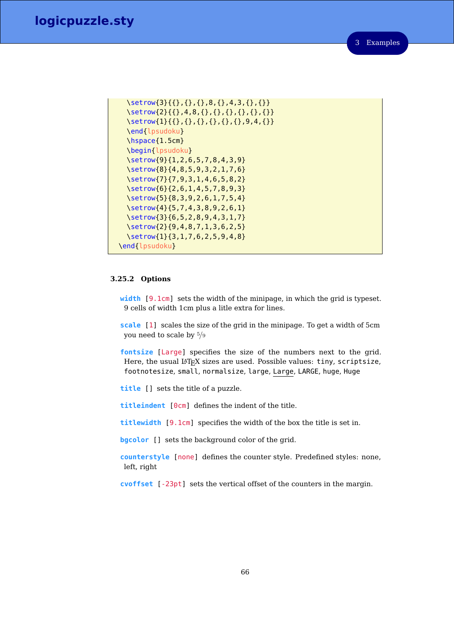```
\setrow{3}{{},{},{},8,{},4,3,{},{}}
 \setrow{2}{{},4,8,{},{},{},{},{},{}}
 \setrow{1}{{},{},{},{},{},{},}
 \end{lpsudoku}
 \hspace{1.5cm}
 \begin{lpsudoku}
 \setrow{9}{1,2,6,5,7,8,4,3,9}
 \setrow{8}{4,8,5,9,3,2,1,7,6}
 \setrow{7}{7,9,3,1,4,6,5,8,2}
 \setrow{6}{2,6,1,4,5,7,8,9,3}
 \setrow{5}{8,3,9,2,6,1,7,5,4}
 \setrow{4}{5,7,4,3,8,9,2,6,1}
 \setrow{3}{6,5,2,8,9,4,3,1,7}
 \setrow{2}{9,4,8,7,1,3,6,2,5}
 \setrow{1}{3,1,7,6,2,5,9,4,8}
\end{lpsudoku}
```
#### **3.25.2 Options**

**width** [9.1cm] sets the width of the minipage, in which the grid is typeset. 9 cells of width 1cm plus a litle extra for lines.

**scale** [1] scales the size of the grid in the minipage. To get a width of 5cm you need to scale by 5*/*9

**fontsize** [Large] specifies the size of the numbers next to the grid. Here, the usual  $L^2T_FX$  sizes are used. Possible values: tiny, scriptsize, footnotesize, small, normalsize, large, Large, LARGE, huge, Huge

**title** [] sets the title of a puzzle.

**titleindent** [0cm] defines the indent of the title.

**titlewidth** [9.1cm] specifies the width of the box the title is set in.

**bgcolor** [] sets the background color of the grid.

**counterstyle** [none] defines the counter style. Predefined styles: none, left, right

**cvoffset** [-23pt] sets the vertical offset of the counters in the margin.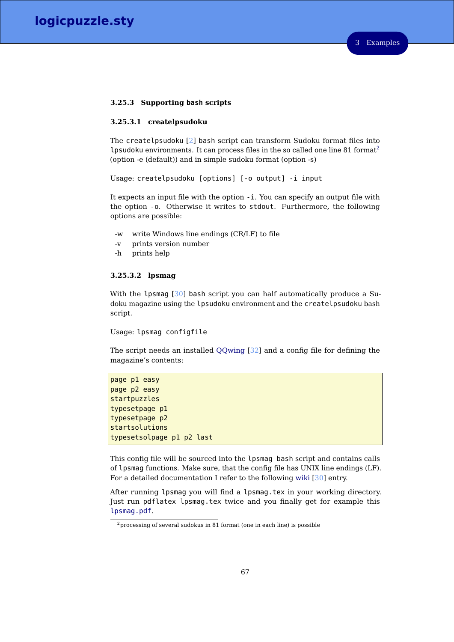#### **3.25.3 Supporting bash scripts**

### **3.25.3.1 createlpsudoku**

The createlpsudoku [\[2\]](#page-156-0) bash script can transform Sudoku format files into lpsudoku environments. It can process files in the so called one line  $81$  format<sup>[2](#page-66-0)</sup> (option -e (default)) and in simple sudoku format (option -s)

Usage: createlpsudoku [options] [-o output] -i input

It expects an input file with the option -i. You can specify an output file with the option -o. Otherwise it writes to stdout. Furthermore, the following options are possible:

- -w write Windows line endings (CR/LF) to file
- -v prints version number
- -h prints help

### **3.25.3.2 lpsmag**

With the lpsmag [\[30\]](#page-158-0) bash script you can half automatically produce a Sudoku magazine using the lpsudoku environment and the createlpsudoku bash script.

### Usage: lpsmag configfile

The script needs an installed [QQwing](http://ostermiller.org/qqwing/) [\[32\]](#page-158-1) and a config file for defining the magazine's contents:

```
page p1 easy
page p2 easy
startpuzzles
typesetpage p1
typesetpage p2
startsolutions
typesetsolpage p1 p2 last
```
This config file will be sourced into the lpsmag bash script and contains calls of lpsmag functions. Make sure, that the config file has UNIX line endings (LF). For a detailed documentation I refer to the following [wiki](http://logicpuzzle.square7.de/lpsmag) [\[30\]](#page-158-0) entry.

After running lpsmag you will find a lpsmag.tex in your working directory. Just run pdflatex lpsmag.tex twice and you finally get for example this [lpsmag.pdf](https://bitbucket.org/kleberj/logicpuzzle/downloads/lpsmag.pdf).

<span id="page-66-0"></span> $2$ processing of several sudokus in 81 format (one in each line) is possible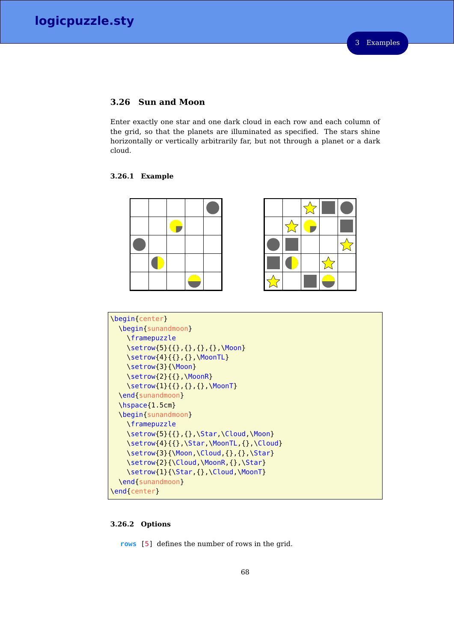# **3.26 Sun and Moon**

Enter exactly one star and one dark cloud in each row and each column of the grid, so that the planets are illuminated as specified. The stars shine horizontally or vertically arbitrarily far, but not through a planet or a dark cloud.

### **3.26.1 Example**



| \begin{center}                                           |
|----------------------------------------------------------|
| \begin{sunandmoon}                                       |
| <i><u><b>\framepuzzle</b></u></i>                        |
| \setrow{5}{{},{},{},{},\Moon}                            |
| \setrow{4}{{},{},\MoonTL}                                |
| \setrow{3}{\Moon}                                        |
| \setrow{2}{{},\MoonR}                                    |
| \setrow{1}{{},{},{},\MoonT}                              |
| \end{sunandmoon}                                         |
| $\hbox{\scriptsize\textsf{hspace}}$ \hspace { $1.5$ cm } |
| \begin{sunandmoon}                                       |
| <i><u><b>\framepuzzle</b></u></i>                        |
| \setrow{5}{{},{},\Star,\Cloud,\Moon}                     |
| \setrow{4}{{},\Star,\MoonTL,{},\Cloud}                   |
| \setrow{3}{\Moon,\Cloud,{},{},\Star}                     |
| \setrow{2}{\Cloud,\MoonR,{},\Star}                       |
| \setrow{1}{\Star,{},\Cloud,\MoonT}                       |
| \end{sunandmoon}                                         |
| \end{center}                                             |
|                                                          |

# **3.26.2 Options**

**rows** [5] defines the number of rows in the grid.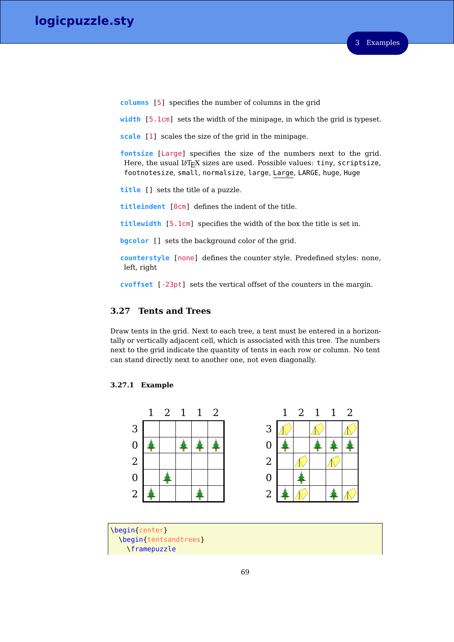**columns** [5] specifies the number of columns in the grid

**width** [5.1cm] sets the width of the minipage, in which the grid is typeset.

**scale** [1] scales the size of the grid in the minipage.

**fontsize** [Large] specifies the size of the numbers next to the grid. Here, the usual LAT<sub>E</sub>X sizes are used. Possible values: tiny, scriptsize, footnotesize, small, normalsize, large, Large, LARGE, huge, Huge

**title** [] sets the title of a puzzle.

**titleindent** [0cm] defines the indent of the title.

**titlewidth** [5.1cm] specifies the width of the box the title is set in.

**bgcolor** [] sets the background color of the grid.

**counterstyle** [none] defines the counter style. Predefined styles: none, left, right

**cvoffset** [-23pt] sets the vertical offset of the counters in the margin.

# **3.27 Tents and Trees**

Draw tents in the grid. Next to each tree, a tent must be entered in a horizontally or vertically adjacent cell, which is associated with this tree. The numbers next to the grid indicate the quantity of tents in each row or column. No tent can stand directly next to another one, not even diagonally.

### **3.27.1 Example**



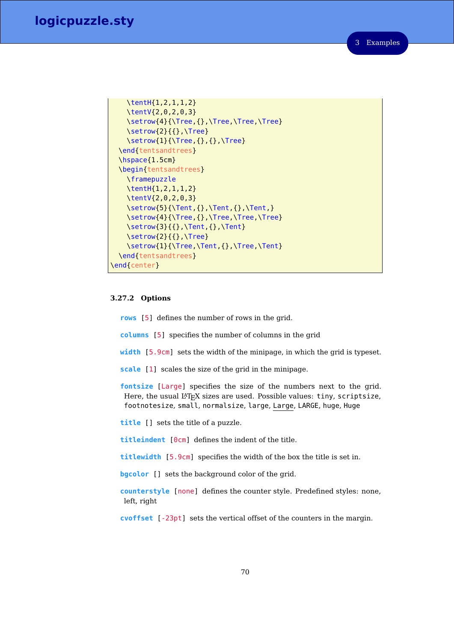```
\tentH{1,2,1,1,2}
   \tentV{2,0,2,0,3}
   \setrow{4}{\Tree,{},\Tree,\Tree,\Tree}
   \setrow{2}{{},\Tree}
   \setrow{1}{\Tree,{},{},\Tree}
 \end{tentsandtrees}
 \hspace{1.5cm}
 \begin{tentsandtrees}
   \framepuzzle
   \tentH{1,2,1,1,2}
   \tentV{2,0,2,0,3}
   \setrow{5}{\Tent,{},\Tent,{},\Tent,}
   \setrow{4}{\Tree,{},\Tree,\Tree,\Tree}
   \setrow{3}{{},\Tent,{},\Tent}
   \setrow{2}{{},\Tree}
   \setrow{1}{\Tree,\Tent,{},\Tree,\Tent}
 \end{tentsandtrees}
\end{center}
```
### **3.27.2 Options**

**rows** [5] defines the number of rows in the grid.

- **columns** [5] specifies the number of columns in the grid
- **width** [5.9cm] sets the width of the minipage, in which the grid is typeset.

**scale** [1] scales the size of the grid in the minipage.

**fontsize** [Large] specifies the size of the numbers next to the grid. Here, the usual LATEX sizes are used. Possible values: tiny, scriptsize, footnotesize, small, normalsize, large, Large, LARGE, huge, Huge

**title** [] sets the title of a puzzle.

**titleindent** [0cm] defines the indent of the title.

**titlewidth** [5.9cm] specifies the width of the box the title is set in.

**bgcolor** [] sets the background color of the grid.

**counterstyle** [none] defines the counter style. Predefined styles: none, left, right

**cvoffset** [-23pt] sets the vertical offset of the counters in the margin.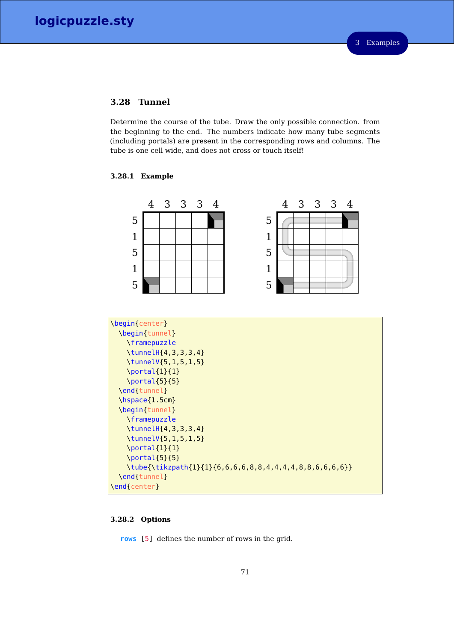# **3.28 Tunnel**

Determine the course of the tube. Draw the only possible connection. from the beginning to the end. The numbers indicate how many tube segments (including portals) are present in the corresponding rows and columns. The tube is one cell wide, and does not cross or touch itself!

### **3.28.1 Example**



| \begin{center}                                                               |
|------------------------------------------------------------------------------|
| \begin[tunnel]                                                               |
| \framepuzzle                                                                 |
| $\{\tanh\{4, 3, 3, 3, 4\}\}$                                                 |
| \tunnelV{5, 1, 5, 1, 5}                                                      |
| $\partial\{1\}$                                                              |
| $\partial$ {5}{5}}                                                           |
| \end{tunnel}                                                                 |
| $\hbox{\scriptsize\textsf{hspace}}$ \hspace { $1.5$ cm }                     |
| \begin{tunnel}                                                               |
| <i><u><b>\framepuzzle</b></u></i>                                            |
| $\{\tanh\{4, 3, 3, 3, 4\}\}$                                                 |
| \tunnelV{5, 1, 5, 1, 5}                                                      |
| $\partial\{1\}$ {1}                                                          |
| $\partial$ {5}{5}}                                                           |
| $\theta_{\tilde{t}}$ \tube{\tikzpath{1}{1}{6,6,6,6,8,8,4,4,4,4,8,8,6,6,6,6}} |
| \end{tunnel}                                                                 |
| \end{center}                                                                 |

### **3.28.2 Options**

**rows** [5] defines the number of rows in the grid.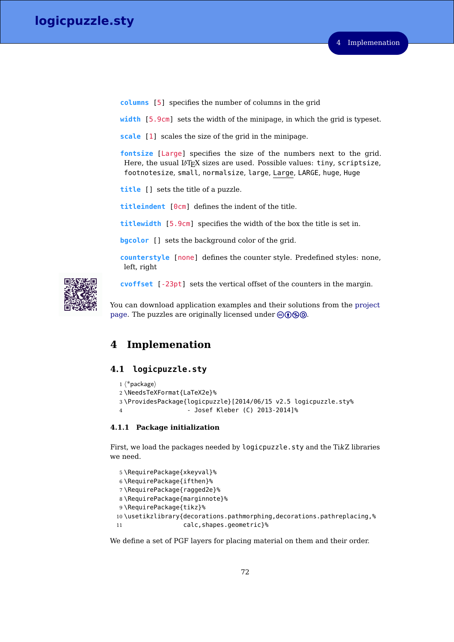**columns** [5] specifies the number of columns in the grid

**width** [5.9cm] sets the width of the minipage, in which the grid is typeset.

**scale** [1] scales the size of the grid in the minipage.

**fontsize** [Large] specifies the size of the numbers next to the grid. Here, the usual LAT<sub>E</sub>X sizes are used. Possible values: tiny, scriptsize, footnotesize, small, normalsize, large, Large, LARGE, huge, Huge

**title** [] sets the title of a puzzle.

**titleindent** [0cm] defines the indent of the title.

**titlewidth** [5.9cm] specifies the width of the box the title is set in.

**bgcolor** [] sets the background color of the grid.

**counterstyle** [none] defines the counter style. Predefined styles: none, left, right



**cvoffset** [-23pt] sets the vertical offset of the counters in the margin.

You can download application examples and their solutions from the [project](https://bitbucket.org/kleberj/logicpuzzle/) [page.](https://bitbucket.org/kleberj/logicpuzzle/) The puzzles are originally licensed under  $\Theta$  $\Theta$  $\Theta$ .

# **4 Implemenation**

# **4.1 logicpuzzle.sty**

```
1 \langle*package\rangle2 \NeedsTeXFormat{LaTeX2e}%
3 \ProvidesPackage{logicpuzzle}[2014/06/15 v2.5 logicpuzzle.sty%
4 - Josef Kleber (C) 2013-2014]%
```
### **4.1.1 Package initialization**

First, we load the packages needed by logicpuzzle.sty and the TikZ libraries we need.

```
5 \RequirePackage{xkeyval}%
6 \RequirePackage{ifthen}%
7 \RequirePackage{ragged2e}%
8 \RequirePackage{marginnote}%
9 \RequirePackage{tikz}%
10 \usetikzlibrary{decorations.pathmorphing,decorations.pathreplacing,%
11 calc,shapes.geometric}%
```
We define a set of PGF layers for placing material on them and their order.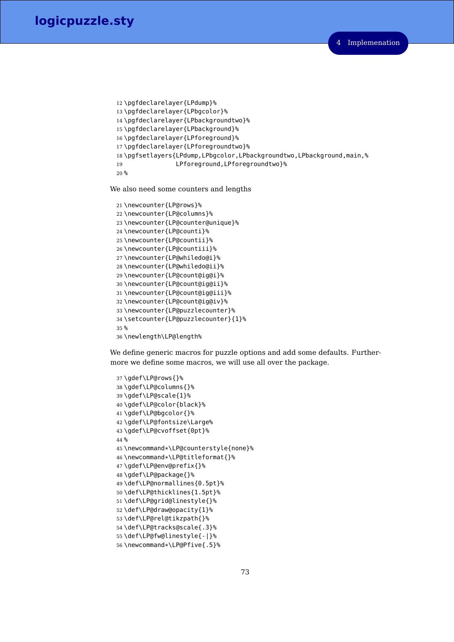```
12 \pgfdeclarelayer{LPdump}%
13 \pgfdeclarelayer{LPbgcolor}%
14 \pgfdeclarelayer{LPbackgroundtwo}%
15 \pgfdeclarelayer{LPbackground}%
16 \pgfdeclarelayer{LPforeground}%
17 \pgfdeclarelayer{LPforegroundtwo}%
18 \pgfsetlayers{LPdump,LPbgcolor,LPbackgroundtwo,LPbackground,main,%
19 LPforeground,LPforegroundtwo}%
20 %
```
We also need some counters and lengths

```
21 \newcounter{LP@rows}%
22 \newcounter{LP@columns}%
23 \newcounter{LP@counter@unique}%
24 \newcounter{LP@counti}%
25 \newcounter{LP@countii}%
26 \newcounter{LP@countiii}%
27 \newcounter{LP@whiledo@i}%
28 \newcounter{LP@whiledo@ii}%
29 \newcounter{LP@count@ig@i}%
30 \newcounter{LP@count@ig@ii}%
31 \newcounter{LP@count@ig@iii}%
32 \newcounter{LP@count@ig@iv}%
33 \newcounter{LP@puzzlecounter}%
34 \setcounter{LP@puzzlecounter}{1}%
35 %
36 \newlength\LP@length%
```
We define generic macros for puzzle options and add some defaults. Furthermore we define some macros, we will use all over the package.

```
37 \gdef\LP@rows{}%
38 \gdef\LP@columns{}%
39 \gdef\LP@scale{1}%
40 \gdef\LP@color{black}%
41 \gdef\LP@bgcolor{}%
42 \gdef\LP@fontsize\Large%
43 \gdef\LP@cvoffset{0pt}%
44 %
45 \newcommand*\LP@counterstyle{none}%
46 \newcommand*\LP@titleformat{}%
47 \gdef\LP@env@prefix{}%
48 \gdef\LP@package{}%
49 \def\LP@normallines{0.5pt}%
50 \def\LP@thicklines{1.5pt}%
51 \def\LP@grid@linestyle{}%
52 \def\LP@draw@opacity{1}%
53 \def\LP@rel@tikzpath{}%
54 \def\LP@tracks@scale{.3}%
55 \def\LP@fw@linestyle{-|}%
56 \newcommand*\LP@Pfive{.5}%
```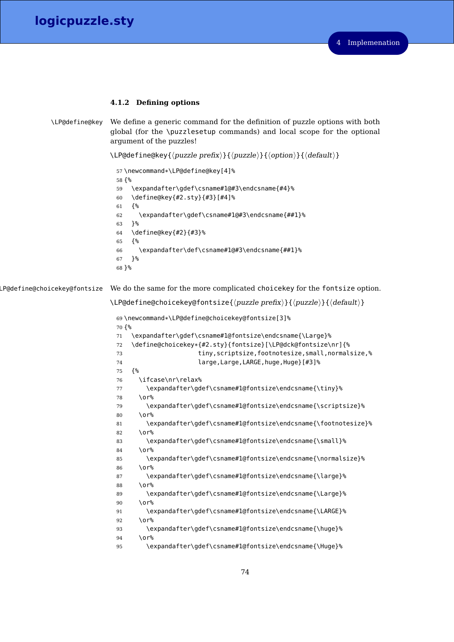# **4.1.2 Defining options**

```
\LP@define@key We define a generic command for the definition of puzzle options with both
                global (for the \puzzlesetup commands) and local scope for the optional
                argument of the puzzles!
```
 $\LPGdefine@key{\langle puzzle\ prefix\rangle}{\langle puzzle\ }\$  {\coption\} {\default \}

```
57 \newcommand*\LP@define@key[4]%
58 {%
59 \expandafter\gdef\csname#1@#3\endcsname{#4}%
60 \define@key{#2.sty}{#3}[#4]%
61 {%
62 \expandafter\gdef\csname#1@#3\endcsname{##1}%
63 }%
64 \define@key{#2}{#3}%
65 {%
66 \expandafter\def\csname#1@#3\endcsname{##1}%
67 }%
68 }%
```
LP@define@choicekey@fontsize We do the same for the more complicated choicekey for the fontsize option.

```
\L{P@define@choicekey@fontsize{\langle puzzle\,} }\{\puzzle}}{\and i}}
```

```
69 \newcommand*\LP@define@choicekey@fontsize[3]%
70 {%
71 \expandafter\gdef\csname#1@fontsize\endcsname{\Large}%
72 \define@choicekey*{#2.sty}{fontsize}[\LP@dck@fontsize\nr]{%
73 tiny,scriptsize,footnotesize,small,normalsize,%
74 large,Large,LARGE,huge,Huge}[#3]%
75 {%
76 \ifcase\nr\relax%
77 \expandafter\gdef\csname#1@fontsize\endcsname{\tiny}%
78 \or%
79 \expandafter\gdef\csname#1@fontsize\endcsname{\scriptsize}%
80 \, \text{V} \, \text{O} \, \text{r} \, \text{S}81 \expandafter\gdef\csname#1@fontsize\endcsname{\footnotesize}%
82 \or%
83 \expandafter\gdef\csname#1@fontsize\endcsname{\small}%
84 \overline{10} \or%
85 \expandafter\gdef\csname#1@fontsize\endcsname{\normalsize}%
86 \or%
87 \expandafter\gdef\csname#1@fontsize\endcsname{\large}%
88 \or%
89 \expandafter\gdef\csname#1@fontsize\endcsname{\Large}%
90 \, \text{O} \, \text{O} \, \text{O}91 \expandafter\gdef\csname#1@fontsize\endcsname{\LARGE}%
92 \or%
93 \expandafter\gdef\csname#1@fontsize\endcsname{\huge}%
94 \sqrt{0}95 \expandafter\gdef\csname#1@fontsize\endcsname{\Huge}%
```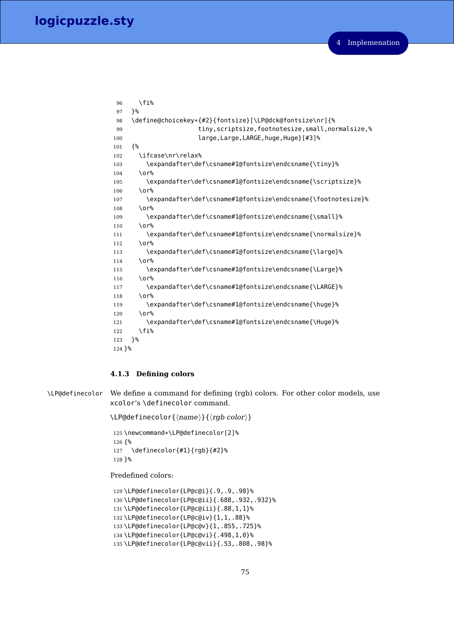```
96 \fi%
97 }%
98 \define@choicekey*{#2}{fontsize}[\LP@dck@fontsize\nr]{%
99 tiny,scriptsize,footnotesize,small,normalsize,%
100 large, Large, LARGE, huge, Huge} [#3]%
101 {%
102 \ifcase\nr\relax%
103 \expandafter\def\csname#1@fontsize\endcsname{\tiny}%
104 \or%
105 \expandafter\def\csname#1@fontsize\endcsname{\scriptsize}%
106 \or%
107 \expandafter\def\csname#1@fontsize\endcsname{\footnotesize}%
108 \sqrt{0}109 \expandafter\def\csname#1@fontsize\endcsname{\small}%
110 \text{ N}111 \expandafter\def\csname#1@fontsize\endcsname{\normalsize}%
112 \or%
113 \expandafter\def\csname#1@fontsize\endcsname{\large}%
114 \sqrt{0}115 \expandafter\def\csname#1@fontsize\endcsname{\Large}%
116 \or%
117 \expandafter\def\csname#1@fontsize\endcsname{\LARGE}%
118 \or%
119 \expandafter\def\csname#1@fontsize\endcsname{\huge}%
120 \, \text{O} \, \text{O} \, \text{O}121 \expandafter\def\csname#1@fontsize\endcsname{\Huge}%
122 \fi%
123 }%
124 }%
```
# **4.1.3 Defining colors**

\LP@definecolor We define a command for defining (rgb) colors. For other color models, use xcolor's \definecolor command.

 $\L{P@definecolor{\}{name}}{\frac{\langle name\rangle}{\langle rgb\ color\rangle}}$ 

 \newcommand\*\LP@definecolor[2]% {% \definecolor{#1}{rgb}{#2}% }%

Predefined colors:

```
129 \LP@definecolor{LP@c@i}{.9,.9,.98}%
130 \LP@definecolor{LP@c@ii}{.688,.932,.932}%
131 \LP@definecolor{LP@c@iii}{.88,1,1}%
132 \LP@definecolor{LP@c@iv}{1,1,.88}%
133 \LP@definecolor{LP@c@v}{1,.855,.725}%
134 \LP@definecolor{LP@c@vi}{.498,1,0}%
135 \LP@definecolor{LP@c@vii}{.53,.808,.98}%
```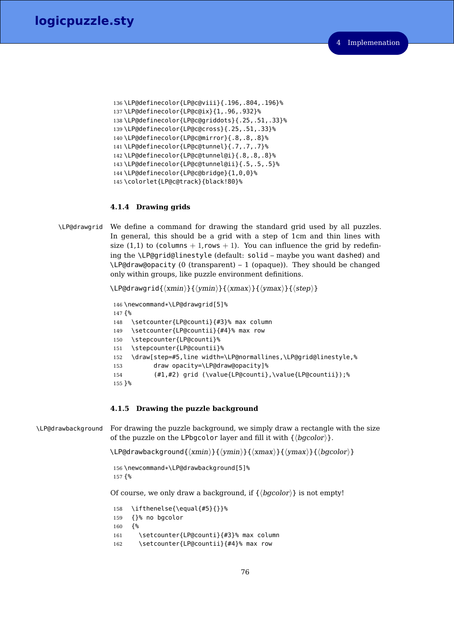```
136 \LP@definecolor{LP@c@viii}{.196,.804,.196}%
137 \LP@definecolor{LP@c@ix}{1,.96,.932}%
138 \LP@definecolor{LP@c@griddots}{.25,.51,.33}%
139 \LP@definecolor{LP@c@cross}{.25,.51,.33}%
140 \LP@definecolor{LP@c@mirror}{.8,.8,.8}%
141 \LP@definecolor{LP@c@tunnel}{.7,.7,.7}%
142 \LP@definecolor{LP@c@tunnel@i}{.8,.8,.8}%
143 \LP@definecolor{LP@c@tunnel@ii}{.5,.5,.5}%
144 \LP@definecolor{LP@c@bridge}{1,0,0}%
145 \colorlet{LP@c@track}{black!80}%
```
## **4.1.4 Drawing grids**

\LP@drawgrid We define a command for drawing the standard grid used by all puzzles. In general, this should be a grid with a step of 1cm and thin lines with size (1,1) to (columns  $+1$ , rows  $+1$ ). You can influence the grid by redefining the \LP@grid@linestyle (default: solid – maybe you want dashed) and  $\L{P@draw \text{@opacity (0 (transparent) - 1 (opaque))}.$  They should be changed only within groups, like puzzle environment definitions.

 $\LPGd$ rawgrid ${\langle xmin \rangle}{\langle ymin \rangle}{\langle xmax \rangle}{\langle ymax \rangle}{\langle \langle step \rangle}$ 

```
146 \newcommand*\LP@drawgrid[5]%
147 {%
148 \setcounter{LP@counti}{#3}% max column
149 \setcounter{LP@countii}{#4}% max row
150 \stepcounter{LP@counti}%
151 \stepcounter{LP@countii}%
152 \draw[step=#5,line width=\LP@normallines,\LP@grid@linestyle,%
153 draw opacity=\LP@draw@opacity]%
154 (#1,#2) grid (\value{LP@counti},\value{LP@countii});%
155 }%
```
# **4.1.5 Drawing the puzzle background**

\LP@drawbackground For drawing the puzzle background, we simply draw a rectangle with the size of the puzzle on the LPbgcolor layer and fill it with  $\{\langle bgcolor\rangle\}.$ 

\LP@drawbackground{ $\langle xmin{\rangle}$ }{ $\langle ymin{\rangle}$ }{ $\langle xmax{\rangle}$ }{ $\langle ymax{\rangle}$ }

 \newcommand\*\LP@drawbackground[5]% {%

Of course, we only draw a background, if  $\{\langle bqcolor\rangle\}$  is not empty!

```
158 \ifthenelse{\equal{#5}{}}%
159 {}% no bgcolor
160 {%
161 \setcounter{LP@counti}{#3}% max column
162 \setcounter{LP@countii}{#4}% max row
```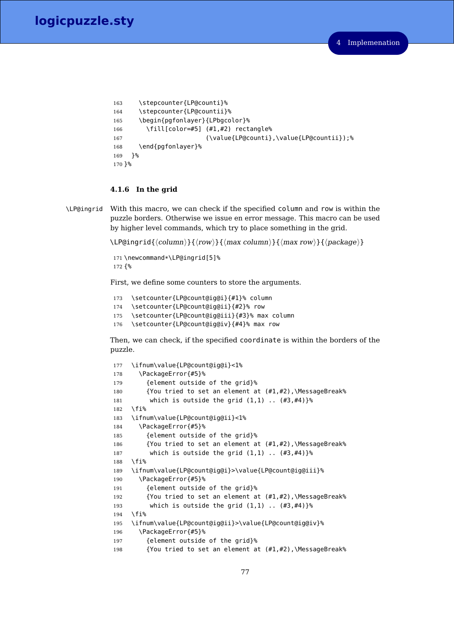```
163 \stepcounter{LP@counti}%
164 \stepcounter{LP@countii}%
165 \begin{pgfonlayer}{LPbgcolor}%
166 \fill[color=#5] (#1,#2) rectangle%
167 (\value{LP@counti},\value{LP@countii});%
168 \end{pgfonlayer}%
169 }%
170 }%
```
## **4.1.6 In the grid**

puzzle.

\LP@ingrid With this macro, we can check if the specified column and row is within the puzzle borders. Otherwise we issue en error message. This macro can be used by higher level commands, which try to place something in the grid.

 $\LPGingrid({\langle column \rangle}{\langle row \rangle}{\langle max \ column \rangle}{\langle max \ row \rangle}{\langle (package \rangle)}$ 

```
171 \newcommand*\LP@ingrid[5]%
172 {%
```
First, we define some counters to store the arguments.

```
173 \setcounter{LP@count@ig@i}{#1}% column
174 \setcounter{LP@count@ig@ii}{#2}% row
175 \setcounter{LP@count@ig@iii}{#3}% max column
176 \setcounter{LP@count@ig@iv}{#4}% max row
```
Then, we can check, if the specified coordinate is within the borders of the

```
177 \ifnum\value{LP@count@ig@i}<1%
178 \PackageError{#5}%
179 {element outside of the grid}%
180 {You tried to set an element at (#1,#2),\MessageBreak%
181 which is outside the grid (1,1) .. (#3,#4)}%
182 \fi%
183 \ifnum\value{LP@count@ig@ii}<1%
184 \PackageError{#5}%
185 {element outside of the grid}%
186 {You tried to set an element at (#1,#2),\MessageBreak%
187 which is outside the grid (1,1) .. (#3,#4)}%
188 \fi%
189 \ifnum\value{LP@count@ig@i}>\value{LP@count@ig@iii}%
190 \PackageError{#5}%
191 {element outside of the grid}%
192 {You tried to set an element at (#1,#2),\MessageBreak%
193 which is outside the grid (1,1) .. (#3,#4)}%
194 \fi%
195 \ifnum\value{LP@count@ig@ii}>\value{LP@count@ig@iv}%
196 \PackageError{#5}%
197 {element outside of the grid}%
198 {You tried to set an element at (#1,#2),\MessageBreak%
```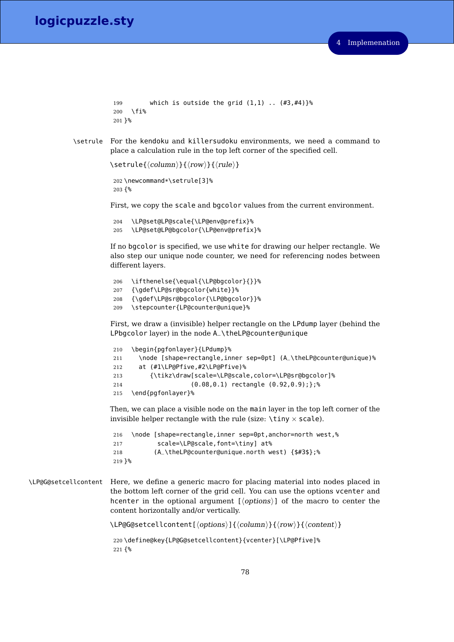```
199 which is outside the grid (1,1) .. (#3,#4)}%
200 \fi%
201 }%
```
\setrule For the kendoku and killersudoku environments, we need a command to place a calculation rule in the top left corner of the specified cell.

```
\setrule{\langle column \rangle}{\langle row \rangle}{\langle rule \rangle}
```

```
202 \newcommand*\setrule[3]%
203 {%
```
First, we copy the scale and bgcolor values from the current environment.

```
204 \LP@set@LP@scale{\LP@env@prefix}%
205 \LP@set@LP@bgcolor{\LP@env@prefix}%
```
If no bgcolor is specified, we use white for drawing our helper rectangle. We also step our unique node counter, we need for referencing nodes between different layers.

```
206 \ifthenelse{\equal{\LP@bgcolor}{}}%
```
- 207 {\gdef\LP@sr@bgcolor{white}}%
- 208 {\gdef\LP@sr@bgcolor{\LP@bgcolor}}%
- 209 \stepcounter{LP@counter@unique}%

First, we draw a (invisible) helper rectangle on the LPdump layer (behind the LPbgcolor layer) in the node A\_\theLP@counter@unique

```
210 \begin{pgfonlayer}{LPdump}%
211 \node [shape=rectangle,inner sep=0pt] (A_\theLP@counter@unique)%
212 at (#1\LP@Pfive,#2\LP@Pfive)%
213 {\tikz\draw[scale=\LP@scale,color=\LP@sr@bgcolor]%
214 (0.08,0.1) rectangle (0.92,0.9);};%
215 \end{pgfonlayer}%
```
Then, we can place a visible node on the main layer in the top left corner of the invisible helper rectangle with the rule (size:  $\binom{\text{tiny}}{x}$  scale).

```
216 \node [shape=rectangle,inner sep=0pt,anchor=north west,%
217 scale=\LP@scale,font=\tiny] at%
218 (A_\theLP@counter@unique.north west) {$#3$};%
219 }%
```
\LP@G@setcellcontent Here, we define a generic macro for placing material into nodes placed in the bottom left corner of the grid cell. You can use the options vcenter and hcenter in the optional argument  ${\langle \text{options} \rangle}$  of the macro to center the content horizontally and/or vertically.

 $\LPGG@setcellcontent[\langle options\rangle]{\langle column\rangle}{\langle row\rangle}{\langle content\rangle}$ 

```
220 \define@key{LP@G@setcellcontent}{vcenter}[\LP@Pfive]%
221 {%
```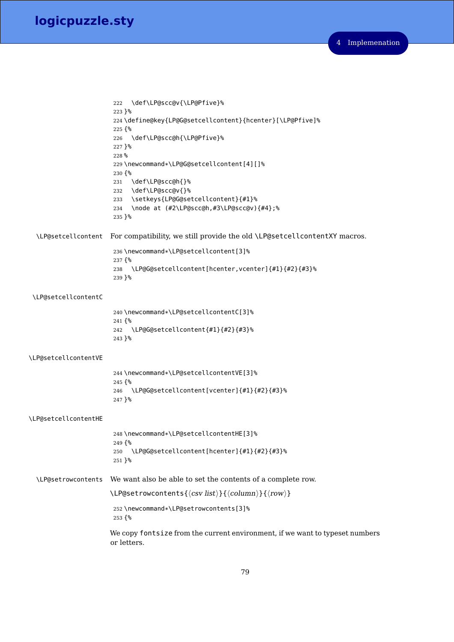```
222 \def\LP@scc@v{\LP@Pfive}%
                       223 }%
                       224 \define@key{LP@G@setcellcontent}{hcenter}[\LP@Pfive]%
                       225 {%
                       226 \def\LP@scc@h{\LP@Pfive}%
                       227 }%
                       228 %
                       229 \newcommand*\LP@G@setcellcontent[4][]%
                       230 {%
                       231 \def\LP@scc@h{}%
                       232 \def\LP@scc@v{}%
                       233 \setkeys{LP@G@setcellcontent}{#1}%
                       234 \node at (#2\LP@scc@h,#3\LP@scc@v){#4};%
                       235 }%
  \LP@setcellcontent For compatibility, we still provide the old \LP@setcellcontentXY macros.
                       236 \newcommand*\LP@setcellcontent[3]%
                       237 {%
                       238 \LP@G@setcellcontent[hcenter,vcenter]{#1}{#2}{#3}%
                       239 }%
\LP@setcellcontentC
                       240 \newcommand*\LP@setcellcontentC[3]%
                       241 {%
                       242 \LP@G@setcellcontent{#1}{#2}{#3}%
                       243 }%
\LP@setcellcontentVE
                       244 \newcommand*\LP@setcellcontentVE[3]%
                       245 {%
                       246 \LP@G@setcellcontent[vcenter]{#1}{#2}{#3}%
                       247 }%
\LP@setcellcontentHE
                       248 \newcommand*\LP@setcellcontentHE[3]%
                       249 {%
                       250 \LP@G@setcellcontent[hcenter]{#1}{#2}{#3}%
                       251 }%
  \LP@setrowcontents We want also be able to set the contents of a complete row.
                      \LPGset rowcontents({\csc list}){\Column}{\cocumn}252 \newcommand*\LP@setrowcontents[3]%
                       253 {%
                      We copy fontsize from the current environment, if we want to typeset numbers
                      or letters.
```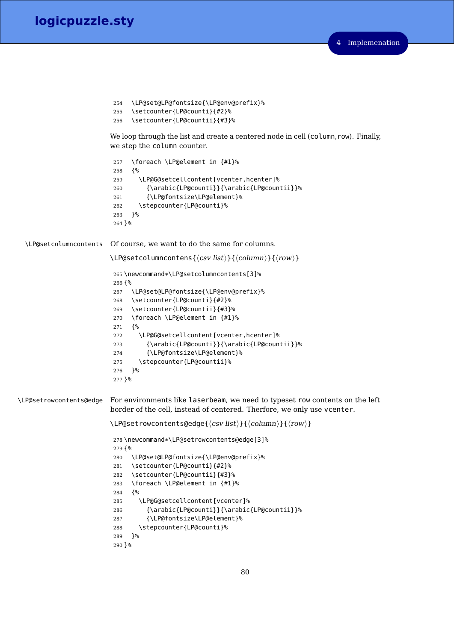```
254 \LP@set@LP@fontsize{\LP@env@prefix}%
255 \setcounter{LP@counti}{#2}%
256 \setcounter{LP@countii}{#3}%
```
We loop through the list and create a centered node in cell (column, row). Finally, we step the column counter.

```
257 \foreach \LP@element in {#1}%
                          258 {%
                          259 \LP@G@setcellcontent[vcenter,hcenter]%
                          260 {\arabic{LP@counti}}{\arabic{LP@countii}}%
                          261 {\LP@fontsize\LP@element}%
                          262 \stepcounter{LP@counti}%
                          263 }%
                          264 }%
  \LP@setcolumncontents Of course, we want to do the same for columns.
                         \LPergsetcolumnoontens({\langle\cos v\ list\rangle}{\langle\cos v\ mi\rangle})265 \newcommand*\LP@setcolumncontents[3]%
                          266 {%
                          267 \LP@set@LP@fontsize{\LP@env@prefix}%
                          268 \setcounter{LP@counti}{#2}%
                          269 \setcounter{LP@countii}{#3}%
                          270 \foreach \LP@element in {#1}%
                          271 {%
                          272 \LP@G@setcellcontent[vcenter,hcenter]%
                          273 {\arabic{LP@counti}}{\arabic{LP@countii}}%
                          274 {\LP@fontsize\LP@element}%
                          275 \stepcounter{LP@countii}%
                          276 }%
                          277 }%
\LP@setrowcontents@edge For environments like laserbeam, we need to typeset row contents on the left
                         border of the cell, instead of centered. Therfore, we only use vcenter.
                         \LPergsetrowcontents@edge{\langle csv list \rangle}{\langle column \rangle}{\langle row \rangle}
                          278 \newcommand*\LP@setrowcontents@edge[3]%
                          279 {%
                          280 \LP@set@LP@fontsize{\LP@env@prefix}%
                          281 \setcounter{LP@counti}{#2}%
                          282 \setcounter{LP@countii}{#3}%
                          283 \foreach \LP@element in {#1}%
                          284 {%
                          285 \LP@G@setcellcontent[vcenter]%
                          286 {\arabic{LP@counti}}{\arabic{LP@countii}}%
                          287 {\LP@fontsize\LP@element}%
                          288 \stepcounter{LP@counti}%
                          289 }%
                          290 }%
```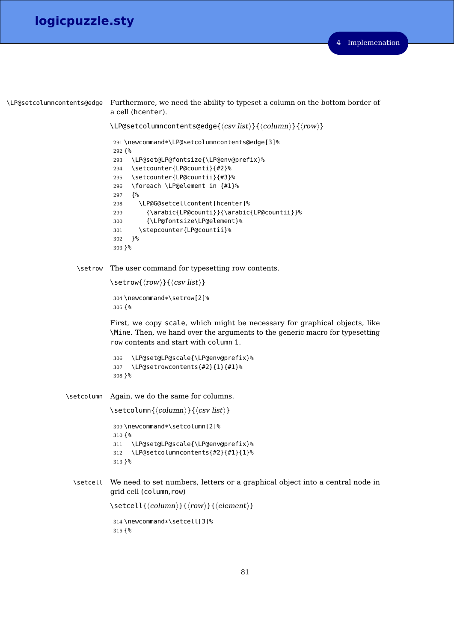```
\LP@setcolumncontents@edge Furthermore, we need the ability to typeset a column on the bottom border of
                               a cell (hcenter).
                               \LPGset column contents@edge{\ccsv list}{}({column}\{fromn)\}{}_{\rm max}291 \newcommand*\LP@setcolumncontents@edge[3]%
                                292 {%
                                293 \LP@set@LP@fontsize{\LP@env@prefix}%
                                294 \setcounter{LP@counti}{#2}%
                                295 \setcounter{LP@countii}{#3}%
                                296 \foreach \LP@element in {#1}%
                                297 {%
                                298 \LP@G@setcellcontent[hcenter]%
                                299 {\arabic{LP@counti}}{\arabic{LP@countii}}%
                                300 {\LP@fontsize\LP@element}%
                                301 \stepcounter{LP@countii}%
                                302 }%
                                303 }%
                     \setrow The user command for typesetting row contents.
                               \setrow{\langle row \rangle}{\langle csv \; list \rangle}
                                304 \newcommand*\setrow[2]%
                                305 {%
                               First, we copy scale, which might be necessary for graphical objects, like
                               \Mine. Then, we hand over the arguments to the generic macro for typesetting
                               row contents and start with column 1.
                                306 \LP@set@LP@scale{\LP@env@prefix}%
                                307 \LP@setrowcontents{#2}{1}{#1}%
                                308 }%
                  \setcolumn Again, we do the same for columns.
                               \setminus \setminus \set{column} \{\langle column \rangle\} \{\langle csv \; list \rangle\}309 \newcommand*\setcolumn[2]%
                                310 {%
                                311 \LP@set@LP@scale{\LP@env@prefix}%
                                312 \LP@setcolumncontents{#2}{#1}{1}%
                                313 }%
                    \setcell We need to set numbers, letters or a graphical object into a central node in
                               grid cell (column,row)
                               \setcell{\langle column \rangle}{\langle row \rangle}{\langle element \rangle}
                                314 \newcommand*\setcell[3]%
                                315 {%
```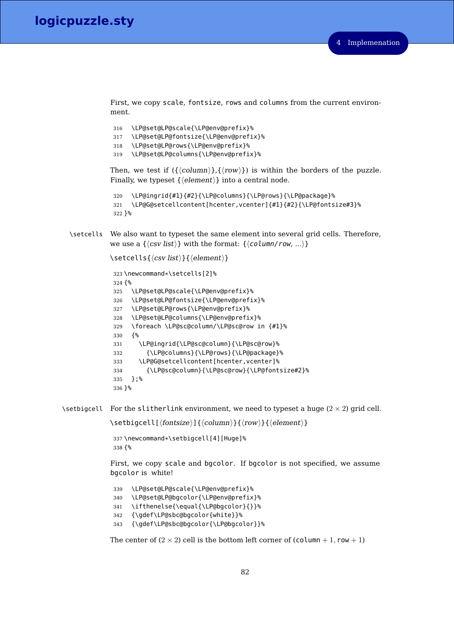First, we copy scale, fontsize, rows and columns from the current environment.

 \LP@set@LP@scale{\LP@env@prefix}% \LP@set@LP@fontsize{\LP@env@prefix}% \LP@set@LP@rows{\LP@env@prefix}% \LP@set@LP@columns{\LP@env@prefix}%

Then, we test if  $({\langle column \rangle}, {\langle row \rangle})$  is within the borders of the puzzle. Finally, we typeset  $\{\langle element \rangle\}$  into a central node.

```
320 \LP@ingrid{#1}{#2}{\LP@columns}{\LP@rows}{\LP@package}%
321 \LP@G@setcellcontent[hcenter,vcenter]{#1}{#2}{\LP@fontsize#3}%
322 }%
```
\setcells We also want to typeset the same element into several grid cells. Therefore, we use a  $\{\langle csv \text{ list}\rangle\}$  with the format:  $\{\langle column/row, ...\rangle\}$ 

```
\setminus \setminus \set{csv list} ist\setminus \set{delement\rangle}
```

```
323 \newcommand*\setcells[2]%
324 {%
325 \LP@set@LP@scale{\LP@env@prefix}%
326 \LP@set@LP@fontsize{\LP@env@prefix}%
327 \LP@set@LP@rows{\LP@env@prefix}%
328 \LP@set@LP@columns{\LP@env@prefix}%
329 \foreach \LP@sc@column/\LP@sc@row in {#1}%
330 {%
331 \LP@ingrid{\LP@sc@column}{\LP@sc@row}%
332 {\LP@columns}{\LP@rows}{\LP@package}%
333 \LP@G@setcellcontent[hcenter,vcenter]%
334 {\LP@sc@column}{\LP@sc@row}{\LP@fontsize#2}%
335 };%
336 }%
```
\setbigcell For the slitherlink environment, we need to typeset a huge  $(2 \times 2)$  grid cell.

\setbigcell[ $\{fontsize\}$ ]{ $\{column\}$ }{ $\{row\}$ }{ $\{element\}$ }

 \newcommand\*\setbigcell[4][Huge]% {%

First, we copy scale and bgcolor. If bgcolor is not specified, we assume bgcolor is white!

```
339 \LP@set@LP@scale{\LP@env@prefix}%
340 \LP@set@LP@bgcolor{\LP@env@prefix}%
341 \ifthenelse{\equal{\LP@bgcolor}{}}%
342 {\gdef\LP@sbc@bgcolor{white}}%
343 {\gdef\LP@sbc@bgcolor{\LP@bgcolor}}%
```

```
The center of (2 \times 2) cell is the bottom left corner of \text{(column + 1, row + 1)}
```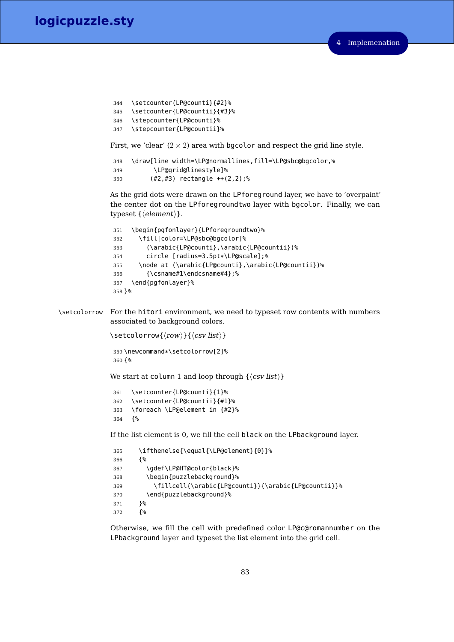```
344 \setcounter{LP@counti}{#2}%
345 \setcounter{LP@countii}{#3}%
346 \stepcounter{LP@counti}%
347 \stepcounter{LP@countii}%
```
First, we 'clear'  $(2 \times 2)$  area with bgcolor and respect the grid line style.

```
348 \draw[line width=\LP@normallines,fill=\LP@sbc@bgcolor,%
349 \LP@grid@linestyle]%
350 (#2,#3) rectangle ++(2,2);%
```
As the grid dots were drawn on the LPforeground layer, we have to 'overpaint' the center dot on the LPforegroundtwo layer with bgcolor. Finally, we can typeset  $\{\langle element \rangle\}.$ 

```
351 \begin{pgfonlayer}{LPforegroundtwo}%
352 \fill[color=\LP@sbc@bgcolor]%
353 (\arabic{LP@counti},\arabic{LP@countii})%
354 circle [radius=3.5pt*\LP@scale];%
355 \node at (\arabic{LP@counti},\arabic{LP@countii})%
356 {\csname#1\endcsname#4};%
357 \end{pgfonlayer}%
358 }%
```
\setcolorrow For the hitori environment, we need to typeset row contents with numbers associated to background colors.

```
\setminus \setminus \setminus \setminus \{\langle row \rangle\}, \{\langle \operatorname{csv} \operatorname{list} \rangle\}359 \newcommand*\setcolorrow[2]%
  360 {%
```
We start at column 1 and loop through  $\{\langle csv \; list \rangle\}$ 

```
361 \setcounter{LP@counti}{1}%
362 \setcounter{LP@countii}{#1}%
363 \foreach \LP@element in {#2}%
364 {%
```
If the list element is 0, we fill the cell black on the LPbackground layer.

```
365 \ifthenelse{\equal{\LP@element}{0}}%
366 {%
367 \gdef\LP@HT@color{black}%
368 \begin{puzzlebackground}%
369 \fillcell{\arabic{LP@counti}}{\arabic{LP@countii}}%
370 \end{puzzlebackground}%
371 }%
372 {%
```
Otherwise, we fill the cell with predefined color LP@c@romannumber on the LPbackground layer and typeset the list element into the grid cell.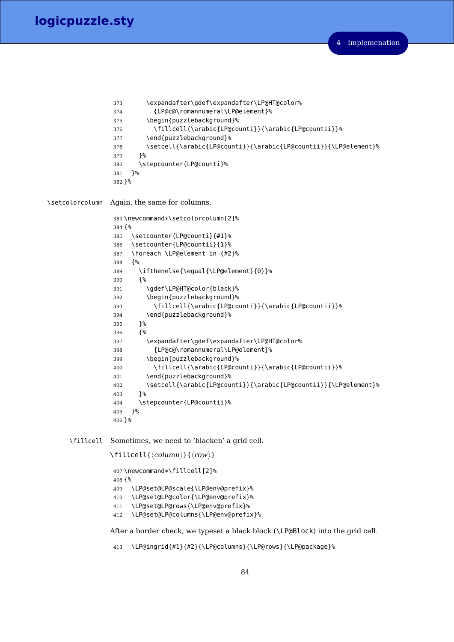```
373 \expandafter\gdef\expandafter\LP@HT@color%
                374 {LP@c@\romannumeral\LP@element}%
                375 \begin{puzzlebackground}%
                376 \fillcell{\arabic{LP@counti}}{\arabic{LP@countii}}%
                377 \end{puzzlebackground}%
                378 \setcell{\arabic{LP@counti}}{\arabic{LP@countii}}{\LP@element}%
                379 }%
                380 \stepcounter{LP@counti}%
                381 }%
                382 }%
\setcolorcolumn Again, the same for columns.
                383 \newcommand*\setcolorcolumn[2]%
                384 {%
                385 \setcounter{LP@counti}{#1}%
                386 \setcounter{LP@countii}{1}%
                387 \foreach \LP@element in {#2}%
                388 {%
                389 \ifthenelse{\equal{\LP@element}{0}}%
                390 {%
                391 \gdef\LP@HT@color{black}%
                392 \begin{puzzlebackground}%
                393 \fillcell{\arabic{LP@counti}}{\arabic{LP@countii}}%
                394 \end{puzzlebackground}%
                395 }%
                396 {%
                397 \expandafter\gdef\expandafter\LP@HT@color%
                398 {LP@c@\romannumeral\LP@element}%
                399 \begin{puzzlebackground}%
                400 \fillcell{\arabic{LP@counti}}{\arabic{LP@countii}}%
                401 \end{puzzlebackground}%
                402 \setcell{\arabic{LP@counti}}{\arabic{LP@countii}}{\LP@element}%
                403 }%
                404 \stepcounter{LP@countii}%
```

```
\fillcell Sometimes, we need to 'blacken' a grid cell.
```
 }% }%

```
\left\{\langle column \rangle\right\}{\langle row \rangle}
```

```
407 \newcommand*\fillcell[2]%
408 {%
409 \LP@set@LP@scale{\LP@env@prefix}%
410 \LP@set@LP@color{\LP@env@prefix}%
411 \LP@set@LP@rows{\LP@env@prefix}%
412 \LP@set@LP@columns{\LP@env@prefix}%
```
After a border check, we typeset a black block (\LP@Block) into the grid cell.

\LP@ingrid{#1}{#2}{\LP@columns}{\LP@rows}{\LP@package}%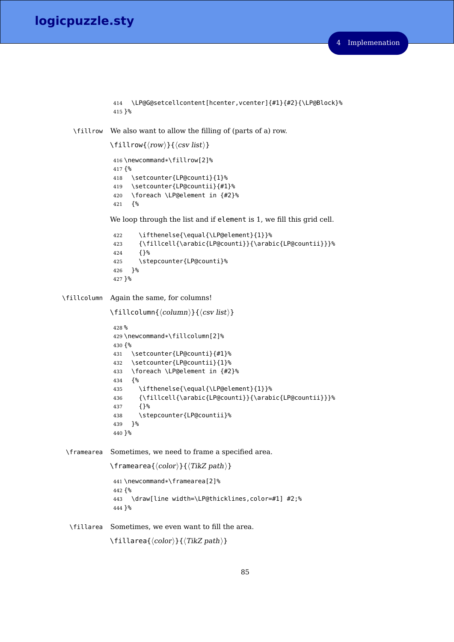```
414 \LP@G@setcellcontent[hcenter,vcenter]{#1}{#2}{\LP@Block}%
415 }%
```
\fillrow We also want to allow the filling of (parts of a) row.

```
\left\langle \text{row}\right\rangle { \left\langle \text{cov}\right\rangle } { \left\langle \text{cov}\right\rangle ist \rangle }
 416 \newcommand*\fillrow[2]%
 417 {%
 418 \setcounter{LP@counti}{1}%
 419 \setcounter{LP@countii}{#1}%
 420 \foreach \LP@element in {#2}%
 421 {%
We loop through the list and if element is 1, we fill this grid cell.
```

```
422 \ifthenelse{\equal{\LP@element}{1}}%
423 {\fillcell{\arabic{LP@counti}}{\arabic{LP@countii}}}%
424 {}%
425 \stepcounter{LP@counti}%
426 }%
427 }%
```
\fillcolumn Again the same, for columns!

```
\left\{\langle column \rangle\right\} (\langle csv \; list \rangle)
```

```
428 %
429 \newcommand*\fillcolumn[2]%
430 {%
431 \setcounter{LP@counti}{#1}%
432 \setcounter{LP@countii}{1}%
433 \foreach \LP@element in {#2}%
434 {%
435 \ifthenelse{\equal{\LP@element}{1}}%
436 {\fillcell{\arabic{LP@counti}}{\arabic{LP@countii}}}%
437 {}%
438 \stepcounter{LP@countii}%
439 }%
440 }%
```
\framearea Sometimes, we need to frame a specified area.

```
\{\langle color \rangle\}\{\langle TikZ\ path \rangle\}441 \newcommand*\framearea[2]%
442 {%
 443 \draw[line width=\LP@thicklines,color=#1] #2;%
444 }%
```
\fillarea Sometimes, we even want to fill the area.

```
\left\{\langle color \rangle\right\}\right\{\langle TikZ\ path \rangle\}
```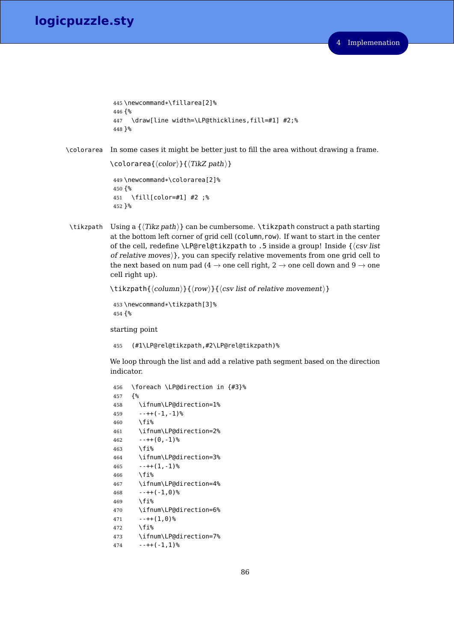# **logicpuzzle.sty**

```
445 \newcommand*\fillarea[2]%
446 {%
447 \draw[line width=\LP@thicklines,fill=#1] #2;%
448 }%
```
\colorarea In some cases it might be better just to fill the area without drawing a frame.

 $\setminus$ colorarea{ $\langle color \rangle$ }{ $\langle TikZ path \rangle$ }

```
449 \newcommand*\colorarea[2]%
450 {%
451 \fill[color=#1] #2 ;%
452 }%
```
\tikzpath Using a  $\{Tikz path\}$  can be cumbersome. \tikzpath construct a path starting at the bottom left corner of grid cell (column,row). If want to start in the center of the cell, redefine \LP@rel@tikzpath to .5 inside a group! Inside  ${\cos v$  list of relative moves) }, you can specify relative movements from one grid cell to the next based on num pad (4  $\rightarrow$  one cell right, 2  $\rightarrow$  one cell down and 9  $\rightarrow$  one cell right up).

```
\tilde{\mathrm{h}} \tikzpath{\langle column \rangle}{\langle row \rangle}{\langle csv \rangle list of relative movement \rangle}
```

```
453 \newcommand*\tikzpath[3]%
454 {%
```
starting point

(#1\LP@rel@tikzpath,#2\LP@rel@tikzpath)%

We loop through the list and add a relative path segment based on the direction indicator.

```
456 \foreach \LP@direction in {#3}%
457 {%
458 \ifnum\LP@direction=1%
459 - -++(-1,-1)\%460 \fi%
461 \ifnum\LP@direction=2%
462 - -++(0,-1)\%463 \fi%
464 \ifnum\LP@direction=3%
465 -++(1,-1)\%466 \fi%
467 \ifnum\LP@direction=4%
468 -++(-1,0)\%469 \fi%
470 \ifnum\LP@direction=6%
471 - -++(1,0)%
472 \fi%
473 \ifnum\LP@direction=7%
474 -++(-1,1)^{9}6
```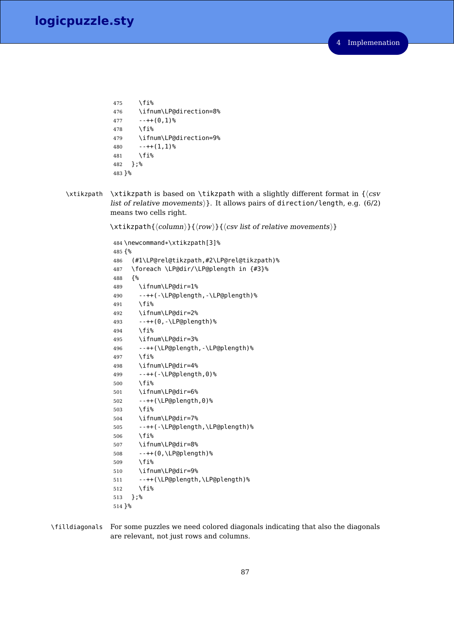```
475 \fi%
476 \ifnum\LP@direction=8%
477 - ++(0,1)\%478 \fi%
479 \ifnum\LP@direction=9%
480 - -++(1,1)\%481 \fi%
482 };%
483 }%
```
\xtikzpath \xtikzpath is based on \tikzpath with a slightly different format in  ${\langle csv \rangle}$ list of relative movements $\rangle$ . It allows pairs of direction/length, e.g. (6/2) means two cells right.

 $\x{xtikzpath}{\langle column\rangle}{\langle row\rangle}{\langle \c{csv} \vert}$  list of relative movements $\rangle}$ 

```
484 \newcommand*\xtikzpath[3]%
485 {%
486 (#1\LP@rel@tikzpath,#2\LP@rel@tikzpath)%
487 \foreach \LP@dir/\LP@plength in {#3}%
488 {%
489 \ifnum\LP@dir=1%
490 --++(-\LP@plength,-\LP@plength)%
491 \fi%
492 \ifnum\LP@dir=2%
493 --++(0,-\LP@plength)%
494 \fi%
495 \ifnum\LP@dir=3%
496 --++(\LP@plength,-\LP@plength)%
497 \fi%
498 \ifnum\LP@dir=4%
499 --++(-\LP@plength,0)%
500 \fi%
501 \ifnum\LP@dir=6%
502 --++(\LP@plength,0)%
503 \fi%
504 \ifnum\LP@dir=7%
505 --++(-\LP@plength,\LP@plength)%
506 \fi%
507 \ifnum\LP@dir=8%
508 --++(0,\LP@plength)%
509 \fi%
510 \ifnum\LP@dir=9%
511 --++(\LP@plength,\LP@plength)%
512 \fi%
513 };%
514 }%
```
\filldiagonals For some puzzles we need colored diagonals indicating that also the diagonals are relevant, not just rows and columns.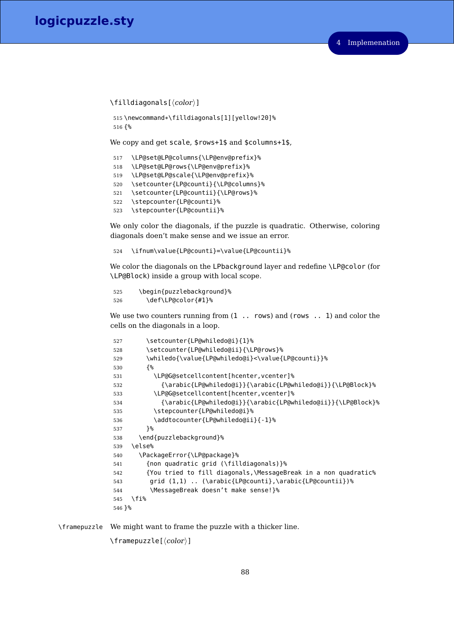$\left\{ \frac{\langle color \rangle}{\sigma} \right\}$ 

```
515 \newcommand*\filldiagonals[1][yellow!20]%
516 {%
```
We copy and get scale, \$rows+1\$ and \$columns+1\$,

```
517 \LP@set@LP@columns{\LP@env@prefix}%
518 \LP@set@LP@rows{\LP@env@prefix}%
519 \LP@set@LP@scale{\LP@env@prefix}%
520 \setcounter{LP@counti}{\LP@columns}%
521 \setcounter{LP@countii}{\LP@rows}%
522 \stepcounter{LP@counti}%
523 \stepcounter{LP@countii}%
```
We only color the diagonals, if the puzzle is quadratic. Otherwise, coloring diagonals doen't make sense and we issue an error.

\ifnum\value{LP@counti}=\value{LP@countii}%

We color the diagonals on the LPbackground layer and redefine \LP@color (for \LP@Block) inside a group with local scope.

```
525 \begin{puzzlebackground}%
526 \def\LP@color{#1}%
```
We use two counters running from  $(1 \ldots$  rows) and (rows  $\ldots$  1) and color the cells on the diagonals in a loop.

```
527 \setcounter{LP@whiledo@i}{1}%
528 \setcounter{LP@whiledo@ii}{\LP@rows}%
529 \whiledo{\value{LP@whiledo@i}<\value{LP@counti}}%
530 {%
531 \LP@G@setcellcontent[hcenter,vcenter]%
532 {\arabic{LP@whiledo@i}}{\arabic{LP@whiledo@i}}{\LP@Block}%
533 \LP@G@setcellcontent[hcenter,vcenter]%
534 {\arabic{LP@whiledo@i}}{\arabic{LP@whiledo@ii}}{\LP@Block}%
535 \stepcounter{LP@whiledo@i}%
536 \addtocounter{LP@whiledo@ii}{-1}%
537 }%
538 \end{puzzlebackground}%
539 \else%
540 \PackageError{\LP@package}%
541 {non quadratic grid (\filldiagonals)}%
542 {You tried to fill diagonals,\MessageBreak in a non quadratic%
543 grid (1,1) .. (\arabic{LP@counti},\arabic{LP@countii})%
544 \MessageBreak doesn't make sense!}%
545 \fi%
546 }%
```
\framepuzzle We might want to frame the puzzle with a thicker line.

 $\{\text{ramepuzzle}[\langle color \rangle\}]$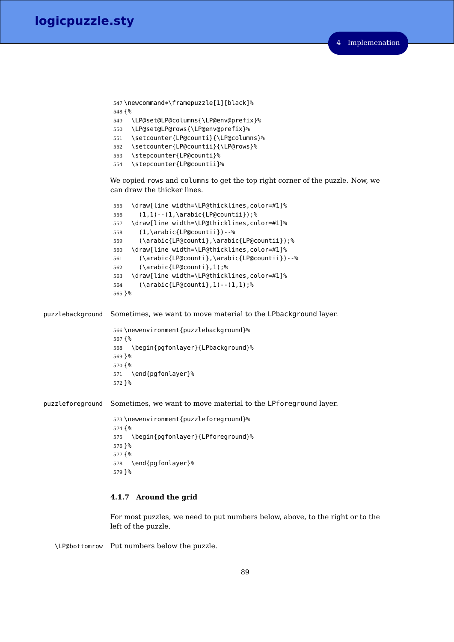```
547 \newcommand*\framepuzzle[1][black]%
548 {%
549 \LP@set@LP@columns{\LP@env@prefix}%
```
- \LP@set@LP@rows{\LP@env@prefix}%
- \setcounter{LP@counti}{\LP@columns}%
- \setcounter{LP@countii}{\LP@rows}%
- \stepcounter{LP@counti}%
- \stepcounter{LP@countii}%

We copied rows and columns to get the top right corner of the puzzle. Now, we can draw the thicker lines.

```
555 \draw[line width=\LP@thicklines,color=#1]%
556 (1,1)--(1,\arabic{LP@countii});%
557 \draw[line width=\LP@thicklines,color=#1]%
558 (1,\arabic{LP@countii})--%
559 (\arabic{LP@counti},\arabic{LP@countii});%
560 \draw[line width=\LP@thicklines,color=#1]%
561 (\arabic{LP@counti},\arabic{LP@countii})--%
562 (\arabic{LP@counti},1);%
563 \draw[line width=\LP@thicklines,color=#1]%
564 (\arabic{LP@counti},1)--(1,1);%
565 }%
```
puzzlebackground Sometimes, we want to move material to the LPbackground layer.

 \newenvironment{puzzlebackground}% {% \begin{pgfonlayer}{LPbackground}% }% {% \end{pgfonlayer}% }%

puzzleforeground Sometimes, we want to move material to the LPforeground layer.

 \newenvironment{puzzleforeground}% {% \begin{pgfonlayer}{LPforeground}% }% {% \end{pgfonlayer}% }%

# **4.1.7 Around the grid**

For most puzzles, we need to put numbers below, above, to the right or to the left of the puzzle.

\LP@bottomrow Put numbers below the puzzle.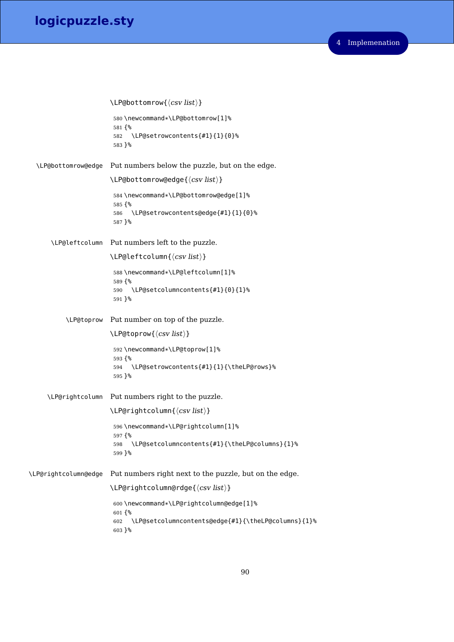```
\LARGE\text{P@bottomrow}\{\langle \text{csv list} \rangle\}580 \newcommand*\LP@bottomrow[1]%
                         581 {%
                         582 \LP@setrowcontents{#1}{1}{0}%
                         583 }%
  \LP@bottomrow@edge Put numbers below the puzzle, but on the edge.
                        \LARGEP@bottomrow@edge{\langle \text{csv list} \rangle}
                         584 \newcommand*\LP@bottomrow@edge[1]%
                         585 {%
                         586 \LP@setrowcontents@edge{#1}{1}{0}%
                         587 }%
      \LP@leftcolumn Put numbers left to the puzzle.
                        \LPerleftoclumn{\langle csv list \rangle}
                         588 \newcommand*\LP@leftcolumn[1]%
                         589 {%
                         590 \LP@setcolumncontents{#1}{0}{1}%
                         591 }%
           \LP@toprow Put number on top of the puzzle.
                        \LPer{Caylist}592 \newcommand*\LP@toprow[1]%
                         593 {%
                         594 \LP@setrowcontents{#1}{1}{\theLP@rows}%
                         595 }%
     \LP@rightcolumn Put numbers right to the puzzle.
                        \LPerightColumn\{\langle csv\ list\rangle\}596 \newcommand*\LP@rightcolumn[1]%
                         597 {%
                         598 \LP@setcolumncontents{#1}{\theLP@columns}{1}%
                         599 }%
\LP@rightcolumn@edge Put numbers right next to the puzzle, but on the edge.
                        \LPerightColumn@rdge{\langlecsv list\rangle}
                         600 \newcommand*\LP@rightcolumn@edge[1]%
                         601 {%
                         602 \LP@setcolumncontents@edge{#1}{\theLP@columns}{1}%
                         603 }%
```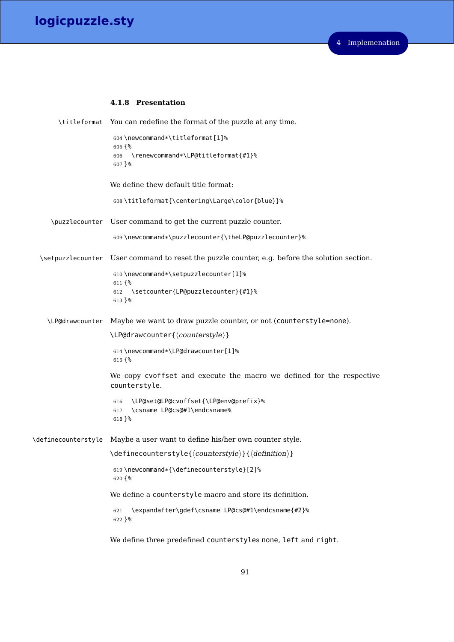# **4.1.8 Presentation**

|                     | \titleformat You can redefine the format of the puzzle at any time.                         |
|---------------------|---------------------------------------------------------------------------------------------|
|                     | 604\newcommand*\titleformat[1]%<br>$605$ {%                                                 |
|                     | \renewcommand*\LP@titleformat{#1}%<br>606<br>607 }%                                         |
|                     | We define thew default title format:                                                        |
|                     | 608\titleformat{\centering\Large\color{blue}}%                                              |
| \puzzlecounter      | User command to get the current puzzle counter.                                             |
|                     | 609\newcommand*\puzzlecounter{\theLP@puzzlecounter}%                                        |
| \setpuzzlecounter   | User command to reset the puzzle counter, e.g. before the solution section.                 |
|                     | 610\newcommand*\setpuzzlecounter[1]%                                                        |
|                     | $611\{$<br>\setcounter{LP@puzzlecounter}{#1}%<br>612<br>613 }%                              |
| \LP@drawcounter     | Maybe we want to draw puzzle counter, or not (counterstyle=none).                           |
|                     | \LP@drawcounter{\/counterstyle}}                                                            |
|                     | 614 \newcommand*\LP@drawcounter[1]%<br>$615$ {%                                             |
|                     | We copy cvoffset and execute the macro we defined for the respective<br>counterstyle.       |
|                     | \LP@set@LP@cvoffset{\LP@env@prefix}%<br>616<br>\csname LP@cs@#1\endcsname%<br>617<br>618 }% |
| \definecounterstyle | Maybe a user want to define his/her own counter style.                                      |
|                     | \definecounterstyle{\counterstyle}}{\definition}}                                           |
|                     | 619\newcommand*{\definecounterstyle}[2]%<br>620 {%                                          |
|                     | We define a counterstyle macro and store its definition.                                    |
|                     | \expandafter\gdef\csname LP@cs@#1\endcsname{#2}%<br>621<br>622 }%                           |

We define three predefined counterstyles none, left and right.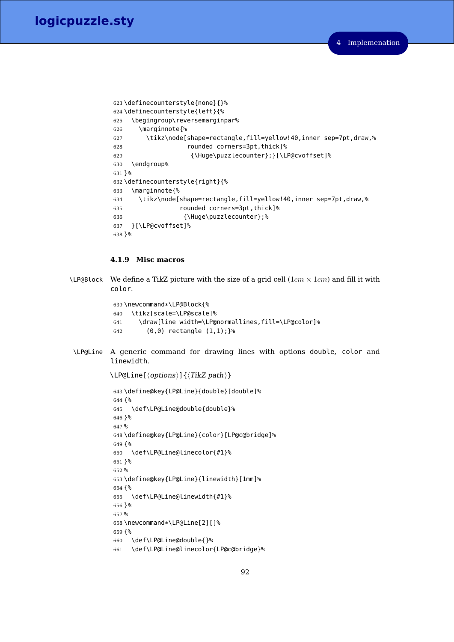```
623 \definecounterstyle{none}{}%
624 \definecounterstyle{left}{%
625 \begingroup\reversemarginpar%
626 \marginnote{%
627 \tikz\node[shape=rectangle,fill=yellow!40,inner sep=7pt,draw,%
628 rounded corners=3pt,thick]%
629 {\Huge\puzzlecounter};}[\LP@cvoffset]%
630 \endgroup%
631 }%
632 \definecounterstyle{right}{%
633 \marginnote{%
634 \tikz\node[shape=rectangle,fill=yellow!40,inner sep=7pt,draw,%
635 rounded corners=3pt,thick]%
636 {\Huge\puzzlecounter};%
637 }[\LP@cvoffset]%
638 }%
```
# **4.1.9 Misc macros**

```
\LP@Block We define a TikZ picture with the size of a grid cell (1cm × 1cm) and fill it with
            color.
```

```
639 \newcommand*\LP@Block{%
640 \tikz[scale=\LP@scale]%
641 \draw[line width=\LP@normallines,fill=\LP@color]%
642 (0,0) rectangle (1,1);}%
```
\LP@Line A generic command for drawing lines with options double, color and linewidth.

 $\LPerline[\langle options\rangle]\{\langle TikZ\ path\rangle\}$ 

```
643 \define@key{LP@Line}{double}[double]%
644\ \{\mathrm{\degree\!\!}_6645 \def\LP@Line@double{double}%
646 }%
647 %
648 \define@key{LP@Line}{color}[LP@c@bridge]%
649 {%
650 \def\LP@Line@linecolor{#1}%
651 }%
652 %
653 \define@key{LP@Line}{linewidth}[1mm]%
654 {%
655 \def\LP@Line@linewidth{#1}%
656 }%
657 %
658 \newcommand*\LP@Line[2][]%
659 {%
660 \def\LP@Line@double{}%
661 \def\LP@Line@linecolor{LP@c@bridge}%
```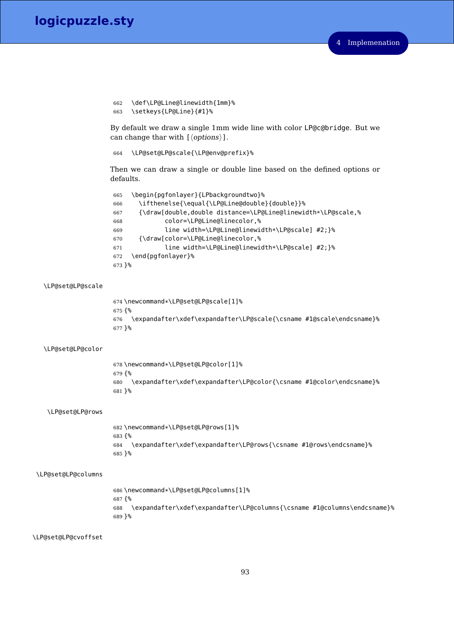```
662 \def\LP@Line@linewidth{1mm}%
663 \setkeys{LP@Line}{#1}%
```
By default we draw a single 1mm wide line with color LP@c@bridge. But we can change thar with  $\left[ \langle options \rangle \right]$ .

```
664 \LP@set@LP@scale{\LP@env@prefix}%
```
Then we can draw a single or double line based on the defined options or defaults.

```
665 \begin{pgfonlayer}{LPbackgroundtwo}%
666 \ifthenelse{\equal{\LP@Line@double}{double}}%
667 {\draw[double,double distance=\LP@Line@linewidth*\LP@scale,%
668 color=\LP@Line@linecolor,%
669 line width=\LP@Line@linewidth*\LP@scale] #2;}%
670 {\draw[color=\LP@Line@linecolor,%
671 line width=\LP@Line@linewidth*\LP@scale] #2;}%
672 \end{pgfonlayer}%
673 }%
```
#### \LP@set@LP@scale

```
674 \newcommand*\LP@set@LP@scale[1]%
675 {%
676 \expandafter\xdef\expandafter\LP@scale{\csname #1@scale\endcsname}%
677 }%
```
## \LP@set@LP@color

 \newcommand\*\LP@set@LP@color[1]% {% \expandafter\xdef\expandafter\LP@color{\csname #1@color\endcsname}% }%

## \LP@set@LP@rows

 \newcommand\*\LP@set@LP@rows[1]% {% \expandafter\xdef\expandafter\LP@rows{\csname #1@rows\endcsname}% }%

#### \LP@set@LP@columns

 \newcommand\*\LP@set@LP@columns[1]% {% \expandafter\xdef\expandafter\LP@columns{\csname #1@columns\endcsname}% }%

## \LP@set@LP@cvoffset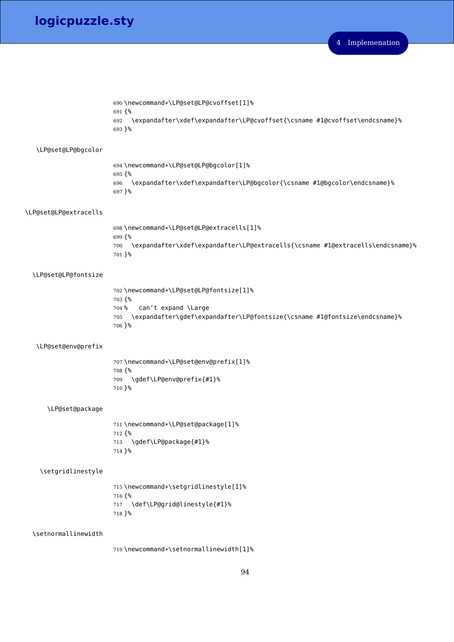```
690 \newcommand*\LP@set@LP@cvoffset[1]%
                        691 {%
                        692 \expandafter\xdef\expandafter\LP@cvoffset{\csname #1@cvoffset\endcsname}%
                        693 }%
   \LP@set@LP@bgcolor
                        694 \newcommand*\LP@set@LP@bgcolor[1]%
                        695 {%
                        696 \expandafter\xdef\expandafter\LP@bgcolor{\csname #1@bgcolor\endcsname}%
                        697 }%
\LP@set@LP@extracells
                        698 \newcommand*\LP@set@LP@extracells[1]%
                        699 {%
                        700 \expandafter\xdef\expandafter\LP@extracells{\csname #1@extracells\endcsname}%
                        701 }%
  \LP@set@LP@fontsize
                        702 \newcommand*\LP@set@LP@fontsize[1]%
                        703 {%
                        704 % can't expand \Large
                        705 \expandafter\gdef\expandafter\LP@fontsize{\csname #1@fontsize\endcsname}%
                        706 }%
   \LP@set@env@prefix
                        707 \newcommand*\LP@set@env@prefix[1]%
                        708 {%
                        709 \gdef\LP@env@prefix{#1}%
                        710 }%
      \LP@set@package
                        711 \newcommand*\LP@set@package[1]%
                        712 {%
                        713 \gdef\LP@package{#1}%
                        714 }%
    \setgridlinestyle
                        715 \newcommand*\setgridlinestyle[1]%
                        716 {%
                        717 \def\LP@grid@linestyle{#1}%
                        718 }%
  \setnormallinewidth
```
\newcommand\*\setnormallinewidth[1]%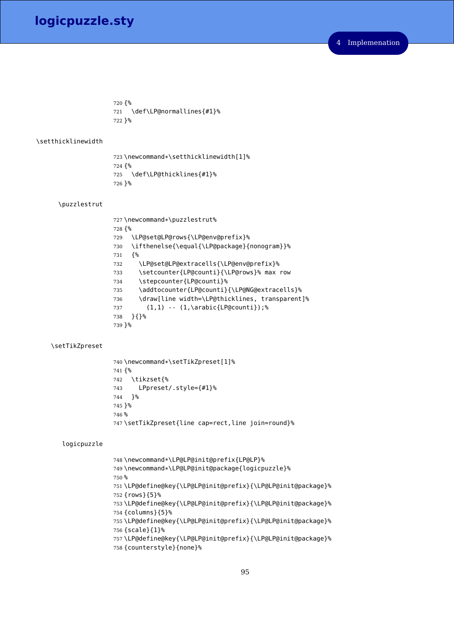{% \def\LP@normallines{#1}% }%

## \setthicklinewidth

723\newcommand\*\setthicklinewidth[1]% {% \def\LP@thicklines{#1}% }%

# \puzzlestrut

```
727 \newcommand*\puzzlestrut%
728 {%
729 \LP@set@LP@rows{\LP@env@prefix}%
730 \ifthenelse{\equal{\LP@package}{nonogram}}%
731 {%
732 \LP@set@LP@extracells{\LP@env@prefix}%
733 \setcounter{LP@counti}{\LP@rows}% max row
734 \stepcounter{LP@counti}%
735 \addtocounter{LP@counti}{\LP@NG@extracells}%
736 \draw[line width=\LP@thicklines, transparent]%
737 (1,1) -- (1,\arabic{LP@counti});%
738 }{}%
739 }%
```
## \setTikZpreset

```
740 \newcommand*\setTikZpreset[1]%
741 {%
742 \tikzset{%
743 LPpreset/.style={#1}%
744 }%
745 }%
746 %
747 \setTikZpreset{line cap=rect,line join=round}%
```
#### logicpuzzle

```
748 \newcommand*\LP@LP@init@prefix{LP@LP}%
749 \newcommand*\LP@LP@init@package{logicpuzzle}%
750 %
751 \LP@define@key{\LP@LP@init@prefix}{\LP@LP@init@package}%
752 {rows}{5}%
753 \LP@define@key{\LP@LP@init@prefix}{\LP@LP@init@package}%
754 {columns}{5}%
755 \LP@define@key{\LP@LP@init@prefix}{\LP@LP@init@package}%
756 {scale}{1}%
757 \LP@define@key{\LP@LP@init@prefix}{\LP@LP@init@package}%
758 {counterstyle}{none}%
```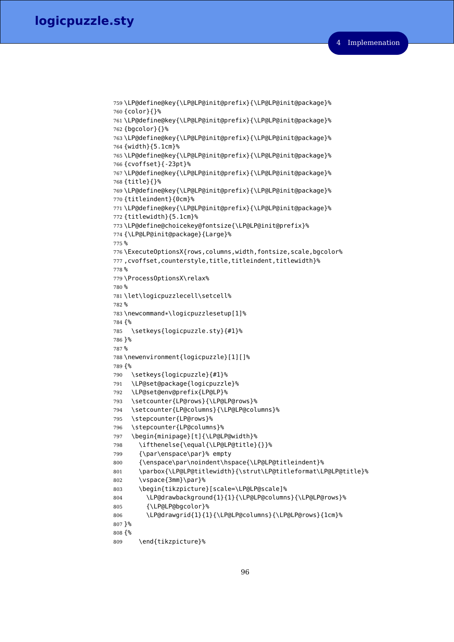```
759 \LP@define@key{\LP@LP@init@prefix}{\LP@LP@init@package}%
760 {color}{}%
761 \LP@define@key{\LP@LP@init@prefix}{\LP@LP@init@package}%
762 {bgcolor}{}%
763 \LP@define@key{\LP@LP@init@prefix}{\LP@LP@init@package}%
764 {width}{5.1cm}%
765 \LP@define@key{\LP@LP@init@prefix}{\LP@LP@init@package}%
766 {cvoffset}{-23pt}%
767 \LP@define@key{\LP@LP@init@prefix}{\LP@LP@init@package}%
768 {title}{}%
769 \LP@define@key{\LP@LP@init@prefix}{\LP@LP@init@package}%
770 {titleindent}{0cm}%
771 \LP@define@key{\LP@LP@init@prefix}{\LP@LP@init@package}%
772 {titlewidth}{5.1cm}%
773 \LP@define@choicekey@fontsize{\LP@LP@init@prefix}%
774 {\LP@LP@init@package}{Large}%
775 %
776 \ExecuteOptionsX{rows,columns,width,fontsize,scale,bgcolor%
777, cvoffset, counterstyle, title, titleindent, titlewidth}%
778 %
779 \ProcessOptionsX\relax%
780 %
781 \let\logicpuzzlecell\setcell%
782 %
783 \newcommand*\logicpuzzlesetup[1]%
784 {%
785 \setkeys{logicpuzzle.sty}{#1}%
786 }%
787 %
788 \newenvironment{logicpuzzle}[1][]%
789 {%
790 \setkeys{logicpuzzle}{#1}%
791 \LP@set@package{logicpuzzle}%
792 \LP@set@env@prefix{LP@LP}%
793 \setcounter{LP@rows}{\LP@LP@rows}%
794 \setcounter{LP@columns}{\LP@LP@columns}%
795 \stepcounter{LP@rows}%
796 \stepcounter{LP@columns}%
797 \begin{minipage}[t]{\LP@LP@width}%
798 \ifthenelse{\equal{\LP@LP@title}{}}%
799 {\par\enspace\par}% empty
800 {\enspace\par\noindent\hspace{\LP@LP@titleindent}%
801 \parbox{\LP@LP@titlewidth}{\strut\LP@titleformat\LP@LP@title}%
802 \vspace{3mm}\par}%
803 \begin{tikzpicture}[scale=\LP@LP@scale]%
804 \LP@drawbackground{1}{1}{\LP@LP@columns}{\LP@LP@rows}%
805 {\LP@LP@bgcolor}%
806 \LP@drawgrid{1}{1}{\LP@LP@columns}{\LP@LP@rows}{1cm}%
807 }%
808 {%
809 \end{tikzpicture}%
```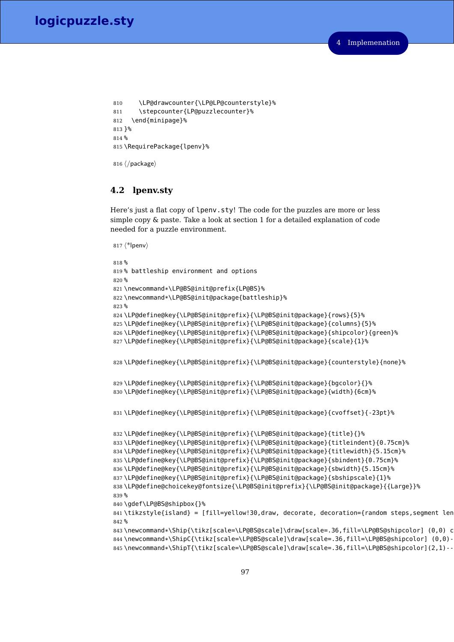```
810 \LP@drawcounter{\LP@LP@counterstyle}%
811 \stepcounter{LP@puzzlecounter}%
812 \end{minipage}%
813 }%
814 %
815 \RequirePackage{lpenv}%
```

```
816 \langle/package)
```
# **4.2 lpenv.sty**

Here's just a flat copy of lpenv.sty! The code for the puzzles are more or less simple copy & paste. Take a look at section 1 for a detailed explanation of code needed for a puzzle environment.

```
817 \langle*lpenv\rangle818 %
819 % battleship environment and options
820 %
821 \newcommand*\LP@BS@init@prefix{LP@BS}%
822 \newcommand*\LP@BS@init@package{battleship}%
823 %
824 \LP@define@key{\LP@BS@init@prefix}{\LP@BS@init@package}{rows}{5}%
825 \LP@define@key{\LP@BS@init@prefix}{\LP@BS@init@package}{columns}{5}%
826 \LP@define@key{\LP@BS@init@prefix}{\LP@BS@init@package}{shipcolor}{green}%
827 \LP@define@key{\LP@BS@init@prefix}{\LP@BS@init@package}{scale}{1}%
828 \LP@define@key{\LP@BS@init@prefix}{\LP@BS@init@package}{counterstyle}{none}%
829 \LP@define@key{\LP@BS@init@prefix}{\LP@BS@init@package}{bgcolor}{}%
830 \LP@define@key{\LP@BS@init@prefix}{\LP@BS@init@package}{width}{6cm}%
831 \LP@define@key{\LP@BS@init@prefix}{\LP@BS@init@package}{cvoffset}{-23pt}%
832 \LP@define@key{\LP@BS@init@prefix}{\LP@BS@init@package}{title}{}%
833 \LP@define@key{\LP@BS@init@prefix}{\LP@BS@init@package}{titleindent}{0.75cm}%
834 \LP@define@key{\LP@BS@init@prefix}{\LP@BS@init@package}{titlewidth}{5.15cm}%
835 \LP@define@key{\LP@BS@init@prefix}{\LP@BS@init@package}{sbindent}{0.75cm}%
836 \LP@define@key{\LP@BS@init@prefix}{\LP@BS@init@package}{sbwidth}{5.15cm}%
837 \LP@define@key{\LP@BS@init@prefix}{\LP@BS@init@package}{sbshipscale}{1}%
838 \LP@define@choicekey@fontsize{\LP@BS@init@prefix}{\LP@BS@init@package}{{Large}}%
839 %
840 \gdef\LP@BS@shipbox{}%
841 \tikzstyle{island} = [fill=yellow!30,draw, decorate, decoration={random steps,segment len
842 %
843\newcommand*\Ship{\tikz[scale=\LP@BS@scale]\draw[scale=.36,fill=\LP@BS@shipcolor] (0,0) c
844\newcommand*\ShipC{\tikz[scale=\LP@BS@scale]\draw[scale=.36,fill=\LP@BS@shipcolor] (0,0)-
845\newcommand*\ShipT{\tikz[scale=\LP@BS@scale]\draw[scale=.36,fill=\LP@BS@shipcolor](2,1)--
```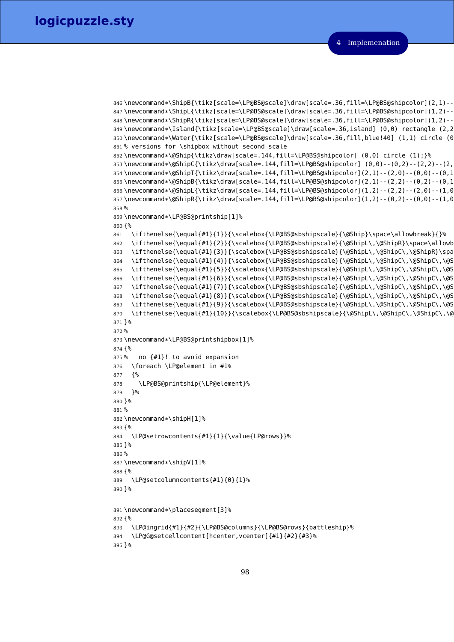```
Implemenation
```

```
846\newcommand*\ShipB{\tikz[scale=\LP@BS@scale]\draw[scale=.36,fill=\LP@BS@shipcolor](2,1)--
847\newcommand*\ShipL{\tikz[scale=\LP@BS@scale]\draw[scale=.36,fill=\LP@BS@shipcolor](1,2)--
848\newcommand*\ShipR{\tikz[scale=\LP@BS@scale]\draw[scale=.36,fill=\LP@BS@shipcolor](1,2)--
849\newcommand*\Island{\tikz[scale=\LP@BS@scale]\draw[scale=.36,island] (0,0) rectangle (2,2
850\newcommand*\Water{\tikz[scale=\LP@BS@scale]\draw[scale=.36,fill,blue!40] (1,1) circle (0.
851 % versions for \shipbox without second scale
852 \newcommand*\@Ship{\tikz\draw[scale=.144,fill=\LP@BS@shipcolor] (0,0) circle (1);}%
853\newcommand*\@ShipC{\tikz\draw[scale=.144,fill=\LP@BS@shipcolor] (0,0)--(0,2)--(2,2)--(2,854\newcommand*\@ShipT{\tikz\draw[scale=.144,fill=\LP@BS@shipcolor](2,1)--(2,0)--(0,0)--(0,1
855\newcommand*\@ShipB{\tikz\draw[scale=.144,fill=\LP@BS@shipcolor](2,1)--(2,2)--(0,2)--(0,1
856\newcommand*\@ShipL{\tikz\draw[scale=.144,fill=\LP@BS@shipcolor](1,2)--(2,2)--(2,0)--(1,0
857 \nnewcommand*\@ShipR{\tikz\draw[scale=.144.fill=\LP@BS@shipcolor](1.2)--(0.2)--(0.0)--(1.0
858 %
859 \newcommand*\LP@BS@printship[1]%
860 {%
861 \ifthenelse{\equal{#1}{1}}{\scalebox{\LP@BS@sbshipscale}{\@Ship}\space\allowbreak}{}%
862 \ifthenelse{\equal{#1}{2}}{\scalebox{\LP@BS@sbshipscale}{\@ShipL\,\@ShipR}\space\allowb
863 \ifthenelse{\equal{#1}{3}}{\scalebox{\LP@BS@sbshipscale}{\@ShipL\,\@ShipC\,\@ShipR}\spa
864 \ifthenelse{\equal{#1}{4}}{\scalebox{\LP@BS@sbshipscale}{\@ShipL\,\@ShipC\,\@ShipC\,\@S
865 \ifthenelse{\equal{#1}{5}}{\scalebox{\LP@BS@sbshipscale}{\@ShipL\,\@ShipC\,\@ShipC\,\@S
866 \ifthenelse{\equal{#1}{6}}{\scalebox{\LP@BS@sbshipscale}{\@ShipL\,\@ShipC\,\@ShipC\,\@ShipC\,\@ShipC\,\@ShipR}\space\allowbreak}{}%
867 \ifthenelse{\equal{#1}{7}}{\scalebox{\LP@BS@sbshipscale}{\@ShipL\,\@ShipC\,\@ShipC\,\@ShipC\,\@ShipC\,\@ShipC\,\@ShipR}\space\allowbreak}{}%
868 \ifthenelse{\equal{#1}{8}}{\scalebox{\LP@BS@sbshipscale}{\@ShipL\,\@ShipC\,\@ShipC\,\@ShipC\,\@ShipC\,\@ShipC\,\@ShipC\,\@ShipR}\space\allowbreak}{}%
869 \ifthenelse{\equal{#1}{9}}{\scalebox{\LP@BS@sbshipscale}{\@ShipL\,\@ShipC\,\@ShipC\,\@ShipC\,\@ShipC\,\@ShipC\,\@ShipC\,\@ShipC\,\@ShipR}\space\allowbreak}{}%
870 \ifthenelse{\equal{#1}{10}}{\scalebox{\LP@BS@sbshipscale}{\@ShipL\,\@ShipC\,\@ShipC\,\@ShipC\,\@ShipC\,\@ShipC\,\@ShipC\,\@ShipC\,\@ShipC\,\@ShipR}\space\allowbreak}{}%
871 }%
872 %
873 \newcommand*\LP@BS@printshipbox[1]%
874 {%
875% no {#1}! to avoid expansion
876 \foreach \LP@element in #1%
877 {%
878 \LP@BS@printship{\LP@element}%
879 }%
880 }%
881 %
882 \newcommand*\shipH[1]%
883 {%
884 \LP@setrowcontents{#1}{1}{\value{LP@rows}}%
885 }%
886 %
887 \newcommand*\shipV[1]%
888 {%
889 \LP@setcolumncontents{#1}{0}{1}%
890 }%
891 \newcommand*\placesegment[3]%
892 {%
893 \LP@ingrid{#1}{#2}{\LP@BS@columns}{\LP@BS@rows}{battleship}%
894 \LP@G@setcellcontent[hcenter,vcenter]{#1}{#2}{#3}%
895 }%
```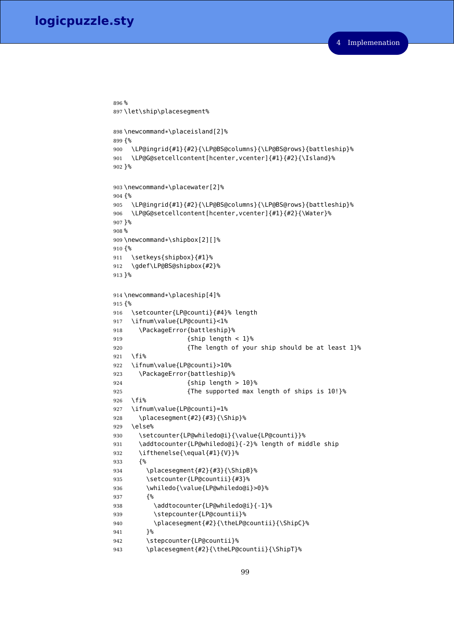```
896 %
897 \let\ship\placesegment%
898 \newcommand*\placeisland[2]%
899 {%
900 \LP@ingrid{#1}{#2}{\LP@BS@columns}{\LP@BS@rows}{battleship}%
901 \LP@G@setcellcontent[hcenter,vcenter]{#1}{#2}{\Island}%
902 }%
903 \newcommand*\placewater[2]%
904 {%
905 \LP@ingrid{#1}{#2}{\LP@BS@columns}{\LP@BS@rows}{battleship}%
906 \LP@G@setcellcontent[hcenter,vcenter]{#1}{#2}{\Water}%
907 }%
908 %
909 \newcommand*\shipbox[2][]%
910 {%
911 \setkeys{shipbox}{#1}%
912 \gdef\LP@BS@shipbox{#2}%
913 }%
914 \newcommand*\placeship[4]%
915 {%
916 \setcounter{LP@counti}{#4}% length
917 \ifnum\value{LP@counti}<1%
918 \PackageError{battleship}%
919 {ship length < 1}%
920 {The length of your ship should be at least 1}%
921 \fi%
922 \ifnum\value{LP@counti}>10%
923 \PackageError{battleship}%
924 {ship length > 10}%
925 {The supported max length of ships is 10!}%
926 \fi%
927 \ifnum\value{LP@counti}=1%
928 \placesegment{#2}{#3}{\Ship}%
929 \else%
930 \setcounter{LP@whiledo@i}{\value{LP@counti}}%
931 \addtocounter{LP@whiledo@i}{-2}% length of middle ship
932 \ifthenelse{\equal{#1}{V}}%
933 {%
934 \placesegment{#2}{#3}{\ShipB}%
935 \setcounter{LP@countii}{#3}%
936 \whiledo{\value{LP@whiledo@i}>0}%
937 {%
938 \addtocounter{LP@whiledo@i}{-1}%
939 \stepcounter{LP@countii}%
940 \placesegment{#2}{\theLP@countii}{\ShipC}%
941 }%
942 \stepcounter{LP@countii}%
943 \placesegment{#2}{\theLP@countii}{\ShipT}%
```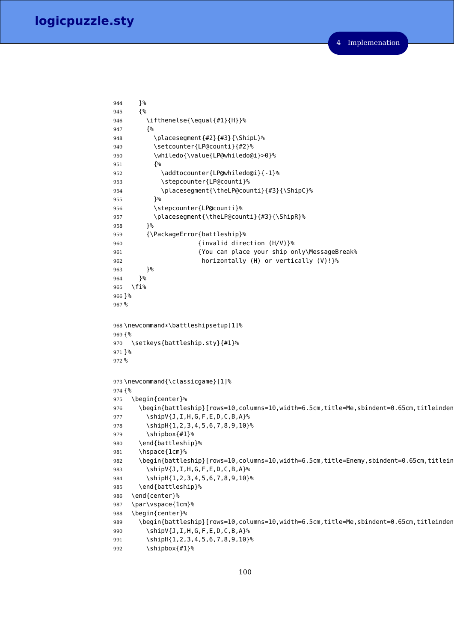```
944 }%
945 {%
946 \ifthenelse{\equal{#1}{H}}%
947 {%
948 \placesegment{#2}{#3}{\ShipL}%
949 \setcounter{LP@counti}{#2}%
950 \whiledo{\value{LP@whiledo@i}>0}%
951 {%
952 \addtocounter{LP@whiledo@i}{-1}%
953 \stepcounter{LP@counti}%
954 \placesegment{\theLP@counti}{#3}{\ShipC}%
955 }%
956 \stepcounter{LP@counti}%
957 \placesegment{\theLP@counti}{#3}{\ShipR}%
958 }%
959 {\PackageError{battleship}%
960 {invalid direction (H/V)}%
961 {You can place your ship only\MessageBreak%
962 horizontally (H) or vertically (V)!}%
963 }%
964 }%
965 \fi%
966 }%
967 %
968 \newcommand*\battleshipsetup[1]%
969 {%
970 \setkeys{battleship.sty}{#1}%
971 }%
972 %
973 \newcommand{\classicgame}[1]%
974 {%
975 \begin{center}%
976 \begin{battleship}[rows=10,columns=10,width=6.5cm,title=Me,sbindent=0.65cm,titleinden
977 \shipV{J,I,H,G,F,E,D,C,B,A}%
978 \shipH{1,2,3,4,5,6,7,8,9,10}%
979 \shipbox{#1}%
980 \end{battleship}%
981 \hspace{1cm}%
982 \begin{battleship}[rows=10,columns=10,width=6.5cm,title=Enemy,sbindent=0.65cm,titlein
983 \shipV{J,I,H,G,F,E,D,C,B,A}%
984 \shipH{1,2,3,4,5,6,7,8,9,10}%
985 \end{battleship}%
986 \end{center}%
987 \par\vspace{1cm}%
988 \begin{center}%
989 \begin{battleship}[rows=10,columns=10,width=6.5cm,title=Me,sbindent=0.65cm,titleinden
990 \shipV{J,I,H,G,F,E,D,C,B,A}%
991 \shipH{1,2,3,4,5,6,7,8,9,10}%
992 \shipbox{#1}%
```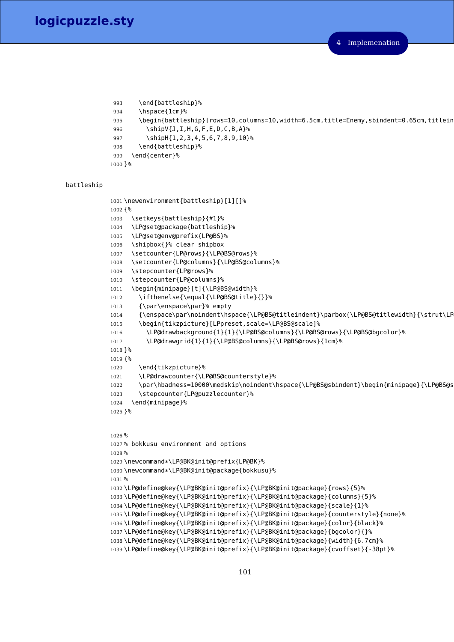```
993 \end{battleship}%
994 \hspace{1cm}%
995 \begin{battleship}[rows=10,columns=10,width=6.5cm,title=Enemy,sbindent=0.65cm,titlein
996 \shipV{J,I,H,G,F,E,D,C,B,A}%
997 \shipH{1,2,3,4,5,6,7,8,9,10}%
998 \end{battleship}%
999 \end{center}%
1000 }%
```
#### battleship

```
1001 \newenvironment{battleship}[1][]%
1002 {%
1003 \setkeys{battleship}{#1}%
1004 \LP@set@package{battleship}%
1005 \LP@set@env@prefix{LP@BS}%
1006 \shipbox{}% clear shipbox
1007 \setcounter{LP@rows}{\LP@BS@rows}%
1008 \setcounter{LP@columns}{\LP@BS@columns}%
1009 \stepcounter{LP@rows}%
1010 \stepcounter{LP@columns}%
1011 \begin{minipage}[t]{\LP@BS@width}%
1012 \ifthenelse{\equal{\LP@BS@title}{}}%
1013 {\par\enspace\par}% empty
1014 {\enspace\par\noindent\hspace{\LP@BS@titleindent}\parbox{\LP@BS@titlewidth}{\strut\LP
1015 \begin{tikzpicture}[LPpreset,scale=\LP@BS@scale]%
1016 \LP@drawbackground{1}{1}{\LP@BS@columns}{\LP@BS@rows}{\LP@BS@bgcolor}%
1017 \LP@drawgrid{1}{1}{\LP@BS@columns}{\LP@BS@rows}{1cm}%
1018 }%
1019 {%
1020 \end{tikzpicture}%
1021 \LP@drawcounter{\LP@BS@counterstyle}%
1022 \par\hbadness=10000\medskip\noindent\hspace{\LP@BS@sbindent}\begin{minipage}{\LP@BS@s
1023 \stepcounter{LP@puzzlecounter}%
1024 \end{minipage}%
1025 }%
1026 %
1027 % bokkusu environment and options
1028 %
1029 \newcommand*\LP@BK@init@prefix{LP@BK}%
1030 \newcommand*\LP@BK@init@package{bokkusu}%
1031 %
1032 \LP@define@key{\LP@BK@init@prefix}{\LP@BK@init@package}{rows}{5}%
1033 \LP@define@key{\LP@BK@init@prefix}{\LP@BK@init@package}{columns}{5}%
1034 \LP@define@key{\LP@BK@init@prefix}{\LP@BK@init@package}{scale}{1}%
1035 \LP@define@key{\LP@BK@init@prefix}{\LP@BK@init@package}{counterstyle}{none}%
1036 \LP@define@key{\LP@BK@init@prefix}{\LP@BK@init@package}{color}{black}%
1037 \LP@define@key{\LP@BK@init@prefix}{\LP@BK@init@package}{bgcolor}{}%
1038 \LP@define@key{\LP@BK@init@prefix}{\LP@BK@init@package}{width}{6.7cm}%
1039 \LP@define@key{\LP@BK@init@prefix}{\LP@BK@init@package}{cvoffset}{-38pt}%
```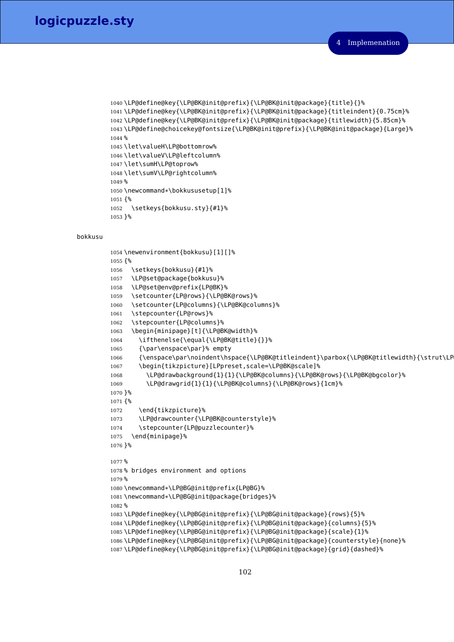```
1040 \LP@define@key{\LP@BK@init@prefix}{\LP@BK@init@package}{title}{}%
1041 \LP@define@key{\LP@BK@init@prefix}{\LP@BK@init@package}{titleindent}{0.75cm}%
1042 \LP@define@key{\LP@BK@init@prefix}{\LP@BK@init@package}{titlewidth}{5.85cm}%
1043 \LP@define@choicekey@fontsize{\LP@BK@init@prefix}{\LP@BK@init@package}{Large}%
1044 %
1045 \let\valueH\LP@bottomrow%
1046 \let\valueV\LP@leftcolumn%
1047 \let\sumH\LP@toprow%
1048 \let\sumV\LP@rightcolumn%
1049 %
1050 \newcommand*\bokkususetup[1]%
1051 {%
1052 \setkeys{bokkusu.sty}{#1}%
1053 }%
```
#### bokkusu

```
1054 \newenvironment{bokkusu}[1][]%
1055 {%
1056 \setkeys{bokkusu}{#1}%
1057 \LP@set@package{bokkusu}%
1058 \LP@set@env@prefix{LP@BK}%
1059 \setcounter{LP@rows}{\LP@BK@rows}%
1060 \setcounter{LP@columns}{\LP@BK@columns}%
1061 \stepcounter{LP@rows}%
1062 \stepcounter{LP@columns}%
1063 \begin{minipage}[t]{\LP@BK@width}%
1064 \ifthenelse{\equal{\LP@BK@title}{}}%
1065 {\par\enspace\par}% empty
1066 {\enspace\par\noindent\hspace{\LP@BK@titleindent}\parbox{\LP@BK@titlewidth}{\strut\LP
1067 \begin{tikzpicture}[LPpreset,scale=\LP@BK@scale]%
1068 \LP@drawbackground{1}{1}{\LP@BK@columns}{\LP@BK@rows}{\LP@BK@bgcolor}%
1069 \LP@drawgrid{1}{1}{\LP@BK@columns}{\LP@BK@rows}{1cm}%
1070 }%
1071 {%
1072 \end{tikzpicture}%
1073 \LP@drawcounter{\LP@BK@counterstyle}%
1074 \stepcounter{LP@puzzlecounter}%
1075 \end{minipage}%
1076 }%
1077 %
1078 % bridges environment and options
1079 %
1080 \newcommand*\LP@BG@init@prefix{LP@BG}%
1081 \newcommand*\LP@BG@init@package{bridges}%
1082 %
1083 \LP@define@key{\LP@BG@init@prefix}{\LP@BG@init@package}{rows}{5}%
1084 \LP@define@key{\LP@BG@init@prefix}{\LP@BG@init@package}{columns}{5}%
1085 \LP@define@key{\LP@BG@init@prefix}{\LP@BG@init@package}{scale}{1}%
1086 \LP@define@key{\LP@BG@init@prefix}{\LP@BG@init@package}{counterstyle}{none}%
1087 \LP@define@key{\LP@BG@init@prefix}{\LP@BG@init@package}{grid}{dashed}%
```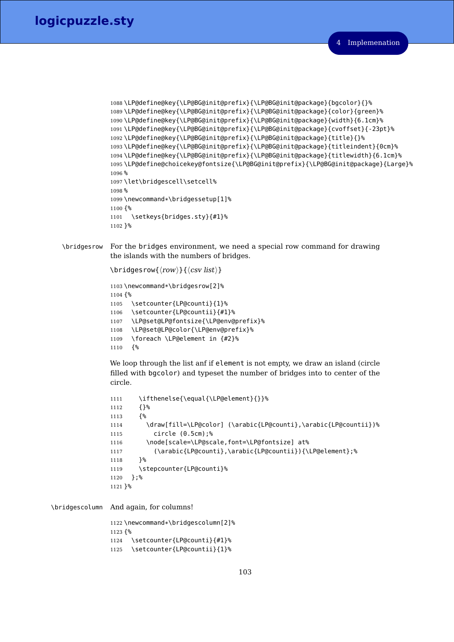```
4 Implemenation
```

```
1088 \LP@define@key{\LP@BG@init@prefix}{\LP@BG@init@package}{bgcolor}{}%
1089 \LP@define@key{\LP@BG@init@prefix}{\LP@BG@init@package}{color}{green}%
1090 \LP@define@key{\LP@BG@init@prefix}{\LP@BG@init@package}{width}{6.1cm}%
1091 \LP@define@key{\LP@BG@init@prefix}{\LP@BG@init@package}{cvoffset}{-23pt}%
1092 \LP@define@key{\LP@BG@init@prefix}{\LP@BG@init@package}{title}{}%
1093 \LP@define@key{\LP@BG@init@prefix}{\LP@BG@init@package}{titleindent}{0cm}%
1094 \LP@define@key{\LP@BG@init@prefix}{\LP@BG@init@package}{titlewidth}{6.1cm}%
1095 \LP@define@choicekey@fontsize{\LP@BG@init@prefix}{\LP@BG@init@package}{Large}%
1096 %
1097 \let\bridgescell\setcell%
1098 %
1099 \newcommand*\bridgessetup[1]%
1100 {%
1101 \setkeys{bridges.sty}{#1}%
1102 }%
```
\bridgesrow For the bridges environment, we need a special row command for drawing the islands with the numbers of bridges.

```
\theta\bridgesrow{\langle row \rangle}{\langle csv \; list \rangle}
1103 \newcommand*\bridgesrow[2]%
1104 {%
1105 \setcounter{LP@counti}{1}%
1106 \setcounter{LP@countii}{#1}%
1107 \LP@set@LP@fontsize{\LP@env@prefix}%
1108 \LP@set@LP@color{\LP@env@prefix}%
1109 \foreach \LP@element in {#2}%
1110 {%
```
We loop through the list anf if element is not empty, we draw an island (circle filled with bgcolor) and typeset the number of bridges into to center of the circle.

```
1111 \ifthenelse{\equal{\LP@element}{}}%
1112 {}%
1113 {%
1114 \draw[fill=\LP@color] (\arabic{LP@counti},\arabic{LP@countii})%
1115 circle (0.5cm);%
1116 \node[scale=\LP@scale,font=\LP@fontsize] at%
1117 (\arabic{LP@counti},\arabic{LP@countii}){\LP@element};%
1118 }%
1119 \stepcounter{LP@counti}%
1120 };%
1121 }%
```
\bridgescolumn And again, for columns!

 \newcommand\*\bridgescolumn[2]% {% \setcounter{LP@counti}{#1}% \setcounter{LP@countii}{1}%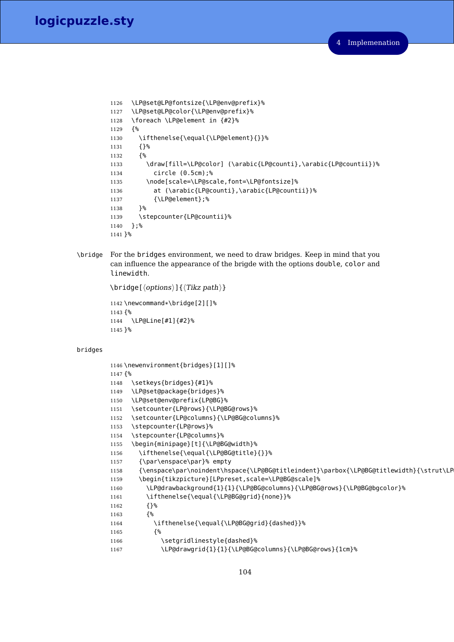```
1126 \LP@set@LP@fontsize{\LP@env@prefix}%
1127 \LP@set@LP@color{\LP@env@prefix}%
1128 \foreach \LP@element in {#2}%
1129 {%
1130 \ifthenelse{\equal{\LP@element}{}}%
1131 {}%
1132 {%
1133 \draw[fill=\LP@color] (\arabic{LP@counti},\arabic{LP@countii})%
1134 circle (0.5cm);%
1135 \node[scale=\LP@scale,font=\LP@fontsize]%
1136 at (\arabic{LP@counti},\arabic{LP@countii})%
1137 {\LP@element};%
1138 }%
1139 \stepcounter{LP@countii}%
1140 };%
1141 }%
```
\bridge For the bridges environment, we need to draw bridges. Keep in mind that you can influence the appearance of the brigde with the options double, color and linewidth.

```
\theta[\langle options\rangle]{\langle Tikz path\rangle}1142 \newcommand*\bridge[2][]%
1143 {%
1144 \LP@Line[#1]{#2}%
1145 }%
```
#### bridges

```
1146 \newenvironment{bridges}[1][]%
1147 {%
1148 \setkeys{bridges}{#1}%
1149 \LP@set@package{bridges}%
1150 \LP@set@env@prefix{LP@BG}%
1151 \setcounter{LP@rows}{\LP@BG@rows}%
1152 \setcounter{LP@columns}{\LP@BG@columns}%
1153 \stepcounter{LP@rows}%
1154 \stepcounter{LP@columns}%
1155 \begin{minipage}[t]{\LP@BG@width}%
1156 \ifthenelse{\equal{\LP@BG@title}{}}%
1157 {\par\enspace\par}% empty
1158 {\enspace\par\noindent\hspace{\LP@BG@titleindent}\parbox{\LP@BG@titlewidth}{\strut\LP
1159 \begin{tikzpicture}[LPpreset,scale=\LP@BG@scale]%
1160 \LP@drawbackground{1}{1}{\LP@BG@columns}{\LP@BG@rows}{\LP@BG@bgcolor}%
1161 \ifthenelse{\equal{\LP@BG@grid}{none}}%
1162 \{ \}1163 {%
1164 \ifthenelse{\equal{\LP@BG@grid}{dashed}}%
1165 {%
1166 \setgridlinestyle{dashed}%
1167 \LP@drawgrid{1}{1}{\LP@BG@columns}{\LP@BG@rows}{1cm}%
```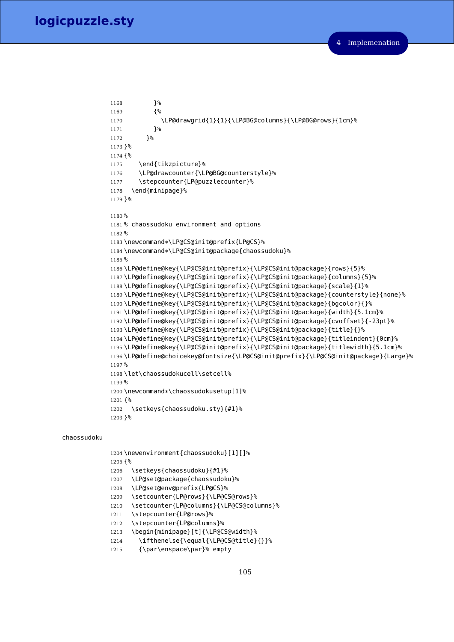```
1168 }<sup>%</sup>
1169 {%
1170 \LP@drawgrid{1}{1}{\LP@BG@columns}{\LP@BG@rows}{1cm}%
1171 }%
1172 }%
1173 }%
1174 {%
1175 \end{tikzpicture}%
1176 \LP@drawcounter{\LP@BG@counterstyle}%
1177 \stepcounter{LP@puzzlecounter}%
1178 \end{minipage}%
1179 }%
1180 %
1181 % chaossudoku environment and options
1182 %
1183 \newcommand*\LP@CS@init@prefix{LP@CS}%
1184 \newcommand*\LP@CS@init@package{chaossudoku}%
1185 %
1186 \LP@define@key{\LP@CS@init@prefix}{\LP@CS@init@package}{rows}{5}%
1187 \LP@define@key{\LP@CS@init@prefix}{\LP@CS@init@package}{columns}{5}%
1188 \LP@define@key{\LP@CS@init@prefix}{\LP@CS@init@package}{scale}{1}%
1189 \LP@define@key{\LP@CS@init@prefix}{\LP@CS@init@package}{counterstyle}{none}%
1190 \LP@define@key{\LP@CS@init@prefix}{\LP@CS@init@package}{bgcolor}{}%
1191 \LP@define@key{\LP@CS@init@prefix}{\LP@CS@init@package}{width}{5.1cm}%
1192 \LP@define@key{\LP@CS@init@prefix}{\LP@CS@init@package}{cvoffset}{-23pt}%
1193 \LP@define@key{\LP@CS@init@prefix}{\LP@CS@init@package}{title}{}%
1194 \LP@define@key{\LP@CS@init@prefix}{\LP@CS@init@package}{titleindent}{0cm}%
1195 \LP@define@key{\LP@CS@init@prefix}{\LP@CS@init@package}{titlewidth}{5.1cm}%
1196 \LP@define@choicekey@fontsize{\LP@CS@init@prefix}{\LP@CS@init@package}{Large}%
1197 %
1198 \let\chaossudokucell\setcell%
1199 %
1200 \newcommand*\chaossudokusetup[1]%
1201 {%
1202 \setkeys{chaossudoku.sty}{#1}%
1203 }%
```
#### chaossudoku

```
1204 \newenvironment{chaossudoku}[1][]%
1205 {%
1206 \setkeys{chaossudoku}{#1}%
1207 \LP@set@package{chaossudoku}%
1208 \LP@set@env@prefix{LP@CS}%
1209 \setcounter{LP@rows}{\LP@CS@rows}%
1210 \setcounter{LP@columns}{\LP@CS@columns}%
1211 \stepcounter{LP@rows}%
1212 \stepcounter{LP@columns}%
1213 \begin{minipage}[t]{\LP@CS@width}%
1214 \ifthenelse{\equal{\LP@CS@title}{}}%
1215 {\par\enspace\par}% empty
```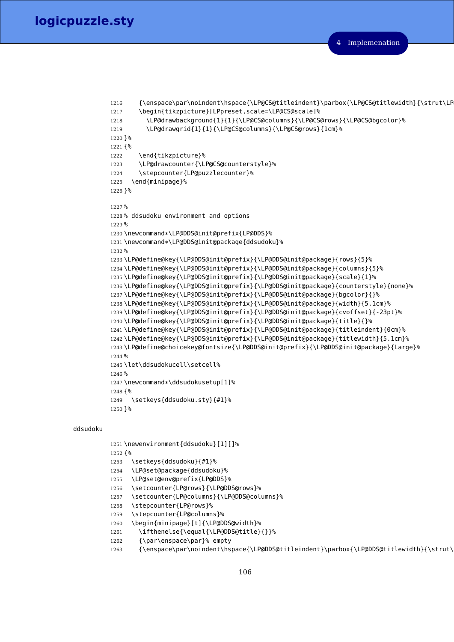```
1216 {\enspace\par\noindent\hspace{\LP@CS@titleindent}\parbox{\LP@CS@titlewidth}{\strut\LP
1217 \begin{tikzpicture}[LPpreset,scale=\LP@CS@scale]%
1218 \LP@drawbackground{1}{1}{\LP@CS@columns}{\LP@CS@rows}{\LP@CS@bgcolor}%
1219 \LP@drawgrid{1}{1}{\LP@CS@columns}{\LP@CS@rows}{1cm}%
1220 }%
1221 {%
1222 \end{tikzpicture}%
1223 \LP@drawcounter{\LP@CS@counterstyle}%
1224 \stepcounter{LP@puzzlecounter}%
1225 \end{minipage}%
1226 }%
1227 %
1228 % ddsudoku environment and options
1229 %
1230 \newcommand*\LP@DDS@init@prefix{LP@DDS}%
1231 \newcommand*\LP@DDS@init@package{ddsudoku}%
1232 %
1233 \LP@define@key{\LP@DDS@init@prefix}{\LP@DDS@init@package}{rows}{5}%
1234 \LP@define@key{\LP@DDS@init@prefix}{\LP@DDS@init@package}{columns}{5}%
1235 \LP@define@key{\LP@DDS@init@prefix}{\LP@DDS@init@package}{scale}{1}%
1236 \LP@define@key{\LP@DDS@init@prefix}{\LP@DDS@init@package}{counterstyle}{none}%
1237 \LP@define@key{\LP@DDS@init@prefix}{\LP@DDS@init@package}{bgcolor}{}%
1238 \LP@define@key{\LP@DDS@init@prefix}{\LP@DDS@init@package}{width}{5.1cm}%
1239 \LP@define@key{\LP@DDS@init@prefix}{\LP@DDS@init@package}{cvoffset}{-23pt}%
1240 \LP@define@key{\LP@DDS@init@prefix}{\LP@DDS@init@package}{title}{}%
1241 \LP@define@key{\LP@DDS@init@prefix}{\LP@DDS@init@package}{titleindent}{0cm}%
1242 \LP@define@key{\LP@DDS@init@prefix}{\LP@DDS@init@package}{titlewidth}{5.1cm}%
1243 \LP@define@choicekey@fontsize{\LP@DDS@init@prefix}{\LP@DDS@init@package}{Large}%
1244 %
1245 \let\ddsudokucell\setcell%
1246 %
1247 \newcommand*\ddsudokusetup[1]%
1248 {%
1249 \setkeys{ddsudoku.sty}{#1}%
1250 }%
```
#### ddsudoku

 \newenvironment{ddsudoku}[1][]% {% 1253 \setkeys{ddsudoku}{#1}% \LP@set@package{ddsudoku}% \LP@set@env@prefix{LP@DDS}% \setcounter{LP@rows}{\LP@DDS@rows}% \setcounter{LP@columns}{\LP@DDS@columns}% \stepcounter{LP@rows}% \stepcounter{LP@columns}% \begin{minipage}[t]{\LP@DDS@width}% \ifthenelse{\equal{\LP@DDS@title}{}}% {\par\enspace\par}% empty 1263 {\enspace\par\noindent\hspace{\LP@DDS@titleindent}\parbox{\LP@DDS@titlewidth}{\strut\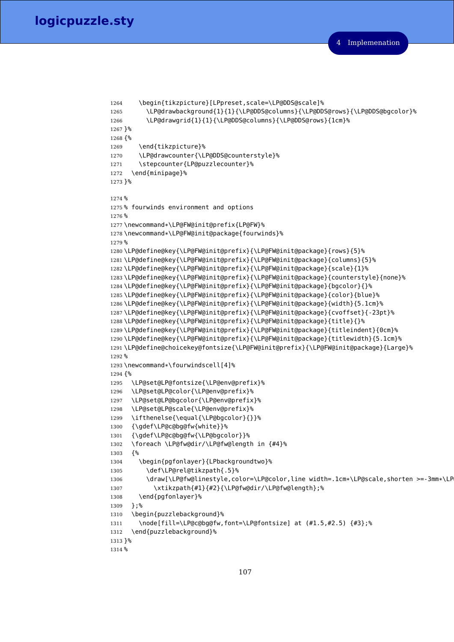```
1264 \begin{tikzpicture}[LPpreset,scale=\LP@DDS@scale]%
1265 \LP@drawbackground{1}{1}{\LP@DDS@columns}{\LP@DDS@rows}{\LP@DDS@bgcolor}%
1266 \LP@drawgrid{1}{1}{\LP@DDS@columns}{\LP@DDS@rows}{1cm}%
1267 }%
1268 {%
1269 \end{tikzpicture}%
1270 \LP@drawcounter{\LP@DDS@counterstyle}%
1271 \stepcounter{LP@puzzlecounter}%
1272 \end{minipage}%
1273 }%
1274 %
1275 % fourwinds environment and options
1276 %
1277 \newcommand*\LP@FW@init@prefix{LP@FW}%
1278 \newcommand*\LP@FW@init@package{fourwinds}%
1279 %
1280 \LP@define@key{\LP@FW@init@prefix}{\LP@FW@init@package}{rows}{5}%
1281 \LP@define@key{\LP@FW@init@prefix}{\LP@FW@init@package}{columns}{5}%
1282 \LP@define@key{\LP@FW@init@prefix}{\LP@FW@init@package}{scale}{1}%
1283 \LP@define@key{\LP@FW@init@prefix}{\LP@FW@init@package}{counterstyle}{none}%
1284 \LP@define@key{\LP@FW@init@prefix}{\LP@FW@init@package}{bgcolor}{}%
1285 \LP@define@key{\LP@FW@init@prefix}{\LP@FW@init@package}{color}{blue}%
1286 \LP@define@key{\LP@FW@init@prefix}{\LP@FW@init@package}{width}{5.1cm}%
1287 \LP@define@key{\LP@FW@init@prefix}{\LP@FW@init@package}{cvoffset}{-23pt}%
1288 \LP@define@key{\LP@FW@init@prefix}{\LP@FW@init@package}{title}{}%
1289 \LP@define@key{\LP@FW@init@prefix}{\LP@FW@init@package}{titleindent}{0cm}%
1290 \LP@define@key{\LP@FW@init@prefix}{\LP@FW@init@package}{titlewidth}{5.1cm}%
1291 \LP@define@choicekey@fontsize{\LP@FW@init@prefix}{\LP@FW@init@package}{Large}%
1292 %
1293 \newcommand*\fourwindscell[4]%
1294 {%
1295 \LP@set@LP@fontsize{\LP@env@prefix}%
1296 \LP@set@LP@color{\LP@env@prefix}%
1297 \LP@set@LP@bgcolor{\LP@env@prefix}%
1298 \LP@set@LP@scale{\LP@env@prefix}%
1299 \ifthenelse{\equal{\LP@bgcolor}{}}%
1300 {\gdef\LP@c@bg@fw{white}}%
1301 {\gdef\LP@c@bg@fw{\LP@bgcolor}}%
1302 \foreach \LP@fw@dir/\LP@fw@length in {#4}%
1303 {%
1304 \begin{pgfonlayer}{LPbackgroundtwo}%
1305 \def\LP@rel@tikzpath{.5}%
1306 \draw[\LP@fw@linestyle,color=\LP@color,line width=.1cm*\LP@scale,shorten >=-3mm*\LP
1307 \xtikzpath{#1}{#2}{\LP@fw@dir/\LP@fw@length};%
1308 \end{pgfonlayer}%
1309 };%
1310 \begin{puzzlebackground}%
1311 \node[fill=\LP@c@bg@fw,font=\LP@fontsize] at (#1.5,#2.5) {#3};%
1312 \end{puzzlebackground}%
1313 }%
1314 %
```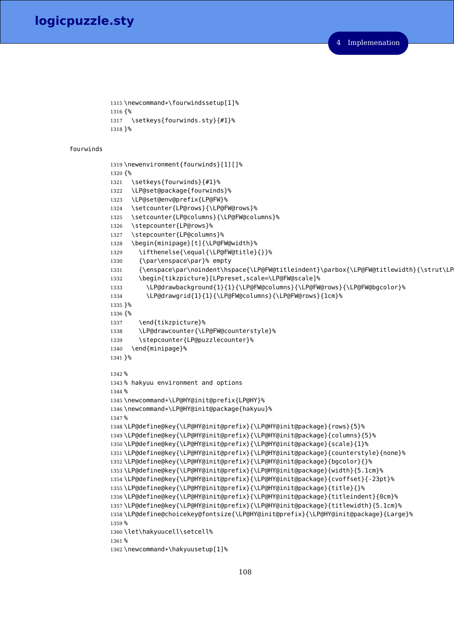```
1315 \newcommand*\fourwindssetup[1]%
1316 {%
1317 \setkeys{fourwinds.sty}{#1}%
1318 }%
```
#### fourwinds

```
1319 \newenvironment{fourwinds}[1][]%
1320 {%
1321 \setkeys{fourwinds}{#1}%
1322 \LP@set@package{fourwinds}%
1323 \LP@set@env@prefix{LP@FW}%
1324 \setcounter{LP@rows}{\LP@FW@rows}%
1325 \setcounter{LP@columns}{\LP@FW@columns}%
1326 \stepcounter{LP@rows}%
1327 \stepcounter{LP@columns}%
1328 \begin{minipage}[t]{\LP@FW@width}%
1329 \ifthenelse{\equal{\LP@FW@title}{}}%
1330 {\par\enspace\par}% empty
1331 {\enspace\par\noindent\hspace{\LP@FW@titleindent}\parbox{\LP@FW@titlewidth}{\strut\LP
1332 \begin{tikzpicture}[LPpreset,scale=\LP@FW@scale]%
1333 \LP@drawbackground{1}{1}{\LP@FW@columns}{\LP@FW@rows}{\LP@FW@bgcolor}%
1334 \LP@drawgrid{1}{1}{\LP@FW@columns}{\LP@FW@rows}{1cm}%
1335 }%
1336 {%
1337 \end{tikzpicture}%
1338 \LP@drawcounter{\LP@FW@counterstyle}%
1339 \stepcounter{LP@puzzlecounter}%
1340 \end{minipage}%
1341 }%
1342 %
1343 % hakyuu environment and options
1344 %
1345 \newcommand*\LP@HY@init@prefix{LP@HY}%
1346 \newcommand*\LP@HY@init@package{hakyuu}%
1347 %
1348 \LP@define@key{\LP@HY@init@prefix}{\LP@HY@init@package}{rows}{5}%
1349 \LP@define@key{\LP@HY@init@prefix}{\LP@HY@init@package}{columns}{5}%
1350 \LP@define@key{\LP@HY@init@prefix}{\LP@HY@init@package}{scale}{1}%
1351 \LP@define@key{\LP@HY@init@prefix}{\LP@HY@init@package}{counterstyle}{none}%
1352 \LP@define@key{\LP@HY@init@prefix}{\LP@HY@init@package}{bgcolor}{}%
1353 \LP@define@key{\LP@HY@init@prefix}{\LP@HY@init@package}{width}{5.1cm}%
1354 \LP@define@key{\LP@HY@init@prefix}{\LP@HY@init@package}{cvoffset}{-23pt}%
1355 \LP@define@key{\LP@HY@init@prefix}{\LP@HY@init@package}{title}{}%
1356 \LP@define@key{\LP@HY@init@prefix}{\LP@HY@init@package}{titleindent}{0cm}%
1357 \LP@define@key{\LP@HY@init@prefix}{\LP@HY@init@package}{titlewidth}{5.1cm}%
1358 \LP@define@choicekey@fontsize{\LP@HY@init@prefix}{\LP@HY@init@package}{Large}%
1359 %
1360 \let\hakyuucell\setcell%
1361 %
1362 \newcommand*\hakyuusetup[1]%
```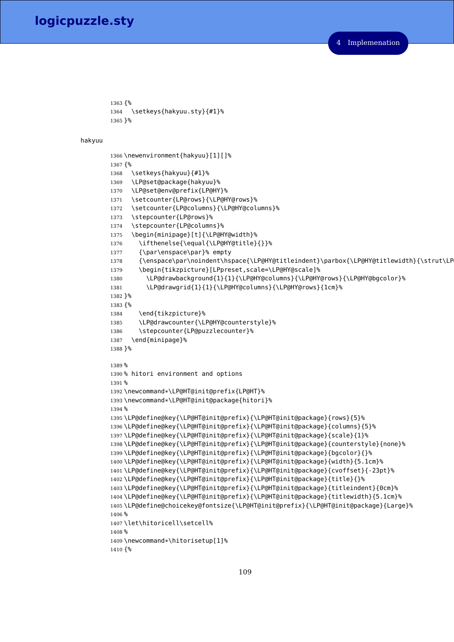```
1363 {%
1364 \setkeys{hakyuu.sty}{#1}%
1365 }%
```
hakyuu

```
1366 \newenvironment{hakyuu}[1][]%
1367 {%
1368 \setkeys{hakyuu}{#1}%
1369 \LP@set@package{hakyuu}%
1370 \LP@set@env@prefix{LP@HY}%
1371 \setcounter{LP@rows}{\LP@HY@rows}%
1372 \setcounter{LP@columns}{\LP@HY@columns}%
1373 \stepcounter{LP@rows}%
1374 \stepcounter{LP@columns}%
1375 \begin{minipage}[t]{\LP@HY@width}%
1376 \ifthenelse{\equal{\LP@HY@title}{}}%
1377 {\par\enspace\par}% empty
1378 {\enspace\par\noindent\hspace{\LP@HY@titleindent}\parbox{\LP@HY@titlewidth}{\strut\LP
1379 \begin{tikzpicture}[LPpreset,scale=\LP@HY@scale]%
1380 \LP@drawbackground{1}{1}{\LP@HY@columns}{\LP@HY@rows}{\LP@HY@bgcolor}%
1381 \LP@drawgrid{1}{1}{\LP@HY@columns}{\LP@HY@rows}{1cm}%
1382 }%
1383 {%
1384 \end{tikzpicture}%
1385 \LP@drawcounter{\LP@HY@counterstyle}%
1386 \stepcounter{LP@puzzlecounter}%
1387 \end{minipage}%
1388 }%
1389 %
1390 % hitori environment and options
1391 %
1392 \newcommand*\LP@HT@init@prefix{LP@HT}%
1393 \newcommand*\LP@HT@init@package{hitori}%
1394 %
1395 \LP@define@key{\LP@HT@init@prefix}{\LP@HT@init@package}{rows}{5}%
1396 \LP@define@key{\LP@HT@init@prefix}{\LP@HT@init@package}{columns}{5}%
1397 \LP@define@key{\LP@HT@init@prefix}{\LP@HT@init@package}{scale}{1}%
1398 \LP@define@key{\LP@HT@init@prefix}{\LP@HT@init@package}{counterstyle}{none}%
1399 \LP@define@key{\LP@HT@init@prefix}{\LP@HT@init@package}{bgcolor}{}%
1400 \LP@define@key{\LP@HT@init@prefix}{\LP@HT@init@package}{width}{5.1cm}%
1401 \LP@define@key{\LP@HT@init@prefix}{\LP@HT@init@package}{cvoffset}{-23pt}%
1402 \LP@define@key{\LP@HT@init@prefix}{\LP@HT@init@package}{title}{}%
1403 \LP@define@key{\LP@HT@init@prefix}{\LP@HT@init@package}{titleindent}{0cm}%
1404 \LP@define@key{\LP@HT@init@prefix}{\LP@HT@init@package}{titlewidth}{5.1cm}%
1405 \LP@define@choicekey@fontsize{\LP@HT@init@prefix}{\LP@HT@init@package}{Large}%
1406 %
1407 \let\hitoricell\setcell%
1408 %
1409 \newcommand*\hitorisetup[1]%
1410 {%
```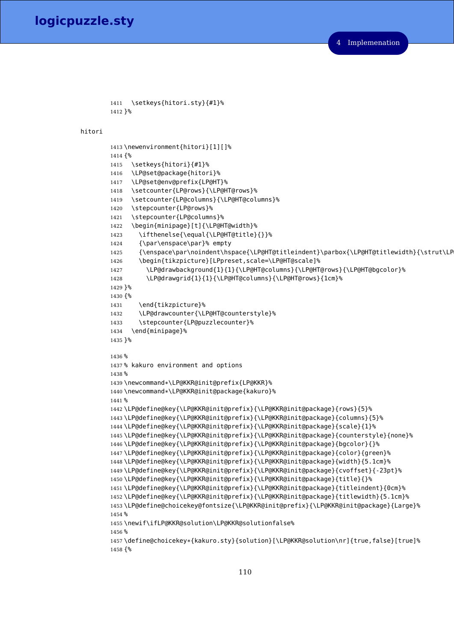```
1411 \setkeys{hitori.sty}{#1}%
1412 }%
```
hitori

```
1413 \newenvironment{hitori}[1][]%
1414 {%
1415 \setkeys{hitori}{#1}%
1416 \LP@set@package{hitori}%
1417 \LP@set@env@prefix{LP@HT}%
1418 \setcounter{LP@rows}{\LP@HT@rows}%
1419 \setcounter{LP@columns}{\LP@HT@columns}%
1420 \stepcounter{LP@rows}%
1421 \stepcounter{LP@columns}%
1422 \begin{minipage}[t]{\LP@HT@width}%
1423 \ifthenelse{\equal{\LP@HT@title}{}}%
1424 {\par\enspace\par}% empty
1425 {\enspace\par\noindent\hspace{\LP@HT@titleindent}\parbox{\LP@HT@titlewidth}{\strut\LP
1426 \begin{tikzpicture}[LPpreset,scale=\LP@HT@scale]%
1427 \LP@drawbackground{1}{1}{\LP@HT@columns}{\LP@HT@rows}{\LP@HT@bgcolor}%
1428 \LP@drawgrid{1}{1}{\LP@HT@columns}{\LP@HT@rows}{1cm}%
1429 }%
1430 {%
1431 \end{tikzpicture}%
1432 \LP@drawcounter{\LP@HT@counterstyle}%
1433 \stepcounter{LP@puzzlecounter}%
1434 \end{minipage}%
1435 }%
1436 %
1437 % kakuro environment and options
1438 %
1439 \newcommand*\LP@KKR@init@prefix{LP@KKR}%
1440 \newcommand*\LP@KKR@init@package{kakuro}%
1441 %
1442 \LP@define@key{\LP@KKR@init@prefix}{\LP@KKR@init@package}{rows}{5}%
1443 \LP@define@key{\LP@KKR@init@prefix}{\LP@KKR@init@package}{columns}{5}%
1444 \LP@define@key{\LP@KKR@init@prefix}{\LP@KKR@init@package}{scale}{1}%
1445 \LP@define@key{\LP@KKR@init@prefix}{\LP@KKR@init@package}{counterstyle}{none}%
1446 \LP@define@key{\LP@KKR@init@prefix}{\LP@KKR@init@package}{bgcolor}{}%
1447 \LP@define@key{\LP@KKR@init@prefix}{\LP@KKR@init@package}{color}{green}%
1448 \LP@define@key{\LP@KKR@init@prefix}{\LP@KKR@init@package}{width}{5.1cm}%
1449 \LP@define@key{\LP@KKR@init@prefix}{\LP@KKR@init@package}{cvoffset}{-23pt}%
1450 \LP@define@key{\LP@KKR@init@prefix}{\LP@KKR@init@package}{title}{}%
1451 \LP@define@key{\LP@KKR@init@prefix}{\LP@KKR@init@package}{titleindent}{0cm}%
1452 \LP@define@key{\LP@KKR@init@prefix}{\LP@KKR@init@package}{titlewidth}{5.1cm}%
1453 \LP@define@choicekey@fontsize{\LP@KKR@init@prefix}{\LP@KKR@init@package}{Large}%
1454 %
1455 \newif\ifLP@KKR@solution\LP@KKR@solutionfalse%
1456 %
1457 \define@choicekey*{kakuro.sty}{solution}[\LP@KKR@solution\nr]{true,false}[true]%
1458 {%
```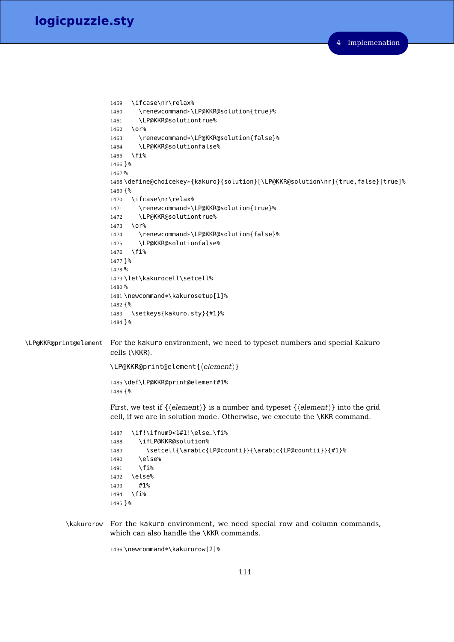```
1459 \ifcase\nr\relax%
                       1460 \renewcommand*\LP@KKR@solution{true}%
                       1461 \LP@KKR@solutiontrue%
                       1462 \or%
                       1463 \renewcommand*\LP@KKR@solution{false}%
                       1464 \LP@KKR@solutionfalse%
                       1465 \fi%
                       1466 }%
                       1467 %
                       1468 \define@choicekey*{kakuro}{solution}[\LP@KKR@solution\nr]{true,false}[true]%
                       1469 {%
                       1470 \ifcase\nr\relax%
                       1471 \renewcommand*\LP@KKR@solution{true}%
                       1472 \LP@KKR@solutiontrue%
                       1473 \sqrt{0}1474 \renewcommand*\LP@KKR@solution{false}%
                       1475 \LP@KKR@solutionfalse%
                       1476 \fi%
                       1477 }%
                       1478 %
                       1479 \let\kakurocell\setcell%
                       1480 %
                       1481 \newcommand*\kakurosetup[1]%
                       1482 {%
                       1483 \setkeys{kakuro.sty}{#1}%
                       1484 }%
\LP@KKR@print@element For the kakuro environment, we need to typeset numbers and special Kakuro
                       cells (\KKR).
                       \LP@KKR@print@element{\{delement\}}
                       1485 \def\LP@KKR@print@element#1%
                       1486 {%
                       First, we test if \{\langle element \rangle\} is a number and typeset \{\langle element \rangle\} into the grid
                       cell, if we are in solution mode. Otherwise, we execute the \KKR command.
                       1487 \if!\ifnum9<1#1!\else_\fi%
                       1488 \ifLP@KKR@solution%
                       1489 \setcell{\arabic{LP@counti}}{\arabic{LP@countii}}{#1}%
                       1490 \else%
                       1491 \fi<sup>\6</sup>
                       1492 \else%
                       1493 #1%
                       1494 \fi%
                       1495 }%
           \kakurorow For the kakuro environment, we need special row and column commands,
                       which can also handle the \KKR commands.
                       1496 \newcommand*\kakurorow[2]%
```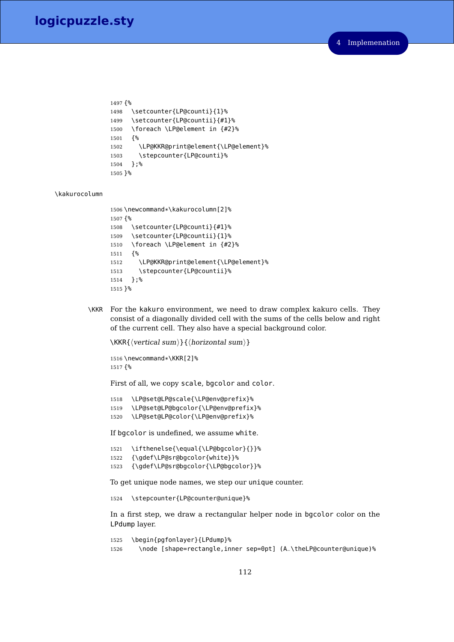```
1497 {%
1498 \setcounter{LP@counti}{1}%
1499 \setcounter{LP@countii}{#1}%
1500 \foreach \LP@element in {#2}%
1501 {%
1502 \LP@KKR@print@element{\LP@element}%
1503 \stepcounter{LP@counti}%
1504 };%
1505 }%
```
#### \kakurocolumn

```
1506 \newcommand*\kakurocolumn[2]%
1507 {%
1508 \setcounter{LP@counti}{#1}%
1509 \setcounter{LP@countii}{1}%
1510 \foreach \LP@element in {#2}%
1511 {%
1512 \LP@KKR@print@element{\LP@element}%
1513 \stepcounter{LP@countii}%
1514 };%
1515 }%
```
\KKR For the kakuro environment, we need to draw complex kakuro cells. They consist of a diagonally divided cell with the sums of the cells below and right of the current cell. They also have a special background color.

 $\KKR{\vert\;|sum\rangle}{\vert\;|normal$ 

```
1516 \newcommand*\KKR[2]%
1517 {%
```
First of all, we copy scale, bgcolor and color.

```
1518 \LP@set@LP@scale{\LP@env@prefix}%
1519 \LP@set@LP@bgcolor{\LP@env@prefix}%
1520 \LP@set@LP@color{\LP@env@prefix}%
```
If bgcolor is undefined, we assume white.

```
1521 \ifthenelse{\equal{\LP@bgcolor}{}}%
1522 {\gdef\LP@sr@bgcolor{white}}%
1523 {\gdef\LP@sr@bgcolor{\LP@bgcolor}}%
```
To get unique node names, we step our unique counter.

\stepcounter{LP@counter@unique}%

In a first step, we draw a rectangular helper node in bgcolor color on the LPdump layer.

```
1525 \begin{pgfonlayer}{LPdump}%
1526 \node [shape=rectangle,inner sep=0pt] (A_\theLP@counter@unique)%
```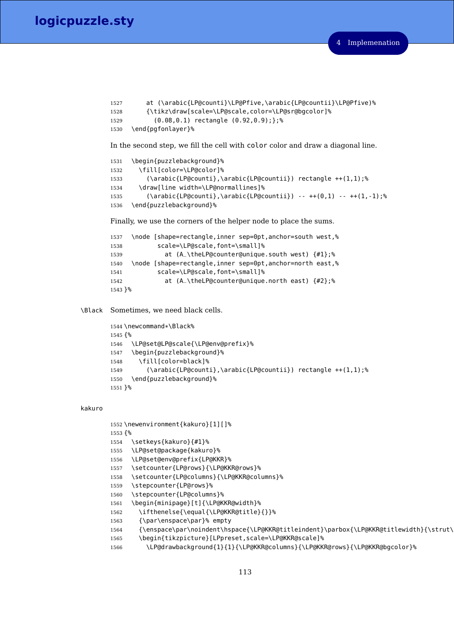```
1527 at (\arabic{LP@counti}\LP@Pfive,\arabic{LP@countii}\LP@Pfive)%
1528 {\tikz\draw[scale=\LP@scale,color=\LP@sr@bgcolor]%
1529 (0.08,0.1) rectangle (0.92,0.9);};%
1530 \end{pgfonlayer}%
```
In the second step, we fill the cell with color color and draw a diagonal line.

```
1531 \begin{puzzlebackground}%
1532 \fill[color=\LP@color]%
1533 (\arabic{LP@counti},\arabic{LP@countii}) rectangle ++(1,1);%
1534 \draw[line width=\LP@normallines]%
1535 (\arabic{LP@counti},\arabic{LP@countii}) -- +(0,1) -- +(1,-1);1536 \end{puzzlebackground}%
```
Finally, we use the corners of the helper node to place the sums.

```
1537 \node [shape=rectangle,inner sep=0pt,anchor=south west,%
1538 scale=\LP@scale,font=\small]%
1539 at (A_\theLP@counter@unique.south west) {#1};%
1540 \node [shape=rectangle,inner sep=0pt,anchor=north east,%
1541 scale=\LP@scale,font=\small]%
1542 at (A_\theLP@counter@unique.north east) {#2};%
1543 }%
```
\Black Sometimes, we need black cells.

```
1544 \newcommand*\Black%
1545 {%
1546 \LP@set@LP@scale{\LP@env@prefix}%
1547 \begin{puzzlebackground}%
1548 \fill[color=black]%
1549 (\arabic{LP@counti},\arabic{LP@countii}) rectangle ++(1,1);%
1550 \end{puzzlebackground}%
1551 }%
```
#### kakuro

```
1552 \newenvironment{kakuro}[1][]%
1553 {%
1554 \setkeys{kakuro}{#1}%
1555 \LP@set@package{kakuro}%
1556 \LP@set@env@prefix{LP@KKR}%
1557 \setcounter{LP@rows}{\LP@KKR@rows}%
1558 \setcounter{LP@columns}{\LP@KKR@columns}%
1559 \stepcounter{LP@rows}%
1560 \stepcounter{LP@columns}%
1561 \begin{minipage}[t]{\LP@KKR@width}%
1562 \ifthenelse{\equal{\LP@KKR@title}{}}%
1563 {\par\enspace\par}% empty
1564 {\enspace\par\noindent\hspace{\LP@KKR@titleindent}\parbox{\LP@KKR@titlewidth}{\strut\
1565 \begin{tikzpicture}[LPpreset,scale=\LP@KKR@scale]%
1566 \LP@drawbackground{1}{1}{\LP@KKR@columns}{\LP@KKR@rows}{\LP@KKR@bgcolor}%
```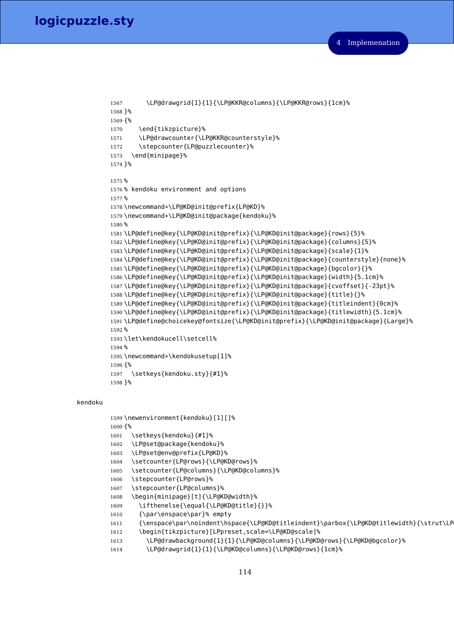```
1567 \LP@drawgrid{1}{1}{\LP@KKR@columns}{\LP@KKR@rows}{1cm}%
1568 }%
1569 {%
1570 \end{tikzpicture}%
1571 \LP@drawcounter{\LP@KKR@counterstyle}%
1572 \stepcounter{LP@puzzlecounter}%
1573 \end{minipage}%
1574 }%
1575 %
1576 % kendoku environment and options
1577 %
1578 \newcommand*\LP@KD@init@prefix{LP@KD}%
1579 \newcommand*\LP@KD@init@package{kendoku}%
1580 %
1581 \LP@define@key{\LP@KD@init@prefix}{\LP@KD@init@package}{rows}{5}%
1582 \LP@define@key{\LP@KD@init@prefix}{\LP@KD@init@package}{columns}{5}%
1583 \LP@define@key{\LP@KD@init@prefix}{\LP@KD@init@package}{scale}{1}%
1584 \LP@define@key{\LP@KD@init@prefix}{\LP@KD@init@package}{counterstyle}{none}%
1585 \LP@define@key{\LP@KD@init@prefix}{\LP@KD@init@package}{bgcolor}{}%
1586 \LP@define@key{\LP@KD@init@prefix}{\LP@KD@init@package}{width}{5.1cm}%
1587 \LP@define@key{\LP@KD@init@prefix}{\LP@KD@init@package}{cvoffset}{-23pt}%
1588 \LP@define@key{\LP@KD@init@prefix}{\LP@KD@init@package}{title}{}%
1589 \LP@define@key{\LP@KD@init@prefix}{\LP@KD@init@package}{titleindent}{0cm}%
1590 \LP@define@key{\LP@KD@init@prefix}{\LP@KD@init@package}{titlewidth}{5.1cm}%
1591 \LP@define@choicekey@fontsize{\LP@KD@init@prefix}{\LP@KD@init@package}{Large}%
1592 %
1593 \let\kendokucell\setcell%
1594 %
1595 \newcommand*\kendokusetup[1]%
1596 {%
1597 \setkeys{kendoku.sty}{#1}%
1598 }%
```
### kendoku

```
1599 \newenvironment{kendoku}[1][]%
1600 {%
1601 \setkeys{kendoku}{#1}%
1602 \LP@set@package{kendoku}%
1603 \LP@set@env@prefix{LP@KD}%
1604 \setcounter{LP@rows}{\LP@KD@rows}%
1605 \setcounter{LP@columns}{\LP@KD@columns}%
1606 \stepcounter{LP@rows}%
1607 \stepcounter{LP@columns}%
1608 \begin{minipage}[t]{\LP@KD@width}%
1609 \ifthenelse{\equal{\LP@KD@title}{}}%
1610 {\par\enspace\par}% empty
1611 {\enspace\par\noindent\hspace{\LP@KD@titleindent}\parbox{\LP@KD@titlewidth}{\strut\LP
1612 \begin{tikzpicture}[LPpreset,scale=\LP@KD@scale]%
1613 \LP@drawbackground{1}{1}{\LP@KD@columns}{\LP@KD@rows}{\LP@KD@bgcolor}%
1614 \LP@drawgrid{1}{1}{\LP@KD@columns}{\LP@KD@rows}{1cm}%
```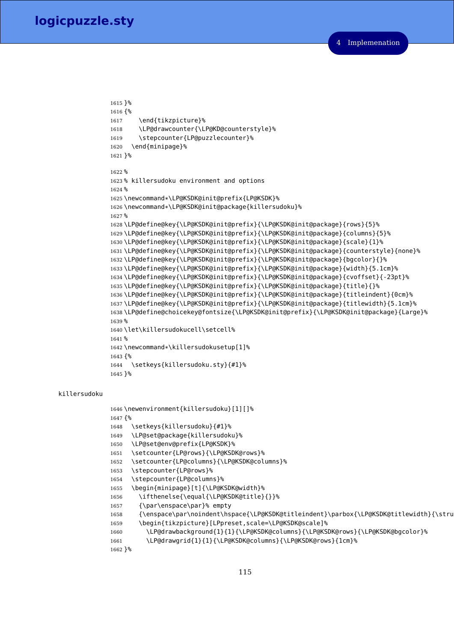```
1615 }%
1616 {%
1617 \end{tikzpicture}%
1618 \LP@drawcounter{\LP@KD@counterstyle}%
1619 \stepcounter{LP@puzzlecounter}%
1620 \end{minipage}%
1621 }%
1622 %
1623 % killersudoku environment and options
1624 %
1625 \newcommand*\LP@KSDK@init@prefix{LP@KSDK}%
1626 \newcommand*\LP@KSDK@init@package{killersudoku}%
1627 %
1628 \LP@define@key{\LP@KSDK@init@prefix}{\LP@KSDK@init@package}{rows}{5}%
1629 \LP@define@key{\LP@KSDK@init@prefix}{\LP@KSDK@init@package}{columns}{5}%
1630 \LP@define@key{\LP@KSDK@init@prefix}{\LP@KSDK@init@package}{scale}{1}%
1631 \LP@define@key{\LP@KSDK@init@prefix}{\LP@KSDK@init@package}{counterstyle}{none}%
1632 \LP@define@key{\LP@KSDK@init@prefix}{\LP@KSDK@init@package}{bgcolor}{}%
1633 \LP@define@key{\LP@KSDK@init@prefix}{\LP@KSDK@init@package}{width}{5.1cm}%
1634 \LP@define@key{\LP@KSDK@init@prefix}{\LP@KSDK@init@package}{cvoffset}{-23pt}%
1635 \LP@define@key{\LP@KSDK@init@prefix}{\LP@KSDK@init@package}{title}{}%
1636 \LP@define@key{\LP@KSDK@init@prefix}{\LP@KSDK@init@package}{titleindent}{0cm}%
1637 \LP@define@key{\LP@KSDK@init@prefix}{\LP@KSDK@init@package}{titlewidth}{5.1cm}%
1638 \LP@define@choicekey@fontsize{\LP@KSDK@init@prefix}{\LP@KSDK@init@package}{Large}%
1639 %
1640 \let\killersudokucell\setcell%
1641 %
1642 \newcommand*\killersudokusetup[1]%
1643 {%
1644 \setkeys{killersudoku.sty}{#1}%
1645 }%
```
## killersudoku

```
1646 \newenvironment{killersudoku}[1][]%
1647 {%
1648 \setkeys{killersudoku}{#1}%
1649 \LP@set@package{killersudoku}%
1650 \LP@set@env@prefix{LP@KSDK}%
1651 \setcounter{LP@rows}{\LP@KSDK@rows}%
1652 \setcounter{LP@columns}{\LP@KSDK@columns}%
1653 \stepcounter{LP@rows}%
1654 \stepcounter{LP@columns}%
1655 \begin{minipage}[t]{\LP@KSDK@width}%
1656 \ifthenelse{\equal{\LP@KSDK@title}{}}%
1657 {\par\enspace\par}% empty
1658 {\enspace\par\noindent\hspace{\LP@KSDK@titleindent}\parbox{\LP@KSDK@titlewidth}{\stru
1659 \begin{tikzpicture}[LPpreset,scale=\LP@KSDK@scale]%
1660 \LP@drawbackground{1}{1}{\LP@KSDK@columns}{\LP@KSDK@rows}{\LP@KSDK@bgcolor}%
1661 \LP@drawgrid{1}{1}{\LP@KSDK@columns}{\LP@KSDK@rows}{1cm}%
1662 }%
```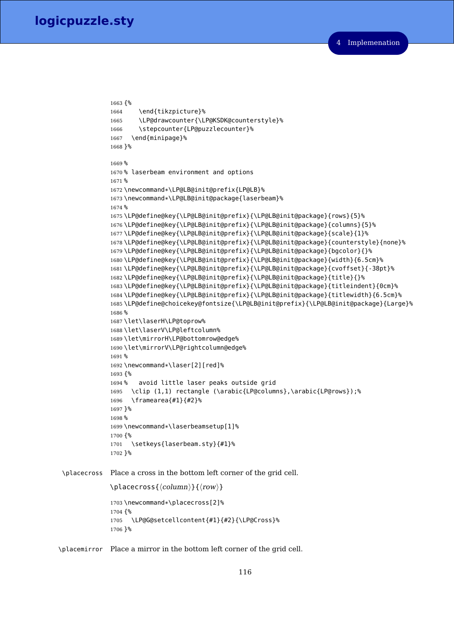```
1663 {%
             1664 \end{tikzpicture}%
             1665 \LP@drawcounter{\LP@KSDK@counterstyle}%
             1666 \stepcounter{LP@puzzlecounter}%
             1667 \end{minipage}%
             1668 }%
             1669 %
             1670 % laserbeam environment and options
             1671 %
             1672 \newcommand*\LP@LB@init@prefix{LP@LB}%
             1673 \newcommand*\LP@LB@init@package{laserbeam}%
             1674 %
             1675 \LP@define@key{\LP@LB@init@prefix}{\LP@LB@init@package}{rows}{5}%
             1676 \LP@define@key{\LP@LB@init@prefix}{\LP@LB@init@package}{columns}{5}%
             1677 \LP@define@key{\LP@LB@init@prefix}{\LP@LB@init@package}{scale}{1}%
             1678 \LP@define@key{\LP@LB@init@prefix}{\LP@LB@init@package}{counterstyle}{none}%
             1679 \LP@define@key{\LP@LB@init@prefix}{\LP@LB@init@package}{bgcolor}{}%
             1680 \LP@define@key{\LP@LB@init@prefix}{\LP@LB@init@package}{width}{6.5cm}%
             1681 \LP@define@key{\LP@LB@init@prefix}{\LP@LB@init@package}{cvoffset}{-38pt}%
             1682 \LP@define@key{\LP@LB@init@prefix}{\LP@LB@init@package}{title}{}%
             1683 \LP@define@key{\LP@LB@init@prefix}{\LP@LB@init@package}{titleindent}{0cm}%
             1684 \LP@define@key{\LP@LB@init@prefix}{\LP@LB@init@package}{titlewidth}{6.5cm}%
             1685 \LP@define@choicekey@fontsize{\LP@LB@init@prefix}{\LP@LB@init@package}{Large}%
             1686 %
             1687 \let\laserH\LP@toprow%
             1688 \let\laserV\LP@leftcolumn%
             1689 \let\mirrorH\LP@bottomrow@edge%
             1690 \let\mirrorV\LP@rightcolumn@edge%
             1691 %
             1692 \newcommand*\laser[2][red]%
             1693 {%
             1694 % avoid little laser peaks outside grid
             1695 \clip (1,1) rectangle (\arabic{LP@columns},\arabic{LP@rows});%
             1696 \framearea{#1}{#2}%
             1697 }%
             1698 %
             1699 \newcommand*\laserbeamsetup[1]%
             1700 {%
             1701 \setkeys{laserbeam.sty}{#1}%
             1702 }%
\placecross Place a cross in the bottom left corner of the grid cell.
             \langleplacecross{\langle column \rangle}{\langle row \rangle}
             1703 \newcommand*\placecross[2]%
             1704 {%
             1705 \LP@G@setcellcontent{#1}{#2}{\LP@Cross}%
             1706 }%
```
\placemirror Place a mirror in the bottom left corner of the grid cell.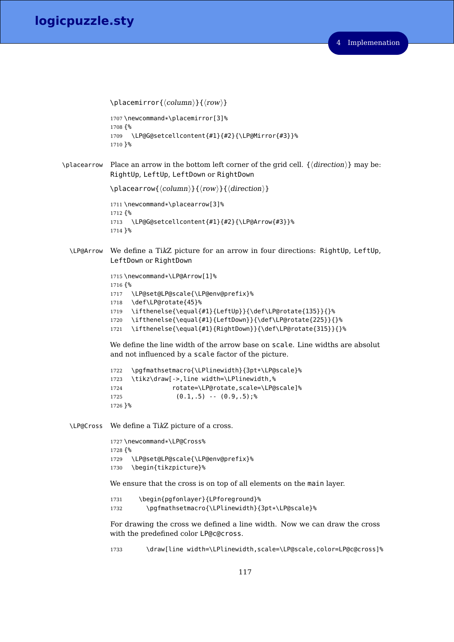```
\label{cor} \verb|\ph{column}\f{row}\1707 \newcommand*\placemirror[3]%
             1708 {%
             1709 \LP@G@setcellcontent{#1}{#2}{\LP@Mirror{#3}}%
             1710 }%
\placearrow Place an arrow in the bottom left corner of the grid cell. \{\langle direction \rangle\} may be:
             RightUp, LeftUp, LeftDown or RightDown
             \langleplacearrow{\langle column \rangle}{\langle row \rangle}{\langle direction \rangle}
             1711 \newcommand*\placearrow[3]%
             1712 {%
             1713 \LP@G@setcellcontent{#1}{#2}{\LP@Arrow{#3}}%
             1714 }%
  \LP@Arrow We define a TikZ picture for an arrow in four directions: RightUp, LeftUp,
             LeftDown or RightDown
             1715 \newcommand*\LP@Arrow[1]%
             1716 {%
             1717 \LP@set@LP@scale{\LP@env@prefix}%
             1718 \def\LP@rotate{45}%
             1719 \ifthenelse{\equal{#1}{LeftUp}}{\def\LP@rotate{135}}{}%
             1720 \ifthenelse{\equal{#1}{LeftDown}}{\def\LP@rotate{225}}{}%
             1721 \ifthenelse{\equal{#1}{RightDown}}{\def\LP@rotate{315}}{}%
             We define the line width of the arrow base on scale. Line widths are absolut
             and not influenced by a scale factor of the picture.
             1722 \pgfmathsetmacro{\LPlinewidth}{3pt*\LP@scale}%
             1723 \tikz\draw[->,line width=\LPlinewidth,%
             1724 rotate=\LP@rotate,scale=\LP@scale]%
             1725 (0.1, .5) - (0.9, .5);
             1726 }%
  \LP@Cross We define a TikZ picture of a cross.
             1727 \newcommand*\LP@Cross%
             1728 {%
             1729 \LP@set@LP@scale{\LP@env@prefix}%
             1730 \begin{tikzpicture}%
             We ensure that the cross is on top of all elements on the main layer.
             1731 \begin{pgfonlayer}{LPforeground}%
             1732 \pgfmathsetmacro{\LPlinewidth}{3pt*\LP@scale}%
             For drawing the cross we defined a line width. Now we can draw the cross
             with the predefined color LP@c@cross.
```
\draw[line width=\LPlinewidth,scale=\LP@scale,color=LP@c@cross]%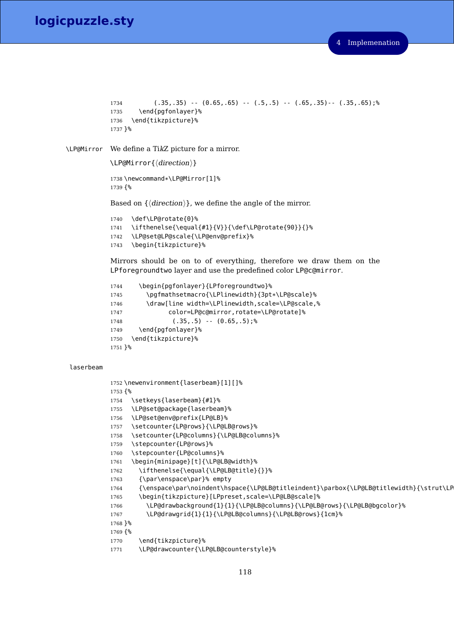# 4 Implemenation

```
logicpuzzle.sty
```

```
1734 (.35,.35) -- (0.65,.65) -- (.5,.5) -- (.65,.35)-- (.35,.65);%
            1735 \end{pgfonlayer}%
            1736 \end{tikzpicture}%
            1737 }%
\LP@Mirror We define a TikZ picture for a mirror.
            \LP@Mirror{(direction)}
            1738 \newcommand*\LP@Mirror[1]%
            1739 {%
            Based on \{\langle direction \rangle\}, we define the angle of the mirror.
            1740 \def\LP@rotate{0}%
            1741 \ifthenelse{\equal{#1}{V}}{\def\LP@rotate{90}}{}%
            1742 \LP@set@LP@scale{\LP@env@prefix}%
            1743 \begin{tikzpicture}%
            Mirrors should be on to of everything, therefore we draw them on the
            LPforegroundtwo layer and use the predefined color LP@c@mirror.
            1744 \begin{pgfonlayer}{LPforegroundtwo}%
            1745 \pgfmathsetmacro{\LPlinewidth}{3pt*\LP@scale}%
```

```
1746 \draw[line width=\LPlinewidth,scale=\LP@scale,%
1747 color=LP@c@mirror,rotate=\LP@rotate]%
1748 (.35,.5) - (0.65,.5);
1749 \end{pgfonlayer}%
1750 \end{tikzpicture}%
1751 }%
```
# laserbeam

```
1752 \newenvironment{laserbeam}[1][]%
1753 {%
1754 \setkeys{laserbeam}{#1}%
1755 \LP@set@package{laserbeam}%
1756 \LP@set@env@prefix{LP@LB}%
1757 \setcounter{LP@rows}{\LP@LB@rows}%
1758 \setcounter{LP@columns}{\LP@LB@columns}%
1759 \stepcounter{LP@rows}%
1760 \stepcounter{LP@columns}%
1761 \begin{minipage}[t]{\LP@LB@width}%
1762 \ifthenelse{\equal{\LP@LB@title}{}}%
1763 {\par\enspace\par}% empty
1764 {\enspace\par\noindent\hspace{\LP@LB@titleindent}\parbox{\LP@LB@titlewidth}{\strut\LP
1765 \begin{tikzpicture}[LPpreset,scale=\LP@LB@scale]%
1766 \LP@drawbackground{1}{1}{\LP@LB@columns}{\LP@LB@rows}{\LP@LB@bgcolor}%
1767 \LP@drawgrid{1}{1}{\LP@LB@columns}{\LP@LB@rows}{1cm}%
1768 }%
1769 {%
1770 \end{tikzpicture}%
1771 \LP@drawcounter{\LP@LB@counterstyle}%
```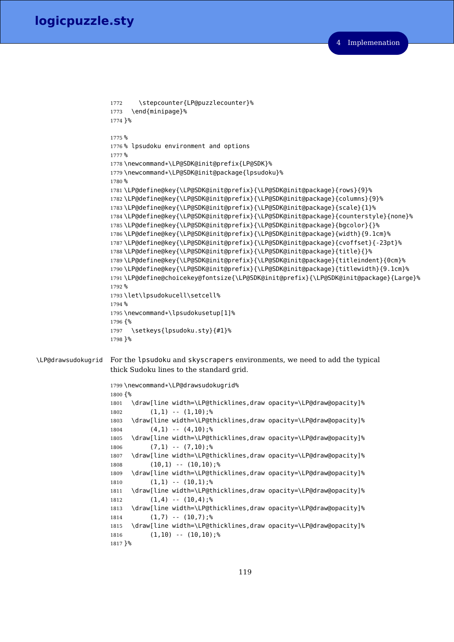```
1772 \stepcounter{LP@puzzlecounter}%
                   1773 \end{minipage}%
                   1774 }%
                   1775 %
                   1776 % lpsudoku environment and options
                   1777 %
                   1778 \newcommand*\LP@SDK@init@prefix{LP@SDK}%
                   1779 \newcommand*\LP@SDK@init@package{lpsudoku}%
                   1780 %
                    1781 \LP@define@key{\LP@SDK@init@prefix}{\LP@SDK@init@package}{rows}{9}%
                    1782 \LP@define@key{\LP@SDK@init@prefix}{\LP@SDK@init@package}{columns}{9}%
                    1783 \LP@define@key{\LP@SDK@init@prefix}{\LP@SDK@init@package}{scale}{1}%
                    1784 \LP@define@key{\LP@SDK@init@prefix}{\LP@SDK@init@package}{counterstyle}{none}%
                    1785 \LP@define@key{\LP@SDK@init@prefix}{\LP@SDK@init@package}{bgcolor}{}%
                    1786 \LP@define@key{\LP@SDK@init@prefix}{\LP@SDK@init@package}{width}{9.1cm}%
                    1787 \LP@define@key{\LP@SDK@init@prefix}{\LP@SDK@init@package}{cvoffset}{-23pt}%
                    1788 \LP@define@key{\LP@SDK@init@prefix}{\LP@SDK@init@package}{title}{}%
                    1789 \LP@define@key{\LP@SDK@init@prefix}{\LP@SDK@init@package}{titleindent}{0cm}%
                    1790 \LP@define@key{\LP@SDK@init@prefix}{\LP@SDK@init@package}{titlewidth}{9.1cm}%
                    1791 \LP@define@choicekey@fontsize{\LP@SDK@init@prefix}{\LP@SDK@init@package}{Large}%
                   1792 %
                   1793 \let\lpsudokucell\setcell%
                   1794 %
                   1795 \newcommand*\lpsudokusetup[1]%
                   1796 {%
                   1797 \setkeys{lpsudoku.sty}{#1}%
                   1798 }%
\LP@drawsudokugrid For the lpsudoku and skyscrapers environments, we need to add the typical
                    thick Sudoku lines to the standard grid.
                   1799 \newcommand*\LP@drawsudokugrid%
                   1800 {%
                   1801 \draw[line width=\LP@thicklines,draw opacity=\LP@draw@opacity]%
                   1802 (1,1) -- (1,10);%
                   1803 \draw[line width=\LP@thicklines,draw opacity=\LP@draw@opacity]%
                    1804 (4,1) -- (4,10);%
                    1805 \draw[line width=\LP@thicklines,draw opacity=\LP@draw@opacity]%
                    1806 (7,1) -- (7,10);%
                   1807 \draw[line width=\LP@thicklines,draw opacity=\LP@draw@opacity]%
                   1808 (10,1) -- (10,10);%
                   1809 \draw[line width=\LP@thicklines,draw opacity=\LP@draw@opacity]%
                   1810 (1,1) -- (10,1);%
                   1811 \draw[line width=\LP@thicklines,draw opacity=\LP@draw@opacity]%
                   1812 (1,4) -- (10,4);%
                   1813 \draw[line width=\LP@thicklines,draw opacity=\LP@draw@opacity]%
                   1814 (1,7) -- (10,7); %
                    1815 \draw[line width=\LP@thicklines,draw opacity=\LP@draw@opacity]%
                    1816 (1,10) -- (10,10);%
                    1817 }%
```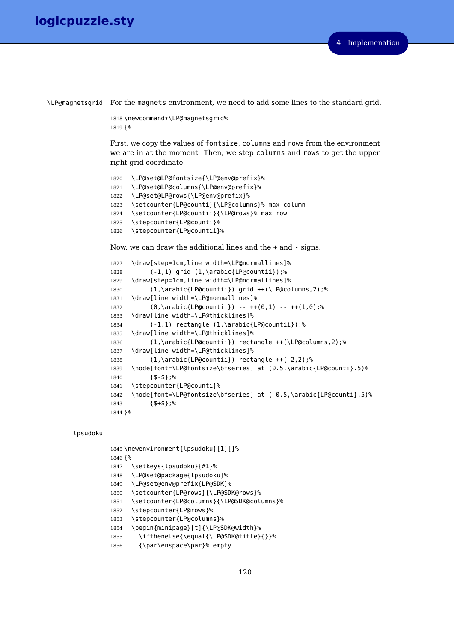\LP@magnetsgrid For the magnets environment, we need to add some lines to the standard grid.

```
1818 \newcommand*\LP@magnetsgrid%
1819 {%
```
First, we copy the values of fontsize, columns and rows from the environment we are in at the moment. Then, we step columns and rows to get the upper right grid coordinate.

```
1820 \LP@set@LP@fontsize{\LP@env@prefix}%
1821 \LP@set@LP@columns{\LP@env@prefix}%
1822 \LP@set@LP@rows{\LP@env@prefix}%
1823 \setcounter{LP@counti}{\LP@columns}% max column
1824 \setcounter{LP@countii}{\LP@rows}% max row
1825 \stepcounter{LP@counti}%
1826 \stepcounter{LP@countii}%
```
Now, we can draw the additional lines and the + and - signs.

```
1827 \draw[step=1cm,line width=\LP@normallines]%
1828 (-1,1) grid (1,\arabic{LP@countii});%
1829 \draw[step=1cm,line width=\LP@normallines]%
1830 (1,\arabic{LP@countii}) grid ++(\LP@columns,2);%
1831 \draw[line width=\LP@normallines]%
1832 (0,\arabic{LP@countii}) -- ++(0,1) -- ++(1,0);%
1833 \draw[line width=\LP@thicklines]%
1834 (-1,1) rectangle (1,\arabic{LP@countii});%
1835 \draw[line width=\LP@thicklines]%
1836 (1,\arabic{LP@countii}) rectangle ++(\LP@columns,2);%
1837 \draw[line width=\LP@thicklines]%
1838 (1,\arabic{LP@countii}) rectangle ++(-2,2);%
1839 \node[font=\LP@fontsize\bfseries] at (0.5,\arabic{LP@counti}.5)%
1840 {$-$};%
1841 \stepcounter{LP@counti}%
1842 \node[font=\LP@fontsize\bfseries] at (-0.5,\arabic{LP@counti}.5)%
1843 {$+$};%
1844 }%
```
# lpsudoku

```
1845 \newenvironment{lpsudoku}[1][]%
1846 {%
1847 \setkeys{lpsudoku}{#1}%
1848 \LP@set@package{lpsudoku}%
1849 \LP@set@env@prefix{LP@SDK}%
1850 \setcounter{LP@rows}{\LP@SDK@rows}%
1851 \setcounter{LP@columns}{\LP@SDK@columns}%
1852 \stepcounter{LP@rows}%
1853 \stepcounter{LP@columns}%
1854 \begin{minipage}[t]{\LP@SDK@width}%
1855 \ifthenelse{\equal{\LP@SDK@title}{}}%
1856 {\par\enspace\par}% empty
```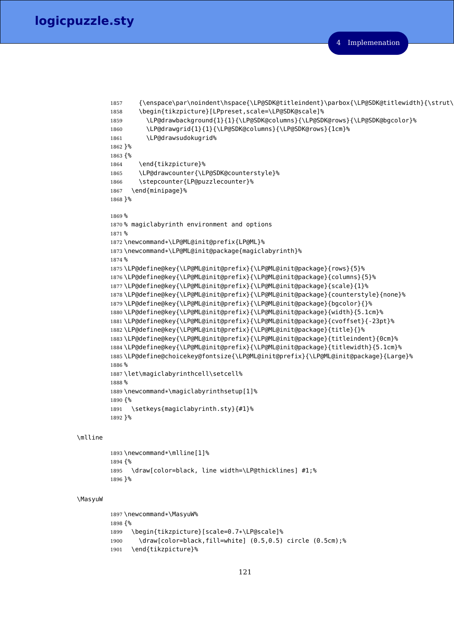```
1857 {\enspace\par\noindent\hspace{\LP@SDK@titleindent}\parbox{\LP@SDK@titlewidth}{\strut\
1858 \begin{tikzpicture}[LPpreset,scale=\LP@SDK@scale]%
1859 \LP@drawbackground{1}{1}{\LP@SDK@columns}{\LP@SDK@rows}{\LP@SDK@bgcolor}%
1860 \LP@drawgrid{1}{1}{\LP@SDK@columns}{\LP@SDK@rows}{1cm}%
1861 \LP@drawsudokugrid%
1862 }%
1863 {%
1864 \end{tikzpicture}%
1865 \LP@drawcounter{\LP@SDK@counterstyle}%
1866 \stepcounter{LP@puzzlecounter}%
1867 \end{minipage}%
1868 }%
1869 %
1870 % magiclabyrinth environment and options
1871 %
1872 \newcommand*\LP@ML@init@prefix{LP@ML}%
1873 \newcommand*\LP@ML@init@package{magiclabyrinth}%
1874 %
1875 \LP@define@key{\LP@ML@init@prefix}{\LP@ML@init@package}{rows}{5}%
1876 \LP@define@key{\LP@ML@init@prefix}{\LP@ML@init@package}{columns}{5}%
1877 \LP@define@key{\LP@ML@init@prefix}{\LP@ML@init@package}{scale}{1}%
1878 \LP@define@key{\LP@ML@init@prefix}{\LP@ML@init@package}{counterstyle}{none}%
1879 \LP@define@key{\LP@ML@init@prefix}{\LP@ML@init@package}{bgcolor}{}%
1880 \LP@define@key{\LP@ML@init@prefix}{\LP@ML@init@package}{width}{5.1cm}%
1881 \LP@define@key{\LP@ML@init@prefix}{\LP@ML@init@package}{cvoffset}{-23pt}%
1882 \LP@define@key{\LP@ML@init@prefix}{\LP@ML@init@package}{title}{}%
1883 \LP@define@key{\LP@ML@init@prefix}{\LP@ML@init@package}{titleindent}{0cm}%
1884 \LP@define@key{\LP@ML@init@prefix}{\LP@ML@init@package}{titlewidth}{5.1cm}%
1885 \LP@define@choicekey@fontsize{\LP@ML@init@prefix}{\LP@ML@init@package}{Large}%
1886 %
1887 \let\magiclabyrinthcell\setcell%
1888 %
1889\newcommand*\magiclabyrinthsetup[1]%
1890 {%
1891 \setkeys{magiclabyrinth.sty}{#1}%
1892 }%
```
# \mlline

```
1893 \newcommand*\mlline[1]%
1894 {%
1895 \draw[color=black, line width=\LP@thicklines] #1;%
1896 }%
```
# \MasyuW

```
1897 \newcommand*\MasyuW%
1898 {%
1899 \begin{tikzpicture}[scale=0.7*\LP@scale]%
1900 \draw[color=black,fill=white] (0.5,0.5) circle (0.5cm);%
1901 \end{tikzpicture}%
```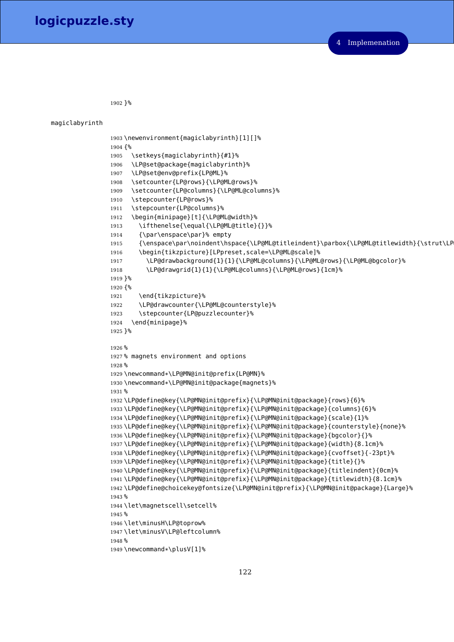}%

Implemenation

```
magiclabyrinth
                1903 \newenvironment{magiclabyrinth}[1][]%
                1904 {%
                1905 \setkeys{magiclabyrinth}{#1}%
                1906 \LP@set@package{magiclabyrinth}%
                1907 \LP@set@env@prefix{LP@ML}%
                1908 \setcounter{LP@rows}{\LP@ML@rows}%
                1909 \setcounter{LP@columns}{\LP@ML@columns}%
                1910 \stepcounter{LP@rows}%
                1911 \stepcounter{LP@columns}%
                1912 \begin{minipage}[t]{\LP@ML@width}%
                1913 \ifthenelse{\equal{\LP@ML@title}{}}%
                1914 {\par\enspace\par}% empty
                1915 {\enspace\par\noindent\hspace{\LP@ML@titleindent}\parbox{\LP@ML@titlewidth}{\strut\LP
                1916 \begin{tikzpicture}[LPpreset,scale=\LP@ML@scale]%
                1917 \LP@drawbackground{1}{1}{\LP@ML@columns}{\LP@ML@rows}{\LP@ML@bgcolor}%
                1918 \LP@drawgrid{1}{1}{\LP@ML@columns}{\LP@ML@rows}{1cm}%
                1919 }%
                1920 {%
                1921 \end{tikzpicture}%
                1922 \LP@drawcounter{\LP@ML@counterstyle}%
                1923 \stepcounter{LP@puzzlecounter}%
                1924 \end{minipage}%
                1925 }%
                1926 %
                1927 % magnets environment and options
                1928 %
                1929 \newcommand*\LP@MN@init@prefix{LP@MN}%
                1930 \newcommand*\LP@MN@init@package{magnets}%
                1931 %
                1932 \LP@define@key{\LP@MN@init@prefix}{\LP@MN@init@package}{rows}{6}%
                1933 \LP@define@key{\LP@MN@init@prefix}{\LP@MN@init@package}{columns}{6}%
                1934 \LP@define@key{\LP@MN@init@prefix}{\LP@MN@init@package}{scale}{1}%
                1935 \LP@define@key{\LP@MN@init@prefix}{\LP@MN@init@package}{counterstyle}{none}%
                1936 \LP@define@key{\LP@MN@init@prefix}{\LP@MN@init@package}{bgcolor}{}%
                1937 \LP@define@key{\LP@MN@init@prefix}{\LP@MN@init@package}{width}{8.1cm}%
                1938 \LP@define@key{\LP@MN@init@prefix}{\LP@MN@init@package}{cvoffset}{-23pt}%
                1939 \LP@define@key{\LP@MN@init@prefix}{\LP@MN@init@package}{title}{}%
                1940 \LP@define@key{\LP@MN@init@prefix}{\LP@MN@init@package}{titleindent}{0cm}%
                1941 \LP@define@key{\LP@MN@init@prefix}{\LP@MN@init@package}{titlewidth}{8.1cm}%
                1942 \LP@define@choicekey@fontsize{\LP@MN@init@prefix}{\LP@MN@init@package}{Large}%
                1943 %
                1944 \let\magnetscell\setcell%
                1945 %
                1946 \let\minusH\LP@toprow%
                1947 \let\minusV\LP@leftcolumn%
                1948 %
                1949 \newcommand*\plusV[1]%
```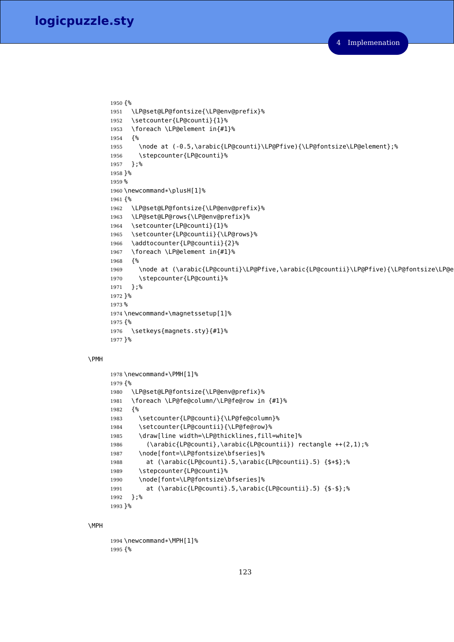```
1950 {%
1951 \LP@set@LP@fontsize{\LP@env@prefix}%
1952 \setcounter{LP@counti}{1}%
1953 \foreach \LP@element in{#1}%
1954 {%
1955 \node at (-0.5,\arabic{LP@counti}\LP@Pfive){\LP@fontsize\LP@element};%
1956 \stepcounter{LP@counti}%
1957 };%
1958 }%
1959 %
1960 \newcommand*\plusH[1]%
1961 {%
1962 \LP@set@LP@fontsize{\LP@env@prefix}%
1963 \LP@set@LP@rows{\LP@env@prefix}%
1964 \setcounter{LP@counti}{1}%
1965 \setcounter{LP@countii}{\LP@rows}%
1966 \addtocounter{LP@countii}{2}%
1967 \foreach \LP@element in{#1}%
1968 {%
1969 \node at (\arabic{LP@counti}\LP@Pfive,\arabic{LP@countii}\LP@Pfive){\LP@fontsize\LP@e
1970 \stepcounter{LP@counti}%
1971 };%
1972 }%
1973 %
1974 \newcommand*\magnetssetup[1]%
1975 {%
1976 \setkeys{magnets.sty}{#1}%
1977 }%
```
# \PMH

```
1978 \newcommand*\PMH[1]%
1979 {%
1980 \LP@set@LP@fontsize{\LP@env@prefix}%
1981 \foreach \LP@fe@column/\LP@fe@row in {#1}%
1982 {%
1983 \setcounter{LP@counti}{\LP@fe@column}%
1984 \setcounter{LP@countii}{\LP@fe@row}%
1985 \draw[line width=\LP@thicklines,fill=white]%
1986 (\arabic{LP@counti},\arabic{LP@countii}) rectangle ++(2,1);%
1987 \node[font=\LP@fontsize\bfseries]%
1988 at (\arabic{LP@counti}.5,\arabic{LP@countii}.5) {$+$};%
1989 \stepcounter{LP@counti}%
1990 \node[font=\LP@fontsize\bfseries]%
1991 at (\arabic{LP@counti}.5,\arabic{LP@countii}.5) {$-$};%
1992 };%
1993 }%
```
#### \MPH

```
1994 \newcommand*\MPH[1]%
1995 {%
```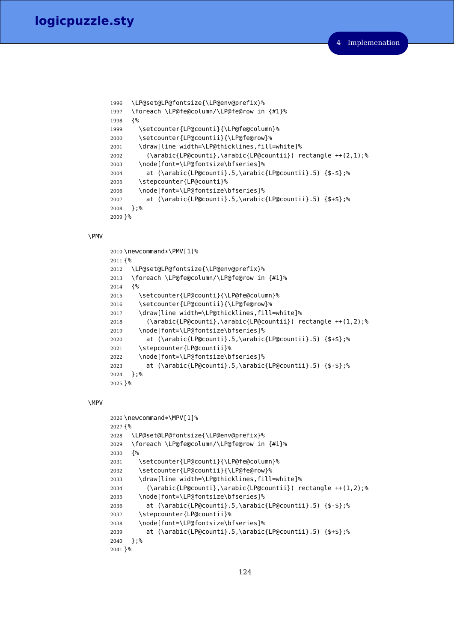```
1996 \LP@set@LP@fontsize{\LP@env@prefix}%
1997 \foreach \LP@fe@column/\LP@fe@row in {#1}%
1998 {%
1999 \setcounter{LP@counti}{\LP@fe@column}%
2000 \setcounter{LP@countii}{\LP@fe@row}%
2001 \draw[line width=\LP@thicklines,fill=white]%
2002 (\arabic{LP@counti},\arabic{LP@countii}) rectangle ++(2,1);%
2003 \node[font=\LP@fontsize\bfseries]%
2004 at (\arabic{LP@counti}.5,\arabic{LP@countii}.5) {$-$};%
2005 \stepcounter{LP@counti}%
2006 \node[font=\LP@fontsize\bfseries]%
2007 at (\arabic{LP@counti}.5,\arabic{LP@countii}.5) {$+$};%
2008 };%
2009 }%
```
#### \PMV

```
2010 \newcommand*\PMV[1]%
2011 {%
2012 \LP@set@LP@fontsize{\LP@env@prefix}%
2013 \foreach \LP@fe@column/\LP@fe@row in {#1}%
2014 {%
2015 \setcounter{LP@counti}{\LP@fe@column}%
2016 \setcounter{LP@countii}{\LP@fe@row}%
2017 \draw[line width=\LP@thicklines,fill=white]%
2018 (\arabic{LP@counti},\arabic{LP@countii}) rectangle ++(1,2);%
2019 \node[font=\LP@fontsize\bfseries]%
2020 at (\arabic{LP@counti}.5,\arabic{LP@countii}.5) {$+$};%
2021 \stepcounter{LP@countii}%
2022 \node[font=\LP@fontsize\bfseries]%
2023 at (\arabic{LP@counti}.5,\arabic{LP@countii}.5) {$-$};%
2024 };%
2025 }%
```
## \MPV

```
2026 \newcommand*\MPV[1]%
2027 {%
2028 \LP@set@LP@fontsize{\LP@env@prefix}%
2029 \foreach \LP@fe@column/\LP@fe@row in {#1}%
2030 {%
2031 \setcounter{LP@counti}{\LP@fe@column}%
2032 \setcounter{LP@countii}{\LP@fe@row}%
2033 \draw[line width=\LP@thicklines,fill=white]%
2034 (\arabic{LP@counti},\arabic{LP@countii}) rectangle ++(1,2);%
2035 \node[font=\LP@fontsize\bfseries]%
2036 at (\arabic{LP@counti}.5,\arabic{LP@countii}.5) {$-$};%
2037 \stepcounter{LP@countii}%
2038 \node[font=\LP@fontsize\bfseries]%
2039 at (\arabic{LP@counti}.5,\arabic{LP@countii}.5) {$+$};%
2040 };%
2041 }%
```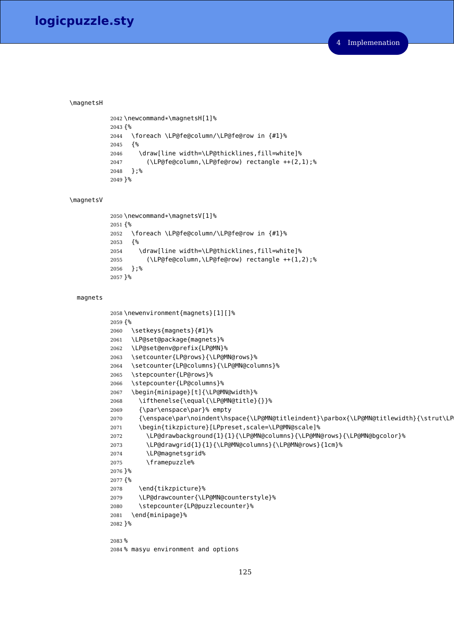## \magnetsH

```
2042 \newcommand*\magnetsH[1]%
2043 {%
2044 \foreach \LP@fe@column/\LP@fe@row in {#1}%
2045 {%
2046 \draw[line width=\LP@thicklines,fill=white]%
2047 (\LP@fe@column,\LP@fe@row) rectangle ++(2,1);%
2048 };%
2049 }%
```
#### \magnetsV

```
2050 \newcommand*\magnetsV[1]%
2051 {%
2052 \foreach \LP@fe@column/\LP@fe@row in {#1}%
2053 {%
2054 \draw[line width=\LP@thicklines,fill=white]%
2055 (\LP@fe@column,\LP@fe@row) rectangle ++(1,2);%
2056 };%
2057 }%
```
# magnets

```
2058 \newenvironment{magnets}[1][]%
2059 {%
2060 \setkeys{magnets}{#1}%
2061 \LP@set@package{magnets}%
2062 \LP@set@env@prefix{LP@MN}%
2063 \setcounter{LP@rows}{\LP@MN@rows}%
2064 \setcounter{LP@columns}{\LP@MN@columns}%
2065 \stepcounter{LP@rows}%
2066 \stepcounter{LP@columns}%
2067 \begin{minipage}[t]{\LP@MN@width}%
2068 \ifthenelse{\equal{\LP@MN@title}{}}%
2069 {\par\enspace\par}% empty
2070 {\enspace\par\noindent\hspace{\LP@MN@titleindent}\parbox{\LP@MN@titlewidth}{\strut\LP
2071 \begin{tikzpicture}[LPpreset,scale=\LP@MN@scale]%
2072 \LP@drawbackground{1}{1}{\LP@MN@columns}{\LP@MN@rows}{\LP@MN@bgcolor}%
2073 \LP@drawgrid{1}{1}{\LP@MN@columns}{\LP@MN@rows}{1cm}%
2074 \LP@magnetsgrid%
2075 \framepuzzle%
2076 }%
2077 {%
2078 \end{tikzpicture}%
2079 \LP@drawcounter{\LP@MN@counterstyle}%
2080 \stepcounter{LP@puzzlecounter}%
2081 \end{minipage}%
2082 }%
2083 %
2084 % masyu environment and options
```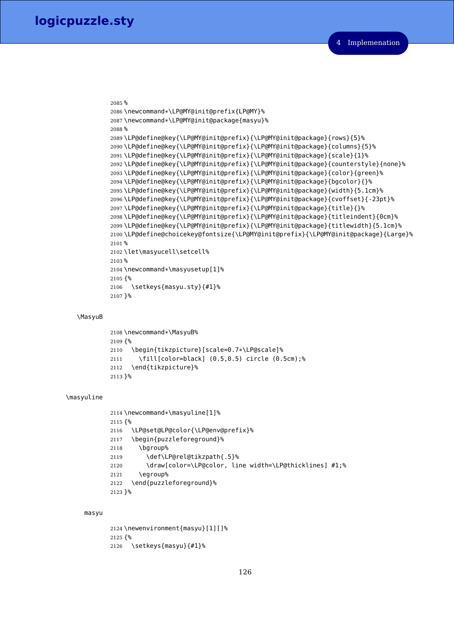```
2085 %
2086 \newcommand*\LP@MY@init@prefix{LP@MY}%
2087 \newcommand*\LP@MY@init@package{masyu}%
2088 %
2089 \LP@define@key{\LP@MY@init@prefix}{\LP@MY@init@package}{rows}{5}%
2090 \LP@define@key{\LP@MY@init@prefix}{\LP@MY@init@package}{columns}{5}%
2091 \LP@define@key{\LP@MY@init@prefix}{\LP@MY@init@package}{scale}{1}%
2092 \LP@define@key{\LP@MY@init@prefix}{\LP@MY@init@package}{counterstyle}{none}%
2093 \LP@define@key{\LP@MY@init@prefix}{\LP@MY@init@package}{color}{green}%
2094 \LP@define@key{\LP@MY@init@prefix}{\LP@MY@init@package}{bgcolor}{}%
2095 \LP@define@key{\LP@MY@init@prefix}{\LP@MY@init@package}{width}{5.1cm}%
2096 \LP@define@key{\LP@MY@init@prefix}{\LP@MY@init@package}{cvoffset}{-23pt}%
2097 \LP@define@key{\LP@MY@init@prefix}{\LP@MY@init@package}{title}{}%
2098 \LP@define@key{\LP@MY@init@prefix}{\LP@MY@init@package}{titleindent}{0cm}%
2099 \LP@define@key{\LP@MY@init@prefix}{\LP@MY@init@package}{titlewidth}{5.1cm}%
2100 \LP@define@choicekey@fontsize{\LP@MY@init@prefix}{\LP@MY@init@package}{Large}%
2101 %
2102 \let\masyucell\setcell%
2103 %
2104 \newcommand*\masyusetup[1]%
2105 {%
2106 \setkeys{masyu.sty}{#1}%
2107 }%
```
#### \MasyuB

```
2108 \newcommand*\MasyuB%
2109 {%
2110 \begin{tikzpicture}[scale=0.7*\LP@scale]%
2111 \fill[color=black] (0.5,0.5) circle (0.5cm);%
2112 \end{tikzpicture}%
2113 }%
```
## \masyuline

```
2114 \newcommand*\masyuline[1]%
2115 {%
2116 \LP@set@LP@color{\LP@env@prefix}%
2117 \begin{puzzleforeground}%
2118 \bgroup%
2119 \def\LP@rel@tikzpath{.5}%
2120 \draw[color=\LP@color, line width=\LP@thicklines] #1;%
2121 \egroup%
2122 \end{puzzleforeground}%
2123 }%
```
## masyu

```
2124 \newenvironment{masyu}[1][]%
2125 {%
2126 \setkeys{masyu}{#1}%
```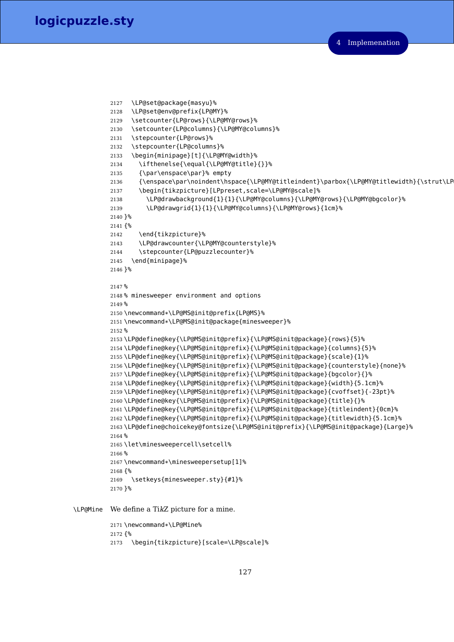```
2127 \LP@set@package{masyu}%
2128 \LP@set@env@prefix{LP@MY}%
2129 \setcounter{LP@rows}{\LP@MY@rows}%
2130 \setcounter{LP@columns}{\LP@MY@columns}%
2131 \stepcounter{LP@rows}%
2132 \stepcounter{LP@columns}%
2133 \begin{minipage}[t]{\LP@MY@width}%
2134 \ifthenelse{\equal{\LP@MY@title}{}}%
2135 {\par\enspace\par}% empty
2136 {\enspace\par\noindent\hspace{\LP@MY@titleindent}\parbox{\LP@MY@titlewidth}{\strut\LP
2137 \begin{tikzpicture}[LPpreset,scale=\LP@MY@scale]%
2138 \LP@drawbackground{1}{1}{\LP@MY@columns}{\LP@MY@rows}{\LP@MY@bgcolor}%
2139 \LP@drawgrid{1}{1}{\LP@MY@columns}{\LP@MY@rows}{1cm}%
2140 }%
2141 {%
2142 \end{tikzpicture}%
2143 \LP@drawcounter{\LP@MY@counterstyle}%
2144 \stepcounter{LP@puzzlecounter}%
2145 \end{minipage}%
2146 }%
2147 %
2148 % minesweeper environment and options
2149 %
2150 \newcommand*\LP@MS@init@prefix{LP@MS}%
2151 \newcommand*\LP@MS@init@package{minesweeper}%
2152 %
2153 \LP@define@key{\LP@MS@init@prefix}{\LP@MS@init@package}{rows}{5}%
2154 \LP@define@key{\LP@MS@init@prefix}{\LP@MS@init@package}{columns}{5}%
2155 \LP@define@key{\LP@MS@init@prefix}{\LP@MS@init@package}{scale}{1}%
2156 \LP@define@key{\LP@MS@init@prefix}{\LP@MS@init@package}{counterstyle}{none}%
2157 \LP@define@key{\LP@MS@init@prefix}{\LP@MS@init@package}{bgcolor}{}%
2158 \LP@define@key{\LP@MS@init@prefix}{\LP@MS@init@package}{width}{5.1cm}%
2159 \LP@define@key{\LP@MS@init@prefix}{\LP@MS@init@package}{cvoffset}{-23pt}%
2160 \LP@define@key{\LP@MS@init@prefix}{\LP@MS@init@package}{title}{}%
2161 \LP@define@key{\LP@MS@init@prefix}{\LP@MS@init@package}{titleindent}{0cm}%
2162 \LP@define@key{\LP@MS@init@prefix}{\LP@MS@init@package}{titlewidth}{5.1cm}%
2163 \LP@define@choicekey@fontsize{\LP@MS@init@prefix}{\LP@MS@init@package}{Large}%
2164 %
2165 \let\minesweepercell\setcell%
2166 %
2167 \newcommand*\minesweepersetup[1]%
2168 {%
2169 \setkeys{minesweeper.sty}{#1}%
2170 }%
```
\LP@Mine We define a TikZ picture for a mine.

 \newcommand\*\LP@Mine% {% \begin{tikzpicture}[scale=\LP@scale]%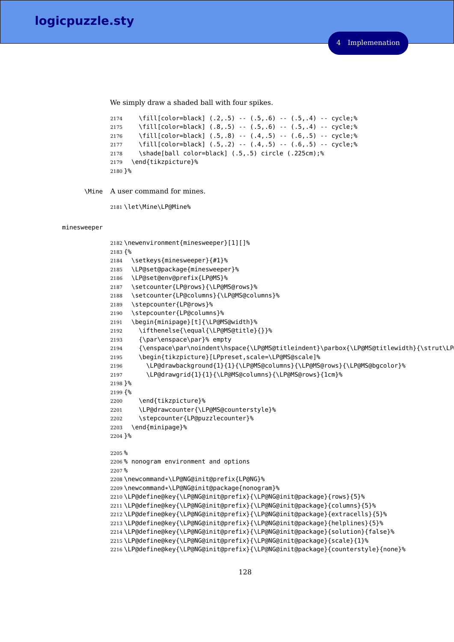We simply draw a shaded ball with four spikes.

```
2174 \fill[color=black] (.2,.5) -- (.5,.6) -- (.5,.4) -- cycle;%
2175 \fill[color=black] (.8,.5) -- (.5,.6) -- (.5,.4) -- cycle;%
2176 \fill[color=black] (.5,.8) -- (.4,.5) -- (.6,.5) -- cycle;%
2177 \fill[color=black] (.5,.2) -- (.4,.5) -- (.6,.5) -- cycle;%
2178 \shade[ball color=black] (.5,.5) circle (.225cm);%
2179 \end{tikzpicture}%
2180 }%
```
\Mine A user command for mines.

\let\Mine\LP@Mine%

minesweeper

```
2182 \newenvironment{minesweeper}[1][]%
2183 {%
2184 \setkeys{minesweeper}{#1}%
2185 \LP@set@package{minesweeper}%
2186 \LP@set@env@prefix{LP@MS}%
2187 \setcounter{LP@rows}{\LP@MS@rows}%
2188 \setcounter{LP@columns}{\LP@MS@columns}%
2189 \stepcounter{LP@rows}%
2190 \stepcounter{LP@columns}%
2191 \begin{minipage}[t]{\LP@MS@width}%
2192 \ifthenelse{\equal{\LP@MS@title}{}}%
2193 {\par\enspace\par}% empty
2194 {\enspace\par\noindent\hspace{\LP@MS@titleindent}\parbox{\LP@MS@titlewidth}{\strut\LP
2195 \begin{tikzpicture}[LPpreset,scale=\LP@MS@scale]%
2196 \LP@drawbackground{1}{1}{\LP@MS@columns}{\LP@MS@rows}{\LP@MS@bgcolor}%
2197 \LP@drawgrid{1}{1}{\LP@MS@columns}{\LP@MS@rows}{1cm}%
2198 }%
2199 {%
2200 \end{tikzpicture}%
2201 \LP@drawcounter{\LP@MS@counterstyle}%
2202 \stepcounter{LP@puzzlecounter}%
2203 \end{minipage}%
2204 }%
2205 %
2206 % nonogram environment and options
2207 %
2208 \newcommand*\LP@NG@init@prefix{LP@NG}%
2209 \newcommand*\LP@NG@init@package{nonogram}%
2210 \LP@define@key{\LP@NG@init@prefix}{\LP@NG@init@package}{rows}{5}%
2211 \LP@define@key{\LP@NG@init@prefix}{\LP@NG@init@package}{columns}{5}%
2212 \LP@define@key{\LP@NG@init@prefix}{\LP@NG@init@package}{extracells}{5}%
2213 \LP@define@key{\LP@NG@init@prefix}{\LP@NG@init@package}{helplines}{5}%
2214 \LP@define@key{\LP@NG@init@prefix}{\LP@NG@init@package}{solution}{false}%
2215 \LP@define@key{\LP@NG@init@prefix}{\LP@NG@init@package}{scale}{1}%
2216 \LP@define@key{\LP@NG@init@prefix}{\LP@NG@init@package}{counterstyle}{none}%
```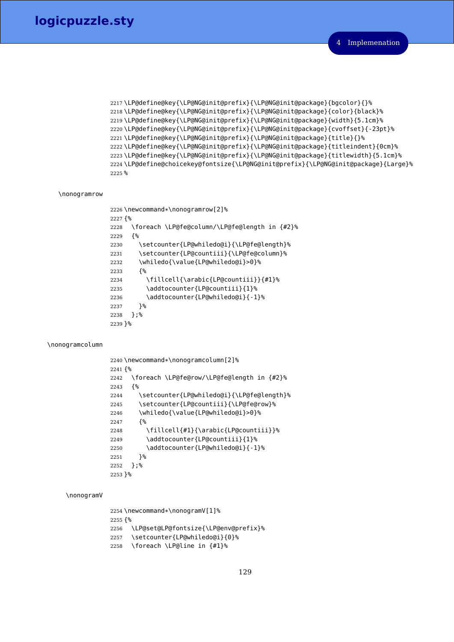```
2217 \LP@define@key{\LP@NG@init@prefix}{\LP@NG@init@package}{bgcolor}{}%
2218 \LP@define@key{\LP@NG@init@prefix}{\LP@NG@init@package}{color}{black}%
2219 \LP@define@key{\LP@NG@init@prefix}{\LP@NG@init@package}{width}{5.1cm}%
2220 \LP@define@key{\LP@NG@init@prefix}{\LP@NG@init@package}{cvoffset}{-23pt}%
2221 \LP@define@key{\LP@NG@init@prefix}{\LP@NG@init@package}{title}{}%
2222 \LP@define@key{\LP@NG@init@prefix}{\LP@NG@init@package}{titleindent}{0cm}%
2223 \LP@define@key{\LP@NG@init@prefix}{\LP@NG@init@package}{titlewidth}{5.1cm}%
2224 \LP@define@choicekey@fontsize{\LP@NG@init@prefix}{\LP@NG@init@package}{Large}%
2225 %
```
## \nonogramrow

```
2226 \newcommand*\nonogramrow[2]%
2227 {%
2228 \foreach \LP@fe@column/\LP@fe@length in {#2}%
2229 {%
2230 \setcounter{LP@whiledo@i}{\LP@fe@length}%
2231 \setcounter{LP@countiii}{\LP@fe@column}%
2232 \whiledo{\value{LP@whiledo@i}>0}%
2233 {%
2234 \fillcell{\arabic{LP@countiii}}{#1}%
2235 \addtocounter{LP@countiii}{1}%
2236 \addtocounter{LP@whiledo@i}{-1}%
2237 }%
2238 };%
2239 }%
```
## \nonogramcolumn

```
2240 \newcommand*\nonogramcolumn[2]%
2241 {%
2242 \foreach \LP@fe@row/\LP@fe@length in {#2}%
2243 {%
2244 \setcounter{LP@whiledo@i}{\LP@fe@length}%
2245 \setcounter{LP@countiii}{\LP@fe@row}%
2246 \whiledo{\value{LP@whiledo@i}>0}%
2247 {%
2248 \fillcell{#1}{\arabic{LP@countiii}}%
2249 \addtocounter{LP@countiii}{1}%
2250 \addtocounter{LP@whiledo@i}{-1}%
2251 }%
2252 };%
2253 }%
```
#### \nonogramV

```
2254 \newcommand*\nonogramV[1]%
2255 {%
2256 \LP@set@LP@fontsize{\LP@env@prefix}%
2257 \setcounter{LP@whiledo@i}{0}%
2258 \foreach \LP@line in {#1}%
```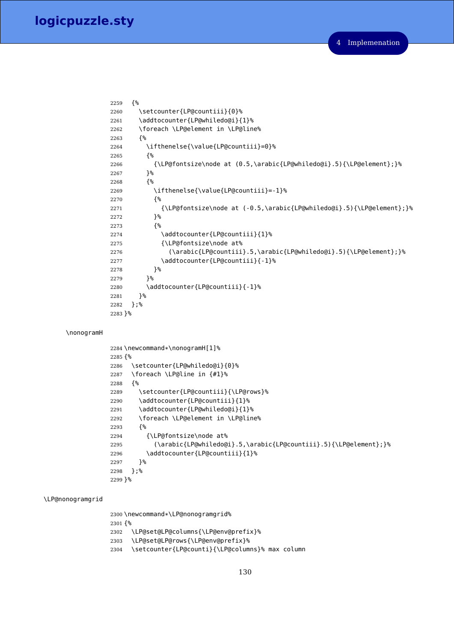```
2259 {%
2260 \setcounter{LP@countiii}{0}%
2261 \addtocounter{LP@whiledo@i}{1}%
2262 \foreach \LP@element in \LP@line%
2263 {%
2264 \ifthenelse{\value{LP@countiii}=0}%
2265 {%
2266 {\LP@fontsize\node at (0.5,\arabic{LP@whiledo@i}.5){\LP@element};}%
2267 }%
2268 {%
2269 \ifthenelse{\value{LP@countiii}=-1}%
2270 {%
2271 {\LP@fontsize\node at (-0.5,\arabic{LP@whiledo@i}.5){\LP@element};}%
2272 {}^{8}2273 {%
2274 \addtocounter{LP@countiii}{1}%
2275 {\LP@fontsize\node at%
2276 (\arabic{LP@countiii}.5,\arabic{LP@whiledo@i}.5){\LP@element};}%
2277 \addtocounter{LP@countiii}{-1}%
2278 }%
2279 }%
2280 \addtocounter{LP@countiii}{-1}%
2281 }%
2282 };%
2283 }%
```
#### \nonogramH

```
2284 \newcommand*\nonogramH[1]%
2285 {%
2286 \setcounter{LP@whiledo@i}{0}%
2287 \foreach \LP@line in {#1}%
2288 {%
2289 \setcounter{LP@countiii}{\LP@rows}%
2290 \addtocounter{LP@countiii}{1}%
2291 \addtocounter{LP@whiledo@i}{1}%
2292 \foreach \LP@element in \LP@line%
2293 {%
2294 {\LP@fontsize\node at%
2295 (\arabic{LP@whiledo@i}.5,\arabic{LP@countiii}.5){\LP@element};}%
2296 \addtocounter{LP@countiii}{1}%
2297 }%
2298 };%
2299 }%
```
## \LP@nonogramgrid

 \newcommand\*\LP@nonogramgrid% {% \LP@set@LP@columns{\LP@env@prefix}% \LP@set@LP@rows{\LP@env@prefix}% \setcounter{LP@counti}{\LP@columns}% max column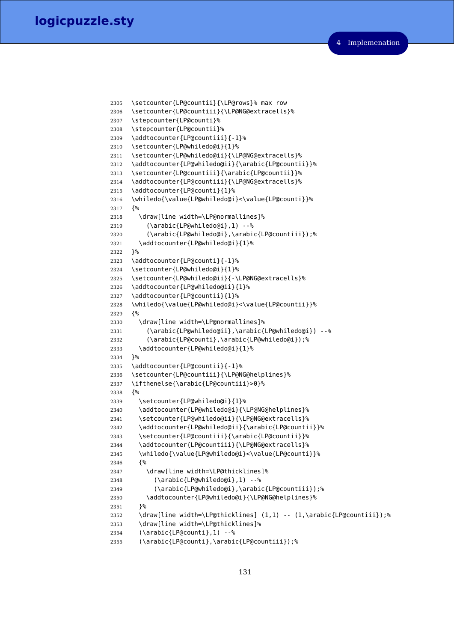```
2305 \setcounter{LP@countii}{\LP@rows}% max row
2306 \setcounter{LP@countiii}{\LP@NG@extracells}%
2307 \stepcounter{LP@counti}%
2308 \stepcounter{LP@countii}%
2309 \addtocounter{LP@countiii}{-1}%
2310 \setcounter{LP@whiledo@i}{1}%
2311 \setcounter{LP@whiledo@ii}{\LP@NG@extracells}%
2312 \addtocounter{LP@whiledo@ii}{\arabic{LP@countii}}%
2313 \setcounter{LP@countiii}{\arabic{LP@countii}}%
2314 \addtocounter{LP@countiii}{\LP@NG@extracells}%
2315 \addtocounter{LP@counti}{1}%
2316 \whiledo{\value{LP@whiledo@i}<\value{LP@counti}}%
2317 {%
2318 \draw[line width=\LP@normallines]%
2319 (\arabic{LP@whiledo@i},1) --%
2320 (\arabic{LP@whiledo@i},\arabic{LP@countiii});%
2321 \addtocounter{LP@whiledo@i}{1}%
2322 }%
2323 \addtocounter{LP@counti}{-1}%
2324 \setcounter{LP@whiledo@i}{1}%
2325 \setcounter{LP@whiledo@ii}{-\LP@NG@extracells}%
2326 \addtocounter{LP@whiledo@ii}{1}%
2327 \addtocounter{LP@countii}{1}%
2328 \whiledo{\value{LP@whiledo@i}<\value{LP@countii}}%
2329 {%
2330 \draw[line width=\LP@normallines]%
2331 (\arabic{LP@whiledo@ii},\arabic{LP@whiledo@i}) --%
2332 (\arabic{LP@counti},\arabic{LP@whiledo@i});%
2333 \addtocounter{LP@whiledo@i}{1}%
2334 }%
2335 \addtocounter{LP@countii}{-1}%
2336 \setcounter{LP@countiii}{\LP@NG@helplines}%
2337 \ifthenelse{\arabic{LP@countiii}>0}%
2338 {%
2339 \setcounter{LP@whiledo@i}{1}%
2340 \addtocounter{LP@whiledo@i}{\LP@NG@helplines}%
2341 \setcounter{LP@whiledo@ii}{\LP@NG@extracells}%
2342 \addtocounter{LP@whiledo@ii}{\arabic{LP@countii}}%
2343 \setcounter{LP@countiii}{\arabic{LP@countii}}%
2344 \addtocounter{LP@countiii}{\LP@NG@extracells}%
2345 \whiledo{\value{LP@whiledo@i}<\value{LP@counti}}%
2346 {%
2347 \draw[line width=\LP@thicklines]%
2348 (\arabic{LP@whiledo@i},1) --%
2349 (\arabic{LP@whiledo@i},\arabic{LP@countiii});%
2350 \addtocounter{LP@whiledo@i}{\LP@NG@helplines}%
2351 }%
2352 \draw[line width=\LP@thicklines] (1,1) -- (1,\arabic{LP@countiii});%
2353 \draw[line width=\LP@thicklines]%
2354 (\arabic{LP@counti},1) --%
2355 (\arabic{LP@counti},\arabic{LP@countiii});%
```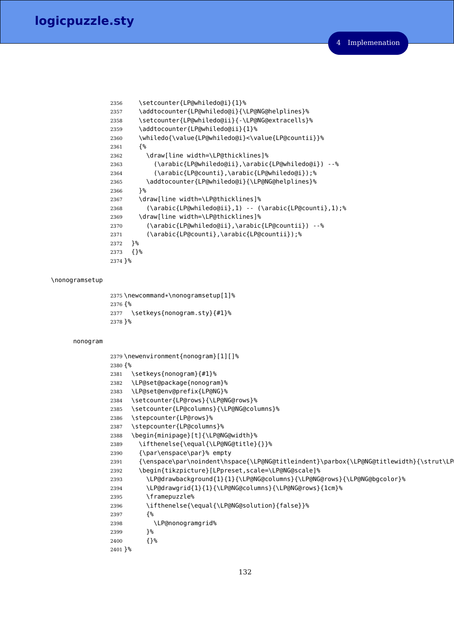```
2356 \setcounter{LP@whiledo@i}{1}%
2357 \addtocounter{LP@whiledo@i}{\LP@NG@helplines}%
2358 \setcounter{LP@whiledo@ii}{-\LP@NG@extracells}%
2359 \addtocounter{LP@whiledo@ii}{1}%
2360 \whiledo{\value{LP@whiledo@i}<\value{LP@countii}}%
2361 {%
2362 \draw[line width=\LP@thicklines]%
2363 (\arabic{LP@whiledo@ii},\arabic{LP@whiledo@i}) --%
2364 (\arabic{LP@counti},\arabic{LP@whiledo@i});%
2365 \addtocounter{LP@whiledo@i}{\LP@NG@helplines}%
2366 }%
2367 \draw[line width=\LP@thicklines]%
2368 (\arabic{LP@whiledo@ii},1) -- (\arabic{LP@counti},1);%
2369 \draw[line width=\LP@thicklines]%
2370 (\arabic{LP@whiledo@ii},\arabic{LP@countii}) --%
2371 (\arabic{LP@counti},\arabic{LP@countii});%
2372 }%
2373 {}%
2374 }%
```
## \nonogramsetup

```
2375 \newcommand*\nonogramsetup[1]%
2376 {%
2377 \setkeys{nonogram.sty}{#1}%
2378 }%
```
#### nonogram

```
2379 \newenvironment{nonogram}[1][]%
2380 {%
2381 \setkeys{nonogram}{#1}%
2382 \LP@set@package{nonogram}%
2383 \LP@set@env@prefix{LP@NG}%
2384 \setcounter{LP@rows}{\LP@NG@rows}%
2385 \setcounter{LP@columns}{\LP@NG@columns}%
2386 \stepcounter{LP@rows}%
2387 \stepcounter{LP@columns}%
2388 \begin{minipage}[t]{\LP@NG@width}%
2389 \ifthenelse{\equal{\LP@NG@title}{}}%
2390 {\par\enspace\par}% empty
2391 {\enspace\par\noindent\hspace{\LP@NG@titleindent}\parbox{\LP@NG@titlewidth}{\strut\LP
2392 \begin{tikzpicture}[LPpreset,scale=\LP@NG@scale]%
2393 \LP@drawbackground{1}{1}{\LP@NG@columns}{\LP@NG@rows}{\LP@NG@bgcolor}%
2394 \LP@drawgrid{1}{1}{\LP@NG@columns}{\LP@NG@rows}{1cm}%
2395 \framepuzzle%
2396 \ifthenelse{\equal{\LP@NG@solution}{false}}%
2397 {%
2398 \LP@nonogramgrid%
2399 }%
2400 {}%
2401 }%
```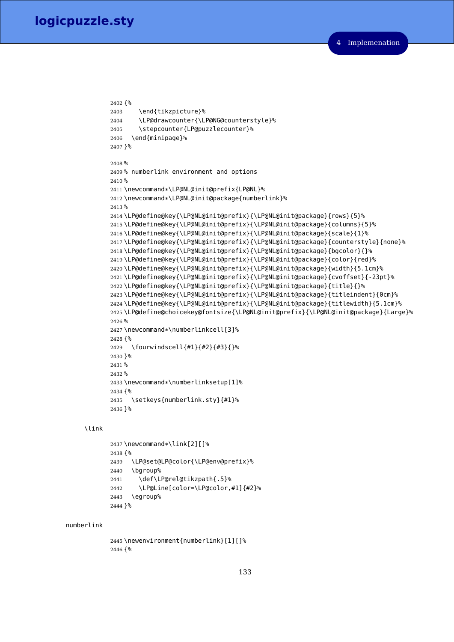```
2402 {%
2403 \end{tikzpicture}%
2404 \LP@drawcounter{\LP@NG@counterstyle}%
2405 \stepcounter{LP@puzzlecounter}%
2406 \end{minipage}%
2407 }%
2408 %
2409 % numberlink environment and options
2410 %
2411 \newcommand*\LP@NL@init@prefix{LP@NL}%
2412 \newcommand*\LP@NL@init@package{numberlink}%
2413 %
2414 \LP@define@key{\LP@NL@init@prefix}{\LP@NL@init@package}{rows}{5}%
2415 \LP@define@key{\LP@NL@init@prefix}{\LP@NL@init@package}{columns}{5}%
2416 \LP@define@key{\LP@NL@init@prefix}{\LP@NL@init@package}{scale}{1}%
2417 \LP@define@key{\LP@NL@init@prefix}{\LP@NL@init@package}{counterstyle}{none}%
2418 \LP@define@key{\LP@NL@init@prefix}{\LP@NL@init@package}{bgcolor}{}%
2419 \LP@define@key{\LP@NL@init@prefix}{\LP@NL@init@package}{color}{red}%
2420 \LP@define@key{\LP@NL@init@prefix}{\LP@NL@init@package}{width}{5.1cm}%
2421 \LP@define@key{\LP@NL@init@prefix}{\LP@NL@init@package}{cvoffset}{-23pt}%
2422 \LP@define@key{\LP@NL@init@prefix}{\LP@NL@init@package}{title}{}%
2423 \LP@define@key{\LP@NL@init@prefix}{\LP@NL@init@package}{titleindent}{0cm}%
2424 \LP@define@key{\LP@NL@init@prefix}{\LP@NL@init@package}{titlewidth}{5.1cm}%
2425 \LP@define@choicekey@fontsize{\LP@NL@init@prefix}{\LP@NL@init@package}{Large}%
2426 %
2427 \newcommand*\numberlinkcell[3]%
2428 {%
2429 \fourwindscell{#1}{#2}{#3}{}%
2430 \frac{1}{6}2431 %
2432 %
2433 \newcommand*\numberlinksetup[1]%
2434 {%
2435 \setkeys{numberlink.sty}{#1}%
2436 }%
```
# \link

```
2437 \newcommand*\link[2][]%
2438 {%
2439 \LP@set@LP@color{\LP@env@prefix}%
2440 \bgroup%
2441 \def\LP@rel@tikzpath{.5}%
2442 \LP@Line[color=\LP@color,#1]{#2}%
2443 \egroup%
2444 }%
```
#### numberlink

 \newenvironment{numberlink}[1][]% {%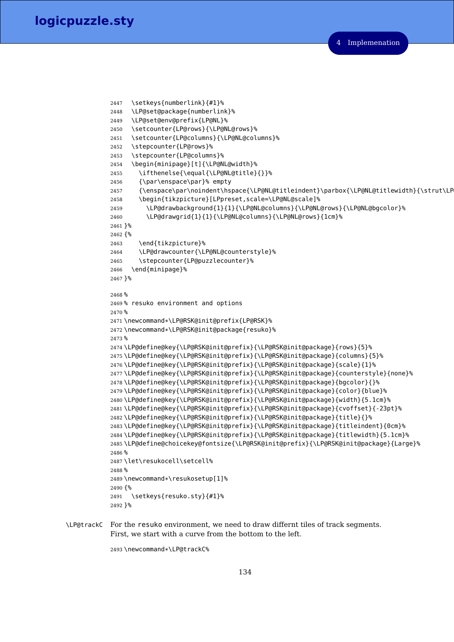```
2447 \setkeys{numberlink}{#1}%
2448 \LP@set@package{numberlink}%
2449 \LP@set@env@prefix{LP@NL}%
2450 \setcounter{LP@rows}{\LP@NL@rows}%
2451 \setcounter{LP@columns}{\LP@NL@columns}%
2452 \stepcounter{LP@rows}%
2453 \stepcounter{LP@columns}%
2454 \begin{minipage}[t]{\LP@NL@width}%
2455 \ifthenelse{\equal{\LP@NL@title}{}}%
2456 {\par\enspace\par}% empty
2457 {\enspace\par\noindent\hspace{\LP@NL@titleindent}\parbox{\LP@NL@titlewidth}{\strut\LP
2458 \begin{tikzpicture}[LPpreset,scale=\LP@NL@scale]%
2459 \LP@drawbackground{1}{1}{\LP@NL@columns}{\LP@NL@rows}{\LP@NL@bgcolor}%
2460 \LP@drawgrid{1}{1}{\LP@NL@columns}{\LP@NL@rows}{1cm}%
2461 }%
2462 {%
2463 \end{tikzpicture}%
2464 \LP@drawcounter{\LP@NL@counterstyle}%
2465 \stepcounter{LP@puzzlecounter}%
2466 \end{minipage}%
2467 }%
2468 %
2469 % resuko environment and options
2470 %
2471 \newcommand*\LP@RSK@init@prefix{LP@RSK}%
2472 \newcommand*\LP@RSK@init@package{resuko}%
2473 %
2474 \LP@define@key{\LP@RSK@init@prefix}{\LP@RSK@init@package}{rows}{5}%
2475 \LP@define@key{\LP@RSK@init@prefix}{\LP@RSK@init@package}{columns}{5}%
2476 \LP@define@key{\LP@RSK@init@prefix}{\LP@RSK@init@package}{scale}{1}%
2477 \LP@define@key{\LP@RSK@init@prefix}{\LP@RSK@init@package}{counterstyle}{none}%
2478 \LP@define@key{\LP@RSK@init@prefix}{\LP@RSK@init@package}{bgcolor}{}%
2479 \LP@define@key{\LP@RSK@init@prefix}{\LP@RSK@init@package}{color}{blue}%
2480 \LP@define@key{\LP@RSK@init@prefix}{\LP@RSK@init@package}{width}{5.1cm}%
2481 \LP@define@key{\LP@RSK@init@prefix}{\LP@RSK@init@package}{cvoffset}{-23pt}%
2482 \LP@define@key{\LP@RSK@init@prefix}{\LP@RSK@init@package}{title}{}%
2483 \LP@define@key{\LP@RSK@init@prefix}{\LP@RSK@init@package}{titleindent}{0cm}%
2484 \LP@define@key{\LP@RSK@init@prefix}{\LP@RSK@init@package}{titlewidth}{5.1cm}%
2485 \LP@define@choicekey@fontsize{\LP@RSK@init@prefix}{\LP@RSK@init@package}{Large}%
2486 %
2487 \let\resukocell\setcell%
2488 %
2489 \newcommand*\resukosetup[1]%
2490 {%
2491 \setkeys{resuko.sty}{#1}%
2492 }%
```
\LP@trackC For the resuko environment, we need to draw differnt tiles of track segments. First, we start with a curve from the bottom to the left.

\newcommand\*\LP@trackC%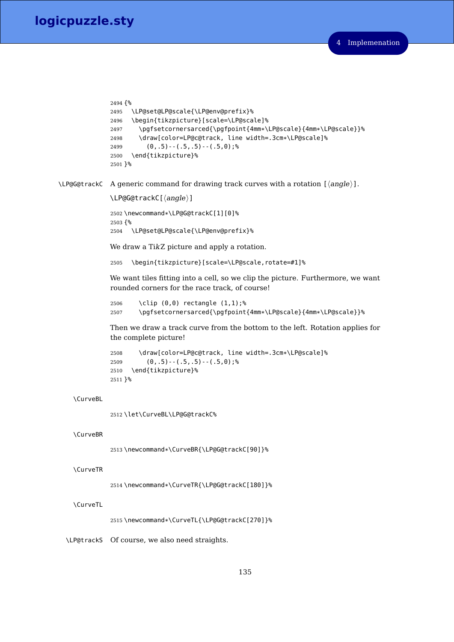```
2494 {%
2495 \LP@set@LP@scale{\LP@env@prefix}%
2496 \begin{tikzpicture}[scale=\LP@scale]%
2497 \pgfsetcornersarced{\pgfpoint{4mm*\LP@scale}{4mm*\LP@scale}}%
2498 \draw[color=LP@c@track, line width=.3cm*\LP@scale]%
2499 (0, .5) - (.5, .5) - (.5, 0);%
2500 \end{tikzpicture}%
2501 }%
```
\LP@G@trackC A generic command for drawing track curves with a rotation  $[\langle angle \rangle]$ .

```
\LPergG@trackC[\langle angle \rangle]
```
<sup>2502</sup> \newcommand\*\LP@G@trackC[1][0]% 2503 {% 2504 \LP@set@LP@scale{\LP@env@prefix}%

We draw a TikZ picture and apply a rotation.

2505 \begin{tikzpicture}[scale=\LP@scale,rotate=#1]%

We want tiles fitting into a cell, so we clip the picture. Furthermore, we want rounded corners for the race track, of course!

```
2506 \clip (0,0) rectangle (1,1);%
2507 \pgfsetcornersarced{\pgfpoint{4mm*\LP@scale}{4mm*\LP@scale}}%
```
Then we draw a track curve from the bottom to the left. Rotation applies for the complete picture!

```
2508 \draw[color=LP@c@track, line width=.3cm*\LP@scale]%
2509 (0, .5) - (0.5, .5) - (0.5, 0);%
2510 \end{tikzpicture}%
2511 }%
```
# \CurveBL

2512 \let\CurveBL\LP@G@trackC%

# \CurveBR

<sup>2513</sup> \newcommand\*\CurveBR{\LP@G@trackC[90]}%

## \CurveTR

<sup>2514</sup> \newcommand\*\CurveTR{\LP@G@trackC[180]}%

# \CurveTL

<sup>2515</sup> \newcommand\*\CurveTL{\LP@G@trackC[270]}%

\LP@trackS Of course, we also need straights.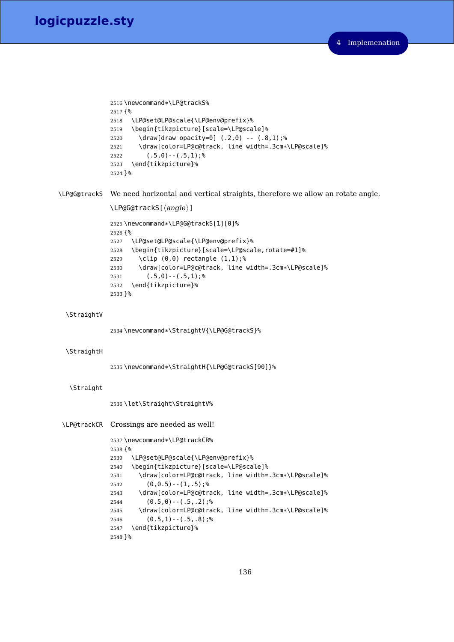```
2516 \newcommand*\LP@trackS%
2517 {%
2518 \LP@set@LP@scale{\LP@env@prefix}%
2519 \begin{tikzpicture}[scale=\LP@scale]%
2520 \draw[draw opacity=0] (.2,0) -- (.8,1);%
2521 \draw[color=LP@c@track, line width=.3cm*\LP@scale]%
2522 (.5,0) - - (.5,1); %
2523 \end{tikzpicture}%
2524 }%
```
\LP@G@trackS We need horizontal and vertical straights, therefore we allow an rotate angle.

```
\LPergG@tracks[<i>angle</i>]<
```

```
2525 \newcommand*\LP@G@trackS[1][0]%
2526 {%
2527 \LP@set@LP@scale{\LP@env@prefix}%
2528 \begin{tikzpicture}[scale=\LP@scale,rotate=#1]%
2529 \clip (0,0) rectangle (1,1);%
2530 \draw[color=LP@c@track, line width=.3cm*\LP@scale]%
2531 (.5,0) - - (.5,1); %
2532 \end{tikzpicture}%
2533 }%
```

```
\StraightV
```
\newcommand\*\StraightV{\LP@G@trackS}%

#### \StraightH

```
2535 \newcommand*\StraightH{\LP@G@trackS[90]}%
```
# \Straight

\let\Straight\StraightV%

```
\LP@trackCR Crossings are needed as well!
```

```
2537 \newcommand*\LP@trackCR%
2538 {%
2539 \LP@set@LP@scale{\LP@env@prefix}%
2540 \begin{tikzpicture}[scale=\LP@scale]%
2541 \draw[color=LP@c@track, line width=.3cm*\LP@scale]%
2542 (0,0.5) - (1, .5);%
2543 \draw[color=LP@c@track, line width=.3cm*\LP@scale]%
2544 (0.5,0) - (.5,.2); %
2545 \draw[color=LP@c@track, line width=.3cm*\LP@scale]%
2546 (0.5,1) - (.5, .8); %
2547 \end{tikzpicture}%
2548 }%
```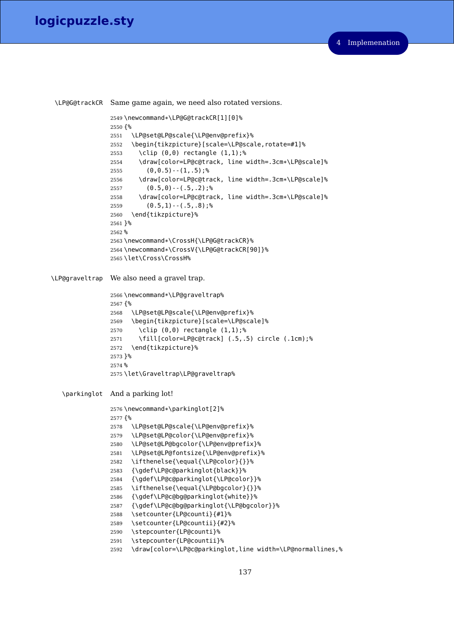\LP@G@trackCR Same game again, we need also rotated versions. \newcommand\*\LP@G@trackCR[1][0]% {% \LP@set@LP@scale{\LP@env@prefix}% \begin{tikzpicture}[scale=\LP@scale,rotate=#1]% \clip (0,0) rectangle (1,1);% \draw[color=LP@c@track, line width=.3cm\*\LP@scale]% (0,0.5) -  $(1, .5)$ ; % \draw[color=LP@c@track, line width=.3cm\*\LP@scale]%  $(0.5,0)$  -  $(.5, .2)$ ;% \draw[color=LP@c@track, line width=.3cm\*\LP@scale]% (0.5,1) -  $(.5, .8)$ ; % \end{tikzpicture}% }% % \newcommand\*\CrossH{\LP@G@trackCR}% \newcommand\*\CrossV{\LP@G@trackCR[90]}% \let\Cross\CrossH% \LP@graveltrap We also need a gravel trap. \newcommand\*\LP@graveltrap% {% \LP@set@LP@scale{\LP@env@prefix}% \begin{tikzpicture}[scale=\LP@scale]% \clip (0,0) rectangle (1,1);% \fill[color=LP@c@track] (.5,.5) circle (.1cm);% \end{tikzpicture}% }% % \let\Graveltrap\LP@graveltrap% \parkinglot And a parking lot! \newcommand\*\parkinglot[2]% {% \LP@set@LP@scale{\LP@env@prefix}% \LP@set@LP@color{\LP@env@prefix}% \LP@set@LP@bgcolor{\LP@env@prefix}% \LP@set@LP@fontsize{\LP@env@prefix}% \ifthenelse{\equal{\LP@color}{}}% {\gdef\LP@c@parkinglot{black}}% {\gdef\LP@c@parkinglot{\LP@color}}% \ifthenelse{\equal{\LP@bgcolor}{}}% {\gdef\LP@c@bg@parkinglot{white}}% {\gdef\LP@c@bg@parkinglot{\LP@bgcolor}}% \setcounter{LP@counti}{#1}% \setcounter{LP@countii}{#2}% \stepcounter{LP@counti}% \stepcounter{LP@countii}% \draw[color=\LP@c@parkinglot,line width=\LP@normallines,%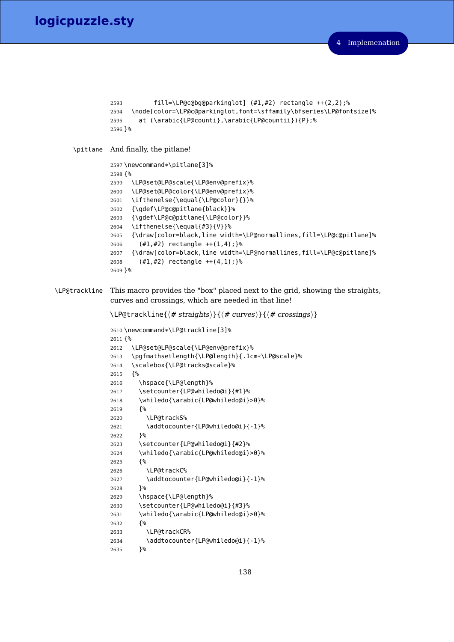```
2593 fill=\LP@c@bg@parkinglot] (#1,#2) rectangle ++(2,2);%
               2594 \node[color=\LP@c@parkinglot,font=\sffamily\bfseries\LP@fontsize]%
               2595 at (\arabic{LP@counti},\arabic{LP@countii}){P};%
               2596 }%
    \pitlane And finally, the pitlane!
               2597 \newcommand*\pitlane[3]%
               2598 {%
               2599 \LP@set@LP@scale{\LP@env@prefix}%
               2600 \LP@set@LP@color{\LP@env@prefix}%
               2601 \ifthenelse{\equal{\LP@color}{}}%
               2602 {\gdef\LP@c@pitlane{black}}%
               2603 {\gdef\LP@c@pitlane{\LP@color}}%
               2604 \ifthenelse{\equal{#3}{V}}%
               2605 {\draw[color=black,line width=\LP@normallines,fill=\LP@c@pitlane]%
               2606 (#1,#2) rectangle ++(1,4);}%
               2607 {\draw[color=black,line width=\LP@normallines,fill=\LP@c@pitlane]%
               2608 (#1,#2) rectangle ++(4,1);}%
               2609 }%
\LP@trackline This macro provides the "box" placed next to the grid, showing the straights,
               curves and crossings, which are needed in that line!
```

```
\LP@trackline{\langle# straights\rangle}{\langle# curves\rangle}{\langle# crossings\rangle}
```

```
2610 \newcommand*\LP@trackline[3]%
2611 {%
2612 \LP@set@LP@scale{\LP@env@prefix}%
2613 \pgfmathsetlength{\LP@length}{.1cm*\LP@scale}%
2614 \scalebox{\LP@tracks@scale}%
2615 {%
2616 \hspace{\LP@length}%
2617 \setcounter{LP@whiledo@i}{#1}%
2618 \whiledo{\arabic{LP@whiledo@i}>0}%
2619 {%
2620 \LP@trackS%
2621 \addtocounter{LP@whiledo@i}{-1}%
2622 }%
2623 \setcounter{LP@whiledo@i}{#2}%
2624 \whiledo{\arabic{LP@whiledo@i}>0}%
2625 {%
2626 \LP@trackC%
2627 \addtocounter{LP@whiledo@i}{-1}%
2628 }%
2629 \hspace{\LP@length}%
2630 \setcounter{LP@whiledo@i}{#3}%
2631 \whiledo{\arabic{LP@whiledo@i}>0}%
2632 {%
2633 \LP@trackCR%
2634 \addtocounter{LP@whiledo@i}{-1}%
2635 }%
```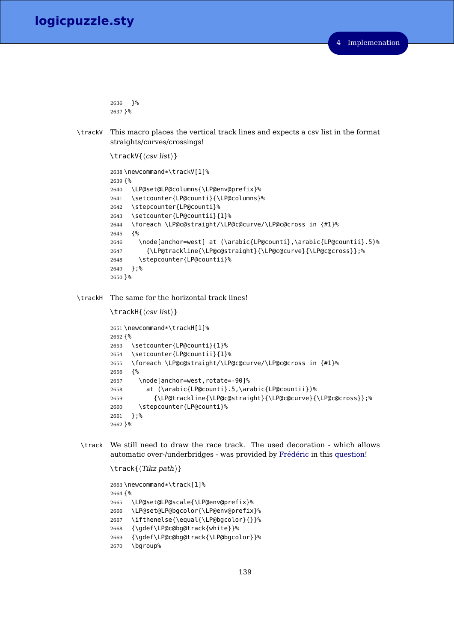```
2636 }%
2637 }%
```
\trackV This macro places the vertical track lines and expects a csv list in the format straights/curves/crossings!

```
\text{traceV}\{\langle \text{csv list}\rangle\}2638 \newcommand*\trackV[1]%
2639 {%
2640 \LP@set@LP@columns{\LP@env@prefix}%
2641 \setcounter{LP@counti}{\LP@columns}%
2642 \stepcounter{LP@counti}%
2643 \setcounter{LP@countii}{1}%
2644 \foreach \LP@c@straight/\LP@c@curve/\LP@c@cross in {#1}%
2645 {%
2646 \node[anchor=west] at (\arabic{LP@counti},\arabic{LP@countii}.5)%
2647 {\LP@trackline{\LP@c@straight}{\LP@c@curve}{\LP@c@cross}};%
2648 \stepcounter{LP@countii}%
2649 };%
2650 }%
```
\trackH The same for the horizontal track lines!

```
\text{trace}H\{\langle csv\ list\rangle\}
```

```
2651 \newcommand*\trackH[1]%
2652 {%
2653 \setcounter{LP@counti}{1}%
2654 \setcounter{LP@countii}{1}%
2655 \foreach \LP@c@straight/\LP@c@curve/\LP@c@cross in {#1}%
2656 {%
2657 \node[anchor=west,rotate=-90]%
2658 at (\arabic{LP@counti}.5,\arabic{LP@countii})%
2659 {\LP@trackline{\LP@c@straight}{\LP@c@curve}{\LP@c@cross}};%
2660 \stepcounter{LP@counti}%
2661 };%
2662 }%
```
\track We still need to draw the race track. The used decoration - which allows automatic over-/underbridges - was provided by [Frédéric](http://tex.stackexchange.com/users/3708/frederic) in this [question!](http://tex.stackexchange.com/questions/115923/crossing-paths-in-tikz-without-intersection)

```
\{\text{Tkz path}\}2663 \newcommand*\track[1]%
2664 {%
2665 \LP@set@LP@scale{\LP@env@prefix}%
2666 \LP@set@LP@bgcolor{\LP@env@prefix}%
2667 \ifthenelse{\equal{\LP@bgcolor}{}}%
2668 {\gdef\LP@c@bg@track{white}}%
2669 {\gdef\LP@c@bg@track{\LP@bgcolor}}%
2670 \bgroup%
```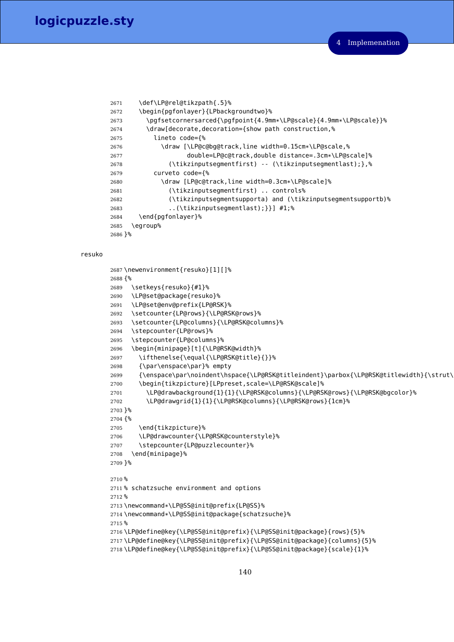```
2671 \def\LP@rel@tikzpath{.5}%
2672 \begin{pgfonlayer}{LPbackgroundtwo}%
2673 \pgfsetcornersarced{\pgfpoint{4.9mm*\LP@scale}{4.9mm*\LP@scale}}%
2674 \draw[decorate,decoration={show path construction,%
2675 lineto code={%
2676 \draw [\LP@c@bg@track,line width=0.15cm*\LP@scale,%
2677 double=LP@c@track,double distance=.3cm*\LP@scale]%
2678 (\tikzinputsegmentfirst) -- (\tikzinputsegmentlast);},%
2679 curveto code={%
2680 \draw [LP@c@track,line width=0.3cm*\LP@scale]%
2681 (\tikzinputsegmentfirst) .. controls%
2682 (\tikzinputsegmentsupporta) and (\tikzinputsegmentsupportb)%
2683 ..(\tikzinputsegmentlast);}}] #1;%
2684 \end{pgfonlayer}%
2685 \egroup%
2686 }%
```
## resuko

```
2687 \newenvironment{resuko}[1][]%
2688 {%
2689 \setkeys{resuko}{#1}%
2690 \LP@set@package{resuko}%
2691 \LP@set@env@prefix{LP@RSK}%
2692 \setcounter{LP@rows}{\LP@RSK@rows}%
2693 \setcounter{LP@columns}{\LP@RSK@columns}%
2694 \stepcounter{LP@rows}%
2695 \stepcounter{LP@columns}%
2696 \begin{minipage}[t]{\LP@RSK@width}%
2697 \ifthenelse{\equal{\LP@RSK@title}{}}%
2698 {\par\enspace\par}% empty
2699 {\enspace\par\noindent\hspace{\LP@RSK@titleindent}\parbox{\LP@RSK@titlewidth}{\strut\
2700 \begin{tikzpicture}[LPpreset,scale=\LP@RSK@scale]%
2701 \LP@drawbackground{1}{1}{\LP@RSK@columns}{\LP@RSK@rows}{\LP@RSK@bgcolor}%
2702 \LP@drawgrid{1}{1}{\LP@RSK@columns}{\LP@RSK@rows}{1cm}%
2703 }%
2704 {%
2705 \end{tikzpicture}%
2706 \LP@drawcounter{\LP@RSK@counterstyle}%
2707 \stepcounter{LP@puzzlecounter}%
2708 \end{minipage}%
2709 }%
2710 %
2711 % schatzsuche environment and options
2712 %
2713 \newcommand*\LP@SS@init@prefix{LP@SS}%
2714 \newcommand*\LP@SS@init@package{schatzsuche}%
2715 %
2716 \LP@define@key{\LP@SS@init@prefix}{\LP@SS@init@package}{rows}{5}%
2717 \LP@define@key{\LP@SS@init@prefix}{\LP@SS@init@package}{columns}{5}%
2718 \LP@define@key{\LP@SS@init@prefix}{\LP@SS@init@package}{scale}{1}%
```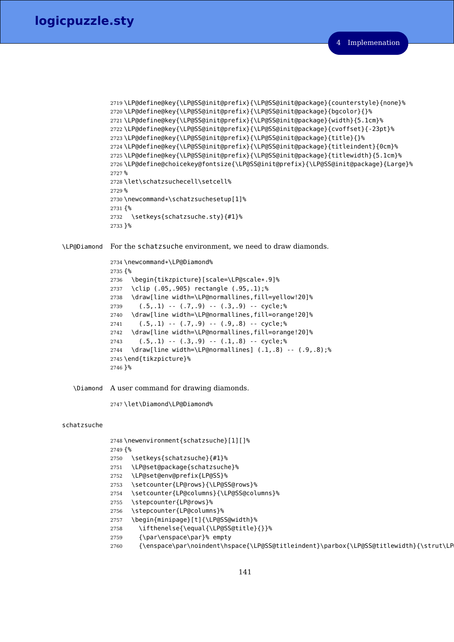```
2719 \LP@define@key{\LP@SS@init@prefix}{\LP@SS@init@package}{counterstyle}{none}%
2720 \LP@define@key{\LP@SS@init@prefix}{\LP@SS@init@package}{bgcolor}{}%
2721 \LP@define@key{\LP@SS@init@prefix}{\LP@SS@init@package}{width}{5.1cm}%
2722 \LP@define@key{\LP@SS@init@prefix}{\LP@SS@init@package}{cvoffset}{-23pt}%
2723 \LP@define@key{\LP@SS@init@prefix}{\LP@SS@init@package}{title}{}%
2724 \LP@define@key{\LP@SS@init@prefix}{\LP@SS@init@package}{titleindent}{0cm}%
2725 \LP@define@key{\LP@SS@init@prefix}{\LP@SS@init@package}{titlewidth}{5.1cm}%
2726 \LP@define@choicekey@fontsize{\LP@SS@init@prefix}{\LP@SS@init@package}{Large}%
2727 %
2728 \let\schatzsuchecell\setcell%
2729 %
2730 \newcommand*\schatzsuchesetup[1]%
2731 {%
2732 \setkeys{schatzsuche.sty}{#1}%
2733 }%
```
\LP@Diamond For the schatzsuche environment, we need to draw diamonds.

```
2734 \newcommand*\LP@Diamond%
2735 {%
2736 \begin{tikzpicture}[scale=\LP@scale*.9]%
2737 \clip (.05,.905) rectangle (.95,.1);%
2738 \draw[line width=\LP@normallines,fill=yellow!20]%
2739 (.5,.1) -. (.7,.9) -. (.3,.9) -. cycle;%
2740 \draw[line width=\LP@normallines,fill=orange!20]%
2741 (.5,.1) -- (.7,.9) -- (.9,.8) -- cycle;%
2742 \draw[line width=\LP@normallines,fill=orange!20]%
2743 (.5,.1) -- (.3,.9) -- (.1,.8) -- cycle;%
2744 \draw[line width=\LP@normallines] (.1,.8) -- (.9,.8);%
2745 \end{tikzpicture}%
2746 }%
```
\Diamond A user command for drawing diamonds.

\let\Diamond\LP@Diamond%

#### schatzsuche

```
2748 \newenvironment{schatzsuche}[1][]%
2749 {%
2750 \setkeys{schatzsuche}{#1}%
2751 \LP@set@package{schatzsuche}%
2752 \LP@set@env@prefix{LP@SS}%
2753 \setcounter{LP@rows}{\LP@SS@rows}%
2754 \setcounter{LP@columns}{\LP@SS@columns}%
2755 \stepcounter{LP@rows}%
2756 \stepcounter{LP@columns}%
2757 \begin{minipage}[t]{\LP@SS@width}%
2758 \ifthenelse{\equal{\LP@SS@title}{}}%
2759 {\par\enspace\par}% empty
2760 {\enspace\par\noindent\hspace{\LP@SS@titleindent}\parbox{\LP@SS@titlewidth}{\strut\LP
```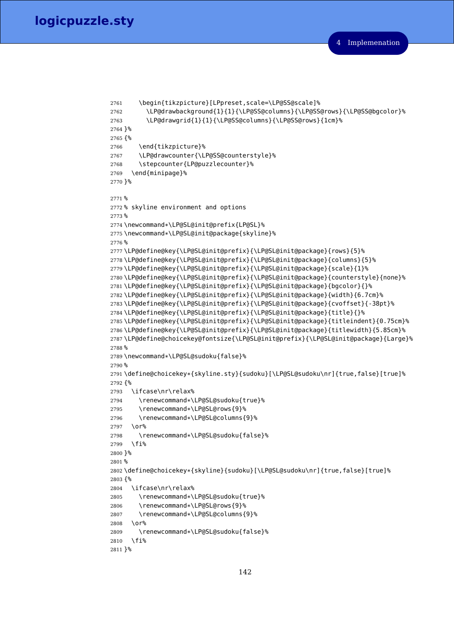```
2761 \begin{tikzpicture}[LPpreset,scale=\LP@SS@scale]%
2762 \LP@drawbackground{1}{1}{\LP@SS@columns}{\LP@SS@rows}{\LP@SS@bgcolor}%
2763 \LP@drawgrid{1}{1}{\LP@SS@columns}{\LP@SS@rows}{1cm}%
2764 }%
2765 {%
2766 \end{tikzpicture}%
2767 \LP@drawcounter{\LP@SS@counterstyle}%
2768 \stepcounter{LP@puzzlecounter}%
2769 \end{minipage}%
2770 }%
2771 %
2772 % skyline environment and options
2773 %
2774 \newcommand*\LP@SL@init@prefix{LP@SL}%
2775 \newcommand*\LP@SL@init@package{skyline}%
2776 %
2777 \LP@define@key{\LP@SL@init@prefix}{\LP@SL@init@package}{rows}{5}%
2778 \LP@define@key{\LP@SL@init@prefix}{\LP@SL@init@package}{columns}{5}%
2779 \LP@define@key{\LP@SL@init@prefix}{\LP@SL@init@package}{scale}{1}%
2780 \LP@define@key{\LP@SL@init@prefix}{\LP@SL@init@package}{counterstyle}{none}%
2781 \LP@define@key{\LP@SL@init@prefix}{\LP@SL@init@package}{bgcolor}{}%
2782 \LP@define@key{\LP@SL@init@prefix}{\LP@SL@init@package}{width}{6.7cm}%
2783 \LP@define@key{\LP@SL@init@prefix}{\LP@SL@init@package}{cvoffset}{-38pt}%
2784 \LP@define@key{\LP@SL@init@prefix}{\LP@SL@init@package}{title}{}%
2785 \LP@define@key{\LP@SL@init@prefix}{\LP@SL@init@package}{titleindent}{0.75cm}%
2786 \LP@define@key{\LP@SL@init@prefix}{\LP@SL@init@package}{titlewidth}{5.85cm}%
2787 \LP@define@choicekey@fontsize{\LP@SL@init@prefix}{\LP@SL@init@package}{Large}%
2788 %
2789 \newcommand*\LP@SL@sudoku{false}%
2790 %
2791 \define@choicekey*{skyline.sty}{sudoku}[\LP@SL@sudoku\nr]{true,false}[true]%
2792 {%
2793 \ifcase\nr\relax%
2794 \renewcommand*\LP@SL@sudoku{true}%
2795 \renewcommand*\LP@SL@rows{9}%
2796 \renewcommand*\LP@SL@columns{9}%
2797 \sqrt{0}2798 \renewcommand*\LP@SL@sudoku{false}%
2799 \fi%
2800 }%
2801 %
2802 \define@choicekey*{skyline}{sudoku}[\LP@SL@sudoku\nr]{true,false}[true]%
2803 {%
2804 \ifcase\nr\relax%
2805 \renewcommand*\LP@SL@sudoku{true}%
2806 \renewcommand*\LP@SL@rows{9}%
2807 \renewcommand*\LP@SL@columns{9}%
2808 \or%
2809 \renewcommand*\LP@SL@sudoku{false}%
2810 \fi%
2811 }%
```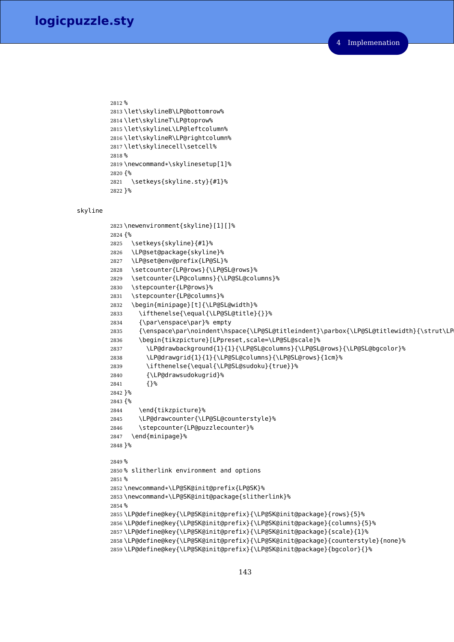```
2812 %
2813 \let\skylineB\LP@bottomrow%
2814 \let\skylineT\LP@toprow%
2815 \let\skylineL\LP@leftcolumn%
2816 \let\skylineR\LP@rightcolumn%
2817 \let\skylinecell\setcell%
2818 %
2819 \newcommand*\skylinesetup[1]%
2820 {%
2821 \setkeys{skyline.sty}{#1}%
2822 }%
```
## skyline

```
2823 \newenvironment{skyline}[1][]%
2824 {%
2825 \setkeys{skyline}{#1}%
2826 \LP@set@package{skyline}%
2827 \LP@set@env@prefix{LP@SL}%
2828 \setcounter{LP@rows}{\LP@SL@rows}%
2829 \setcounter{LP@columns}{\LP@SL@columns}%
2830 \stepcounter{LP@rows}%
2831 \stepcounter{LP@columns}%
2832 \begin{minipage}[t]{\LP@SL@width}%
2833 \ifthenelse{\equal{\LP@SL@title}{}}%
2834 {\par\enspace\par}% empty
2835 {\enspace\par\noindent\hspace{\LP@SL@titleindent}\parbox{\LP@SL@titlewidth}{\strut\LP
2836 \begin{tikzpicture}[LPpreset,scale=\LP@SL@scale]%
2837 \LP@drawbackground{1}{1}{\LP@SL@columns}{\LP@SL@rows}{\LP@SL@bgcolor}%
2838 \LP@drawgrid{1}{1}{\LP@SL@columns}{\LP@SL@rows}{1cm}%
2839 \ifthenelse{\equal{\LP@SL@sudoku}{true}}%
2840 {\LP@drawsudokugrid}%
2841 {}%
2842 }%
2843 {%
2844 \end{tikzpicture}%
2845 \LP@drawcounter{\LP@SL@counterstyle}%
2846 \stepcounter{LP@puzzlecounter}%
2847 \end{minipage}%
2848 }%
2849 %
2850 % slitherlink environment and options
2851 %
2852 \newcommand*\LP@SK@init@prefix{LP@SK}%
2853 \newcommand*\LP@SK@init@package{slitherlink}%
2854 %
2855 \LP@define@key{\LP@SK@init@prefix}{\LP@SK@init@package}{rows}{5}%
2856 \LP@define@key{\LP@SK@init@prefix}{\LP@SK@init@package}{columns}{5}%
2857 \LP@define@key{\LP@SK@init@prefix}{\LP@SK@init@package}{scale}{1}%
2858 \LP@define@key{\LP@SK@init@prefix}{\LP@SK@init@package}{counterstyle}{none}%
2859 \LP@define@key{\LP@SK@init@prefix}{\LP@SK@init@package}{bgcolor}{}%
```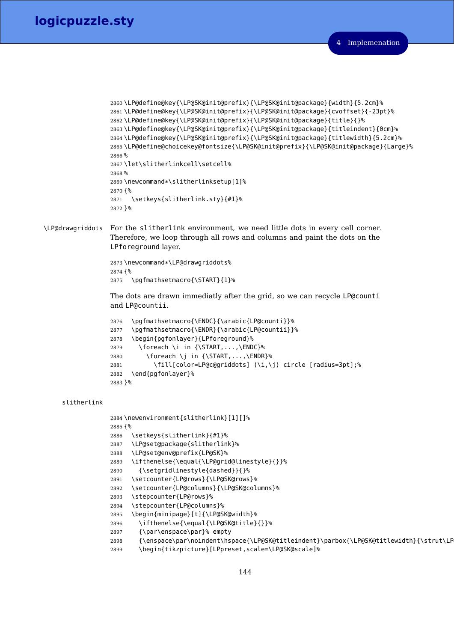```
2860 \LP@define@key{\LP@SK@init@prefix}{\LP@SK@init@package}{width}{5.2cm}%
2861 \LP@define@key{\LP@SK@init@prefix}{\LP@SK@init@package}{cvoffset}{-23pt}%
2862 \LP@define@key{\LP@SK@init@prefix}{\LP@SK@init@package}{title}{}%
2863 \LP@define@key{\LP@SK@init@prefix}{\LP@SK@init@package}{titleindent}{0cm}%
2864 \LP@define@key{\LP@SK@init@prefix}{\LP@SK@init@package}{titlewidth}{5.2cm}%
2865 \LP@define@choicekey@fontsize{\LP@SK@init@prefix}{\LP@SK@init@package}{Large}%
2866 %
2867 \let\slitherlinkcell\setcell%
2868 %
2869 \newcommand*\slitherlinksetup[1]%
2870 {%
2871 \setkeys{slitherlink.sty}{#1}%
2872 }%
```
\LP@drawgriddots For the slitherlink environment, we need little dots in every cell corner. Therefore, we loop through all rows and columns and paint the dots on the LPforeground layer.

```
2873 \newcommand*\LP@drawgriddots%
2874 {%
2875 \pgfmathsetmacro{\START}{1}%
```
The dots are drawn immediatly after the grid, so we can recycle LP@counti and LP@countii.

```
2876 \pgfmathsetmacro{\ENDC}{\arabic{LP@counti}}%
2877 \pgfmathsetmacro{\ENDR}{\arabic{LP@countii}}%
2878 \begin{pgfonlayer}{LPforeground}%
2879 \foreach \i in {\START,...,\ENDC}%
2880 \foreach \j in {\START,...,\ENDR}%
2881 \fill[color=LP@c@griddots] (\i,\j) circle [radius=3pt];%
2882 \end{pgfonlayer}%
2883 }%
```
### slitherlink

```
2884 \newenvironment{slitherlink}[1][]%
2885 {%
2886 \setkeys{slitherlink}{#1}%
2887 \LP@set@package{slitherlink}%
2888 \LP@set@env@prefix{LP@SK}%
2889 \ifthenelse{\equal{\LP@grid@linestyle}{}}%
2890 {\setgridlinestyle{dashed}}{}%
2891 \setcounter{LP@rows}{\LP@SK@rows}%
2892 \setcounter{LP@columns}{\LP@SK@columns}%
2893 \stepcounter{LP@rows}%
2894 \stepcounter{LP@columns}%
2895 \begin{minipage}[t]{\LP@SK@width}%
2896 \ifthenelse{\equal{\LP@SK@title}{}}%
2897 {\par\enspace\par}% empty
2898 {\enspace\par\noindent\hspace{\LP@SK@titleindent}\parbox{\LP@SK@titlewidth}{\strut\LP
2899 \begin{tikzpicture}[LPpreset,scale=\LP@SK@scale]%
```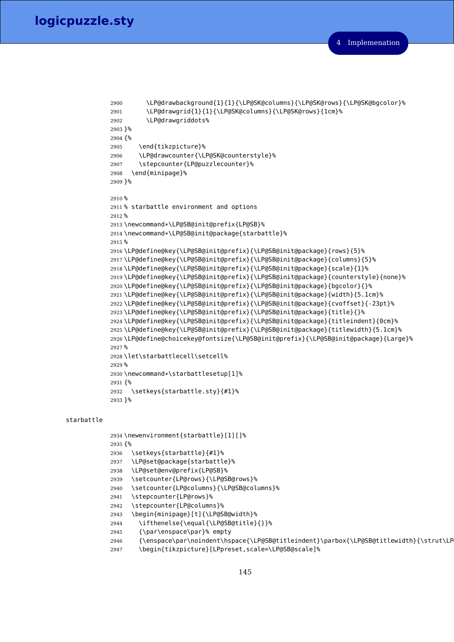```
2900 \LP@drawbackground{1}{1}{\LP@SK@columns}{\LP@SK@rows}{\LP@SK@bgcolor}%
2901 \LP@drawgrid{1}{1}{\LP@SK@columns}{\LP@SK@rows}{1cm}%
2902 \LP@drawgriddots%
2903 }%
2904 {%
2905 \end{tikzpicture}%
2906 \LP@drawcounter{\LP@SK@counterstyle}%
2907 \stepcounter{LP@puzzlecounter}%
2908 \end{minipage}%
2909 }%
2910 %
2911 % starbattle environment and options
2912 %
2913 \newcommand*\LP@SB@init@prefix{LP@SB}%
2914 \newcommand*\LP@SB@init@package{starbattle}%
2915 %
2916 \LP@define@key{\LP@SB@init@prefix}{\LP@SB@init@package}{rows}{5}%
2917 \LP@define@key{\LP@SB@init@prefix}{\LP@SB@init@package}{columns}{5}%
2918 \LP@define@key{\LP@SB@init@prefix}{\LP@SB@init@package}{scale}{1}%
2919 \LP@define@key{\LP@SB@init@prefix}{\LP@SB@init@package}{counterstyle}{none}%
2920 \LP@define@key{\LP@SB@init@prefix}{\LP@SB@init@package}{bgcolor}{}%
2921 \LP@define@key{\LP@SB@init@prefix}{\LP@SB@init@package}{width}{5.1cm}%
2922 \LP@define@key{\LP@SB@init@prefix}{\LP@SB@init@package}{cvoffset}{-23pt}%
2923 \LP@define@key{\LP@SB@init@prefix}{\LP@SB@init@package}{title}{}%
2924 \LP@define@key{\LP@SB@init@prefix}{\LP@SB@init@package}{titleindent}{0cm}%
2925 \LP@define@key{\LP@SB@init@prefix}{\LP@SB@init@package}{titlewidth}{5.1cm}%
2926 \LP@define@choicekey@fontsize{\LP@SB@init@prefix}{\LP@SB@init@package}{Large}%
2927 %
2928 \let\starbattlecell\setcell%
2929 %
2930 \newcommand*\starbattlesetup[1]%
2931 {%
2932 \setkeys{starbattle.sty}{#1}%
2933 }%
```
### <span id="page-144-26"></span><span id="page-144-11"></span><span id="page-144-10"></span><span id="page-144-9"></span><span id="page-144-8"></span><span id="page-144-7"></span><span id="page-144-6"></span><span id="page-144-5"></span><span id="page-144-4"></span><span id="page-144-1"></span>starbattle

```
2934 \newenvironment{starbattle}[1][]%
2935 {%
2936 \setkeys{starbattle}{#1}%
2937 \LP@set@package{starbattle}%
2938 \LP@set@env@prefix{LP@SB}%
2939 \setcounter{LP@rows}{\LP@SB@rows}%
2940 \setcounter{LP@columns}{\LP@SB@columns}%
2941 \stepcounter{LP@rows}%
2942 \stepcounter{LP@columns}%
2943 \begin{minipage}[t]{\LP@SB@width}%
2944 \ifthenelse{\equal{\LP@SB@title}{}}%
2945 {\par\enspace\par}% empty
2946 {\enspace\par\noindent\hspace{\LP@SB@titleindent}\parbox{\LP@SB@titlewidth}{\strut\LP
```

```
2947 \begin{tikzpicture}[LPpreset,scale=\LP@SB@scale]%
```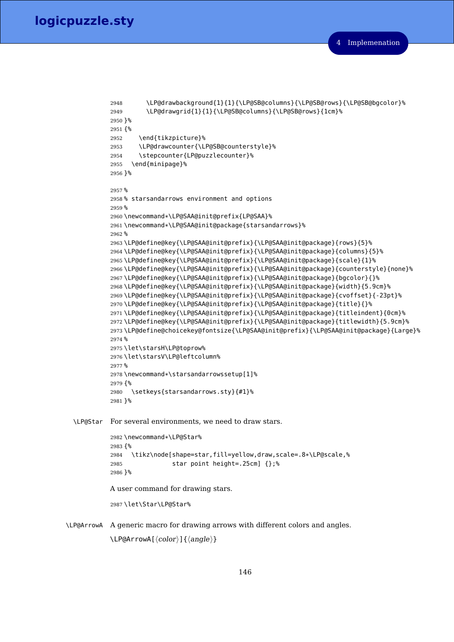```
2948 \LP@drawbackground{1}{1}{\LP@SB@columns}{\LP@SB@rows}{\LP@SB@bgcolor}%
          2949 \LP@drawgrid{1}{1}{\LP@SB@columns}{\LP@SB@rows}{1cm}%
          2950 }%
          2951 {%
          2952 \end{tikzpicture}%
          2953 \LP@drawcounter{\LP@SB@counterstyle}%
          2954 \stepcounter{LP@puzzlecounter}%
          2955 \end{minipage}%
          2956 }%
          2957 %
          2958 % starsandarrows environment and options
          2959 %
          2960 \newcommand*\LP@SAA@init@prefix{LP@SAA}%
          2961 \newcommand*\LP@SAA@init@package{starsandarrows}%
          2962 %
          2963 \LP@define@key{\LP@SAA@init@prefix}{\LP@SAA@init@package}{rows}{5}%
          2964 \LP@define@key{\LP@SAA@init@prefix}{\LP@SAA@init@package}{columns}{5}%
          2965 \LP@define@key{\LP@SAA@init@prefix}{\LP@SAA@init@package}{scale}{1}%
          2966 \LP@define@key{\LP@SAA@init@prefix}{\LP@SAA@init@package}{counterstyle}{none}%
          2967 \LP@define@key{\LP@SAA@init@prefix}{\LP@SAA@init@package}{bgcolor}{}%
          2968 \LP@define@key{\LP@SAA@init@prefix}{\LP@SAA@init@package}{width}{5.9cm}%
          2969 \LP@define@key{\LP@SAA@init@prefix}{\LP@SAA@init@package}{cvoffset}{-23pt}%
          2970 \LP@define@key{\LP@SAA@init@prefix}{\LP@SAA@init@package}{title}{}%
          2971 \LP@define@key{\LP@SAA@init@prefix}{\LP@SAA@init@package}{titleindent}{0cm}%
          2972 \LP@define@key{\LP@SAA@init@prefix}{\LP@SAA@init@package}{titlewidth}{5.9cm}%
          2973 \LP@define@choicekey@fontsize{\LP@SAA@init@prefix}{\LP@SAA@init@package}{Large}%
          2974 %
          2975 \let\starsH\LP@toprow%
          2976 \let\starsV\LP@leftcolumn%
          2977 %
          2978 \newcommand*\starsandarrowssetup[1]%
          2979 {%
          2980 \setkeys{starsandarrows.sty}{#1}%
          2981 }%
\LP@Star For several environments, we need to draw stars.
          2982 \newcommand*\LP@Star%
          2983 {%
          2984 \tikz\node[shape=star,fill=yellow,draw,scale=.8*\LP@scale,%
          2985 star point height=.25cm] {};%
          2986 }%
         A user command for drawing stars.
          2987 \let\Star\LP@Star%
```
<span id="page-145-22"></span><span id="page-145-21"></span><span id="page-145-20"></span><span id="page-145-19"></span><span id="page-145-18"></span><span id="page-145-15"></span><span id="page-145-11"></span><span id="page-145-10"></span><span id="page-145-1"></span><span id="page-145-0"></span>\LP@ArrowA A generic macro for drawing arrows with different colors and angles.  $\LPer{Color}$ [ $\langle color \rangle$ ] $\{\langle angle \rangle\}$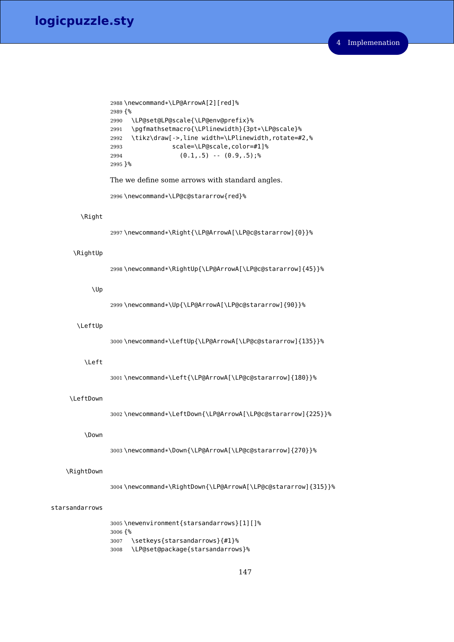```
2988 \newcommand*\LP@ArrowA[2][red]%
2989 {%
2990 \LP@set@LP@scale{\LP@env@prefix}%
2991 \pgfmathsetmacro{\LPlinewidth}{3pt*\LP@scale}%
2992 \tikz\draw[->,line width=\LPlinewidth,rotate=#2,%
2993 scale=\LP@scale,color=#1]%
2994 (0.1,.5) -- (0.9,.5);%
2995 }%
```
<span id="page-146-15"></span>The we define some arrows with standard angles.

<span id="page-146-12"></span>\newcommand\*\LP@c@stararrow{red}%

### <span id="page-146-18"></span>\Right

<span id="page-146-5"></span>\newcommand\*\Right{\LP@ArrowA[\LP@c@stararrow]{0}}%

### <span id="page-146-20"></span>\RightUp

<span id="page-146-6"></span>\newcommand\*\RightUp{\LP@ArrowA[\LP@c@stararrow]{45}}%

### <span id="page-146-21"></span>\Up

<span id="page-146-7"></span>\newcommand\*\Up{\LP@ArrowA[\LP@c@stararrow]{90}}%

### <span id="page-146-4"></span>\LeftUp

<span id="page-146-8"></span>\newcommand\*\LeftUp{\LP@ArrowA[\LP@c@stararrow]{135}}%

#### <span id="page-146-2"></span>\Left

<span id="page-146-9"></span>\newcommand\*\Left{\LP@ArrowA[\LP@c@stararrow]{180}}%

### <span id="page-146-3"></span>\LeftDown

<span id="page-146-10"></span>\newcommand\*\LeftDown{\LP@ArrowA[\LP@c@stararrow]{225}}%

#### <span id="page-146-0"></span>\Down

<span id="page-146-11"></span>\newcommand\*\Down{\LP@ArrowA[\LP@c@stararrow]{270}}%

### <span id="page-146-19"></span>\RightDown

<span id="page-146-1"></span>\newcommand\*\RightDown{\LP@ArrowA[\LP@c@stararrow]{315}}%

### starsandarrows

<span id="page-146-16"></span> \newenvironment{starsandarrows}[1][]% {% \setkeys{starsandarrows}{#1}% \LP@set@package{starsandarrows}%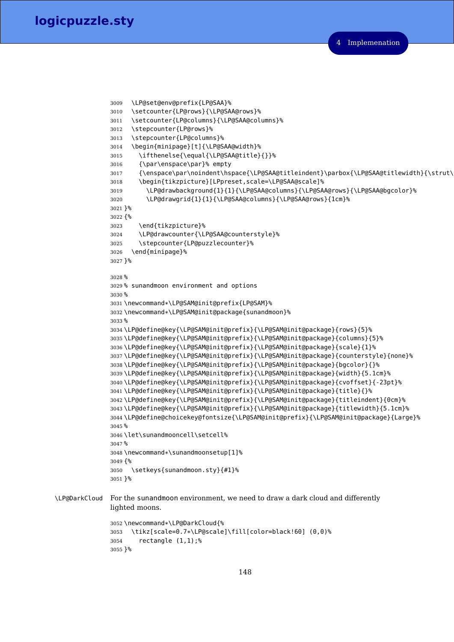```
3009 \LP@set@env@prefix{LP@SAA}%
               3010 \setcounter{LP@rows}{\LP@SAA@rows}%
               3011 \setcounter{LP@columns}{\LP@SAA@columns}%
               3012 \stepcounter{LP@rows}%
               3013 \stepcounter{LP@columns}%
               3014 \begin{minipage}[t]{\LP@SAA@width}%
               3015 \ifthenelse{\equal{\LP@SAA@title}{}}%
               3016 {\par\enspace\par}% empty
               3017 {\enspace\par\noindent\hspace{\LP@SAA@titleindent}\parbox{\LP@SAA@titlewidth}{\strut\
               3018 \begin{tikzpicture}[LPpreset,scale=\LP@SAA@scale]%
               3019 \LP@drawbackground{1}{1}{\LP@SAA@columns}{\LP@SAA@rows}{\LP@SAA@bgcolor}%
               3020 \LP@drawgrid{1}{1}{\LP@SAA@columns}{\LP@SAA@rows}{1cm}%
               3021 }%
               3022 {%
               3023 \end{tikzpicture}%
               3024 \LP@drawcounter{\LP@SAA@counterstyle}%
               3025 \stepcounter{LP@puzzlecounter}%
               3026 \end{minipage}%
               3027 }%
               3028 %
               3029 % sunandmoon environment and options
               3030 %
               3031 \newcommand*\LP@SAM@init@prefix{LP@SAM}%
               3032 \newcommand*\LP@SAM@init@package{sunandmoon}%
               3033 %
               3034 \LP@define@key{\LP@SAM@init@prefix}{\LP@SAM@init@package}{rows}{5}%
               3035 \LP@define@key{\LP@SAM@init@prefix}{\LP@SAM@init@package}{columns}{5}%
               3036 \LP@define@key{\LP@SAM@init@prefix}{\LP@SAM@init@package}{scale}{1}%
               3037 \LP@define@key{\LP@SAM@init@prefix}{\LP@SAM@init@package}{counterstyle}{none}%
               3038 \LP@define@key{\LP@SAM@init@prefix}{\LP@SAM@init@package}{bgcolor}{}%
               3039 \LP@define@key{\LP@SAM@init@prefix}{\LP@SAM@init@package}{width}{5.1cm}%
               3040 \LP@define@key{\LP@SAM@init@prefix}{\LP@SAM@init@package}{cvoffset}{-23pt}%
               3041 \LP@define@key{\LP@SAM@init@prefix}{\LP@SAM@init@package}{title}{}%
               3042 \LP@define@key{\LP@SAM@init@prefix}{\LP@SAM@init@package}{titleindent}{0cm}%
               3043 \LP@define@key{\LP@SAM@init@prefix}{\LP@SAM@init@package}{titlewidth}{5.1cm}%
               3044 \LP@define@choicekey@fontsize{\LP@SAM@init@prefix}{\LP@SAM@init@package}{Large}%
               3045 %
               3046 \let\sunandmooncell\setcell%
               3047 %
               3048 \newcommand*\sunandmoonsetup[1]%
               3049 {%
               3050 \setkeys{sunandmoon.sty}{#1}%
               3051 }%
\LP@DarkCloud For the sunandmoon environment, we need to draw a dark cloud and differently
               lighted moons.
               3052 \newcommand*\LP@DarkCloud{%
```

```
3053 \tikz[scale=0.7*\LP@scale]\fill[color=black!60] (0,0)%
3054 rectangle (1,1);%
3055 }%
```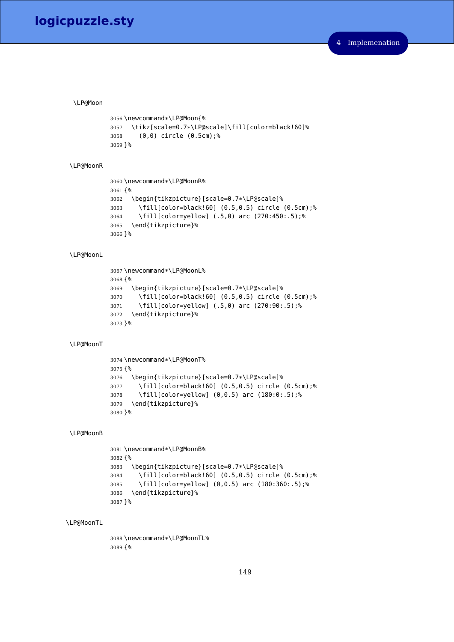#### <span id="page-148-0"></span>\LP@Moon

```
3056 \newcommand*\LP@Moon{%
3057 \tikz[scale=0.7*\LP@scale]\fill[color=black!60]%
3058 (0,0) circle (0.5cm);%
3059 }%
```
### <span id="page-148-3"></span>\LP@MoonR

```
3060 \newcommand*\LP@MoonR%
3061 {%
3062 \begin{tikzpicture}[scale=0.7*\LP@scale]%
3063 \fill[color=black!60] (0.5,0.5) circle (0.5cm);%
3064 \fill[color=yellow] (.5,0) arc (270:450:.5);%
3065 \end{tikzpicture}%
3066 }%
```
### <span id="page-148-2"></span>\LP@MoonL

```
3067 \newcommand*\LP@MoonL%
3068 {%
3069 \begin{tikzpicture}[scale=0.7*\LP@scale]%
3070 \fill[color=black!60] (0.5,0.5) circle (0.5cm);%
3071 \fill[color=yellow] (.5,0) arc (270:90:.5);%
3072 \end{tikzpicture}%
3073 }%
```
#### <span id="page-148-4"></span>\LP@MoonT

```
3074 \newcommand*\LP@MoonT%
3075 {%
3076 \begin{tikzpicture}[scale=0.7*\LP@scale]%
3077 \fill[color=black!60] (0.5,0.5) circle (0.5cm);%
3078 \fill[color=yellow] (0,0.5) arc (180:0:.5);%
3079 \end{tikzpicture}%
3080 }%
```
### <span id="page-148-1"></span>\LP@MoonB

```
3081 \newcommand*\LP@MoonB%
3082 {%
3083 \begin{tikzpicture}[scale=0.7*\LP@scale]%
3084 \fill[color=black!60] (0.5,0.5) circle (0.5cm);%
3085 \fill[color=yellow] (0,0.5) arc (180:360:.5);%
3086 \end{tikzpicture}%
3087 }%
```
### <span id="page-148-5"></span>\LP@MoonTL

 \newcommand\*\LP@MoonTL% {%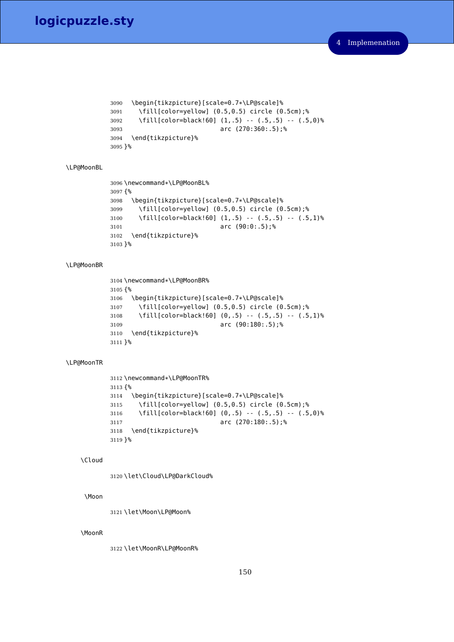```
3090 \begin{tikzpicture}[scale=0.7*\LP@scale]%
       \tilde{\tau} \fill[color=yellow] (0.5,0.5) circle (0.5cm);%
3092 \fill[color=black!60] (1,.5) -- (.5,.5) -- (.5,0)%
3093 arc (270:360:.5);%
3094 \end{tikzpicture}%
3095 }%
```
### <span id="page-149-3"></span>\LP@MoonBL

```
3096 \newcommand*\LP@MoonBL%
3097 {%
3098 \begin{tikzpicture}[scale=0.7*\LP@scale]%
3099 \fill[color=yellow] (0.5,0.5) circle (0.5cm);%
3100 \fill[color=black!60] (1,.5) -- (.5,.5) -- (.5,1)%
3101 arc (90:0:.5);%
3102 \end{tikzpicture}%
3103 }%
```
### <span id="page-149-4"></span>\LP@MoonBR

```
3104 \newcommand*\LP@MoonBR%
3105 {%
3106 \begin{tikzpicture}[scale=0.7*\LP@scale]%
3107 \fill[color=yellow] (0.5,0.5) circle (0.5cm);%
3108 \fill[color=black!60] (0,.5) -- (.5,.5) -- (.5,1)%
3109 arc (90:180:.5);%
3110 \end{tikzpicture}%
3111 }%
```
### <span id="page-149-6"></span>\LP@MoonTR

```
3112 \newcommand*\LP@MoonTR%
3113 {%
3114 \begin{tikzpicture}[scale=0.7*\LP@scale]%
3115 \fill[color=yellow] (0.5,0.5) circle (0.5cm);%
3116 \fill[color=black!60] (0,.5) -- (.5,.5) -- (.5,0)%
3117 arc (270:180:.5);%
3118 \end{tikzpicture}%
3119 }%
```
#### <span id="page-149-0"></span>\Cloud

<span id="page-149-1"></span>\let\Cloud\LP@DarkCloud%

### <span id="page-149-11"></span>\Moon

<span id="page-149-2"></span>\let\Moon\LP@Moon%

### <span id="page-149-12"></span>\MoonR

<span id="page-149-5"></span>\let\MoonR\LP@MoonR%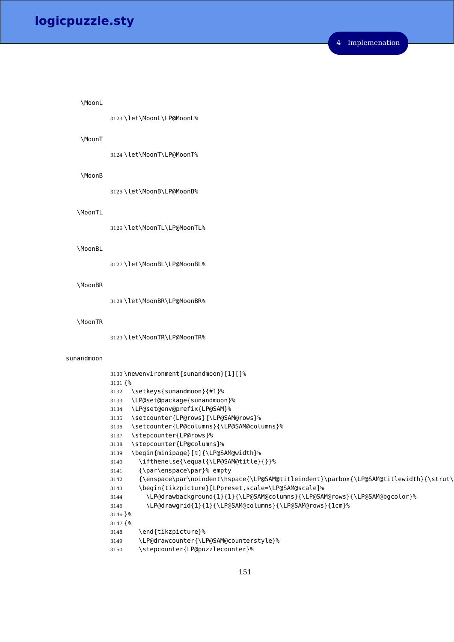#### <span id="page-150-21"></span>\MoonL

<span id="page-150-7"></span>\let\MoonL\LP@MoonL%

### <span id="page-150-22"></span>\MoonT

<span id="page-150-8"></span>\let\MoonT\LP@MoonT%

#### <span id="page-150-18"></span>\MoonB

<span id="page-150-4"></span>\let\MoonB\LP@MoonB%

### <span id="page-150-23"></span>\MoonTL

<span id="page-150-9"></span>\let\MoonTL\LP@MoonTL%

### <span id="page-150-19"></span>\MoonBL

<span id="page-150-5"></span>\let\MoonBL\LP@MoonBL%

#### <span id="page-150-20"></span>\MoonBR

<span id="page-150-6"></span>\let\MoonBR\LP@MoonBR%

#### <span id="page-150-24"></span>\MoonTR

<span id="page-150-0"></span>\let\MoonTR\LP@MoonTR%

#### sunandmoon

```
3130 \newenvironment{sunandmoon}[1][]%
3131 {%
3132 \setkeys{sunandmoon}{#1}%
3133 \LP@set@package{sunandmoon}%
3134 \LP@set@env@prefix{LP@SAM}%
3135 \setcounter{LP@rows}{\LP@SAM@rows}%
3136 \setcounter{LP@columns}{\LP@SAM@columns}%
3137 \stepcounter{LP@rows}%
3138 \stepcounter{LP@columns}%
3139 \begin{minipage}[t]{\LP@SAM@width}%
3140 \ifthenelse{\equal{\LP@SAM@title}{}}%
3141 {\par\enspace\par}% empty
3142 {\enspace\par\noindent\hspace{\LP@SAM@titleindent}\parbox{\LP@SAM@titlewidth}{\strut\
3143 \begin{tikzpicture}[LPpreset,scale=\LP@SAM@scale]%
3144 \LP@drawbackground{1}{1}{\LP@SAM@columns}{\LP@SAM@rows}{\LP@SAM@bgcolor}%
3145 \LP@drawgrid{1}{1}{\LP@SAM@columns}{\LP@SAM@rows}{1cm}%
3146 }%
3147 {%
3148 \end{tikzpicture}%
3149 \LP@drawcounter{\LP@SAM@counterstyle}%
3150 \stepcounter{LP@puzzlecounter}%
```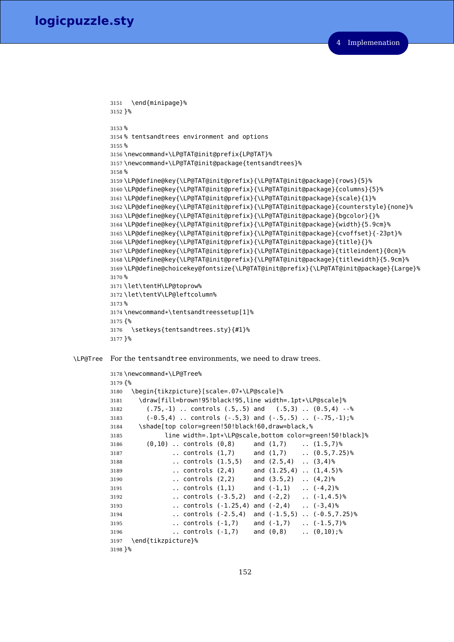```
3151 \end{minipage}%
3152 }%
3153 %
3154 % tentsandtrees environment and options
3155 %
3156 \newcommand*\LP@TAT@init@prefix{LP@TAT}%
3157 \newcommand*\LP@TAT@init@package{tentsandtrees}%
3158 %
3159 \LP@define@key{\LP@TAT@init@prefix}{\LP@TAT@init@package}{rows}{5}%
3160 \LP@define@key{\LP@TAT@init@prefix}{\LP@TAT@init@package}{columns}{5}%
3161 \LP@define@key{\LP@TAT@init@prefix}{\LP@TAT@init@package}{scale}{1}%
3162 \LP@define@key{\LP@TAT@init@prefix}{\LP@TAT@init@package}{counterstyle}{none}%
3163 \LP@define@key{\LP@TAT@init@prefix}{\LP@TAT@init@package}{bgcolor}{}%
3164 \LP@define@key{\LP@TAT@init@prefix}{\LP@TAT@init@package}{width}{5.9cm}%
3165 \LP@define@key{\LP@TAT@init@prefix}{\LP@TAT@init@package}{cvoffset}{-23pt}%
3166 \LP@define@key{\LP@TAT@init@prefix}{\LP@TAT@init@package}{title}{}%
3167 \LP@define@key{\LP@TAT@init@prefix}{\LP@TAT@init@package}{titleindent}{0cm}%
3168 \LP@define@key{\LP@TAT@init@prefix}{\LP@TAT@init@package}{titlewidth}{5.9cm}%
3169 \LP@define@choicekey@fontsize{\LP@TAT@init@prefix}{\LP@TAT@init@package}{Large}%
3170 %
3171 \let\tentH\LP@toprow%
3172 \let\tentV\LP@leftcolumn%
3173 %
3174 \newcommand*\tentsandtreessetup[1]%
3175 {%
3176 \setkeys{tentsandtrees.sty}{#1}%
3177 }%
```
<span id="page-151-19"></span><span id="page-151-18"></span><span id="page-151-17"></span><span id="page-151-11"></span><span id="page-151-10"></span><span id="page-151-9"></span><span id="page-151-8"></span><span id="page-151-7"></span><span id="page-151-0"></span>\LP@Tree For the tentsandtree environments, we need to draw trees.

```
3178 \newcommand*\LP@Tree%
3179 {%
3180 \begin{tikzpicture}[scale=.07*\LP@scale]%
3181 \draw[fill=brown!95!black!95,line width=.1pt*\LP@scale]%
3182 (.75,-1) .. controls (.5,.5) and (.5,3) .. (0.5,4) --%
3183 (-0.5,4) .. controls (-.5,3) and (-.5,.5) .. (-.75,-1);%
3184 \shade[top color=green!50!black!60,draw=black,%
3185 line width=.1pt*\LP@scale,bottom color=green!50!black]%
3186 (0,10) .. controls (0,8) and (1,7) .. (1.5,7)%
3187 .. controls (1,7) and (1,7) .. (0.5,7.25)%
3188 .. controls (1.5,5) and (2.5,4) .. (3,4)%
3189 .. controls (2,4) and (1.25,4) .. (1,4.5)%
3190 .. controls (2,2) and (3.5,2) .. (4,2)%
3191 .. controls (1,1) and (-1,1) .. (-4,2)%
3192 .. controls (-3.5,2) and (-2,2) .. (-1,4.5)%
3193 .. controls (-1.25,4) and (-2,4) .. (-3,4)%
3194 .. controls (-2.5,4) and (-1.5,5) .. (-0.5,7.25)%
3195 .. controls (-1,7) and (-1,7) .. (-1.5,7)%
3196 .. controls (-1,7) and (0,8) .. (0,10);%
3197 \end{tikzpicture}%
3198 }%
```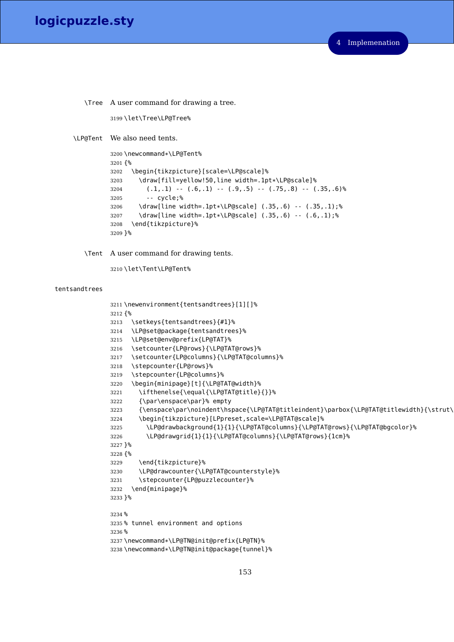<span id="page-152-21"></span>\Tree A user command for drawing a tree.

<span id="page-152-19"></span>\let\Tree\LP@Tree%

<span id="page-152-16"></span>\LP@Tent We also need tents.

```
3200 \newcommand*\LP@Tent%
3201 {%
3202 \begin{tikzpicture}[scale=\LP@scale]%
3203 \draw[fill=yellow!50,line width=.1pt*\LP@scale]%
3204 (.1,.1) -- (.6,.1) -- (.9,.5) -- (.75,.8) -- (.35,.6)%
3205 -- cycle;%
3206 \draw[line width=.1pt*\LP@scale] (.35,.6) -- (.35,.1);%
3207 \draw[line width=.1pt*\LP@scale] (.35,.6) -- (.6,.1);%
3208 \end{tikzpicture}%
3209 }%
```
<span id="page-152-20"></span><span id="page-152-7"></span>\Tent A user command for drawing tents.

<span id="page-152-0"></span>\let\Tent\LP@Tent%

### tentsandtrees

```
3211 \newenvironment{tentsandtrees}[1][]%
3212 {%
3213 \setkeys{tentsandtrees}{#1}%
3214 \LP@set@package{tentsandtrees}%
3215 \LP@set@env@prefix{LP@TAT}%
3216 \setcounter{LP@rows}{\LP@TAT@rows}%
3217 \setcounter{LP@columns}{\LP@TAT@columns}%
3218 \stepcounter{LP@rows}%
3219 \stepcounter{LP@columns}%
3220 \begin{minipage}[t]{\LP@TAT@width}%
3221 \ifthenelse{\equal{\LP@TAT@title}{}}%
3222 {\par\enspace\par}% empty
3223 {\enspace\par\noindent\hspace{\LP@TAT@titleindent}\parbox{\LP@TAT@titlewidth}{\strut\
3224 \begin{tikzpicture}[LPpreset,scale=\LP@TAT@scale]%
3225 \LP@drawbackground{1}{1}{\LP@TAT@columns}{\LP@TAT@rows}{\LP@TAT@bgcolor}%
3226 \LP@drawgrid{1}{1}{\LP@TAT@columns}{\LP@TAT@rows}{1cm}%
3227 }%
3228 {%
3229 \end{tikzpicture}%
3230 \LP@drawcounter{\LP@TAT@counterstyle}%
3231 \stepcounter{LP@puzzlecounter}%
3232 \end{minipage}%
3233 }%
3234 %
3235 % tunnel environment and options
3236 %
3237 \newcommand*\LP@TN@init@prefix{LP@TN}%
3238 \newcommand*\LP@TN@init@package{tunnel}%
```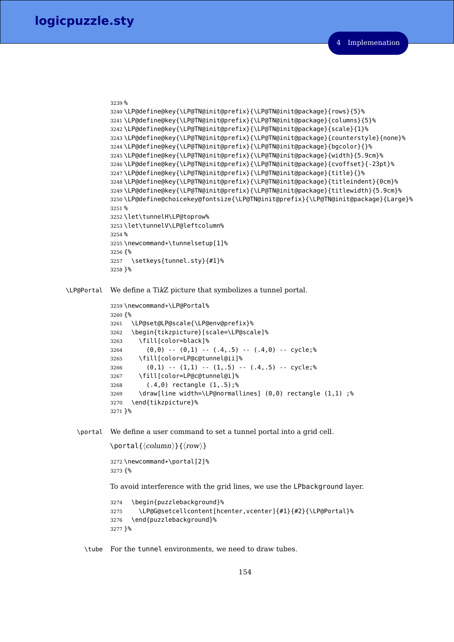```
3239 %
3240 \LP@define@key{\LP@TN@init@prefix}{\LP@TN@init@package}{rows}{5}%
3241 \LP@define@key{\LP@TN@init@prefix}{\LP@TN@init@package}{columns}{5}%
3242 \LP@define@key{\LP@TN@init@prefix}{\LP@TN@init@package}{scale}{1}%
3243 \LP@define@key{\LP@TN@init@prefix}{\LP@TN@init@package}{counterstyle}{none}%
3244 \LP@define@key{\LP@TN@init@prefix}{\LP@TN@init@package}{bgcolor}{}%
3245 \LP@define@key{\LP@TN@init@prefix}{\LP@TN@init@package}{width}{5.9cm}%
3246 \LP@define@key{\LP@TN@init@prefix}{\LP@TN@init@package}{cvoffset}{-23pt}%
3247 \LP@define@key{\LP@TN@init@prefix}{\LP@TN@init@package}{title}{}%
3248 \LP@define@key{\LP@TN@init@prefix}{\LP@TN@init@package}{titleindent}{0cm}%
3249 \LP@define@key{\LP@TN@init@prefix}{\LP@TN@init@package}{titlewidth}{5.9cm}%
3250 \LP@define@choicekey@fontsize{\LP@TN@init@prefix}{\LP@TN@init@package}{Large}%
3251 %
3252 \let\tunnelH\LP@toprow%
3253 \let\tunnelV\LP@leftcolumn%
3254 %
3255 \newcommand*\tunnelsetup[1]%
3256 {%
3257 \setkeys{tunnel.sty}{#1}%
3258 }%
```
<span id="page-153-17"></span><span id="page-153-15"></span><span id="page-153-13"></span>\LP@Portal We define a TikZ picture that symbolizes a tunnel portal.

```
3259 \newcommand*\LP@Portal%
3260 {%
3261 \LP@set@LP@scale{\LP@env@prefix}%
3262 \begin{tikzpicture}[scale=\LP@scale]%
3263 \fill[color=black]%
3264 (0,0) -- (0,1) -- (.4,.5) -- (.4,0) -- cycle;%
3265 \fill[color=LP@c@tunnel@ii]%
3266 (0,1) -- (1,1) -- (1, .5) -- (.4, .5) -- cycle;%
3267 \fill[color=LP@c@tunnel@i]%
3268 (.4,0) rectangle (1,.5);%
3269 \draw[line width=\LP@normallines] (0,0) rectangle (1,1) ;%
3270 \end{tikzpicture}%
3271 }%
```
<span id="page-153-19"></span><span id="page-153-14"></span>\portal We define a user command to set a tunnel portal into a grid cell.

```
\portal{\langle column \rangle}{\langle row \rangle}
3272 \newcommand*\portal[2]%
3273 {%
To avoid interference with the grid lines, we use the LPbackground layer.
3274 \begin{puzzlebackground}%
3275 \LP@G@setcellcontent[hcenter,vcenter]{#1}{#2}{\LP@Portal}%
3276 \end{puzzlebackground}%
3277 }%
```
<span id="page-153-20"></span><span id="page-153-12"></span>\tube For the tunnel environments, we need to draw tubes.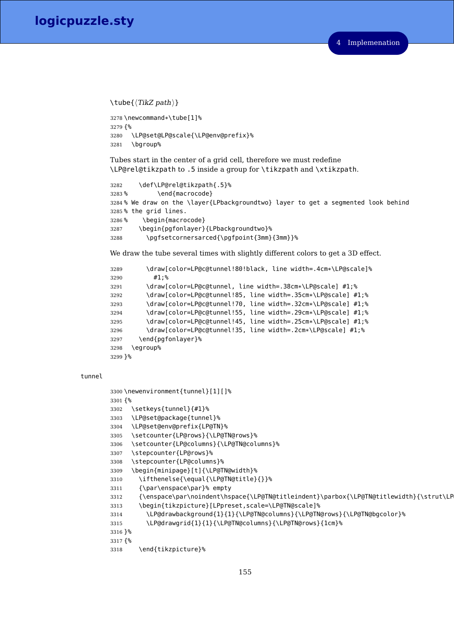### **logicpuzzle.sty**

```
\{\text{TikZ path}\}\
```

```
3278 \newcommand*\tube[1]%
3279 {%
3280 \LP@set@LP@scale{\LP@env@prefix}%
3281 \bgroup%
```
Tubes start in the center of a grid cell, therefore we must redefine \LP@rel@tikzpath to .5 inside a group for \tikzpath and \xtikzpath.

```
3282 \def\LP@rel@tikzpath{.5}%
3283 % \end{macrocode}
3284 % We draw on the \layer{LPbackgroundtwo} layer to get a segmented look behind
3285 % the grid lines.
3286 % \begin{macrocode}
3287 \begin{pgfonlayer}{LPbackgroundtwo}%
3288 \pgfsetcornersarced{\pgfpoint{3mm}{3mm}}%
```
<span id="page-154-21"></span>We draw the tube several times with slightly different colors to get a 3D effect.

```
3289 \draw[color=LP@c@tunnel!80!black, line width=.4cm*\LP@scale]%
3290 \qquad \qquad \#1;%
3291 \draw[color=LP@c@tunnel, line width=.38cm*\LP@scale] #1;%
3292 \draw[color=LP@c@tunnel!85, line width=.35cm*\LP@scale] #1;%
3293 \draw[color=LP@c@tunnel!70, line width=.32cm*\LP@scale] #1;%
3294 \draw[color=LP@c@tunnel!55, line width=.29cm*\LP@scale] #1;%
3295 \draw[color=LP@c@tunnel!45, line width=.25cm*\LP@scale] #1;%
3296 \draw[color=LP@c@tunnel!35, line width=.2cm*\LP@scale] #1;%
3297 \end{pgfonlayer}%
3298 \egroup%
3299 }%
```
### <span id="page-154-12"></span><span id="page-154-0"></span>tunnel

```
3300 \newenvironment{tunnel}[1][]%
3301 {%
3302 \setkeys{tunnel}{#1}%
3303 \LP@set@package{tunnel}%
3304 \LP@set@env@prefix{LP@TN}%
3305 \setcounter{LP@rows}{\LP@TN@rows}%
3306 \setcounter{LP@columns}{\LP@TN@columns}%
3307 \stepcounter{LP@rows}%
3308 \stepcounter{LP@columns}%
3309 \begin{minipage}[t]{\LP@TN@width}%
3310 \ifthenelse{\equal{\LP@TN@title}{}}%
3311 {\par\enspace\par}% empty
3312 {\enspace\par\noindent\hspace{\LP@TN@titleindent}\parbox{\LP@TN@titlewidth}{\strut\LP
3313 \begin{tikzpicture}[LPpreset,scale=\LP@TN@scale]%
3314 \LP@drawbackground{1}{1}{\LP@TN@columns}{\LP@TN@rows}{\LP@TN@bgcolor}%
3315 \LP@drawgrid{1}{1}{\LP@TN@columns}{\LP@TN@rows}{1cm}%
3316 }%
3317 {%
3318 \end{tikzpicture}%
```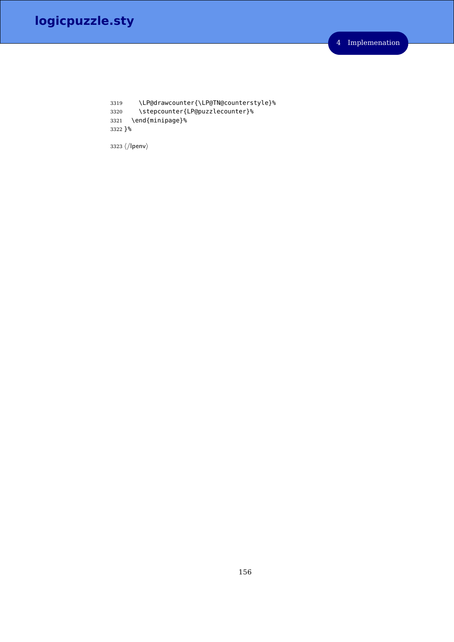<span id="page-155-0"></span> \LP@drawcounter{\LP@TN@counterstyle}% \stepcounter{LP@puzzlecounter}% \end{minipage}% }%

3323  $\langle$ /lpenv $\rangle$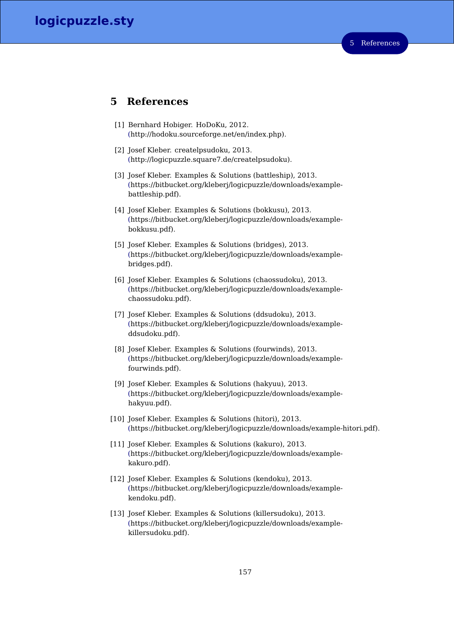### **5 References**

- [1] Bernhard Hobiger. HoDoKu, 2012. [\(h](http://hodoku.sourceforge.net/en/index.php)ttp://hodoku.sourceforge.net/en/index.php).
- [2] Josef Kleber. createlpsudoku, 2013. [\(h](http://logicpuzzle.square7.de/createlpsudoku)ttp://logicpuzzle.square7.de/createlpsudoku).
- [3] Josef Kleber. Examples & Solutions (battleship), 2013. [\(h](https://bitbucket.org/kleberj/logicpuzzle/downloads/example-battleship.pdf)ttps://bitbucket.org/kleberj/logicpuzzle/downloads/examplebattleship.pdf).
- [4] Josef Kleber. Examples & Solutions (bokkusu), 2013. [\(h](https://bitbucket.org/kleberj/logicpuzzle/downloads/example-bokkusu.pdf)ttps://bitbucket.org/kleberj/logicpuzzle/downloads/examplebokkusu.pdf).
- [5] Josef Kleber. Examples & Solutions (bridges), 2013. [\(h](https://bitbucket.org/kleberj/logicpuzzle/downloads/example-bridges.pdf)ttps://bitbucket.org/kleberj/logicpuzzle/downloads/examplebridges.pdf).
- [6] Josef Kleber. Examples & Solutions (chaossudoku), 2013. [\(h](https://bitbucket.org/kleberj/logicpuzzle/downloads/example-chaossudoku.pdf)ttps://bitbucket.org/kleberj/logicpuzzle/downloads/examplechaossudoku.pdf).
- [7] Josef Kleber. Examples & Solutions (ddsudoku), 2013. [\(h](https://bitbucket.org/kleberj/logicpuzzle/downloads/example-ddsudoku.pdf)ttps://bitbucket.org/kleberj/logicpuzzle/downloads/exampleddsudoku.pdf).
- [8] Josef Kleber. Examples & Solutions (fourwinds), 2013. [\(h](https://bitbucket.org/kleberj/logicpuzzle/downloads/example-fourwinds.pdf)ttps://bitbucket.org/kleberj/logicpuzzle/downloads/examplefourwinds.pdf).
- [9] Josef Kleber. Examples & Solutions (hakyuu), 2013. [\(h](https://bitbucket.org/kleberj/logicpuzzle/downloads/example-hakyuu.pdf)ttps://bitbucket.org/kleberj/logicpuzzle/downloads/examplehakyuu.pdf).
- [10] Josef Kleber. Examples & Solutions (hitori), 2013. [\(h](https://bitbucket.org/kleberj/logicpuzzle/downloads/example-hitor.pdf)ttps://bitbucket.org/kleberj/logicpuzzle/downloads/example-hitori.pdf).
- [11] Josef Kleber. Examples & Solutions (kakuro), 2013. [\(h](https://bitbucket.org/kleberj/logicpuzzle/downloads/example-kakuro.pdf)ttps://bitbucket.org/kleberj/logicpuzzle/downloads/examplekakuro.pdf).
- [12] Josef Kleber. Examples & Solutions (kendoku), 2013. [\(h](https://bitbucket.org/kleberj/logicpuzzle/downloads/example-kendoku.pdf)ttps://bitbucket.org/kleberj/logicpuzzle/downloads/examplekendoku.pdf).
- [13] Josef Kleber. Examples & Solutions (killersudoku), 2013. [\(h](https://bitbucket.org/kleberj/logicpuzzle/downloads/example-killersudoku.pdf)ttps://bitbucket.org/kleberj/logicpuzzle/downloads/examplekillersudoku.pdf).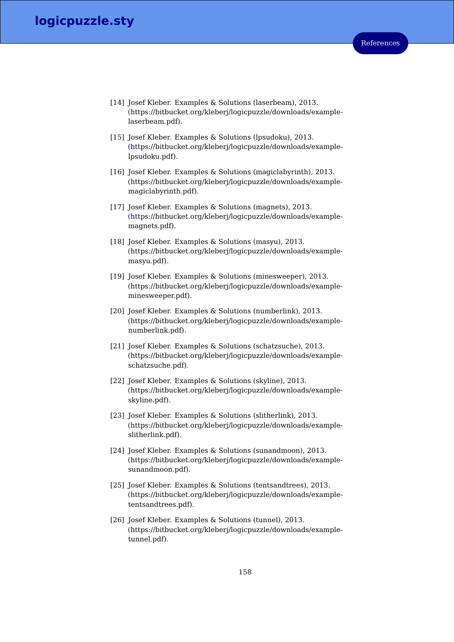- [14] Josef Kleber. Examples & Solutions (laserbeam), 2013. [\(h](https://bitbucket.org/kleberj/logicpuzzle/downloads/example-laserbeam.pdf)ttps://bitbucket.org/kleberj/logicpuzzle/downloads/examplelaserbeam.pdf).
- [15] Josef Kleber. Examples & Solutions (lpsudoku), 2013. [\(h](https://bitbucket.org/kleberj/logicpuzzle/downloads/example-lpsudoku.pdf)ttps://bitbucket.org/kleberj/logicpuzzle/downloads/examplelpsudoku.pdf).
- [16] Josef Kleber. Examples & Solutions (magiclabyrinth), 2013. [\(h](https://bitbucket.org/kleberj/logicpuzzle/downloads/example-magiclabyrinth.pdf)ttps://bitbucket.org/kleberj/logicpuzzle/downloads/examplemagiclabyrinth.pdf).
- [17] Josef Kleber. Examples & Solutions (magnets), 2013. [\(h](https://bitbucket.org/kleberj/logicpuzzle/downloads/example-magnets.pdf)ttps://bitbucket.org/kleberj/logicpuzzle/downloads/examplemagnets.pdf).
- [18] Josef Kleber. Examples & Solutions (masyu), 2013. [\(h](https://bitbucket.org/kleberj/logicpuzzle/downloads/example-masyu.pdf)ttps://bitbucket.org/kleberj/logicpuzzle/downloads/examplemasyu.pdf).
- [19] Josef Kleber. Examples & Solutions (minesweeper), 2013. [\(h](https://bitbucket.org/kleberj/logicpuzzle/downloads/example-minesweeper.pdf)ttps://bitbucket.org/kleberj/logicpuzzle/downloads/exampleminesweeper.pdf).
- [20] Josef Kleber. Examples & Solutions (numberlink), 2013. [\(h](https://bitbucket.org/kleberj/logicpuzzle/downloads/example-numberlink.pdf)ttps://bitbucket.org/kleberj/logicpuzzle/downloads/examplenumberlink.pdf).
- [21] Josef Kleber. Examples & Solutions (schatzsuche), 2013. [\(h](https://bitbucket.org/kleberj/logicpuzzle/downloads/example-schatzsuche.pdf)ttps://bitbucket.org/kleberj/logicpuzzle/downloads/exampleschatzsuche.pdf).
- [22] Josef Kleber. Examples & Solutions (skyline), 2013. [\(h](https://bitbucket.org/kleberj/logicpuzzle/downloads/example-skyline.pdf)ttps://bitbucket.org/kleberj/logicpuzzle/downloads/exampleskyline.pdf).
- [23] Josef Kleber. Examples & Solutions (slitherlink), 2013. [\(h](https://bitbucket.org/kleberj/logicpuzzle/downloads/example-slitherlink.pdf)ttps://bitbucket.org/kleberj/logicpuzzle/downloads/exampleslitherlink.pdf).
- [24] Josef Kleber. Examples & Solutions (sunandmoon), 2013. [\(h](https://bitbucket.org/kleberj/logicpuzzle/downloads/example-sunandmoon.pdf)ttps://bitbucket.org/kleberj/logicpuzzle/downloads/examplesunandmoon.pdf).
- [25] Josef Kleber. Examples & Solutions (tentsandtrees), 2013. [\(h](https://bitbucket.org/kleberj/logicpuzzle/downloads/example-tentsandtrees.pdf)ttps://bitbucket.org/kleberj/logicpuzzle/downloads/exampletentsandtrees.pdf).
- [26] Josef Kleber. Examples & Solutions (tunnel), 2013. [\(h](https://bitbucket.org/kleberj/logicpuzzle/downloads/example-tunnel.pdf)ttps://bitbucket.org/kleberj/logicpuzzle/downloads/exampletunnel.pdf).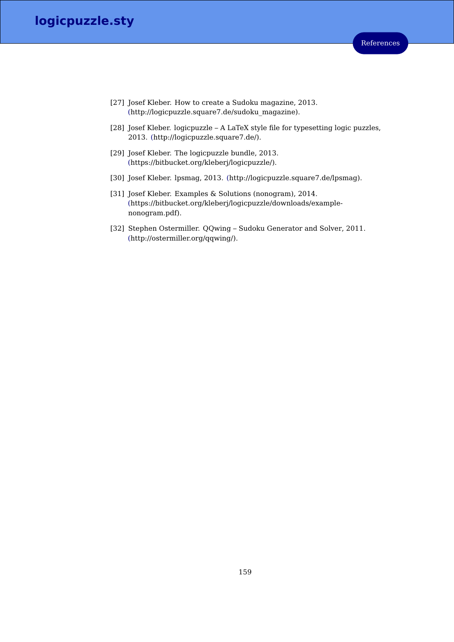# **logicpuzzle.sty**

- [27] Josef Kleber. How to create a Sudoku magazine, 2013. [\(h](http://logicpuzzle.square7.de/sudoku_magazine)ttp://logicpuzzle.square7.de/sudoku\_magazine).
- [28] Josef Kleber. logicpuzzle A LaTeX style file for typesetting logic puzzles, 2013. [\(h](http://logicpuzzle.square7.de/)ttp://logicpuzzle.square7.de/).
- [29] Josef Kleber. The logicpuzzle bundle, 2013. [\(h](https://bitbucket.org/kleberj/logicpuzzle/)ttps://bitbucket.org/kleberj/logicpuzzle/).
- [30] Josef Kleber. lpsmag, 2013. [\(h](http://logicpuzzle.square7.de/lpsmag)ttp://logicpuzzle.square7.de/lpsmag).
- [31] Josef Kleber. Examples & Solutions (nonogram), 2014. [\(h](https://bitbucket.org/kleberj/logicpuzzle/downloads/example-nonogram.pdf)ttps://bitbucket.org/kleberj/logicpuzzle/downloads/examplenonogram.pdf).
- [32] Stephen Ostermiller. QQwing Sudoku Generator and Solver, 2011. [\(h](http://ostermiller.org/qqwing/)ttp://ostermiller.org/qqwing/).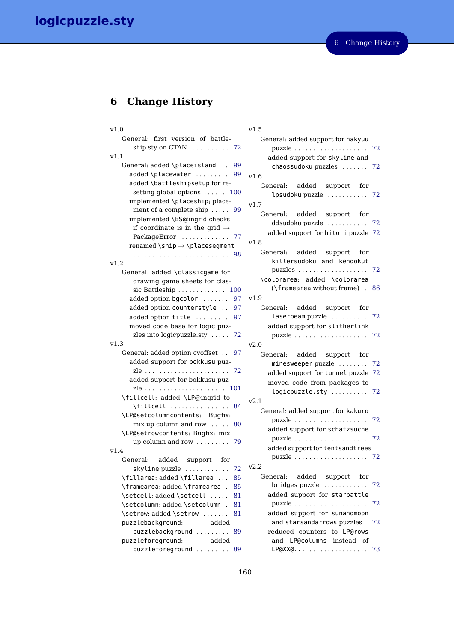# **logicpuzzle.sty**

# **6 Change History**

| v1.0                                                | v1 |
|-----------------------------------------------------|----|
| General: first version of battle-                   |    |
| ship.sty on CTAN<br>72                              |    |
| v1.1                                                |    |
| General: added \placeisland<br>99<br>$\mathbf{r}$ . |    |
| added \placewater<br>99                             | v1 |
| added \battleshipsetup for re-                      |    |
| setting global options  100                         |    |
| implemented \placeship; place-                      | v1 |
| ment of a complete ship $\dots$ .<br>99             |    |
| implemented \BS@ingrid checks                       |    |
| if coordinate is in the grid $\rightarrow$          |    |
| PackageError<br>77                                  |    |
| renamed \ship $\rightarrow$ \placesegment           | v1 |
| 98                                                  |    |
| v1.2                                                |    |
| General: added \classicgame for                     |    |
| drawing game sheets for clas-                       |    |
| sic Battleship<br>100                               |    |
| added option bgcolor<br>97                          | v1 |
| added option counterstyle<br>97                     |    |
| added option title<br>97                            |    |
| moved code base for logic puz-                      |    |
| zles into logic puzzle.sty $\ldots$ .<br>72         |    |
| v1.3                                                | v2 |
| General: added option cvoffset<br>97                |    |
| added support for bokkusu puz-                      |    |
| 72                                                  |    |
| added support for bokkusu puz-                      |    |
|                                                     |    |
| \fillcell: added \LP@ingrid to                      |    |
| \fillcell<br>84                                     | v2 |
| \LP@setcolumncontents: Bugfix:                      |    |
| mix up column and row<br>80                         |    |
| \LP@setrowcontents: Bugfix: mix                     |    |
| up column and row  79                               |    |
| v1.4                                                |    |
| General: added support<br>for                       |    |
| skyline puzzle<br>.<br>72                           | v2 |
| \fillarea: added \fillarea<br>85                    |    |
| \framearea: added \framearea<br>85                  |    |
| \setcell: added \setcell<br>81<br>a sa sa           |    |
| \setcolumn: added \setcolumn<br>81                  |    |
| \setrow: added \setrow<br>81                        |    |
| puzzlebackground:<br>added                          |    |
| puzzlebackground<br>89<br>$\ldots$                  |    |
| added<br>puzzleforeground:                          |    |
|                                                     |    |
| puzzleforeground<br>89<br>$\sim$                    |    |

### $1.5$

| General: added support for hakyuu                  |    |
|----------------------------------------------------|----|
| $puzzle$                                           | 72 |
| added support for skyline and                      |    |
| chaossudoku puzzles                                | 72 |
| v1.6                                               |    |
| General: added support for                         |    |
| lpsudoku puzzle  72                                |    |
| v1.7                                               |    |
| added support for<br>General:                      |    |
| ddsudoku puzzle                                    | 72 |
| added support for hitori puzzle 72                 |    |
| v1.8                                               |    |
| General: added support for                         |    |
| killersudoku and kendokut                          |    |
|                                                    | 72 |
| \colorarea: added \colorarea                       |    |
| (\framearea without frame) . 86                    |    |
| v1.9                                               |    |
| General: added support for                         |    |
| laserbeam puzzle                                   | 72 |
| added support for slitherlink                      |    |
|                                                    | 72 |
| v2.0                                               |    |
| added support for<br>General:                      |    |
| minesweeper puzzle                                 | 72 |
| added support for tunnel puzzle                    | 72 |
| moved code from packages to                        |    |
| logicpuzzle.sty                                    | 72 |
| v2.1                                               |    |
| General: added support for kakuro                  |    |
|                                                    | 72 |
| added support for schatzsuche                      |    |
|                                                    | 72 |
| added support for tentsandtrees                    |    |
| $puzzle \dots \dots \dots \dots \dots \dots \dots$ | 72 |
| v2.2                                               |    |
| General: added support for                         |    |
| bridges puzzle                                     | 72 |
| added support for starbattle                       |    |
| puzzle                                             | 72 |
| added support for sunandmoon                       |    |
| and starsandarrows puzzles                         | 72 |
| reduced counters to LP@rows                        |    |
| and LP@columns instead of                          |    |
|                                                    | 73 |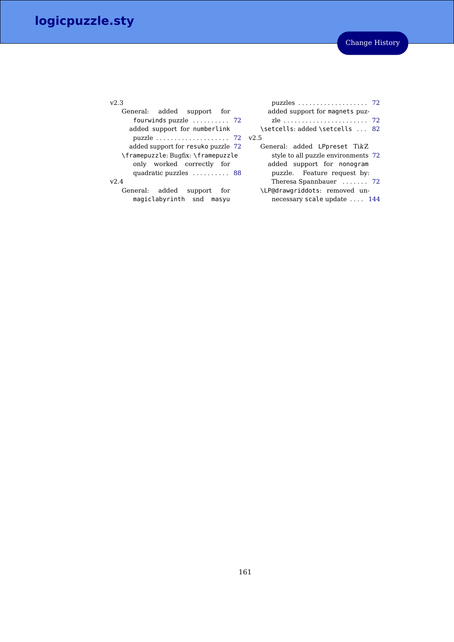|  | × | ٠ |
|--|---|---|

| General: added support for                            |
|-------------------------------------------------------|
| fourwinds puzzle $\dots\dots$ 72                      |
| added support for numberlink                          |
| puzzle $\ldots \ldots \ldots \ldots \ldots \ldots$ 72 |
| added support for resuko puzzle 72                    |
| \framepuzzle: Bugfix: \framepuzzle                    |
| only worked correctly for                             |
| quadratic puzzles  88                                 |
| $v$ <sub>2.4</sub>                                    |
| General: added support<br>for                         |
| magiclabyrinth snd masyu                              |

| puzzles $\ldots \ldots \ldots \ldots \ldots \ldots$ 72 |    |
|--------------------------------------------------------|----|
| added support for magnets puz-                         |    |
|                                                        |    |
| \setcells: added \setcells                             | 82 |
| v2.5                                                   |    |
| General: added LPpreset TikZ                           |    |
| style to all puzzle environments 72                    |    |
| added support for nonogram                             |    |
| puzzle. Feature request by:                            |    |
| Theresa Spannbauer  72                                 |    |
| \LP@drawgriddots: removed un-                          |    |
| necessary scale update  144                            |    |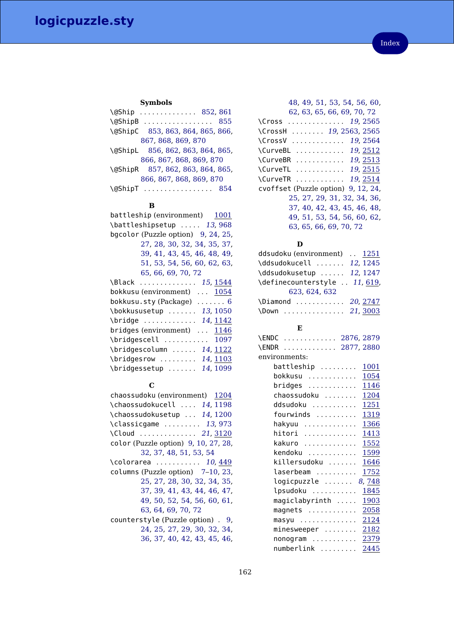### **Symbols**

| \@Ship  852,861                  |  |
|----------------------------------|--|
| $\alpha$ ShipB<br>-855           |  |
| \@ShipC 853, 863, 864, 865, 866, |  |
| 867, 868, 869, 870               |  |
| \@ShipL 856, 862, 863, 864, 865, |  |
| 866, 867, 868, 869, 870          |  |
| \@ShipR 857, 862, 863, 864, 865, |  |
| 866, 867, 868, 869, 870          |  |
| $\qquad$<br>854                  |  |
|                                  |  |

### **B**

### **C**

| chaossudoku (environment) 1204       |
|--------------------------------------|
| \chaossudokucell  14, 1198           |
| \chaossudokusetup  14, 1200          |
| $\clap{classicgame   13,973}$        |
| \Cloud  21, 3120                     |
| color (Puzzle option) 9, 10, 27, 28, |
| 32, 37, 48, 51, 53, 54               |
| \colorarea  10,449                   |
| columns (Puzzle option) 7-10, 23,    |
| 25, 27, 28, 30, 32, 34, 35,          |
| 37, 39, 41, 43, 44, 46, 47,          |
| 49, 50, 52, 54, 56, 60, 61,          |
| 63, 64, 69, 70, 72                   |
| counterstyle (Puzzle option) . 9,    |
| 24, 25, 27, 29, 30, 32, 34,          |
| 36, 37, 40, 42, 43, 45, 46,          |

| 48, 49, 51, 53, 54, 56, 60,                               |
|-----------------------------------------------------------|
| 62, 63, 65, 66, 69, 70, 72                                |
| \Cross <i>19,</i> 2565                                    |
| \CrossH  19, 2563, 2565                                   |
| 19, 2564<br><b>\CrossV</b><br>.                           |
| 19, 2512<br><b>\CurveBL</b><br>.                          |
| \CurveBR  19,2513                                         |
| \CurveTL  19, 2515                                        |
| $\ldots \ldots \ldots \ldots 19, 2514$<br><b>\CurveTR</b> |
| cvoffset (Puzzle option) 9, 12, 24,                       |
| 25, 27, 29, 31, 32, 34, 36,                               |
| 37, 40, 42, 43, 45, 46, 48,                               |
| 49, 51, 53, 54, 56, 60, 62,                               |
| 63, 65, 66, 69, 70, 72                                    |

### **D**

| ddsudoku (environment)  1251  |  |
|-------------------------------|--|
| \ddsudokucell  12, 1245       |  |
| \ddsudokusetup  12, 1247      |  |
| \definecounterstyle  11, 619, |  |
| 623, 624, 632                 |  |
| $\Delta$ Diamond  20, 2747    |  |
| \Down  21, 3003               |  |

### **E**

| Н.                              |      |
|---------------------------------|------|
| \ENDC  2876, 2879               |      |
| 2877, 2880<br><b>\ENDR</b>      |      |
| environments:                   |      |
| battleship                      | 1001 |
| bokkusu<br>.                    | 1054 |
| bridges                         | 1146 |
| chaossudoku                     | 1204 |
| ddsudoku                        | 1251 |
| fourwinds                       | 1319 |
| hakyuu<br>.                     | 1366 |
| hitori                          | 1413 |
| kakuro                          | 1552 |
| kendoku                         | 1599 |
| killersudoku                    | 1646 |
| laserbeam                       | 1752 |
| logicpuzzle  8,748              |      |
| lpsudoku                        | 1845 |
| magiclabyrinth                  | 1903 |
| magnets $\dots\dots\dots\dots$  | 2058 |
| $masyu \dots \dots \dots \dots$ | 2124 |
| $minesweeper \ldots \ldots$     | 2182 |
| $nonogram$                      | 2379 |
| numberlink                      | 2445 |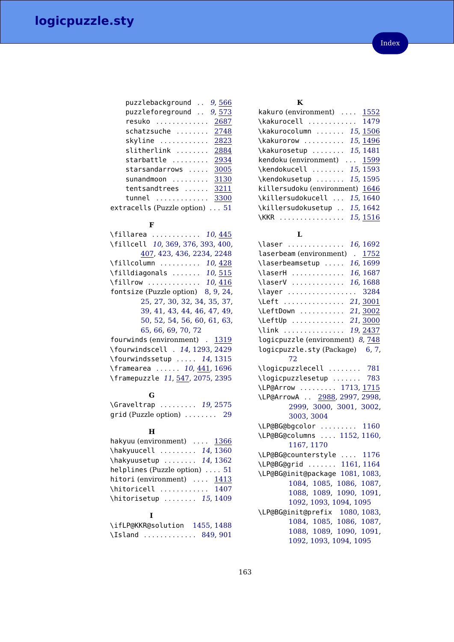| puzzlebackground               | 9,566 |
|--------------------------------|-------|
| puzzleforeground               | 9,573 |
| resuko                         | 2687  |
| schatzsuche                    | 2748  |
| skyline                        | 2823  |
| slitherlink                    | 2884  |
| starbattle                     | 2934  |
| starsandarrows                 | 3005  |
| sunandmoon                     | 3130  |
| tentsandtrees                  | 3211  |
| tunnel                         | 3300  |
| extracells (Puzzle option)  51 |       |

### **F**

| \fillarea <i>10.</i> 445           |
|------------------------------------|
| \fillcell 10, 369, 376, 393, 400,  |
| 407, 423, 436, 2234, 2248          |
| \fillcolumn <i>10,</i> 428         |
| \filldiagonals  10,515             |
| \fillrow <i>10,</i> 416            |
| fontsize (Puzzle option) 8, 9, 24, |
| 25, 27, 30, 32, 34, 35, 37,        |
| 39, 41, 43, 44, 46, 47, 49,        |
| 50, 52, 54, 56, 60, 61, 63,        |
| 65.66.69.70.72                     |
| fourwinds (environment) . 1319     |
| \fourwindscell . 14, 1293, 2429    |
| $\forall$ fourwindssetup  14, 1315 |
| \framearea  10, 441, 1696          |
| \framepuzzle 11, 547, 2075, 2395   |
|                                    |

### **G**

| \Graveltrap                          |  |  |  | 19, 2575 |  |
|--------------------------------------|--|--|--|----------|--|
| grid (Puzzle option) $\ldots \ldots$ |  |  |  | -29      |  |

### **H**

| hakyuu (environment) $\dots$ 1366     |  |
|---------------------------------------|--|
| \hakyuucell  14, 1360                 |  |
| \hakyuusetup  14, 1362                |  |
| helplines (Puzzle option) $\ldots$ 51 |  |
| hitori (environment)  1413            |  |
| \hitoricell  1407                     |  |
| \hitorisetup  15,1409                 |  |
|                                       |  |

# **I**

| \ifLP@KKR@solution | 1455.1488 |
|--------------------|-----------|
| \Island<br>.       | 849.901   |

## **K**

| kakuro (environment)  1552      |  |
|---------------------------------|--|
| \kakurocell  1479               |  |
| \kakurocolumn  15, 1506         |  |
| \kakurorow  15, 1496            |  |
| \kakurosetup  15, 1481          |  |
| kendoku (environment)  1599     |  |
| \kendokucell  15, 1593          |  |
| \kendokusetup  15, 1595         |  |
| killersudoku (environment) 1646 |  |
| \killersudokucell  15, 1640     |  |
| \killersudokusetup  15, 1642    |  |
| \KKR  15, 1516                  |  |

# **L**

| \laser  16, 1692                  |
|-----------------------------------|
| . 1752<br>laserbeam (environment) |
| 16, 1699<br>\laserbeamsetup       |
| 16, 1687<br>\laserH               |
| \laserV  16, 1688                 |
| \layer  3284                      |
| \Left  21,3001                    |
| \LeftDown  21,3002                |
| \LeftUp  21, 3000                 |
| \link  19, 2437                   |
| logicpuzzle (environment) 8, 748  |
| logicpuzzle.sty (Package) 6, 7,   |
| 72                                |
| \logicpuzzlecell  781             |
| \logicpuzzlesetup  783            |
| \LP@Arrow  1713, 1715             |
| \LP@ArrowA  2988, 2997, 2998,     |
| 2999, 3000, 3001, 3002,           |
| 3003, 3004                        |
| \LP@BG@bgcolor  1160              |
| \LP@BG@columns  1152, 1160,       |
| 1167, 1170                        |
| \LP@BG@counterstyle  1176         |
| \LP@BG@grid  1161,1164            |
| \LP@BG@init@package 1081, 1083,   |
| 1084, 1085, 1086, 1087,           |
| 1088, 1089,<br>1090, 1091,        |
| 1092, 1093, 1094, 1095            |
| \LP@BG@init@prefix 1080,1083,     |
| 1084, 1085, 1086, 1087,           |
| 1088, 1089, 1090, 1091,           |
| 1092, 1093, 1094, 1095            |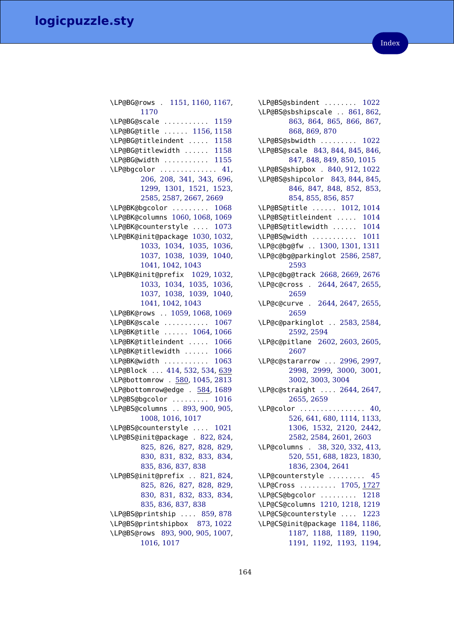| \LP@BG@rows . 1151, 1160, 1167,                            |
|------------------------------------------------------------|
| 1170                                                       |
| \LP@BG@scale  1159                                         |
| \LP@BG@title  1156, 1158                                   |
| \LP@BG@titleindent  1158                                   |
| \LP@BG@titlewidth  1158                                    |
| \LP@BG@width  1155                                         |
|                                                            |
| \LP@bgcolor  41,<br>206, 208, 341, 343, 696,               |
| 1299, 1301, 1521,<br>1523,                                 |
| 2585, 2587, 2667, 2669                                     |
| \LP@BK@bgcolor<br>1068                                     |
| \LP@BK@columns 1060, 1068, 1069                            |
| \LP@BK@counterstyle  1073                                  |
| \LP@BK@init@package 1030, 1032,                            |
| 1033, 1034, 1035, 1036,                                    |
| 1037, 1038, 1039, 1040,                                    |
| 1041, 1042, 1043                                           |
| \LP@BK@init@prefix 1029,1032,                              |
| 1033, 1034, 1035, 1036,                                    |
| 1037, 1038, 1039,<br>1040,                                 |
| 1041, 1042, 1043                                           |
| \LP@BK@rows  1059, 1068, 1069                              |
| \LP@BK@scale<br>1067                                       |
| \LP@BK@title  1064,1066                                    |
| \LP@BK@titleindent  1066                                   |
| \LP@BK@titlewidth  1066                                    |
| \LP@BK@width<br>1063                                       |
| \LP@Block  414, 532, 534, 639                              |
| \LP@bottomrow . 580, 1045, 2813                            |
| \LP@bottomrow@edge . 584, 1689                             |
| \LP@BS@bgcolor<br>1016                                     |
| \LP@BS@columns  893, 900, 905,                             |
| 1008, 1016, 1017                                           |
| \LP@BS@counterstyle  1021                                  |
| \LP@BS@init@package . 822, 824,                            |
| 825, 826, 827, 828, 829,                                   |
| 830, 831, 832, 833, 834,                                   |
| 835, 836, 837, 838                                         |
| \LP@BS@init@prefix  821, 824,                              |
| 825, 826, 827, 828, 829,                                   |
| 830, 831, 832, 833, 834,                                   |
| 835, 836, 837, 838                                         |
|                                                            |
| \LP@BS@printship  859,878<br>\LP@BS@printshipbox 873, 1022 |
|                                                            |
| \LP@BS@rows 893, 900, 905, 1007,                           |
| 1016, 1017                                                 |

\LP@BS@sbindent . . . . . . . . [1022](#page-100-16) \LP@BS@sbshipscale . . [861,](#page-97-2) [862,](#page-97-14) [863,](#page-97-5) [864,](#page-97-6) [865,](#page-97-7) [866,](#page-97-8) [867,](#page-97-9) [868,](#page-97-10) [869,](#page-97-11) [870](#page-97-12) \LP@BS@sbwidth . . . . . . . . . [1022](#page-100-16) \LP@BS@scale [843,](#page-96-18) [844,](#page-96-19) [845,](#page-96-20) [846,](#page-97-22) [847,](#page-97-23) [848,](#page-97-24) [849,](#page-97-17) [850,](#page-97-25) [1015](#page-100-18) \LP@BS@shipbox . [840,](#page-96-21) [912,](#page-98-4) [1022](#page-100-16) \LP@BS@shipcolor [843,](#page-96-18) [844,](#page-96-19) [845,](#page-96-20) [846,](#page-97-22) [847,](#page-97-23) [848,](#page-97-24) [852,](#page-97-1) [853,](#page-97-4) [854,](#page-97-16) [855,](#page-97-3) [856,](#page-97-13) [857](#page-97-15) \LP@BS@title . . . . . . [1012,](#page-100-19) [1014](#page-100-20) \LP@BS@titleindent . . . . . [1014](#page-100-20) \LP@BS@titlewidth . . . . . . [1014](#page-100-20) \LP@BS@width . . . . . . . . . . . [1011](#page-100-21) \LP@c@bg@fw . . [1300,](#page-106-3) [1301,](#page-106-2) [1311](#page-106-4) \LP@c@bg@parkinglot [2586,](#page-136-6) [2587,](#page-136-5) [2593](#page-137-0) \LP@c@bg@track [2668,](#page-138-2) [2669,](#page-138-1) [2676](#page-139-1) \LP@c@cross . [2644,](#page-138-3) [2647,](#page-138-4) [2655,](#page-138-5) [2659](#page-138-6) \LP@c@curve . [2644,](#page-138-3) [2647,](#page-138-4) [2655,](#page-138-5) [2659](#page-138-6) \LP@c@parkinglot . . [2583,](#page-136-7) [2584,](#page-136-8) [2592,](#page-136-9) [2594](#page-137-1) \LP@c@pitlane [2602,](#page-137-2) [2603,](#page-137-3) [2605,](#page-137-4) [2607](#page-137-5) \LP@c@stararrow . . . [2996,](#page-146-12) [2997,](#page-146-5) [2998,](#page-146-6) [2999,](#page-146-7) [3000,](#page-146-8) [3001,](#page-146-9) [3002,](#page-146-10) [3003,](#page-146-11) [3004](#page-146-1) \LP@c@straight . . . . [2644,](#page-138-3) [2647,](#page-138-4) [2655,](#page-138-5) [2659](#page-138-6) \LP@color . . . . . . . . . . . . . . . . [40,](#page-72-2) [526,](#page-87-4) [641,](#page-91-4) [680,](#page-92-0) [1114,](#page-102-12) [1133,](#page-103-12) [1306,](#page-106-5) [1532,](#page-112-2) [2120,](#page-125-1) [2442,](#page-132-3) [2582,](#page-136-10) [2584,](#page-136-8) [2601,](#page-137-6) [2603](#page-137-3) \LP@columns . [38,](#page-72-3) [320,](#page-81-3) [332,](#page-81-4) [413,](#page-83-5) [520,](#page-87-5) [551,](#page-88-4) [688,](#page-92-1) [1823,](#page-119-1) [1830,](#page-119-2) [1836,](#page-119-3) [2304,](#page-129-0) [2641](#page-138-7) \LP@counterstyle . . . . . . . . . [45](#page-72-4) \LP@Cross . . . . . . . . . [1705,](#page-115-6) [1727](#page-116-2) \LP@CS@bgcolor . . . . . . . . . [1218](#page-105-3) \LP@CS@columns [1210,](#page-104-5) [1218,](#page-105-3) [1219](#page-105-4) \LP@CS@counterstyle . . . . [1223](#page-105-5) \LP@CS@init@package [1184,](#page-104-6) [1186,](#page-104-7) [1187,](#page-104-8) [1188,](#page-104-9) [1189,](#page-104-10) [1190,](#page-104-11) [1191,](#page-104-12) [1192,](#page-104-13) [1193,](#page-104-14) [1194,](#page-104-15)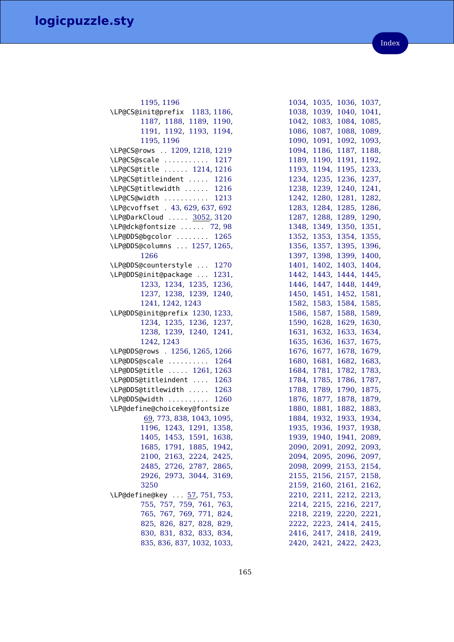| 1195, 1196                       |
|----------------------------------|
| \LP@CS@init@prefix 1183, 1186,   |
| 1187, 1188, 1189, 1190,          |
| 1191, 1192, 1193, 1194,          |
| 1195, 1196                       |
| \LP@CS@rows  1209, 1218, 1219    |
| \LP@CS@scale  1217               |
| \LP@CS@title  1214, 1216         |
| \LP@CS@titleindent  1216         |
| \LP@CS@titlewidth  1216          |
| \LP@CS@width  1213               |
| \LP@cvoffset . 43, 629, 637, 692 |
| \LP@DarkCloud  3052, 3120        |
| \LP@dck@fontsize  72,98          |
| \LP@DDS@bgcolor  1265            |
| \LP@DDS@columns  1257, 1265,     |
| 1266                             |
| \LP@DDS@counterstyle  1270       |
| \LP@DDS@init@package<br>1231,    |
| 1233, 1234, 1235,<br>1236,       |
| 1237, 1238, 1239, 1240,          |
| 1241, 1242, 1243                 |
| \LP@DDS@init@prefix 1230, 1233,  |
| 1234, 1235, 1236, 1237,          |
| 1238, 1239, 1240, 1241,          |
| 1242, 1243                       |
| \LP@DDS@rows . 1256, 1265, 1266  |
| \LP@DDS@scale  1264              |
| \LP@DDS@title  1261, 1263        |
| \LP@DDS@titleindent  1263        |
|                                  |
| \LP@DDS@titlewidth<br>1263       |
| \LP@DDS@width  1260              |
| \LP@define@choicekey@fontsize    |
| 69, 773, 838, 1043, 1095,        |
| 1196, 1243, 1291, 1358,          |
| 1405, 1453, 1591, 1638,          |
| 1685, 1791, 1885, 1942,          |
| 2100, 2163, 2224, 2425,          |
| 2485, 2726, 2787, 2865,          |
| 2926, 2973, 3044, 3169,          |
| 3250                             |
| \LP@define@key  57, 751, 753,    |
| 755, 757, 759, 761, 763,         |
| 765, 767, 769, 771, 824,         |
| 825, 826, 827, 828, 829,         |
| 830, 831, 832, 833, 834,         |
| 835, 836, 837, 1032, 1033,       |

| 1034, | 1035,                   | 1036,       | 1037, |
|-------|-------------------------|-------------|-------|
| 1038, | 1039,                   | 1040,       | 1041, |
| 1042, | 1083,                   | 1084,       | 1085, |
| 1086, | 1087,                   | 1088,       | 1089, |
| 1090, | 1091,                   | 1092,       | 1093, |
| 1094, | 1186,                   | 1187,       | 1188, |
| 1189, | 1190,                   | 1191,       | 1192, |
| 1193, | 1194,                   | 1195,       | 1233, |
| 1234, | 1235,                   | 1236,       | 1237, |
| 1238, | 1239,                   | 1240,       | 1241, |
| 1242, | 1280,                   | 1281,       | 1282, |
| 1283, | 1284,                   | 1285,       | 1286, |
| 1287, | 1288,                   | 1289,       | 1290, |
| 1348, | 1349,                   | 1350,       | 1351, |
| 1352, | 1353,                   | 1354,       | 1355, |
| 1356, | 1357,                   | 1395,       | 1396, |
| 1397, | 1398,                   | 1399,       | 1400, |
| 1401, | 1402,                   | 1403,       | 1404, |
| 1442, | 1443,                   | 1444,       | 1445, |
| 1446, | 1447,                   | 1448,       | 1449, |
| 1450, | 1451,                   | 1452,       | 1581, |
| 1582, | 1583,                   | 1584,       | 1585, |
| 1586, | 1587,                   | 1588,       | 1589, |
| 1590, | 1628,                   | 1629,       | 1630, |
| 1631, | 1632,                   | 1633,       | 1634, |
| 1635, | 1636,                   | 1637,       | 1675, |
| 1676, | 1677,                   | 1678,       | 1679, |
| 1680, | 1681,                   | 1682,       | 1683, |
| 1684, | 1781,                   | 1782,       | 1783, |
| 1784, | 1785,                   | 1786,       | 1787, |
| 1788, | 1789,                   | 1790,       | 1875, |
| 1876, | 1877,                   | 1878,       | 1879, |
| 1880, | 1881,                   | 1882,       | 1883, |
| 1884, | 1932,                   | 1933,       | 1934, |
| 1935, | 1936,                   | 1937,       | 1938, |
| 1939, | 1940,                   | 1941,       | 2089, |
|       | 2090, 2091, 2092, 2093, |             |       |
|       | 2094, 2095, 2096, 2097, |             |       |
|       | 2098, 2099, 2153, 2154, |             |       |
|       | 2155, 2156, 2157, 2158, |             |       |
| 2159, | 2160,                   | 2161,       | 2162, |
| 2210, | 2211,                   | 2212, 2213, |       |
| 2214, | 2215,                   | 2216,       | 2217, |
|       | 2218, 2219, 2220, 2221, |             |       |
|       | 2222, 2223, 2414, 2415, |             |       |
|       | 2416, 2417, 2418, 2419, |             |       |
|       | 2420, 2421, 2422, 2423, |             |       |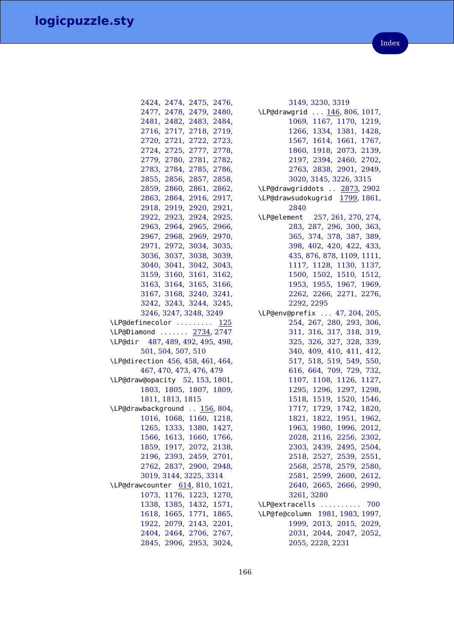|                                 | 2424, 2474, 2475, 2476, |                         |
|---------------------------------|-------------------------|-------------------------|
|                                 |                         | 2477, 2478, 2479, 2480, |
|                                 |                         | 2481, 2482, 2483, 2484, |
|                                 |                         | 2716, 2717, 2718, 2719, |
|                                 |                         | 2720, 2721, 2722, 2723, |
|                                 |                         | 2724, 2725, 2777, 2778, |
|                                 |                         | 2779, 2780, 2781, 2782, |
|                                 |                         | 2783, 2784, 2785, 2786, |
|                                 |                         | 2855, 2856, 2857, 2858, |
|                                 |                         | 2859, 2860, 2861, 2862, |
|                                 |                         | 2863, 2864, 2916, 2917, |
|                                 |                         | 2918, 2919, 2920, 2921, |
|                                 |                         | 2922, 2923, 2924, 2925, |
|                                 |                         | 2963, 2964, 2965, 2966, |
|                                 |                         | 2967, 2968, 2969, 2970, |
|                                 |                         | 2971, 2972, 3034, 3035, |
|                                 |                         | 3036, 3037, 3038, 3039, |
|                                 |                         | 3040, 3041, 3042, 3043, |
|                                 |                         | 3159, 3160, 3161, 3162, |
|                                 |                         | 3163, 3164, 3165, 3166, |
|                                 |                         | 3167, 3168, 3240, 3241, |
|                                 |                         | 3242, 3243, 3244, 3245, |
|                                 | 3246, 3247, 3248, 3249  |                         |
| \LP@definecolor <u>125</u>      |                         |                         |
| \LP@Diamond  2734,2747          |                         |                         |
| \LP@dir 487,489,492,495,498,    |                         |                         |
|                                 | 501, 504, 507, 510      |                         |
| \LP@direction 456,458,461,464,  |                         |                         |
|                                 | 467, 470, 473, 476, 479 |                         |
| \LP@draw@opacity 52, 153, 1801, |                         |                         |
|                                 |                         | 1803, 1805, 1807, 1809, |
|                                 | 1811, 1813, 1815        |                         |
| \LP@drawbackground  156, 804,   |                         |                         |
|                                 |                         | 1016, 1068, 1160, 1218, |
|                                 |                         | 1265, 1333, 1380, 1427, |
|                                 |                         | 1566, 1613, 1660, 1766, |
|                                 | 1859, 1917, 2072, 2138, |                         |
|                                 | 2196, 2393, 2459, 2701, |                         |
|                                 | 2762, 2837, 2900, 2948, |                         |
|                                 | 3019, 3144, 3225, 3314  |                         |
| \LP@drawcounter 614, 810, 1021, |                         |                         |
|                                 | 1073, 1176, 1223, 1270, |                         |
|                                 | 1338, 1385, 1432, 1571, |                         |
|                                 | 1618, 1665, 1771, 1865, |                         |
|                                 | 1922, 2079, 2143, 2201, |                         |
|                                 | 2404, 2464, 2706, 2767, |                         |
|                                 | 2845, 2906, 2953, 3024, |                         |
|                                 |                         |                         |

| 3149, 3230, 3319                                                              |
|-------------------------------------------------------------------------------|
| \LP@drawgrid  146, 806, 1017,                                                 |
| 1069, 1167, 1170, 1219,                                                       |
| 1266, 1334, 1381, 1428,                                                       |
| 1567, 1614, 1661, 1767,                                                       |
| 1860, 1918, 2073, 2139,                                                       |
| 2197, 2394, 2460, 2702,                                                       |
| 2763, 2838, 2901, 2949,                                                       |
| 3020, 3145, 3226, 3315                                                        |
| \LP@drawgriddots  2873, 2902                                                  |
| \LP@drawsudokugrid 1799, 1861,                                                |
| 2840                                                                          |
| \LP@element 257, 261, 270, 274,                                               |
| 283, 287, 296, 300, 363,                                                      |
| 365, 374, 378, 387, 389,                                                      |
| 398, 402, 420, 422, 433,                                                      |
| 435, 876, 878, 1109, 1111,                                                    |
| 1117, 1128, 1130, 1137,                                                       |
| 1500, 1502, 1510, 1512,                                                       |
| 1953, 1955, 1967, 1969,                                                       |
| 2262, 2266, 2271, 2276,                                                       |
| 2292, 2295                                                                    |
| \LP@env@prefix  47, 204, 205,                                                 |
| 254, 267, 280, 293, 306,                                                      |
| 311, 316, 317, 318, 319,                                                      |
| 325, 326, 327, 328, 339,                                                      |
| 340, 409, 410, 411, 412,                                                      |
| 517, 518, 519, 549, 550,                                                      |
| 616, 664, 709, 729, 732,                                                      |
| 1107, 1108, 1126, 1127,                                                       |
| 1295, 1296, 1297, 1298,                                                       |
| 1518, 1519, 1520, 1546,                                                       |
|                                                                               |
| 1717, 1729, 1742, 1820,<br>1821, 1822, 1951, 1962,<br>1963, 1980, 1996, 2012, |
|                                                                               |
| 2028, 2116, 2256, 2302,                                                       |
| 2303, 2439, 2495, 2504,                                                       |
| 2518, 2527, 2539, 2551,                                                       |
| 2568, 2578, 2579, 2580,                                                       |
| 2581, 2599, 2600, 2612,                                                       |
| 2640, 2665, 2666, 2990,                                                       |
| 3261, 3280                                                                    |
| \LP@extracells<br>700                                                         |
| \LP@fe@column 1981, 1983, 1997,                                               |
| 1999, 2013, 2015, 2029,                                                       |
| 2031, 2044, 2047, 2052,                                                       |
| 2055, 2228, 2231                                                              |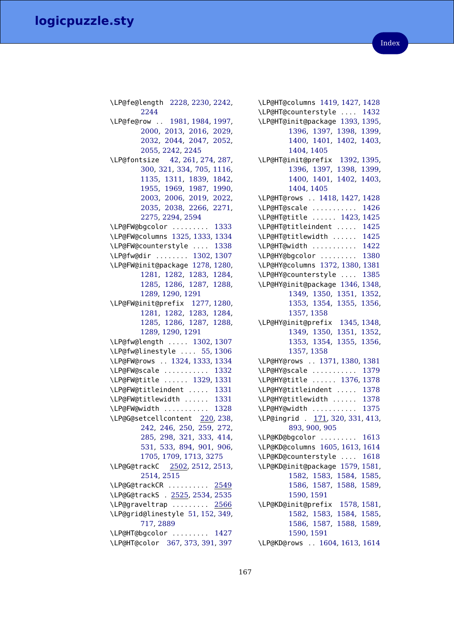\LP@fe@length [2228,](#page-128-11) [2230,](#page-128-13) [2242,](#page-128-14) [2244](#page-128-15) \LP@fe@row . . [1981,](#page-122-8) [1984,](#page-122-10) [1997,](#page-123-3) [2000,](#page-123-9) [2013,](#page-123-5) [2016,](#page-123-10) [2029,](#page-123-7) [2032,](#page-123-11) [2044,](#page-124-5) [2047,](#page-124-6) [2052,](#page-124-7) [2055,](#page-124-8) [2242,](#page-128-14) [2245](#page-128-16) \LP@fontsize [42,](#page-72-8) [261,](#page-79-2) [274,](#page-79-4) [287,](#page-79-6) [300,](#page-80-2) [321,](#page-81-15) [334,](#page-81-16) [705,](#page-93-4) [1116,](#page-102-18) [1135,](#page-103-18) [1311,](#page-106-4) [1839,](#page-119-7) [1842,](#page-119-8) [1955,](#page-122-1) [1969,](#page-122-3) [1987,](#page-122-11) [1990,](#page-122-12) [2003,](#page-123-12) [2006,](#page-123-13) [2019,](#page-123-14) [2022,](#page-123-15) [2035,](#page-123-16) [2038,](#page-123-17) [2266,](#page-129-2) [2271,](#page-129-3) [2275,](#page-129-9) [2294,](#page-129-10) [2594](#page-137-1) \LP@FW@bgcolor . . . . . . . . . [1333](#page-107-15) \LP@FW@columns [1325,](#page-107-18) [1333,](#page-107-15) [1334](#page-107-17) \LP@FW@counterstyle . . . . [1338](#page-107-16) \LP@fw@dir . . . . . . . . [1302,](#page-106-26) [1307](#page-106-27) \LP@FW@init@package [1278,](#page-106-28) [1280,](#page-106-11) [1281,](#page-106-12) [1282,](#page-106-13) [1283,](#page-106-14) [1284,](#page-106-15) [1285,](#page-106-16) [1286,](#page-106-17) [1287,](#page-106-18) [1288,](#page-106-19) [1289,](#page-106-20) [1290,](#page-106-21) [1291](#page-106-10) \LP@FW@init@prefix [1277,](#page-106-29) [1280,](#page-106-11) [1281,](#page-106-12) [1282,](#page-106-13) [1283,](#page-106-14) [1284,](#page-106-15) [1285,](#page-106-16) [1286,](#page-106-17) [1287,](#page-106-18) [1288,](#page-106-19) [1289,](#page-106-20) [1290,](#page-106-21) [1291](#page-106-10) \LP@fw@length . . . . . [1302,](#page-106-26) [1307](#page-106-27) \LP@fw@linestyle . . . . [55,](#page-72-9) [1306](#page-106-5) \LP@FW@rows . . [1324,](#page-107-19) [1333,](#page-107-15) [1334](#page-107-17) \LP@FW@scale . . . . . . . . . . . [1332](#page-107-20) \LP@FW@title . . . . . . [1329,](#page-107-21) [1331](#page-107-22) \LP@FW@titleindent . . . . . [1331](#page-107-22) \LP@FW@titlewidth . . . . . . [1331](#page-107-22) \LP@FW@width . . . . . . . . . . . [1328](#page-107-23) \LP@G@setcellcontent [220,](#page-77-4) [238,](#page-78-1) [242,](#page-78-2) [246,](#page-78-3) [250,](#page-78-4) [259,](#page-79-10) [272,](#page-79-11) [285,](#page-79-12) [298,](#page-80-6) [321,](#page-81-15) [333,](#page-81-17) [414,](#page-84-7) [531,](#page-87-9) [533,](#page-87-10) [894,](#page-97-27) [901,](#page-98-1) [906,](#page-98-5) [1705,](#page-115-6) [1709,](#page-116-5) [1713,](#page-116-0) [3275](#page-153-12) \LP@G@trackC [2502,](#page-134-6) [2512,](#page-134-7) [2513,](#page-134-8) [2514,](#page-134-9) [2515](#page-134-10) \LP@G@trackCR . . . . . . . . . . [2549](#page-136-17) \LP@G@trackS . [2525,](#page-135-3) [2534,](#page-135-4) [2535](#page-135-5) \LP@graveltrap . . . . . . . . . [2566](#page-136-18) \LP@grid@linestyle [51,](#page-72-10) [152,](#page-75-3) [349,](#page-82-3) [717,](#page-93-5) [2889](#page-143-13) \LP@HT@bgcolor . . . . . . . . . [1427](#page-109-14) \LP@HT@color [367,](#page-82-4) [373,](#page-83-16) [391,](#page-83-17) [397](#page-83-18)

\LP@HT@columns [1419,](#page-109-17) [1427,](#page-109-14) [1428](#page-109-16) \LP@HT@counterstyle . . . . [1432](#page-109-15) \LP@HT@init@package [1393,](#page-108-17) [1395,](#page-108-4) [1396,](#page-108-5) [1397,](#page-108-6) [1398,](#page-108-7) [1399,](#page-108-8) [1400,](#page-108-9) [1401,](#page-108-10) [1402,](#page-108-11) [1403,](#page-108-12) [1404,](#page-108-13) [1405](#page-108-3) \LP@HT@init@prefix [1392,](#page-108-18) [1395,](#page-108-4) [1396,](#page-108-5) [1397,](#page-108-6) [1398,](#page-108-7) [1399,](#page-108-8) [1400,](#page-108-9) [1401,](#page-108-10) [1402,](#page-108-11) [1403,](#page-108-12) [1404,](#page-108-13) [1405](#page-108-3) \LP@HT@rows . . [1418,](#page-109-18) [1427,](#page-109-14) [1428](#page-109-16) \LP@HT@scale . . . . . . . . . . . [1426](#page-109-19) \LP@HT@title . . . . . . [1423,](#page-109-20) [1425](#page-109-21) \LP@HT@titleindent . . . . . [1425](#page-109-21) \LP@HT@titlewidth . . . . . . [1425](#page-109-21) \LP@HT@width . . . . . . . . . . . [1422](#page-109-22) \LP@HY@bgcolor . . . . . . . . . [1380](#page-108-14) \LP@HY@columns [1372,](#page-108-19) [1380,](#page-108-14) [1381](#page-108-16) \LP@HY@counterstyle . . . . [1385](#page-108-15) \LP@HY@init@package [1346,](#page-107-24) [1348,](#page-107-5) [1349,](#page-107-6) [1350,](#page-107-7) [1351,](#page-107-8) [1352,](#page-107-9) [1353,](#page-107-10) [1354,](#page-107-11) [1355,](#page-107-12) [1356,](#page-107-13) [1357,](#page-107-14) [1358](#page-107-4) \LP@HY@init@prefix [1345,](#page-107-25) [1348,](#page-107-5) [1349,](#page-107-6) [1350,](#page-107-7) [1351,](#page-107-8) [1352,](#page-107-9) [1353,](#page-107-10) [1354,](#page-107-11) [1355,](#page-107-12) [1356,](#page-107-13) [1357,](#page-107-14) [1358](#page-107-4) \LP@HY@rows . . [1371,](#page-108-20) [1380,](#page-108-14) [1381](#page-108-16) \LP@HY@scale . . . . . . . . . . . [1379](#page-108-21) \LP@HY@title . . . . . . [1376,](#page-108-22) [1378](#page-108-23) \LP@HY@titleindent . . . . . [1378](#page-108-23) \LP@HY@titlewidth . . . . . . [1378](#page-108-23) \LP@HY@width . . . . . . . . . . . [1375](#page-108-24) \LP@ingrid . [171,](#page-76-1) [320,](#page-81-3) [331,](#page-81-18) [413,](#page-83-5) [893,](#page-97-18) [900,](#page-98-2) [905](#page-98-3) \LP@KD@bgcolor . . . . . . . . . [1613](#page-113-14) \LP@KD@columns [1605,](#page-113-18) [1613,](#page-113-14) [1614](#page-113-17) \LP@KD@counterstyle . . . . [1618](#page-114-15) \LP@KD@init@package [1579,](#page-113-19) [1581,](#page-113-4) [1582,](#page-113-5) [1583,](#page-113-6) [1584,](#page-113-7) [1585,](#page-113-8) [1586,](#page-113-9) [1587,](#page-113-10) [1588,](#page-113-11) [1589,](#page-113-12) [1590,](#page-113-13) [1591](#page-113-3) \LP@KD@init@prefix [1578,](#page-113-20) [1581,](#page-113-4) [1582,](#page-113-5) [1583,](#page-113-6) [1584,](#page-113-7) [1585,](#page-113-8) [1586,](#page-113-9) [1587,](#page-113-10) [1588,](#page-113-11) [1589,](#page-113-12) [1590,](#page-113-13) [1591](#page-113-3) \LP@KD@rows . . [1604,](#page-113-21) [1613,](#page-113-14) [1614](#page-113-17)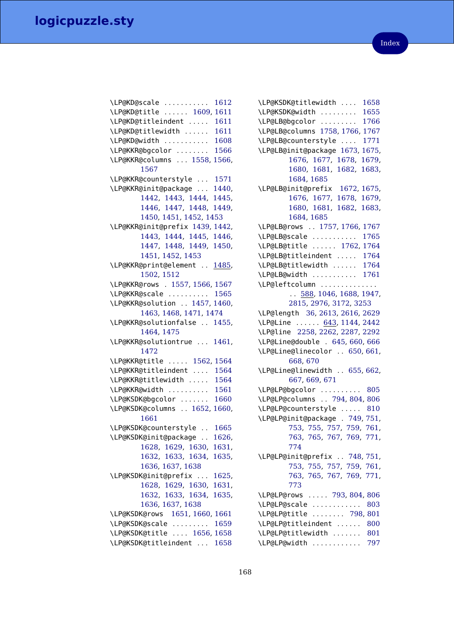| \LP@KD@scale<br>\!RavRaviyl<br>1612 |
|-------------------------------------|
| \LP@KD@title  1609, 1611            |
| \LP@KD@titleindent<br>1611          |
| \LP@KD@titlewidth<br>1611           |
| \LP@KD@width<br>1608                |
| \LP@KKR@bgcolor<br>1566             |
| \LP@KKR@columns  1558,<br>1566,     |
| 1567                                |
| \LP@KKR@counterstyle  1571          |
| \LP@KKR@init@package<br>1440,       |
| 1442, 1443, 1444,<br>1445,          |
| 1446, 1447, 1448,<br>1449,          |
| 1450, 1451, 1452, 1453              |
| \LP@KKR@init@prefix 1439, 1442,     |
| 1443, 1444, 1445,<br>1446,          |
| 1447, 1448, 1449,<br>1450,          |
| 1451, 1452, 1453                    |
| \LP@KKR@print@element  1485,        |
| 1502, 1512                          |
| \LP@KKR@rows . 1557, 1566, 1567     |
| \LP@KKR@scale  1565                 |
| \LP@KKR@solution  1457, 1460,       |
| 1463, 1468, 1471, 1474              |
| \LP@KKR@solutionfalse  1455,        |
| 1464, 1475                          |
| \LP@KKR@solutiontrue  1461,         |
| 1472                                |
| \LP@KKR@title  1562, 1564           |
| \LP@KKR@titleindent<br>1564         |
| \LP@KKR@titlewidth<br>1564          |
| \LP@KKR@width<br>1561               |
| \LP@KSDK@bgcolor<br>1660            |
| \LP@KSDK@columns  1652,<br>1660,    |
| 1661                                |
| \LP@KSDK@counterstyle<br>1665       |
| \LP@KSDK@init@package<br>1626,      |
| 1628, 1629, 1630, 1631,             |
| 1632, 1633, 1634, 1635,             |
| 1636, 1637, 1638                    |
| \LP@KSDK@init@prefix  1625,         |
| 1628, 1629, 1630, 1631,             |
| 1632, 1633, 1634, 1635,             |
| 1636, 1637, 1638                    |
| \LP@KSDK@rows 1651, 1660, 1661      |
| \LP@KSDK@scale<br>1659              |
| \LP@KSDK@title  1656, 1658          |
| \LP@KSDK@titleindent  1658          |
|                                     |

\LP@KSDK@titlewidth . . . . [1658](#page-114-23) \LP@KSDK@width . . . . . . . . . [1655](#page-114-24) \LP@LB@bgcolor . . . . . . . . . [1766](#page-117-1) \LP@LB@columns [1758,](#page-117-5) [1766,](#page-117-1) [1767](#page-117-3) \LP@LB@counterstyle . . . . [1771](#page-117-2) \LP@LB@init@package [1673,](#page-115-19) [1675,](#page-115-8) [1676,](#page-115-9) [1677,](#page-115-10) [1678,](#page-115-11) [1679,](#page-115-12) [1680,](#page-115-13) [1681,](#page-115-14) [1682,](#page-115-15) [1683,](#page-115-16) [1684,](#page-115-17) [1685](#page-115-7) \LP@LB@init@prefix [1672,](#page-115-20) [1675,](#page-115-8) [1676,](#page-115-9) [1677,](#page-115-10) [1678,](#page-115-11) [1679,](#page-115-12) [1680,](#page-115-13) [1681,](#page-115-14) [1682,](#page-115-15) [1683,](#page-115-16) [1684,](#page-115-17) [1685](#page-115-7) \LP@LB@rows . . [1757,](#page-117-6) [1766,](#page-117-1) [1767](#page-117-3) \LP@LB@scale . . . . . . . . . . . [1765](#page-117-7) \LP@LB@title . . . . . . [1762,](#page-117-8) [1764](#page-117-9) \LP@LB@titleindent . . . . . [1764](#page-117-9) \LP@LB@titlewidth . . . . . . [1764](#page-117-9) \LP@LB@width . . . . . . . . . . . [1761](#page-117-10) \LP@leftcolumn .............. . . [588,](#page-89-1) [1046,](#page-101-23) [1688,](#page-115-4) [1947,](#page-121-15) [2815,](#page-142-11) [2976,](#page-145-15) [3172,](#page-151-11) [3253](#page-153-13) \LP@length [36,](#page-72-11) [2613,](#page-137-10) [2616,](#page-137-11) [2629](#page-137-12) \LP@Line . . . . . . [643,](#page-91-7) [1144,](#page-103-19) [2442](#page-132-3) \LP@line [2258,](#page-128-17) [2262,](#page-129-1) [2287,](#page-129-11) [2292](#page-129-5) \LP@Line@double . [645,](#page-91-8) [660,](#page-91-9) [666](#page-92-3) \LP@Line@linecolor . . [650,](#page-91-10) [661,](#page-91-11) [668,](#page-92-4) [670](#page-92-5) \LP@Line@linewidth . . [655,](#page-91-12) [662,](#page-92-6) [667,](#page-92-7) [669,](#page-92-8) [671](#page-92-9) \LP@LP@bgcolor .......... [805](#page-95-12) \LP@LP@columns . . [794,](#page-95-13) [804,](#page-95-10) [806](#page-95-11) \LP@LP@counterstyle . . . . . [810](#page-96-22) \LP@LP@init@package . [749,](#page-94-7) [751,](#page-94-1) [753,](#page-94-2) [755,](#page-94-3) [757,](#page-94-4) [759,](#page-95-3) [761,](#page-95-4) [763,](#page-95-5) [765,](#page-95-6) [767,](#page-95-7) [769,](#page-95-8) [771,](#page-95-9) [774](#page-95-14) \LP@LP@init@prefix . . [748,](#page-94-8) [751,](#page-94-1) [753,](#page-94-2) [755,](#page-94-3) [757,](#page-94-4) [759,](#page-95-3) [761,](#page-95-4) [763,](#page-95-5) [765,](#page-95-6) [767,](#page-95-7) [769,](#page-95-8) [771,](#page-95-9) [773](#page-95-2) \LP@LP@rows . . . . . [793,](#page-95-15) [804,](#page-95-10) [806](#page-95-11) \LP@LP@scale . . . . . . . . . . . . [803](#page-95-16) \LP@LP@title . . . . . . . . [798,](#page-95-17) [801](#page-95-18) \LP@LP@titleindent ...... [800](#page-95-19) \LP@LP@titlewidth ....... [801](#page-95-18) \LP@LP@width . . . . . . . . . . . . [797](#page-95-20)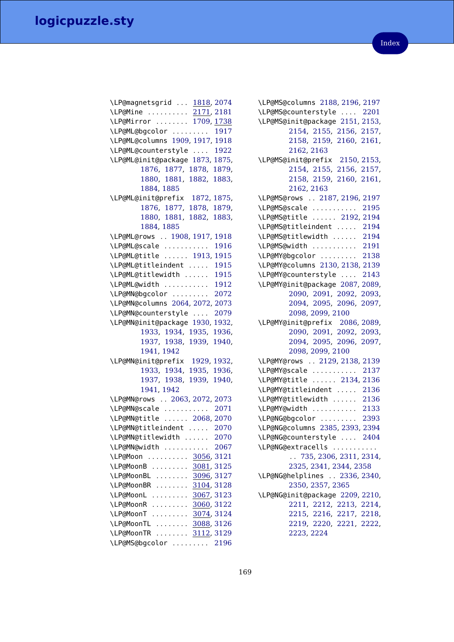| \LP@magnetsgrid  1818, 2074                  |
|----------------------------------------------|
| \LP@Mine  2171, 2181                         |
| \LP@Mirror  1709, 1738                       |
| \LP@ML@bgcolor  1917                         |
| \LP@ML@columns 1909, 1917, 1918              |
| \LP@ML@counterstyle  1922                    |
| \LP@ML@init@package<br>1873, 1875,           |
| 1876, 1877,<br>1878, 1879,                   |
| 1880, 1881,<br>1882,                         |
| 1883,                                        |
| 1884, 1885<br>\LP@ML@init@prefix 1872, 1875, |
| 1876, 1877, 1878,<br>1879,                   |
| 1880, 1881,<br>1882,                         |
| 1883,                                        |
| 1884, 1885                                   |
| \LP@ML@rows  1908, 1917, 1918                |
| \LP@ML@scale<br>1916                         |
| \LP@ML@title  1913, 1915                     |
| 1915<br>\LP@ML@titleindent                   |
| \LP@ML@titlewidth<br>1915                    |
| \LP@ML@width<br>1912                         |
| \LP@MN@bgcolor<br>2072                       |
| \LP@MN@columns 2064, 2072, 2073              |
| \LP@MN@counterstyle<br>2079                  |
| \LP@MN@init@package 1930, 1932,              |
| 1933, 1934, 1935,<br>1936,                   |
| 1937, 1938, 1939,<br>1940,                   |
| 1941, 1942                                   |
| \LP@MN@init@prefix 1929,1932,                |
| 1933, 1934,<br>1935,<br>1936,                |
| 1937, 1938,<br>1939,<br>1940,                |
| 1941, 1942                                   |
|                                              |
| \LP@MN@rows  2063, 2072, 2073                |
| \LP@MN@scale<br>2071                         |
| \LP@MN@title  2068, 2070                     |
| \LP@MN@titleindent<br>2070                   |
| \LP@MN@titlewidth<br>2070                    |
| \LP@MN@width  2067                           |
| \LP@Moon  3056, 3121                         |
| \LP@MoonB<br>3081, 3125                      |
| \LP@MoonBL<br>3096, 3127                     |
| \LP@MoonBR<br>3104, 3128                     |
| \LP@MoonL<br>3067, 3123                      |
| \LP@MoonR<br>3060, 3122                      |
| \LP@MoonT<br>3074, 3124                      |
| \LP@MoonTL<br>3088, 3126                     |
| \LP@MoonTR  3112, 3129                       |
| \LP@MS@bgcolor  2196                         |
|                                              |

\LP@MS@columns [2188,](#page-127-11) [2196,](#page-127-8) [2197](#page-127-10) \LP@MS@counterstyle . . . . [2201](#page-127-9) \LP@MS@init@package [2151,](#page-126-15) [2153,](#page-126-1) [2154,](#page-126-2) [2155,](#page-126-3) [2156,](#page-126-4) [2157,](#page-126-5) [2158,](#page-126-6) [2159,](#page-126-7) [2160,](#page-126-8) [2161,](#page-126-9) [2162,](#page-126-10) [2163](#page-126-0) \LP@MS@init@prefix [2150,](#page-126-16) [2153,](#page-126-1) [2154,](#page-126-2) [2155,](#page-126-3) [2156,](#page-126-4) [2157,](#page-126-5) [2158,](#page-126-6) [2159,](#page-126-7) [2160,](#page-126-8) [2161,](#page-126-9) [2162,](#page-126-10) [2163](#page-126-0) \LP@MS@rows . . [2187,](#page-127-12) [2196,](#page-127-8) [2197](#page-127-10) \LP@MS@scale . . . . . . . . . . . [2195](#page-127-13) \LP@MS@title . . . . . . [2192,](#page-127-14) [2194](#page-127-15) \LP@MS@titleindent . . . . . [2194](#page-127-15) \LP@MS@titlewidth . . . . . . [2194](#page-127-15) \LP@MS@width . . . . . . . . . . . [2191](#page-127-16) \LP@MY@bgcolor . . . . . . . . . [2138](#page-126-11) \LP@MY@columns [2130,](#page-126-17) [2138,](#page-126-11) [2139](#page-126-13) \LP@MY@counterstyle . . . . [2143](#page-126-12) \LP@MY@init@package [2087,](#page-125-15) [2089,](#page-125-3) [2090,](#page-125-4) [2091,](#page-125-5) [2092,](#page-125-6) [2093,](#page-125-7) [2094,](#page-125-8) [2095,](#page-125-9) [2096,](#page-125-10) [2097,](#page-125-11) [2098,](#page-125-12) [2099,](#page-125-13) [2100](#page-125-2) \LP@MY@init@prefix [2086,](#page-125-16) [2089,](#page-125-3) [2090,](#page-125-4) [2091,](#page-125-5) [2092,](#page-125-6) [2093,](#page-125-7) [2094,](#page-125-8) [2095,](#page-125-9) [2096,](#page-125-10) [2097,](#page-125-11) [2098,](#page-125-12) [2099,](#page-125-13) [2100](#page-125-2) \LP@MY@rows . . [2129,](#page-126-18) [2138,](#page-126-11) [2139](#page-126-13) \LP@MY@scale . . . . . . . . . . . [2137](#page-126-19) \LP@MY@title . . . . . . [2134,](#page-126-20) [2136](#page-126-21) \LP@MY@titleindent . . . . . [2136](#page-126-21) \LP@MY@titlewidth . . . . . . [2136](#page-126-21) \LP@MY@width . . . . . . . . . . . [2133](#page-126-22) \LP@NG@bgcolor . . . . . . . . . [2393](#page-131-2) \LP@NG@columns [2385,](#page-131-4) [2393,](#page-131-2) [2394](#page-131-3) \LP@NG@counterstyle . . . . [2404](#page-132-16) \LP@NG@extracells . . . . . . . . . . . . . [735,](#page-94-9) [2306,](#page-130-0) [2311,](#page-130-1) [2314,](#page-130-2) [2325,](#page-130-3) [2341,](#page-130-4) [2344,](#page-130-5) [2358](#page-131-5) \LP@NG@helplines . . [2336,](#page-130-6) [2340,](#page-130-7) [2350,](#page-130-8) [2357,](#page-131-6) [2365](#page-131-7) \LP@NG@init@package [2209,](#page-127-17) [2210,](#page-127-1) [2211,](#page-127-2) [2212,](#page-127-3) [2213,](#page-127-4) [2214,](#page-127-5) [2215,](#page-127-6) [2216,](#page-127-7) [2217,](#page-128-3) [2218,](#page-128-4) [2219,](#page-128-5) [2220,](#page-128-6) [2221,](#page-128-7) [2222,](#page-128-8) [2223,](#page-128-9) [2224](#page-128-2)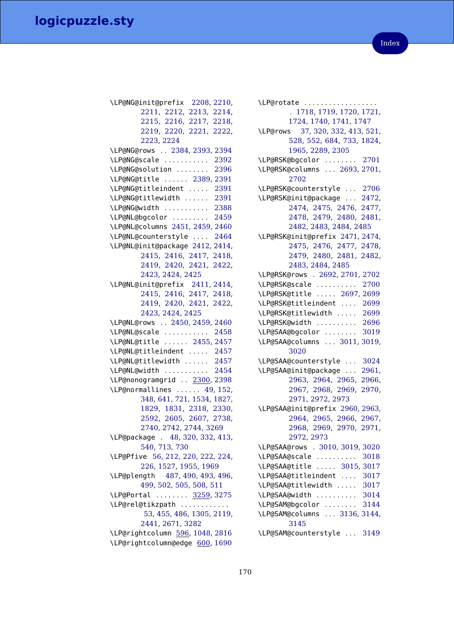| \LP@NG@init@prefix 2208, 2210,    |
|-----------------------------------|
| 2211, 2212, 2213, 2214,           |
| 2215, 2216, 2217, 2218,           |
| 2219, 2220, 2221, 2222,           |
| 2223, 2224                        |
| \LP@NG@rows  2384, 2393, 2394     |
| \LP@NG@scale  2392                |
| \LP@NG@solution  2396             |
| \LP@NG@title  2389, 2391          |
| \LP@NG@titleindent  2391          |
| \LP@NG@titlewidth  2391           |
| \LP@NG@width  2388                |
| \LP@NL@bgcolor  2459              |
| \LP@NL@columns 2451, 2459, 2460   |
| \LP@NL@counterstyle  2464         |
| \LP@NL@init@package 2412, 2414,   |
| 2415, 2416, 2417, 2418,           |
| 2419, 2420, 2421, 2422,           |
| 2423, 2424, 2425                  |
| \LP@NL@init@prefix 2411, 2414,    |
| 2415, 2416, 2417, 2418,           |
| 2419, 2420, 2421, 2422,           |
| 2423, 2424, 2425                  |
| \LP@NL@rows  2450, 2459, 2460     |
| \LP@NL@scale  2458                |
| \LP@NL@title  2455, 2457          |
| \LP@NL@titleindent  2457          |
| \LP@NL@titlewidth  2457           |
| \LP@NL@width  2454                |
| \LP@nonogramgrid  2300, 2398      |
| \LP@normallines  49, 152,         |
| 348, 641, 721, 1534, 1827,        |
| 1829, 1831, 2318, 2330,           |
| 2592, 2605, 2607, 2738,           |
| 2740, 2742, 2744, 3269            |
| \LP@package . 48, 320, 332, 413,  |
| 540, 713, 730                     |
| \LP@Pfive 56, 212, 220, 222, 224, |
| 226, 1527, 1955, 1969             |
| \LP@plength 487, 490, 493, 496,   |
| 499, 502, 505, 508, 511           |
| \LP@Portal  3259, 3275            |
| \LP@rel@tikzpath                  |
| 53, 455, 486, 1305, 2119,         |
| 2441, 2671, 3282                  |
| \LP@rightcolumn 596, 1048, 2816   |
| \LP@rightcolumn@edge 600, 1690    |

| \LP@rotate                       |
|----------------------------------|
| . 1718, 1719, 1720, 1721,        |
| 1724, 1740, 1741, 1747           |
| \LP@rows 37, 320, 332, 413, 521, |
| 528, 552, 684, 733, 1824,        |
| 1965, 2289, 2305                 |
| \LP@RSK@bgcolor  2701            |
| \LP@RSK@columns  2693, 2701,     |
|                                  |
| 2702                             |
| \LP@RSK@counterstyle  2706       |
| \LP@RSK@init@package  2472,      |
| 2474, 2475, 2476, 2477,          |
| 2478, 2479, 2480, 2481,          |
| 2482, 2483, 2484, 2485           |
| \LP@RSK@init@prefix 2471, 2474,  |
| 2475, 2476, 2477, 2478,          |
| 2479, 2480, 2481, 2482,          |
| 2483, 2484, 2485                 |
| \LP@RSK@rows . 2692, 2701, 2702  |
| \LP@RSK@scale  2700              |
| \LP@RSK@title  2697, 2699        |
| \LP@RSK@titleindent  2699        |
| \LP@RSK@titlewidth  2699         |
| 2696<br>\LP@RSK@width            |
| \LP@SAA@bgcolor  3019            |
| \LP@SAA@columns  3011, 3019,     |
| 3020                             |
|                                  |
| \LP@SAA@counterstyle  3024       |
| \LP@SAA@init@package  2961,      |
| 2963, 2964, 2965, 2966,          |
| 2967, 2968, 2969, 2970,          |
| 2971, 2972, 2973                 |
| \LP@SAA@init@prefix 2960, 2963,  |
| 2964, 2965, 2966, 2967,          |
| 2968, 2969, 2970, 2971,          |
| 2972, 2973                       |
| \LP@SAA@rows . 3010, 3019, 3020  |
| \LP@SAA@scale<br>3018            |
| \LP@SAA@title  3015, 3017        |
| \LP@SAA@titleindent  3017        |
| \LP@SAA@titlewidth  3017         |
| \LP@SAA@width  3014              |
| \LP@SAM@bgcolor  3144            |
| \LP@SAM@columns  3136, 3144,     |
| 3145                             |
| \LP@SAM@counterstyle<br>3149     |
|                                  |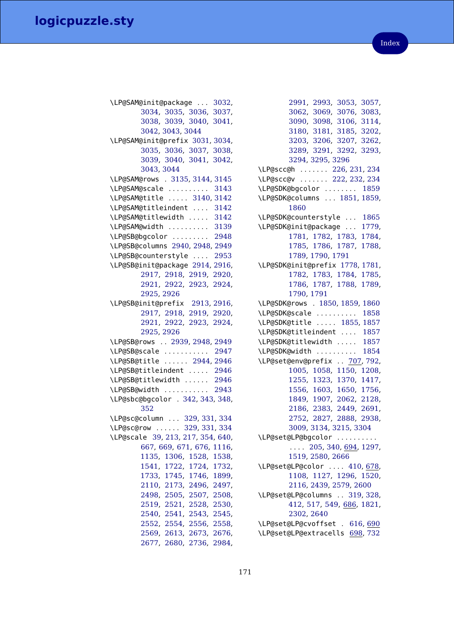| \LP@SAM@init@package  3032,                        |
|----------------------------------------------------|
| 3034, 3035, 3036, 3037,                            |
| 3038, 3039, 3040, 3041,                            |
| 3042, 3043, 3044                                   |
| \LP@SAM@init@prefix 3031, 3034,                    |
| 3035, 3036, 3037, 3038,                            |
| 3039, 3040, 3041, 3042,                            |
| 3043, 3044                                         |
| \LP@SAM@rows . 3135, 3144, 3145                    |
| \LP@SAM@scale<br>3143                              |
| \LP@SAM@title  3140, 3142                          |
| \LP@SAM@titleindent  3142                          |
| \LP@SAM@titlewidth  3142                           |
| \LP@SAM@width  3139                                |
| \LP@SB@bgcolor  2948                               |
| \LP@SB@columns 2940, 2948, 2949                    |
| \LP@SB@counterstyle  2953                          |
| \LP@SB@init@package 2914, 2916,                    |
| 2917, 2918, 2919,<br>2920,                         |
| 2921, 2922, 2923, 2924,                            |
| 2925, 2926                                         |
| \LP@SB@init@prefix 2913, 2916,                     |
| 2917, 2918, 2919, 2920,                            |
| 2921, 2922, 2923, 2924,                            |
| 2925, 2926                                         |
| \LP@SB@rows  2939, 2948, 2949                      |
| \LP@SB@scale  2947                                 |
| \LP@SB@title  2944, 2946                           |
| \LP@SB@titleindent  2946                           |
| \LP@SB@titlewidth<br>2946                          |
| \LP@SB@width  2943                                 |
| \LP@sbc@bgcolor . 342, 343, 348,                   |
|                                                    |
| 352                                                |
|                                                    |
| \LP@sc@column  329, 331, 334                       |
| \LP@sc@row  329, 331, 334                          |
| \LP@scale 39, 213, 217, 354, 640,                  |
| 667, 669, 671, 676, 1116,                          |
| 1135, 1306, 1528, 1538,                            |
| 1541, 1722, 1724, 1732,                            |
| 1733, 1745, 1746, 1899,                            |
| 2110, 2173, 2496, 2497,                            |
| 2498, 2505, 2507, 2508,                            |
| 2519, 2521, 2528, 2530,                            |
| 2540, 2541, 2543, 2545,                            |
| 2552, 2554, 2556, 2558,<br>2569, 2613, 2673, 2676, |

| 2991, 2993, 3053, 3057,<br>3062, 3069, 3076, 3083,<br>3090, 3098, 3106, 3114,<br>3180, 3181, 3185, 3202,<br>3203, 3206, 3207, 3262,<br>3289, 3291, 3292, 3293, |
|----------------------------------------------------------------------------------------------------------------------------------------------------------------|
|                                                                                                                                                                |
|                                                                                                                                                                |
|                                                                                                                                                                |
|                                                                                                                                                                |
| 3289, 3291, 3292, 3293,                                                                                                                                        |
| 3294, 3295, 3296                                                                                                                                               |
| \LP@scc@h  226, 231, 234                                                                                                                                       |
| \LP@scc@v  222, 232, 234                                                                                                                                       |
| \LP@SDK@bgcolor  1859                                                                                                                                          |
| \LP@SDK@columns  1851, 1859,                                                                                                                                   |
| 1860                                                                                                                                                           |
| \LP@SDK@counterstyle  1865                                                                                                                                     |
| \LP@SDK@init@package  1779,                                                                                                                                    |
| 1781, 1782, 1783, 1784,                                                                                                                                        |
| 1785, 1786, 1787, 1788,                                                                                                                                        |
| 1789, 1790, 1791                                                                                                                                               |
| \LP@SDK@init@prefix 1778, 1781,                                                                                                                                |
| 1782, 1783, 1784, 1785,                                                                                                                                        |
| 1786, 1787, 1788, 1789,                                                                                                                                        |
| 1790, 1791                                                                                                                                                     |
| \LP@SDK@rows . 1850, 1859, 1860                                                                                                                                |
|                                                                                                                                                                |
| \LP@SDK@scale  1858                                                                                                                                            |
| \LP@SDK@title  1855, 1857                                                                                                                                      |
| \LP@SDK@titleindent  1857                                                                                                                                      |
| \LP@SDK@titlewidth  1857                                                                                                                                       |
| \LP@SDK@width  1854                                                                                                                                            |
| \LP@set@env@prefix  707, 792,                                                                                                                                  |
| 1005, 1058, 1150, 1208,                                                                                                                                        |
| 1255, 1323, 1370, 1417,                                                                                                                                        |
| 1556, 1603, 1650, 1756, 1849, 1907, 2062, 2128,                                                                                                                |
|                                                                                                                                                                |
| 2186, 2383, 2449, 2691,                                                                                                                                        |
| 2752, 2827, 2888, 2938,                                                                                                                                        |
| 3009, 3134, 3215, 3304                                                                                                                                         |
| \LP@set@LP@bgcolor                                                                                                                                             |
| $\ldots$ 205, 340, 694, 1297,                                                                                                                                  |
| 1519, 2580, 2666                                                                                                                                               |
| \LP@set@LP@color  410, 678,                                                                                                                                    |
| 1108, 1127, 1296, 1520,                                                                                                                                        |
| 2116, 2439, 2579, 2600                                                                                                                                         |
| \LP@set@LP@columns  319, 328,                                                                                                                                  |
| 412, 517, 549, 686, 1821,                                                                                                                                      |
| 2302, 2640                                                                                                                                                     |
| \LP@set@LP@cvoffset . 616, 690                                                                                                                                 |
| \LP@set@LP@extracells 698,732                                                                                                                                  |
|                                                                                                                                                                |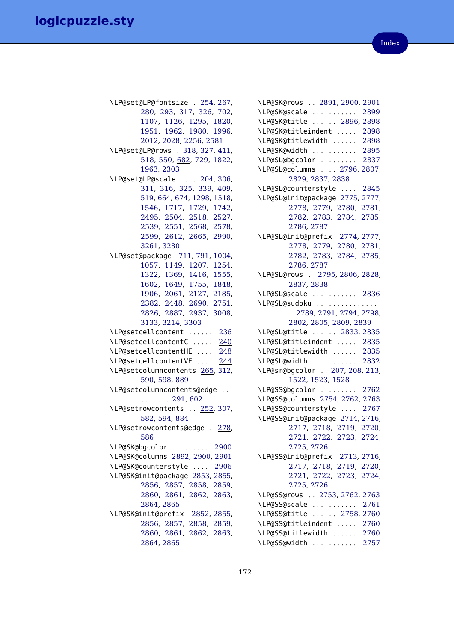\LP@set@LP@fontsize . [254,](#page-79-7) [267,](#page-79-8) [280,](#page-79-9) [293,](#page-80-3) [317,](#page-81-6) [326,](#page-81-10) [702,](#page-93-10) [1107,](#page-102-16) [1126,](#page-103-16) [1295,](#page-106-22) [1820,](#page-119-4) [1951,](#page-122-4) [1962,](#page-122-5) [1980,](#page-122-7) [1996,](#page-123-0) [2012,](#page-123-1) [2028,](#page-123-2) [2256,](#page-128-10) [2581](#page-136-16) \LP@set@LP@rows . [318,](#page-81-7) [327,](#page-81-11) [411,](#page-83-14) [518,](#page-87-7) [550,](#page-88-6) [682,](#page-92-15) [729,](#page-94-5) [1822,](#page-119-6) [1963,](#page-122-6) [2303](#page-129-8) \LP@set@LP@scale . . . . [204,](#page-77-2) [306,](#page-80-4) [311,](#page-80-5) [316,](#page-81-5) [325,](#page-81-9) [339,](#page-81-13) [409,](#page-83-12) [519,](#page-87-8) [664,](#page-92-2) [674,](#page-92-16) [1298,](#page-106-25) [1518,](#page-111-8) [1546,](#page-112-4) [1717,](#page-116-3) [1729,](#page-116-4) [1742,](#page-117-4) [2495,](#page-134-4) [2504,](#page-134-5) [2518,](#page-135-0) [2527,](#page-135-1) [2539,](#page-135-2) [2551,](#page-136-11) [2568,](#page-136-12) [2578,](#page-136-13) [2599,](#page-137-7) [2612,](#page-137-9) [2665,](#page-138-9) [2990,](#page-146-13) [3261,](#page-153-11) [3280](#page-154-4) \LP@set@package [711,](#page-93-11) [791,](#page-95-22) [1004,](#page-100-23) [1057,](#page-101-26) [1149,](#page-103-21) [1207,](#page-104-23) [1254,](#page-105-27) [1322,](#page-107-27) [1369,](#page-108-26) [1416,](#page-109-27) [1555,](#page-112-17) [1602,](#page-113-27) [1649,](#page-114-26) [1755,](#page-117-18) [1848,](#page-119-19) [1906,](#page-121-25) [2061,](#page-124-17) [2127,](#page-126-25) [2185,](#page-127-20) [2382,](#page-131-16) [2448,](#page-133-24) [2690,](#page-139-19) [2751,](#page-140-17) [2826,](#page-142-14) [2887,](#page-143-15) [2937,](#page-144-25) [3008,](#page-146-16) [3133,](#page-150-17) [3214,](#page-152-9) [3303](#page-154-14) \LP@setcellcontent . . . . . . [236](#page-78-11) \LP@setcellcontentC . . . . . [240](#page-78-12) \LP@setcellcontentHE .... [248](#page-78-13) \LP@setcellcontentVE . . . . [244](#page-78-14) \LP@setcolumncontents [265,](#page-79-13) [312,](#page-80-7) [590,](#page-89-4) [598,](#page-89-5) [889](#page-97-28) \LP@setcolumncontents@edge . .  $\ldots \ldots$  [291,](#page-80-8) [602](#page-89-6) \LP@setrowcontents . . [252,](#page-78-15) [307,](#page-80-9) [582,](#page-89-7) [594,](#page-89-8) [884](#page-97-29) \LP@setrowcontents@edge . [278,](#page-79-14) [586](#page-89-9) \LP@SK@bgcolor . . . . . . . . . [2900](#page-144-12) \LP@SK@columns [2892,](#page-143-16) [2900,](#page-144-12) [2901](#page-144-14) \LP@SK@counterstyle . . . . [2906](#page-144-13) \LP@SK@init@package [2853,](#page-142-15) [2855,](#page-142-2) [2856,](#page-142-3) [2857,](#page-142-4) [2858,](#page-142-5) [2859,](#page-142-6) [2860,](#page-143-7) [2861,](#page-143-8) [2862,](#page-143-9) [2863,](#page-143-10) [2864,](#page-143-11) [2865](#page-143-6) \LP@SK@init@prefix [2852,](#page-142-16) [2855,](#page-142-2) [2856,](#page-142-3) [2857,](#page-142-4) [2858,](#page-142-5) [2859,](#page-142-6) [2860,](#page-143-7) [2861,](#page-143-8) [2862,](#page-143-9) [2863,](#page-143-10) [2864,](#page-143-11) [2865](#page-143-6)

| \LP@SK@rows  2891, 2900, 2901                                |
|--------------------------------------------------------------|
| \LP@SK@scale<br>2899                                         |
| \LP@SK@title  2896, 2898                                     |
| \LP@SK@titleindent  2898                                     |
| \LP@SK@titlewidth<br>2898                                    |
| \LP@SK@width  2895                                           |
| \LP@SL@bgcolor  2837                                         |
| \LP@SL@columns  2796, 2807,                                  |
| 2829, 2837, 2838                                             |
|                                                              |
| \LP@SL@counterstyle  2845<br>\LP@SL@init@package 2775, 2777, |
|                                                              |
| 2778, 2779, 2780, 2781,                                      |
| 2782, 2783, 2784, 2785,                                      |
| 2786, 2787<br>\LP@SL@init@prefix 2774, 2777,                 |
|                                                              |
| 2778, 2779, 2780, 2781,                                      |
| 2782, 2783, 2784, 2785,                                      |
| 2786, 2787                                                   |
| \LP@SL@rows . 2795, 2806, 2828,                              |
| 2837, 2838                                                   |
| \LP@SL@scale  2836                                           |
| \LP@SL@sudoku                                                |
| . 2789, 2791, 2794, 2798,                                    |
| 2802, 2805, 2809, 2839                                       |
| \LP@SL@title  2833, 2835                                     |
| \LP@SL@titleindent  2835                                     |
| \LP@SL@titlewidth  2835                                      |
| \LP@SL@width  2832                                           |
| \LP@sr@bgcolor  207, 208, 213,                               |
| 1522, 1523, 1528                                             |
| \LP@SS@bgcolor  2762                                         |
| \LP@SS@columns 2754, 2762, 2763                              |
|                                                              |
| \LP@SS@counterstyle  2767<br>\LP@SS@init@package 2714, 2716, |
|                                                              |
| 2717, 2718, 2719,<br>2720,                                   |
| 2721, 2722, 2723,<br>2724,                                   |
| 2725, 2726                                                   |
| \LP@SS@init@prefix 2713, 2716,                               |
| 2717, 2718, 2719, 2720,                                      |
| 2721, 2722, 2723, 2724,                                      |
| 2725, 2726                                                   |
| \LP@SS@rows  2753, 2762, 2763                                |
| \LP@SS@scale  2761                                           |
| \LP@SS@title  2758, 2760                                     |
| \LP@SS@titleindent  2760                                     |
| \LP@SS@titlewidth  2760                                      |
| \LP@SS@width  2757                                           |
|                                                              |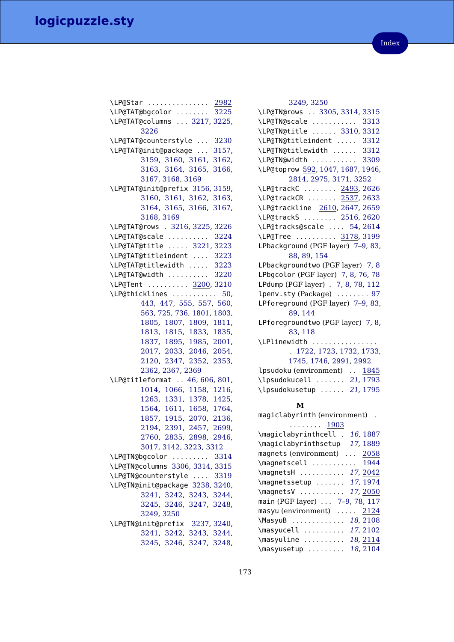| \LP@Star  2982                       |
|--------------------------------------|
| \LP@TAT@bgcolor  3225                |
| \LP@TAT@columns  3217, 3225,<br>3226 |
| \LP@TAT@counterstyle  3230           |
| \LP@TAT@init@package  3157,          |
| 3159, 3160, 3161, 3162,              |
| 3163, 3164, 3165, 3166,              |
| 3167, 3168, 3169                     |
| \LP@TAT@init@prefix 3156, 3159,      |
| 3160, 3161, 3162, 3163,              |
| 3164, 3165, 3166, 3167,              |
| 3168, 3169                           |
| \LP@TAT@rows . 3216, 3225, 3226      |
| \LP@TAT@scale  3224                  |
| \LP@TAT@title  3221, 3223            |
| \LP@TAT@titleindent  3223            |
| \LP@TAT@titlewidth<br>3223           |
| \LP@TAT@width<br>3220                |
| \LP@Tent  3200, 3210                 |
| \LP@thicklines  50,                  |
| 443, 447, 555, 557, 560,             |
| 563, 725, 736, 1801, 1803,           |
| 1805, 1807, 1809, 1811,              |
| 1813, 1815, 1833, 1835,              |
| 1837, 1895, 1985, 2001,              |
| 2017, 2033, 2046, 2054,              |
| 2120, 2347, 2352, 2353,              |
| 2362, 2367, 2369                     |
| \LP@titleformat  46, 606, 801,       |
| 1014, 1066, 1158, 1216,              |
| 1263, 1331, 1378, 1425,              |
| 1564, 1611, 1658, 1764,              |
| 1857, 1915, 2070, 2136,              |
| 2194, 2391, 2457, 2699,              |
| 2760, 2835, 2898, 2946,              |
| 3017, 3142, 3223, 3312               |
| \LP@TN@bgcolor  3314                 |
| \LP@TN@columns 3306, 3314, 3315      |
| \LP@TN@counterstyle  3319            |
| \LP@TN@init@package 3238, 3240,      |
| 3241, 3242, 3243, 3244,              |
| 3245, 3246, 3247, 3248,              |
| 3249, 3250                           |
| \LP@TN@init@prefix 3237, 3240,       |
| 3241, 3242, 3243, 3244,              |
| 3245, 3246, 3247, 3248,              |

| 3249, 3250                         |
|------------------------------------|
| \LP@TN@rows  3305, 3314, 3315      |
| \LP@TN@scale  3313                 |
| \LP@TN@title  3310, 3312           |
| \LP@TN@titleindent  3312           |
| \LP@TN@titlewidth  3312            |
| \LP@TN@width  3309                 |
| \LP@toprow 592, 1047, 1687, 1946,  |
| 2814, 2975, 3171, 3252             |
| \LP@trackC  2493, 2626             |
| \LP@trackCR  2537, 2633            |
| \LP@trackline 2610, 2647, 2659     |
| \LP@trackS  2516, 2620             |
| \LP@tracks@scale  54, 2614         |
| \LP@Tree  3178, 3199               |
| LPbackground (PGF layer) 7-9, 83,  |
| 88, 89, 154                        |
| LPbackgroundtwo (PGF layer) 7, 8   |
| LPbgcolor (PGF layer) 7, 8, 76, 78 |
| LPdump (PGF layer) . 7, 8, 78, 112 |
| lpenv.sty (Package)  97            |
| LPforeground (PGF layer) 7-9, 83,  |
| 89, 144                            |
| LPforegroundtwo (PGF layer) 7, 8,  |
| 83, 118                            |
| \LPlinewidth                       |
| . 1722, 1723, 1732, 1733,          |
| 1745, 1746, 2991, 2992             |
| lpsudoku (environment)  1845       |
| \lpsudokucell  21, 1793            |
| \lpsudokusetup  21, 1795           |

### **M**

| magiclabyrinth (environment).  |
|--------------------------------|
| $\cdots \cdots \cdots$ 1903    |
| \magiclabyrinthcell . 16, 1887 |
| \magiclabyrinthsetup 17, 1889  |
| magnets (environment)  2058    |
| \magnetscell  1944             |
| \magnetsH  17, 2042            |
| \magnetssetup  17, 1974        |
| \magnetsV  17, 2050            |
| main (PGF layer)  7-9, 78, 117 |
| masyu (environment)  2124      |
| \MasyuB  18, 2108              |
| \masyucell  17, 2102           |
| \masyuline  18, 2114           |
| \masyusetup  18, 2104          |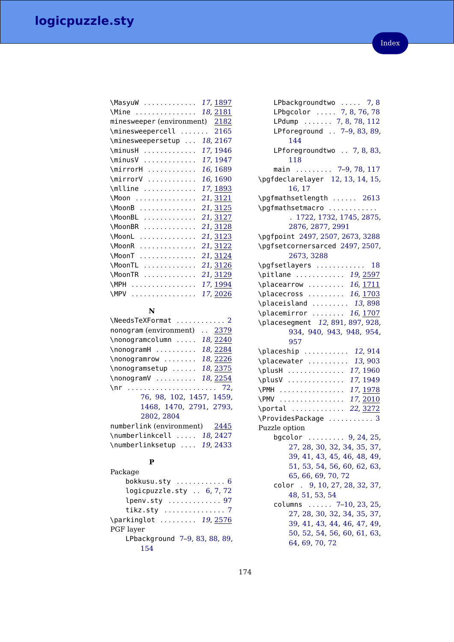| \MasyuW  17, 1897              |          |
|--------------------------------|----------|
| \Mine  18, 2181                |          |
| minesweeper (environment) 2182 |          |
| \minesweepercell  2165         |          |
| \minesweepersetup              | 18, 2167 |
| \minusH                        | 17, 1946 |
| \minusV                        | 17, 1947 |
| \mirrorH                       | 16, 1689 |
| \mirrorV                       | 16, 1690 |
| \mlline                        | 17, 1893 |
| \Moon                          | 21, 3121 |
| \MoonB                         | 21, 3125 |
| \MoonBL                        | 21, 3127 |
| \MoonBR                        | 21, 3128 |
| \MoonL                         | 21, 3123 |
| \MoonR                         | 21, 3122 |
| \MoonT                         | 21, 3124 |
| \MoonTL                        | 21, 3126 |
| \MoonTR                        | 21, 3129 |
| \MPH                           | 17, 1994 |
| \MPV                           | 17,2026  |

### **N**

### **P**

| Package                                    |
|--------------------------------------------|
| bokkusu.sty $\ldots \ldots \ldots 6$       |
| logicpuzzle.sty  6, 7, 72                  |
| lpenv.sty  97                              |
| tikz.sty $\ldots \ldots \ldots \ldots$ . 7 |
| \parkinglot  19, 2576                      |
| PGF layer                                  |
| LPbackground 7-9, 83, 88, 89,              |
| 154                                        |

| LPbackgroundtwo  7,8                          |
|-----------------------------------------------|
| LPbgcolor  7, 8, 76, 78                       |
| LPdump  7, 8, 78, 112                         |
| LPforeground  7-9, 83, 89,<br>144             |
| LPforegroundtwo  7, 8, 83,<br>118             |
| main  7-9, 78, 117                            |
| \pgfdeclarelayer 12, 13, 14, 15,<br>16, 17    |
| \pgfmathsetlength  2613<br>\pgfmathsetmacro   |
| . 1722, 1732, 1745, 2875,                     |
| 2876, 2877, 2991                              |
| \pgfpoint 2497, 2507, 2673, 3288              |
| \pgfsetcornersarced 2497, 2507,               |
| 2673, 3288                                    |
| \pgfsetlayers  18                             |
| \pitlane  19, 2597                            |
| \placearrow  16, 1711                         |
| \placecross  16, 1703                         |
| \placeisland  13,898                          |
| \placemirror  16, 1707                        |
|                                               |
| \placesegment 12, 891, 897, 928,              |
| 934, 940, 943, 948, 954,<br>957               |
| \placeship  12,914                            |
| \placewater  13,903                           |
| 17, 1960<br>\plusH                            |
| 17, 1949<br>\plusV                            |
| \PMH  17, <u>1978</u>                         |
| \PMV  17, 2010                                |
| \portal  22, 3272                             |
| \ProvidesPackage  3                           |
| Puzzle option<br>bgcolor  9, 24, 25,          |
| 27, 28, 30, 32, 34, 35, 37,                   |
| 39, 41, 43, 45, 46, 48, 49,                   |
| 51, 53, 54, 56, 60, 62, 63,                   |
| 65, 66, 69, 70, 72                            |
| color . 9, 10, 27, 28, 32, 37,                |
| 48, 51, 53, 54                                |
| columns  7-10, 23, 25,                        |
| 27, 28, 30, 32, 34, 35, 37,                   |
| 39, 41, 43, 44, 46, 47, 49,                   |
| 50, 52, 54, 56, 60, 61, 63,<br>64, 69, 70, 72 |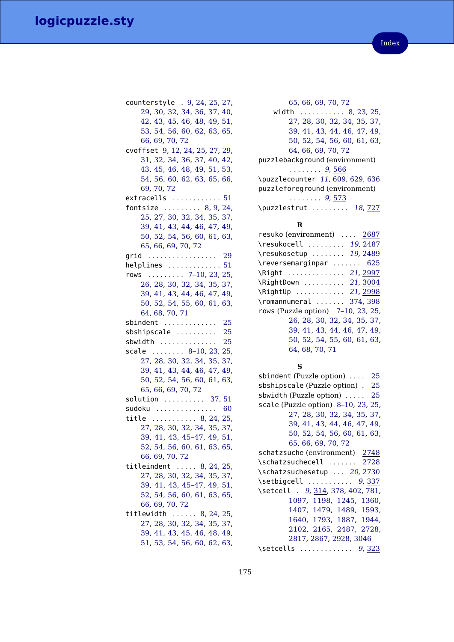| counterstyle . 9, 24, 25, 27,                              |
|------------------------------------------------------------|
| 29, 30, 32, 34, 36, 37, 40,                                |
| 42, 43, 45, 46, 48, 49, 51,                                |
| 53, 54, 56, 60, 62, 63, 65,                                |
| 66, 69, 70, 72                                             |
| cvoffset 9, 12, 24, 25, 27, 29,                            |
| 31, 32, 34, 36, 37, 40, 42,                                |
| 43, 45, 46, 48, 49, 51, 53,                                |
| 54, 56, 60, 62, 63, 65, 66,                                |
| 69, 70, 72                                                 |
| extracells  51                                             |
| fontsize $\ldots \ldots \ldots 8, 9, 24,$                  |
| 25, 27, 30, 32, 34, 35, 37,                                |
| 39, 41, 43, 44, 46, 47, 49,                                |
| 50, 52, 54, 56, 60, 61, 63,                                |
| 65, 66, 69, 70, 72                                         |
| grid  29                                                   |
| helplines  51                                              |
| rows  7-10, 23, 25,                                        |
| 26, 28, 30, 32, 34, 35, 37,                                |
| 39, 41, 43, 44, 46, 47, 49,                                |
| 50, 52, 54, 55, 60, 61, 63,                                |
| 64, 68, 70, 71                                             |
|                                                            |
|                                                            |
| sbindent $\ldots \ldots \ldots \ldots 25$                  |
| sbshipscale  25                                            |
| sbwidth $\ldots \ldots \ldots \ldots 25$                   |
| scale  8-10, 23, 25,                                       |
| 27, 28, 30, 32, 34, 35, 37,                                |
| 39, 41, 43, 44, 46, 47, 49,                                |
| 50, 52, 54, 56, 60, 61, 63,                                |
| 65, 66, 69, 70, 72                                         |
| solution  37,51                                            |
| $s$ udoku $\ldots \ldots \ldots \ldots \ldots 60$          |
| title  8, 24, 25,                                          |
| 27, 28, 30, 32, 34, 35, 37,                                |
| 39, 41, 43, 45-47, 49, 51,                                 |
| 52, 54, 56, 60, 61, 63, 65,                                |
| 66, 69, 70, 72                                             |
| titleindent  8, 24, 25,                                    |
| 27, 28, 30, 32, 34, 35, 37,                                |
| 39, 41, 43, 45-47, 49, 51,                                 |
| 52, 54, 56, 60, 61, 63, 65,                                |
| 66, 69, 70, 72                                             |
| titlewidth  8, 24, 25,                                     |
| 27, 28, 30, 32, 34, 35, 37,                                |
| 39, 41, 43, 45, 46, 48, 49,<br>51, 53, 54, 56, 60, 62, 63, |

[65,](#page-64-0) [66,](#page-65-0) [69,](#page-68-0) [70,](#page-69-0) [72](#page-71-0) width .......... [8,](#page-7-1) [23,](#page-22-0) [25,](#page-24-0) [27,](#page-26-0) [28,](#page-27-0) [30,](#page-29-0) [32,](#page-31-0) [34,](#page-33-0) [35,](#page-34-0) [37,](#page-36-0) [39,](#page-38-0) [41,](#page-40-0) [43,](#page-42-0) [44,](#page-43-0) [46,](#page-45-0) [47,](#page-46-0) [49,](#page-48-0) [50,](#page-49-0) [52,](#page-51-0) [54,](#page-53-0) [56,](#page-55-0) [60,](#page-59-0) [61,](#page-60-0) [63,](#page-62-0) [64,](#page-63-0) [66,](#page-65-0) [69,](#page-68-0) [70,](#page-69-0) [72](#page-71-0) puzzlebackground (environment)  $\ldots \ldots 9, 566$  $\ldots \ldots 9, 566$  $\ldots \ldots 9, 566$  $\ldots \ldots 9, 566$ \puzzlecounter [11](#page-10-2), [609,](#page-90-4) [629,](#page-91-5) [636](#page-91-14) puzzleforeground (environment) . . . . . . . . [9](#page-8-2), [573](#page-88-2) \puzzlestrut ........ [18](#page-17-11), [727](#page-94-15)

### **R**

### **S**

sbindent (Puzzle option) .... [25](#page-24-0) sbshipscale (Puzzle option) . [25](#page-24-0) sbwidth (Puzzle option) ..... [25](#page-24-0) scale (Puzzle option) [8](#page-7-1)[–10,](#page-9-0) [23,](#page-22-0) [25,](#page-24-0) [27,](#page-26-0) [28,](#page-27-0) [30,](#page-29-0) [32,](#page-31-0) [34,](#page-33-0) [35,](#page-34-0) [37,](#page-36-0) [39,](#page-38-0) [41,](#page-40-0) [43,](#page-42-0) [44,](#page-43-0) [46,](#page-45-0) [47,](#page-46-0) [49,](#page-48-0) [50,](#page-49-0) [52,](#page-51-0) [54,](#page-53-0) [56,](#page-55-0) [60,](#page-59-0) [61,](#page-60-0) [63,](#page-62-0) [65,](#page-64-0) [66,](#page-65-0) [69,](#page-68-0) [70,](#page-69-0) [72](#page-71-0) schatzsuche (environment) [2748](#page-140-1) \schatzsuchecell . . . . . . . [2728](#page-140-23) \schatzsuchesetup ... [20](#page-19-1), [2730](#page-140-24) \setbigcell .......... [9](#page-8-3), [337](#page-81-21) \setcell . [9](#page-8-4), [314,](#page-80-10) [378,](#page-83-7) [402,](#page-83-11) [781,](#page-95-0) [1097,](#page-102-0) [1198,](#page-104-1) [1245,](#page-105-1) [1360,](#page-107-2) [1407,](#page-108-1) [1479,](#page-110-1) [1489,](#page-110-16) [1593,](#page-113-1) [1640,](#page-114-1) [1793,](#page-118-22) [1887,](#page-120-21) [1944,](#page-121-27) [2102,](#page-125-20) [2165,](#page-126-26) [2487,](#page-133-26) [2728,](#page-140-23) [2817,](#page-142-25) [2867,](#page-143-23) [2928,](#page-144-26) [3046](#page-147-25) \setcells ............. [9](#page-8-5), [323](#page-81-22)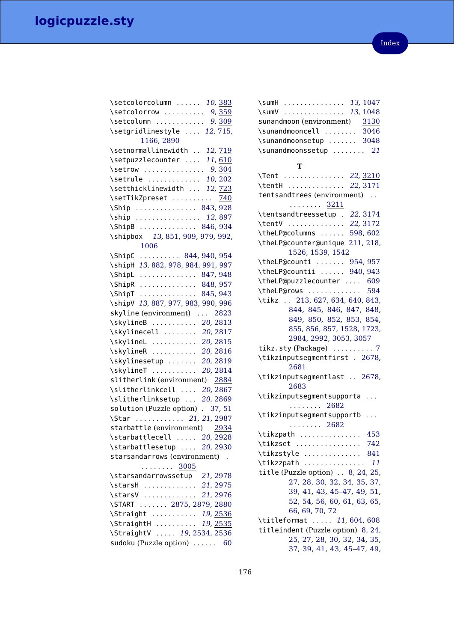| \setcolorcolumn  10,383                    |
|--------------------------------------------|
| \setcolorrow  9, 359                       |
| \setcolumn  9, 309                         |
| \setgridlinestyle  12, 715,                |
| 1166, 2890                                 |
| \setnormallinewidth  12, 719               |
| \setpuzzlecounter  11, 610                 |
| \setrow  9, 304                            |
| \setrule  10, 202                          |
| \setthicklinewidth  12, 723                |
| \setTikZpreset  740                        |
| \Ship  843, 928                            |
| \ship  12,897                              |
| \ShipB  846, 934                           |
| \shipbox 13, 851, 909, 979, 992,           |
| 1006                                       |
| $\binom{5}{10}$ 844, 940, 954              |
| \shipH 13, 882, 978, 984, 991, 997         |
| \ShipL  847, 948                           |
| \ShipR  848, 957                           |
| $\Delta$<br>845, 943                       |
| \shipV 13, 887, 977, 983, 990, 996         |
| skyline (environment)  2823                |
| \skylineB  20, 2813                        |
| 20, 2817<br>\skylinecell                   |
| 20, 2815<br>\skylineL                      |
| \skylineR<br>20, 2816                      |
| \skylinesetup<br>20, 2819                  |
| \skylineT                                  |
| 20, 2814<br>slitherlink (environment) 2884 |
|                                            |
| \slitherlinkcell  20, 2867                 |
| \slitherlinksetup  20, 2869                |
| solution (Puzzle option) . 37, 51          |
| \Star  21, 21, 2987                        |
| starbattle (environment) 2934              |
| \starbattlecell $20, \overline{2928}$      |
| \starbattlesetup  20, 2930                 |
| starsandarrows (environment) .             |
| . <u>3005</u>                              |
| \starsandarrowssetup 21, 2978              |
| \starsH  21, 2975                          |
| \starsV  21, 2976                          |
| \START  2875, 2879, 2880                   |
| \Straight  19, 2536                        |
| \StraightH  19, 2535                       |
| \StraightV  19, 2534, 2536                 |
| sudoku (Puzzle option)  60                 |

| \sumH  13, 1047                    |
|------------------------------------|
| \sumV  13, 1048                    |
| sunandmoon (environment) 3130      |
| \sunandmooncell  3046              |
| \sunandmoonsetup  3048             |
| \sunandmoonssetup  21              |
|                                    |
| т                                  |
| \Tent  22, 3210                    |
| \tentH  22, 3171                   |
| tentsandtrees (environment)        |
| . 3211                             |
| \tentsandtreessetup . 22, 3174     |
| 22, 3172<br>\tentV                 |
| \theLP@columns  598,602            |
| \theLP@counter@unique 211, 218,    |
| 1526, 1539, 1542                   |
| \theLP@counti  954, 957            |
| \theLP@countii  940, 943           |
| \theLP@puzzlecounter  609          |
| \theLP@rows  594                   |
| \tikz  213, 627, 634, 640, 843,    |
| 844, 845, 846, 847, 848,           |
| 849, 850, 852, 853, 854,           |
| 855, 856, 857, 1528, 1723,         |
| 2984, 2992, 3053, 3057             |
| tikz.sty (Package)  7              |
| \tikzinputsegmentfirst . 2678,     |
| 2681                               |
| \tikzinputsegmentlast  2678,       |
| 2683                               |
| \tikzinputsegmentsupporta          |
| $\cdots \cdots 2682$               |
| \tikzinputsegmentsupportb          |
| $\cdots \cdots 2682$               |
| \tikzpath <u>453</u>               |
| 742<br>\tikzset                    |
| \tikzstyle  841                    |
| 11<br>\tikzzpath                   |
| title (Puzzle option) . 8, 24, 25, |
| 27, 28, 30, 32, 34, 35, 37,        |
| 39, 41, 43, 45-47, 49, 51,         |
| 52, 54, 56, 60, 61, 63, 65,        |
| 66, 69, 70, 72                     |
| \titleformat  11, 604, 608         |
| titleindent (Puzzle option) 8, 24, |
| 25, 27, 28, 30, 32, 34, 35,        |
| 37, 39, 41, 43, 45-47, 49,         |